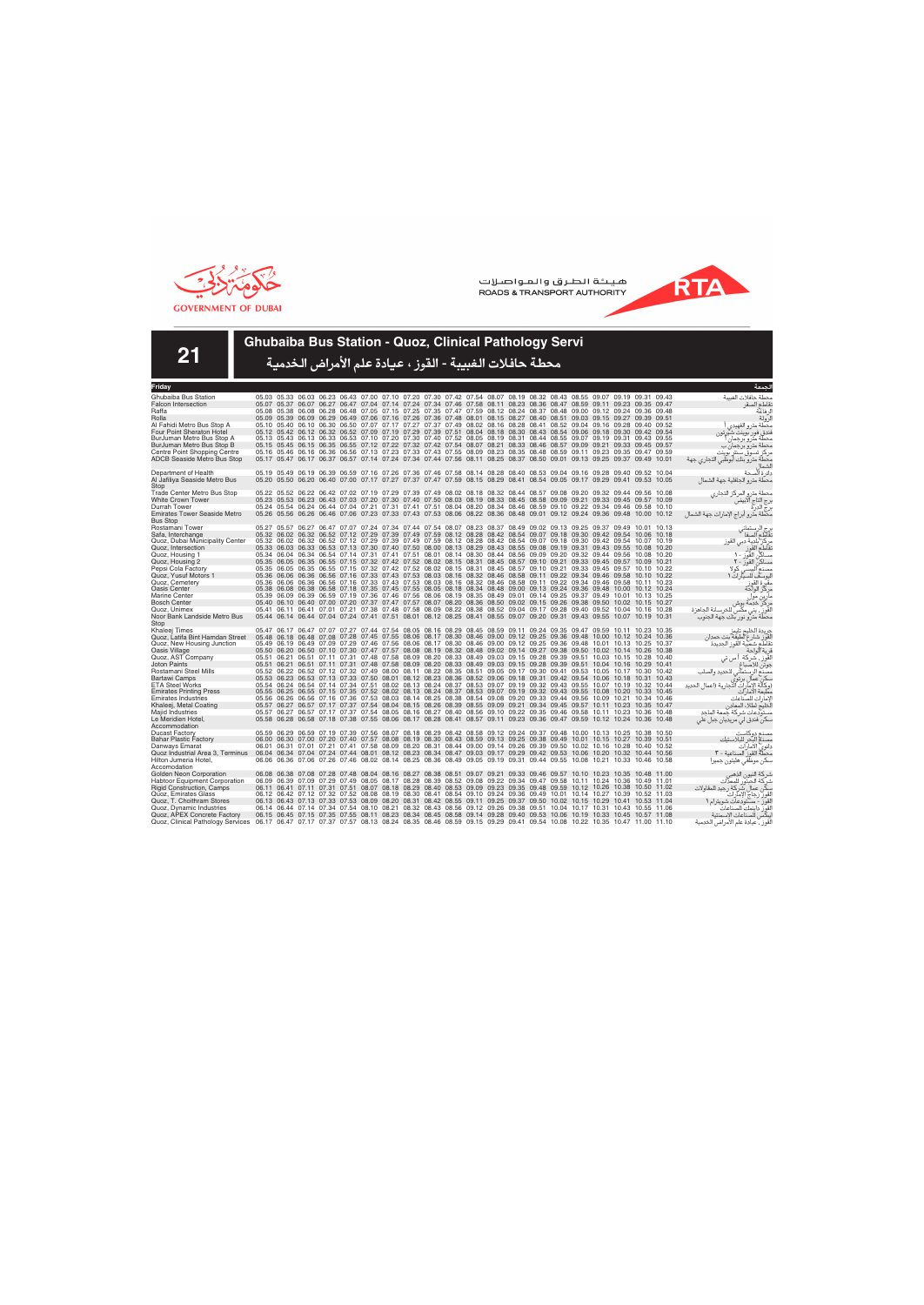



**21**

### **Ghubaiba Bus Station - Quoz, Clinical Pathology Servi**

| Friday                                                             |                                                                                                                         |  |                                                                                                                                                                                                                                                    |  |  |  |  |  |  |  | لحمعة                                                                                     |
|--------------------------------------------------------------------|-------------------------------------------------------------------------------------------------------------------------|--|----------------------------------------------------------------------------------------------------------------------------------------------------------------------------------------------------------------------------------------------------|--|--|--|--|--|--|--|-------------------------------------------------------------------------------------------|
| Ghubaiba Bus Station                                               |                                                                                                                         |  | 05.03 05.33 06.03 06.23 06.43 07.00 07.10 07.20 07.30 07.42 07.54 08.07 08.19 08.32 08.43 08.55 09.07 09.19 09.31 09.43                                                                                                                            |  |  |  |  |  |  |  | محطة حافلات الغسة                                                                         |
| <b>Falcon Intersection</b>                                         |                                                                                                                         |  | 05.07 05.37 06.07 06.27 06.47 07.04 07.14 07.24 07.34 07.46 07.58 08.11 08.23 08.36 08.47 08.59 09.11 09.23 09.35 09.47                                                                                                                            |  |  |  |  |  |  |  | نقاطع الصقر                                                                               |
| Raffa                                                              |                                                                                                                         |  | 05.08 05.38 06.08 06.28 06.48 07.05 07.15 07.25 07.35 07.47 07.59 08.12 08.24 08.37 08.48 09.00 09.12 09.24 09.36 09.48                                                                                                                            |  |  |  |  |  |  |  | لر فاعة                                                                                   |
| Rolla                                                              |                                                                                                                         |  | 05.09 05.39 06.09 06.29 06.49 07.06 07.16 07.26 07.36 07.48 08.01 08.15 08.27 08.40 08.51 09.03 09.15 09.27 09.39 09.51                                                                                                                            |  |  |  |  |  |  |  | لرولة                                                                                     |
| Al Fahidi Metro Bus Stop A                                         |                                                                                                                         |  | 05.10 05.40 06.10 06.30 06.50 07.07 07.17 07.27 07.37 07.49 08.02 08.16 08.28 08.41 08.52 09.04 09.16 09.28 09.40 09.52                                                                                                                            |  |  |  |  |  |  |  | محطة مترو الفهيدى                                                                         |
| Four Point Sheraton Hotel                                          |                                                                                                                         |  | 05.12 05.42 06.12 06.32 06.52 07.09 07.19 07.29 07.39 07.51 08.04 08.18 08.30 08.43 08.54 09.06 09.18 09.30 09.42 09.54                                                                                                                            |  |  |  |  |  |  |  | فندق فور بوينت شيرتون                                                                     |
| BurJuman Metro Bus Stop A                                          |                                                                                                                         |  | 05.13 05.43 06.13 06.33 06.53 07.10 07.20 07.30 07.40 07.52 08.05 08.19 08.31 08.44 08.55 09.07 09.19 09.31 09.43 09.55                                                                                                                            |  |  |  |  |  |  |  | محطة مترو برجمان                                                                          |
| BurJuman Metro Bus Stop B                                          |                                                                                                                         |  | 05.15 05.45 06.15 06.35 06.55 07.12 07.22 07.32 07.42 07.54 08.07 08.21 08.33 08.46 08.57 09.09 09.21 09.33 09.45 09.57<br>05.16 05.46 06.16 06.36 06.56 07.13 07.23 07.33 07.43 07.55 08.09 08.23 08.35 08.48 08.59 09.11 09.23 09.35 09.47 09.59 |  |  |  |  |  |  |  | محطة مترو برجمان ب                                                                        |
| Centre Point Shopping Centre<br><b>ADCB Seaside Metro Bus Stop</b> |                                                                                                                         |  | 05.17 05.47 06.17 06.37 06.57 07.14 07.24 07.34 07.44 07.56 08.11 08.25 08.37 08.50 09.01 09.13 09.25 09.37 09.49 10.01                                                                                                                            |  |  |  |  |  |  |  | مر کز تسوق سنتر بوینت                                                                     |
|                                                                    |                                                                                                                         |  |                                                                                                                                                                                                                                                    |  |  |  |  |  |  |  | محطة مترو بنك أبوظبي التجاري جهة                                                          |
| Department of Health                                               |                                                                                                                         |  | 05.19 05.49 06.19 06.39 06.59 07.16 07.26 07.36 07.46 07.58 08.14 08.28 08.40 08.53 09.04 09.16 09.28 09.40 09.52 10.04                                                                                                                            |  |  |  |  |  |  |  | دائرة ألصحة                                                                               |
| Al Jafiliya Seaside Metro Bus                                      |                                                                                                                         |  | 05.20 05.50 06.20 06.40 07.00 07.17 07.27 07.37 07.47 07.59 08.15 08.29 08.41 08.54 09.05 09.17 09.29 09.41 09.53 10.05                                                                                                                            |  |  |  |  |  |  |  | محطة مترو الجافلية جهة الشمال                                                             |
| Stop                                                               |                                                                                                                         |  |                                                                                                                                                                                                                                                    |  |  |  |  |  |  |  |                                                                                           |
| <b>Trade Center Metro Bus Stop</b>                                 |                                                                                                                         |  | 05.22 05.52 06.22 06.42 07.02 07.19 07.29 07.39 07.49 08.02 08.18 08.32 08.44 08.57 09.08 09.20 09.32 09.44 09.56 10.08                                                                                                                            |  |  |  |  |  |  |  | محطة مترو المركز التجاري                                                                  |
| <b>White Crown Tower</b>                                           |                                                                                                                         |  | 05.23 05.53 06.23 06.43 07.03 07.20 07.30 07.40 07.50 08.03 08.19 08.33 08.45 08.58 09.09 09.21 09.33 09.45 09.57 10.09                                                                                                                            |  |  |  |  |  |  |  | برج التاج الآبيض                                                                          |
| Durrah Tower                                                       |                                                                                                                         |  | 05.24 05.54 06.24 06.44 07.04 07.21 07.31 07.41 07.51 08.04 08.20 08.34 08.46 08.59 09.10 09.22 09.34 09.46 09.58 10.10                                                                                                                            |  |  |  |  |  |  |  | برج الدرة<br>برج الدرة                                                                    |
| <b>Emirates Tower Seaside Metro</b>                                |                                                                                                                         |  | 05.26 05.56 06.26 06.46 07.06 07.23 07.33 07.43 07.53 08.06 08.22 08.36 08.48 09.01 09.12 09.24 09.36 09.48 10.00 10.12                                                                                                                            |  |  |  |  |  |  |  | محطة مترو أبراج الإمارات جهة الشمال                                                       |
| <b>Bus Stop</b>                                                    |                                                                                                                         |  |                                                                                                                                                                                                                                                    |  |  |  |  |  |  |  |                                                                                           |
| Rostamani Tower<br>Safa, Interchange                               |                                                                                                                         |  | 05.27 05.57 06.27 06.47 07.07 07.24 07.34 07.44 07.54 08.07 08.23 08.37 08.49 09.02 09.13 09.25 09.37 09.49 10.01 10.13<br>05.32 06.02 06.32 06.52 07.12 07.29 07.39 07.49 07.59 08.12 08.28 08.42 08.54 09.07 09.18 09.30 09.42 09.54 10.06 10.18 |  |  |  |  |  |  |  | برج الرستماني<br>تقاطع الصفا                                                              |
| Quoz, Dubai Municipality Center                                    |                                                                                                                         |  | 05.32 06.02 06.32 06.52 07.12 07.29 07.39 07.49 07.59 08.12 08.28 08.42 08.54 09.07 09.18 09.30 09.42 09.54 10.07 10.19                                                                                                                            |  |  |  |  |  |  |  |                                                                                           |
| Quoz, Intersection                                                 |                                                                                                                         |  | 05.33 06.03 06.33 06.53 07.13 07.30 07.40 07.50 08.00 08.13 08.29 08.43 08.55 09.08 09.19 09.31 09.43 09.55 10.08 10.20                                                                                                                            |  |  |  |  |  |  |  | مركز بلدية دبي القوز<br>نقاطع القوز                                                       |
| Quoz, Housing 1                                                    |                                                                                                                         |  | 05.34 06.04 06.34 06.54 07.14 07.31 07.41 07.51 08.01 08.14 08.30 08.44 08.56 09.09 09.20 09.32 09.44 09.56 10.08 10.20                                                                                                                            |  |  |  |  |  |  |  | مساكن القوز - ١                                                                           |
| Quoz, Housing 2                                                    |                                                                                                                         |  | 05.35 06.05 06.35 06.55 07.15 07.32 07.42 07.52 08.02 08.15 08.31 08.45 08.57 09.10 09.21 09.33 09.45 09.57 10.09 10.21                                                                                                                            |  |  |  |  |  |  |  | مساكن القوز - ٢                                                                           |
| Pepsi Cola Factory                                                 |                                                                                                                         |  | 05.35 06.05 06.35 06.55 07.15 07.32 07.42 07.52 08.02 08.15 08.31 08.45 08.57 09.10 09.21 09.33 09.45 09.57 10.10 10.22                                                                                                                            |  |  |  |  |  |  |  | مصنع البستى كولا                                                                          |
| Quoz, Yusuf Motors 1                                               |                                                                                                                         |  | 05.36 06.06 06.36 06.56 07.16 07.33 07.43 07.53 08.03 08.16 08.32 08.46 08.58 09.11 09.22 09.34 09.46 09.58 10.10 10.22                                                                                                                            |  |  |  |  |  |  |  | ليوسف للسيارات ١                                                                          |
| Quoz, Cemetery                                                     |                                                                                                                         |  | 05.36 06.06 06.36 06.56 07.16 07.33 07.43 07.53 08.03 08.16 08.32 08.46 08.58 09.11 09.22 09.34 09.46 09.58 10.11 10.23                                                                                                                            |  |  |  |  |  |  |  | مقبرة القوز<br>مركز الواحة                                                                |
| <b>Oasis Center</b>                                                |                                                                                                                         |  | 05.38 06.08 06.38 06.58 07.18 07.35 07.45 07.55 08.05 08.18 08.34 08.48 09.00 09.13 09.24 09.36 09.48 10.00 10.12 10.24                                                                                                                            |  |  |  |  |  |  |  |                                                                                           |
| <b>Marine Center</b>                                               |                                                                                                                         |  | 05.39 06.09 06.39 06.59 07.19 07.36 07.46 07.56 08.06 08.19 08.35 08.49 09.01 09.14 09.25 09.37 09.49 10.01 10.13 10.25                                                                                                                            |  |  |  |  |  |  |  | .<br>مارين مول<br>مركز خدمة بوش                                                           |
| <b>Bosch Center</b><br>Quoz. Unimex                                |                                                                                                                         |  | 05.40 06.10 06.40 07.00 07.20 07.37 07.47 07.57 08.07 08.20 08.36 08.50 09.02 09.15 09.26 09.38 09.50 10.02 10.15 10.27<br>05.41 06.11 06.41 07.01 07.21 07.38 07.48 07.58 08.09 08.22 08.38 08.52 09.04 09.17 09.28 09.40 09.52 10.04 10.16 10.28 |  |  |  |  |  |  |  | القَوزِ ۖ، يني مكَّس للخرسانة الجاهزة                                                     |
| Noor Bank Landside Metro Bus                                       |                                                                                                                         |  | 05.44 06.14 06.44 07.04 07.24 07.41 07.51 08.01 08.12 08.25 08.41 08.55 09.07 09.20 09.31 09.43 09.55 10.07 10.19 10.31                                                                                                                            |  |  |  |  |  |  |  |                                                                                           |
| Stop                                                               |                                                                                                                         |  |                                                                                                                                                                                                                                                    |  |  |  |  |  |  |  | محطة مترو نور بنك جهة الجنوب                                                              |
| Khaleei Times                                                      |                                                                                                                         |  | 05.47 06.17 06.47 07.07 07.27 07.44 07.54 08.05 08.16 08.29 08.45 08.59 09.11 09.24 09.35 09.47 09.59 10.11 10.23 10.35                                                                                                                            |  |  |  |  |  |  |  | جريدة الخليج تايمز                                                                        |
| Quoz, Latifa Bint Hamdan Street                                    |                                                                                                                         |  | 05.48 06.18 06.48 07.08 07.28 07.45 07.55 08.06 08.17 08.30 08.46 09.00 09.12 09.25 09.36 09.48 10.00 10.12 10.24 10.36                                                                                                                            |  |  |  |  |  |  |  |                                                                                           |
| Quoz, New Housing Junction                                         |                                                                                                                         |  | 05.49 06.19 06.49 07.09 07.29 07.46 07.56 08.06 08.17 08.30 08.46 09.00 09.12 09.25 09.36 09.48 10.01 10.13 10.25 10.37                                                                                                                            |  |  |  |  |  |  |  | لْقَوِّز شارع لطيفة بنت حمدان<br>نقاطع شعبية القوز الجديدة                                |
| Oasis Village                                                      |                                                                                                                         |  | 05.50 06.20 06.50 07.10 07.30 07.47 07.57 08.08 08.19 08.32 08.48 09.02 09.14 09.27 09.38 09.50 10.02 10.14 10.26 10.38                                                                                                                            |  |  |  |  |  |  |  | قرية الواحة                                                                               |
| Quoz, AST Company                                                  |                                                                                                                         |  | 05.51 06.21 06.51 07.11 07.31 07.48 07.58 08.09 08.20 08.33 08.49 09.03 09.15 09.28 09.39 09.51 10.03 10.15 10.28 10.40                                                                                                                            |  |  |  |  |  |  |  | القَوز ، شركة أ س تي                                                                      |
| <b>Joton Paints</b>                                                |                                                                                                                         |  | 05.51 06.21 06.51 07.11 07.31 07.48 07.58 08.09 08.20 08.33 08.49 09.03 09.15 09.28 09.39 09.51 10.04 10.16 10.29 10.41                                                                                                                            |  |  |  |  |  |  |  | جوتن للاصباغ                                                                              |
| Rostamani Steel Mills                                              |                                                                                                                         |  | 05.52 06.22 06.52 07.12 07.32 07.49 08.00 08.11 08.22 08.35 08.51 09.05 09.17 09.30 09.41 09.53 10.05 10.17 10.30 10.42                                                                                                                            |  |  |  |  |  |  |  | مصنّع الرستماني للحديد والصلب<br>سكن عمال برتوي<br>(وكالة الإمارات التجارية (اعمال الحديد |
| <b>Bartawi Camps</b><br><b>ETA Steel Works</b>                     |                                                                                                                         |  | 05.53 06.23 06.53 07.13 07.33 07.50 08.01 08.12 08.23 08.36 08.52 09.06 09.18 09.31 09.42 09.54 10.06 10.18 10.31 10.43<br>05.54 06.24 06.54 07.14 07.34 07.51 08.02 08.13 08.24 08.37 08.53 09.07 09.19 09.32 09.43 09.55 10.07 10.19 10.32 10.44 |  |  |  |  |  |  |  |                                                                                           |
| <b>Emirates Printing Press</b>                                     |                                                                                                                         |  | 05.55 06.25 06.55 07.15 07.35 07.52 08.02 08.13 08.24 08.37 08.53 09.07 09.19 09.32 09.43 09.55 10.08 10.20 10.33 10.45                                                                                                                            |  |  |  |  |  |  |  | مطبعة الامار آت                                                                           |
| <b>Emirates Industries</b>                                         |                                                                                                                         |  | 05.56 06.26 06.56 07.16 07.36 07.53 08.03 08.14 08.25 08.38 08.54 09.08 09.20 09.33 09.44 09.56 10.09 10.21 10.34 10.46                                                                                                                            |  |  |  |  |  |  |  | لإمار ات للصّناعات                                                                        |
| Khaleej, Metal Coating                                             |                                                                                                                         |  | 05.57 06.27 06.57 07.17 07.37 07.54 08.04 08.15 08.26 08.39 08.55 09.09 09.21 09.34 09.45 09.57 10.11 10.23 10.35 10.47                                                                                                                            |  |  |  |  |  |  |  | لَخليج لطلاء المعادن                                                                      |
| Majid Industries                                                   |                                                                                                                         |  | 05.57 06.27 06.57 07.17 07.37 07.54 08.05 08.16 08.27 08.40 08.56 09.10 09.22 09.35 09.46 09.58 10.11 10.23 10.36 10.48                                                                                                                            |  |  |  |  |  |  |  | مستودعات شركة جمعة الماجد                                                                 |
| Le Meridien Hotel,                                                 |                                                                                                                         |  | 05.58 06.28 06.58 07.18 07.38 07.55 08.06 08.17 08.28 08.41 08.57 09.11 09.23 09.36 09.47 09.59 10.12 10.24 10.36 10.48                                                                                                                            |  |  |  |  |  |  |  | .<br>سکن فندق لي مريديان جبل علي                                                          |
| Accommodation                                                      |                                                                                                                         |  |                                                                                                                                                                                                                                                    |  |  |  |  |  |  |  |                                                                                           |
| <b>Ducast Factory</b>                                              |                                                                                                                         |  | 05.59 06.29 06.59 07.19 07.39 07.56 08.07 08.18 08.29 08.42 08.58 09.12 09.24 09.37 09.48 10.00 10.13 10.25 10.38 10.50                                                                                                                            |  |  |  |  |  |  |  | مصنع دوكاست                                                                               |
| <b>Bahar Plastic Factory</b>                                       |                                                                                                                         |  | 06.00 06.30 07.00 07.20 07.40 07.57 08.08 08.19 08.30 08.43 08.59 09.13 09.25 09.38 09.49 10.01 10.15 10.27 10.39 10.51                                                                                                                            |  |  |  |  |  |  |  | مصذم البحر للبلاستيك                                                                      |
| Danways Emarat                                                     |                                                                                                                         |  | 06.01 06.31 07.01 07.21 07.41 07.58 08.09 08.20 08.31 08.44 09.00 09.14 09.26 09.39 09.50 10.02 10.16 10.28 10.40 10.52                                                                                                                            |  |  |  |  |  |  |  | دانوي الأمارات                                                                            |
| Quoz Industrial Area 3, Terminus<br>Hilton Jumeria Hotel.          | 06.04 06.34 07.04 07.24 07.44 08.01 08.12 08.23 08.34 08.47 09.03 09.17 09.29 09.42 09.53 10.06 10.20 10.32 10.44 10.56 |  | 06.06 06.36 07.06 07.26 07.46 08.02 08.14 08.25 08.36 08.49 09.05 09.19 09.31 09.44 09.55 10.08 10.21 10.33 10.46 10.58                                                                                                                            |  |  |  |  |  |  |  | محطَّةٌ القوز ۖ الصناعية - ٣                                                              |
| Accomodation                                                       |                                                                                                                         |  |                                                                                                                                                                                                                                                    |  |  |  |  |  |  |  | سكن موظفى هليتون جميرا                                                                    |
| Golden Neon Corporation                                            |                                                                                                                         |  | 06.08 06.38 07.08 07.28 07.48 08.04 08.16 08.27 08.38 08.51 09.07 09.21 09.33 09.46 09.57 10.10 10.23 10.35 10.48 11.00                                                                                                                            |  |  |  |  |  |  |  | شركة النيون الذهبر                                                                        |
| <b>Habtoor Equipment Corporation</b>                               |                                                                                                                         |  | 06.09 06.39 07.09 07.29 07.49 08.05 08.17 08.28 08.39 08.52 09.08 09.22 09.34 09.47 09.58 10.11 10.24 10.36 10.49 11.01                                                                                                                            |  |  |  |  |  |  |  | شركة الحبتور للمعدات                                                                      |
| <b>Rigid Construction, Camps</b>                                   |                                                                                                                         |  | 06.11 06.41 07.11 07.31 07.51 08.07 08.18 08.29 08.40 08.53 09.09 09.23 09.35 09.48 09.59 10.12 10.26 10.38 10.50 11.02                                                                                                                            |  |  |  |  |  |  |  | سكن عمال شركة رجيد للمقاولات                                                              |
| Quoz, Emirates Glass                                               |                                                                                                                         |  | 06.12 06.42 07.12 07.32 07.52 08.08 08.19 08.30 08.41 08.54 09.10 09.24 09.36 09.49 10.01 10.14 10.27 10.39 10.52 11.03                                                                                                                            |  |  |  |  |  |  |  | القور زجاج الإمآراتُ                                                                      |
| Quoz, T. Choithram Stores                                          |                                                                                                                         |  | 06.13 06.43 07.13 07.33 07.53 08.09 08.20 08.31 08.42 08.55 09.11 09.25 09.37 09.50 10.02 10.15 10.29 10.41 10.53 11.04                                                                                                                            |  |  |  |  |  |  |  | القوز - مستودعات شويترام ١                                                                |
| Quoz, Dynamic Industries                                           |                                                                                                                         |  | 06.14 06.44 07.14 07.34 07.54 08.10 08.21 08.32 08.43 08.56 09.12 09.26 09.38 09.51 10.04 10.17 10.31 10.43 10.55 11.06                                                                                                                            |  |  |  |  |  |  |  | لقوز داينمك للصناعات<br>يبكس للصناعات الإسمنتية                                           |
| Quoz, APEX Concrete Factory                                        |                                                                                                                         |  | 06.15 06.45 07.15 07.35 07.55 08.11 08.23 08.34 08.45 08.58 09.14 09.28 09.40 09.53 10.06 10.19 10.33 10.45 10.57 11.08                                                                                                                            |  |  |  |  |  |  |  |                                                                                           |
| Quoz, Clinical Pathology Services                                  | 06.17 06.47 07.17 07.37 07.57 08.13 08.24 08.35 08.46 08.59 09.15 09.29 09.41 09.54 10.08 10.22 10.35 10.47 11.00 11.10 |  |                                                                                                                                                                                                                                                    |  |  |  |  |  |  |  | لقوز ، عيادة علم الأمراض الخدمية                                                          |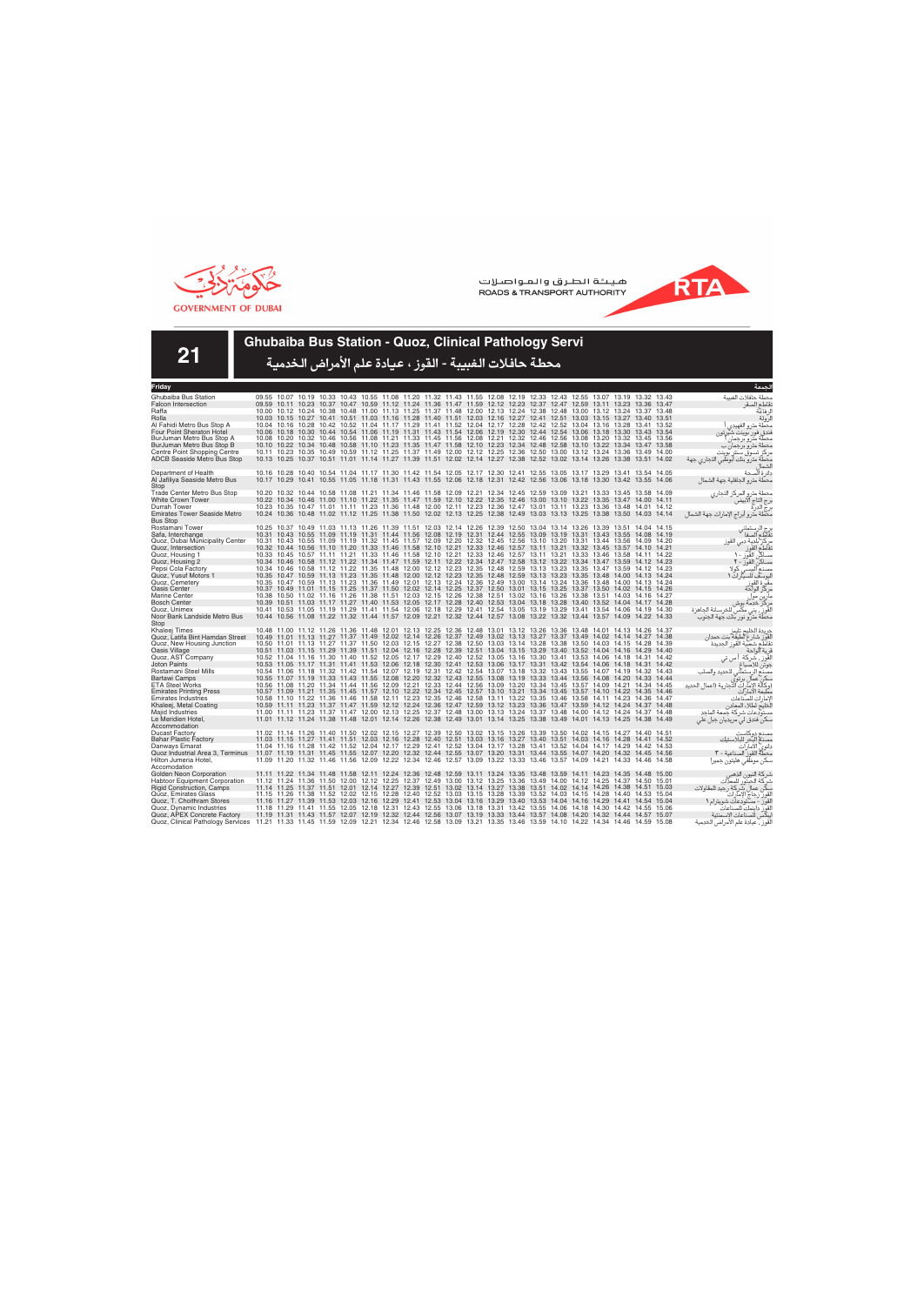



**21**

### **Ghubaiba Bus Station - Quoz, Clinical Pathology Servi**

| Friday                                                                                                                                                    |                                                                                                                   |  |  |                                                                                                                                                                                                                                                    |  |  |  |  |  |             |       | الحمعة                                                                                    |
|-----------------------------------------------------------------------------------------------------------------------------------------------------------|-------------------------------------------------------------------------------------------------------------------|--|--|----------------------------------------------------------------------------------------------------------------------------------------------------------------------------------------------------------------------------------------------------|--|--|--|--|--|-------------|-------|-------------------------------------------------------------------------------------------|
| Ghubaiba Bus Station                                                                                                                                      |                                                                                                                   |  |  | 09.55 10.07 10.19 10.33 10.43 10.55 11.08 11.20 11.32 11.43 11.55 12.08 12.19 12.33 12.43 12.55 13.07 13.19 13.32 13.43                                                                                                                            |  |  |  |  |  |             |       | محطة حافلات الغسة                                                                         |
| <b>Falcon Intersection</b>                                                                                                                                |                                                                                                                   |  |  | 09.59 10.11 10.23 10.37 10.47 10.59 11.12 11.24 11.36 11.47 11.59 12.12 12.23 12.37 12.47 12.59 13.11 13.23 13.36 13.47                                                                                                                            |  |  |  |  |  |             |       | نقاطع الصقر                                                                               |
| Raffa                                                                                                                                                     |                                                                                                                   |  |  | 10.00 10.12 10.24 10.38 10.48 11.00 11.13 11.25 11.37 11.48 12.00 12.13 12.24 12.38 12.48 13.00 13.12 13.24 13.37 13.48                                                                                                                            |  |  |  |  |  |             |       | لر فاعة                                                                                   |
| Rolla                                                                                                                                                     |                                                                                                                   |  |  | 10.03 10.15 10.27 10.41 10.51 11.03 11.16 11.28 11.40 11.51 12.03 12.16 12.27 12.41 12.51 13.03 13.15 13.27 13.40 13.51                                                                                                                            |  |  |  |  |  |             |       | لرولة                                                                                     |
| Al Fahidi Metro Bus Stop A                                                                                                                                |                                                                                                                   |  |  | 10.04 10.16 10.28 10.42 10.52 11.04 11.17 11.29 11.41 11.52 12.04 12.17 12.28 12.42 12.52 13.04 13.16 13.28 13.41 13.52                                                                                                                            |  |  |  |  |  |             |       | محطة مترو الفهيدى                                                                         |
| Four Point Sheraton Hotel                                                                                                                                 |                                                                                                                   |  |  | 10.06 10.18 10.30 10.44 10.54 11.06 11.19 11.31 11.43 11.54 12.06 12.19 12.30 12.44 12.54 13.06 13.18 13.30 13.43 13.54                                                                                                                            |  |  |  |  |  |             |       | فندق فور بوينت شيرتون                                                                     |
| BurJuman Metro Bus Stop A                                                                                                                                 |                                                                                                                   |  |  | 10.08 10.20 10.32 10.46 10.56 11.08 11.21 11.33 11.45 11.56 12.08 12.21 12.32 12.46 12.56 13.08 13.20 13.32 13.45 13.56                                                                                                                            |  |  |  |  |  |             |       | محطة مترو برجمان                                                                          |
| BurJuman Metro Bus Stop B                                                                                                                                 |                                                                                                                   |  |  | 10.10 10.22 10.34 10.48 10.58 11.10 11.23 11.35 11.47 11.58 12.10 12.23 12.34 12.48 12.58 13.10 13.22 13.34 13.47 13.58                                                                                                                            |  |  |  |  |  |             |       | محطة مترو برجمان ب                                                                        |
| Centre Point Shopping Centre                                                                                                                              |                                                                                                                   |  |  | 10.11 10.23 10.35 10.49 10.59 11.12 11.25 11.37 11.49 12.00 12.12 12.25 12.36 12.50 13.00 13.12 13.24 13.36 13.49 14.00                                                                                                                            |  |  |  |  |  |             |       | مر کز  تسوق سنتر  بوینت                                                                   |
| <b>ADCB Seaside Metro Bus Stop</b>                                                                                                                        |                                                                                                                   |  |  | 10.13 10.25 10.37 10.51 11.01 11.14 11.27 11.39 11.51 12.02 12.14 12.27 12.38 12.52 13.02 13.14 13.26 13.38 13.51 14.02                                                                                                                            |  |  |  |  |  |             |       | محطة مترو بنك أبوظبي التجاري جهة                                                          |
|                                                                                                                                                           |                                                                                                                   |  |  |                                                                                                                                                                                                                                                    |  |  |  |  |  |             |       | الشماا                                                                                    |
| Department of Health<br>Al Jafiliya Seaside Metro Bus                                                                                                     |                                                                                                                   |  |  | 10.16 10.28 10.40 10.54 11.04 11.17 11.30 11.42 11.54 12.05 12.17 12.30 12.41 12.55 13.05 13.17 13.29 13.41 13.54 14.05<br>10.17 10.29 10.41 10.55 11.05 11.18 11.31 11.43 11.55 12.06 12.18 12.31 12.42 12.56 13.06 13.18 13.30 13.42 13.55 14.06 |  |  |  |  |  |             |       | دائرة ألصحة                                                                               |
|                                                                                                                                                           |                                                                                                                   |  |  |                                                                                                                                                                                                                                                    |  |  |  |  |  |             |       | محطة مترو الجافلية جهة الشمال                                                             |
| Stop<br>Trade Center Metro Bus Stop                                                                                                                       |                                                                                                                   |  |  | 10.20 10.32 10.44 10.58 11.08 11.21 11.34 11.46 11.58 12.09 12.21 12.34 12.45 12.59 13.09 13.21 13.33 13.45 13.58 14.09                                                                                                                            |  |  |  |  |  |             |       | محطة مترو المركز التجاري                                                                  |
| <b>White Crown Tower</b>                                                                                                                                  |                                                                                                                   |  |  | 10.22 10.34 10.46 11.00 11.10 11.22 11.35 11.47 11.59 12.10 12.22 12.35 12.46 13.00 13.10 13.22 13.35 13.47 14.00 14.11                                                                                                                            |  |  |  |  |  |             |       | برج إلتاج الآبيض                                                                          |
| Durrah Tower                                                                                                                                              |                                                                                                                   |  |  | 10.23 10.35 10.47 11.01 11.11 11.23 11.36 11.48 12.00 12.11 12.23 12.36 12.47 13.01 13.11 13.23 13.36 13.48 14.01 14.12                                                                                                                            |  |  |  |  |  |             |       | برج الدرة<br>برج الدرة                                                                    |
| <b>Emirates Tower Seaside Metro</b>                                                                                                                       |                                                                                                                   |  |  | 10.24 10.36 10.48 11.02 11.12 11.25 11.38 11.50 12.02 12.13 12.25 12.38 12.49 13.03 13.13 13.25 13.38 13.50 14.03 14.14                                                                                                                            |  |  |  |  |  |             |       | محطة مترو أبراج الإمارات جهة الشمال                                                       |
| <b>Bus Stop</b>                                                                                                                                           |                                                                                                                   |  |  |                                                                                                                                                                                                                                                    |  |  |  |  |  |             |       |                                                                                           |
| Rostamani Tower                                                                                                                                           |                                                                                                                   |  |  | 10.25 10.37 10.49 11.03 11.13 11.26 11.39 11.51 12.03 12.14 12.26 12.39 12.50 13.04 13.14 13.26 13.39 13.51 14.04 14.15                                                                                                                            |  |  |  |  |  |             |       |                                                                                           |
| Safa, Interchange                                                                                                                                         |                                                                                                                   |  |  | 10.31 10.43 10.55 11.09 11.19 11.31 11.44 11.56 12.08 12.19 12.31 12.44 12.55 13.09 13.19 13.31 13.43 13.55 14.08 14.19                                                                                                                            |  |  |  |  |  |             |       | رج الرستماني<br>نقاطع الصفا                                                               |
| Quoz, Dubai Municipality Center                                                                                                                           |                                                                                                                   |  |  | 10.31 10.43 10.55 11.09 11.19 11.32 11.45 11.57 12.09 12.20 12.32 12.45 12.56 13.10 13.20 13.31 13.44 13.56                                                                                                                                        |  |  |  |  |  | 14.09 14.20 |       | مركز بلدية دبي القوز                                                                      |
| Quoz, Intersection                                                                                                                                        |                                                                                                                   |  |  | 10.32 10.44 10.56 11.10 11.20 11.33 11.46 11.58 12.10 12.21 12.33 12.46 12.57 13.11 13.21 13.32 13.45 13.57 14.10 14.21                                                                                                                            |  |  |  |  |  |             |       | نقاطع القوز                                                                               |
| Quoz, Housing 1                                                                                                                                           |                                                                                                                   |  |  | 10.33 10.45 10.57 11.11 11.21 11.33 11.46 11.58 12.10 12.21 12.33 12.46 12.57 13.11 13.21 13.33 13.46 13.58 14.11 14.22                                                                                                                            |  |  |  |  |  |             |       | مساكن القوز - ١                                                                           |
| Quoz, Housing 2                                                                                                                                           |                                                                                                                   |  |  | 10.34 10.46 10.58 11.12 11.22 11.34 11.47 11.59 12.11 12.22 12.34 12.47 12.58 13.12 13.22 13.34 13.47 13.59 14.12 14.23                                                                                                                            |  |  |  |  |  |             |       | مساكن القوز - ٢                                                                           |
| Pepsi Cola Factory                                                                                                                                        |                                                                                                                   |  |  | 10.34 10.46 10.58 11.12 11.22 11.35 11.48 12.00 12.12 12.23 12.35 12.48 12.59 13.13 13.23 13.35 13.47 13.59 14.12 14.23                                                                                                                            |  |  |  |  |  |             |       | مصنع البستی کولا                                                                          |
| Quoz, Yusuf Motors 1                                                                                                                                      |                                                                                                                   |  |  | 10.35 10.47 10.59 11.13 11.23 11.35 11.48 12.00 12.12 12.23 12.35 12.48 12.59 13.13 13.23 13.35 13.48 14.00 14.13 14.24                                                                                                                            |  |  |  |  |  |             |       | ليوسف للسيارات ١                                                                          |
| Quoz, Cemetery                                                                                                                                            |                                                                                                                   |  |  | 10.35 10.47 10.59 11.13 11.23 11.36 11.49 12.01 12.13 12.24 12.36 12.49 13.00 13.14 13.24 13.36 13.48 14.00 14.13 14.24                                                                                                                            |  |  |  |  |  |             |       | مقبِّرة القوز<br>مركز الواحة                                                              |
| Oasis Center                                                                                                                                              |                                                                                                                   |  |  | 10.37 10.49 11.01 11.15 11.25 11.37 11.50 12.02 12.14 12.25 12.37 12.50 13.01 13.15 13.25 13.37 13.50 14.02 14.15 14.26<br>10.38 10.50 11.02 11.16 11.26 11.38 11.51 12.03 12.15 12.26 12.38 12.51 13.02 13.16 13.26 13.38 13.51 14.03 14.16 14.27 |  |  |  |  |  |             |       |                                                                                           |
| <b>Marine Center</b><br><b>Bosch Center</b>                                                                                                               |                                                                                                                   |  |  | 10.39 10.51 11.03 11.17 11.27 11.40 11.53 12.05 12.17 12.28 12.40 12.53 13.04 13.18 13.28 13.40 13.52 14.04 14.17 14.28                                                                                                                            |  |  |  |  |  |             |       | مارين موا                                                                                 |
| Quoz, Unimex                                                                                                                                              |                                                                                                                   |  |  | 10.41 10.53 11.05 11.19 11.29 11.41 11.54 12.06 12.18 12.29 12.41 12.54 13.05 13.19 13.29 13.41 13.54 14.06 14.19 14.30                                                                                                                            |  |  |  |  |  |             |       | مركز خدمه بوش<br>القورِ ۖ، يني مكَّس للخرسانة الجاهزة                                     |
| Noor Bank Landside Metro Bus                                                                                                                              |                                                                                                                   |  |  | 10.44 10.56 11.08 11.22 11.32 11.44 11.57 12.09 12.21 12.32 12.44 12.57 13.08 13.22 13.32 13.44 13.57 14.09 14.22 14.33                                                                                                                            |  |  |  |  |  |             |       | محطة مترو نور بنك جهة الجنوب                                                              |
| Stop                                                                                                                                                      |                                                                                                                   |  |  |                                                                                                                                                                                                                                                    |  |  |  |  |  |             |       |                                                                                           |
| Khaleej Times                                                                                                                                             |                                                                                                                   |  |  | 10.48 11.00 11.12 11.26 11.36 11.48 12.01 12.13 12.25 12.36 12.48 13.01 13.12 13.26 13.36 13.48 14.01 14.13 14.26 14.37                                                                                                                            |  |  |  |  |  |             |       | جريدة الخليج تايمز                                                                        |
| Quoz, Latifa Bint Hamdan Street                                                                                                                           |                                                                                                                   |  |  | 10.49 11.01 11.13 11.27 11.37 11.49 12.02 12.14 12.26 12.37 12.49 13.02 13.13 13.27 13.37 13.49 14.02 14.14 14.27 14.38                                                                                                                            |  |  |  |  |  |             |       | لْقَوْز شارع لطيفة بنت حمدان<br>نقاطع شعبية القوز الجديدة                                 |
| Quoz, New Housing Junction                                                                                                                                |                                                                                                                   |  |  | 10.50 11.01 11.13 11.27 11.37 11.50 12.03 12.15 12.27 12.38 12.50 13.03 13.14 13.28 13.38 13.50 14.03 14.15 14.28 14.39                                                                                                                            |  |  |  |  |  |             |       |                                                                                           |
| Oasis Village                                                                                                                                             |                                                                                                                   |  |  | 10.51 11.03 11.15 11.29 11.39 11.51 12.04 12.16 12.28 12.39 12.51 13.04 13.15 13.29 13.40 13.52 14.04 14.16 14.29 14.40                                                                                                                            |  |  |  |  |  |             |       | قرية الواحة                                                                               |
| Quoz, AST Company                                                                                                                                         |                                                                                                                   |  |  | 10.52 11.04 11.16 11.30 11.40 11.52 12.05 12.17 12.29 12.40 12.52 13.05 13.16 13.30 13.41 13.53 14.06 14.18 14.31 14.42                                                                                                                            |  |  |  |  |  |             |       | القَوز ، شركة أ س تي                                                                      |
| <b>Joton Paints</b>                                                                                                                                       |                                                                                                                   |  |  | 10.53 11.05 11.17 11.31 11.41 11.53 12.06 12.18 12.30 12.41 12.53 13.06 13.17 13.31 13.42 13.54 14.06 14.18 14.31 14.42                                                                                                                            |  |  |  |  |  |             |       | جوتن للاصباغ                                                                              |
| Rostamani Steel Mills                                                                                                                                     |                                                                                                                   |  |  | 10.54 11.06 11.18 11.32 11.42 11.54 12.07 12.19 12.31 12.42 12.54 13.07 13.18 13.32 13.43 13.55 14.07 14.19 14.32 14.43                                                                                                                            |  |  |  |  |  |             |       | مصنّع الرستماني للحديد والصلب<br>سكن عمال برتوي<br>(وكالة الإمارات التجارية (اعمال الحديد |
| Bartawi Camps                                                                                                                                             |                                                                                                                   |  |  | 10.55 11.07 11.19 11.33 11.43 11.55 12.08 12.20 12.32 12.43 12.55 13.08 13.19 13.33 13.44 13.56 14.08 14.20 14.33 14.44                                                                                                                            |  |  |  |  |  |             |       |                                                                                           |
| <b>ETA Steel Works</b><br><b>Emirates Printing Press</b>                                                                                                  |                                                                                                                   |  |  | 10.56 11.08 11.20 11.34 11.44 11.56 12.09 12.21 12.33 12.44 12.56 13.09 13.20 13.34 13.45 13.57 14.09 14.21 14.34 14.45<br>10.57 11.09 11.21 11.35 11.45 11.57 12.10 12.22 12.34 12.45 12.57 13.10 13.21 13.34 13.45 13.57 14.10 14.22 14.35 14.46 |  |  |  |  |  |             |       | مطبعة الأمار أت                                                                           |
| <b>Emirates Industries</b>                                                                                                                                |                                                                                                                   |  |  | 10.58 11.10 11.22 11.36 11.46 11.58 12.11 12.23 12.35 12.46 12.58 13.11 13.22 13.35 13.46 13.58 14.11 14.23 14.36 14.47                                                                                                                            |  |  |  |  |  |             |       | لامار ات للصناعات                                                                         |
| Khaleej, Metal Coating                                                                                                                                    |                                                                                                                   |  |  | 10.59 11.11 11.23 11.37 11.47 11.59 12.12 12.24 12.36 12.47 12.59 13.12 13.23 13.36 13.47 13.59 14.12 14.24 14.37 14.48                                                                                                                            |  |  |  |  |  |             |       | لخليج لطلاء المعادن                                                                       |
| Majid Industries                                                                                                                                          |                                                                                                                   |  |  | 11.00 11.11 11.23 11.37 11.47 12.00 12.13 12.25 12.37 12.48 13.00 13.13 13.24 13.37 13.48 14.00 14.12 14.24 14.37 14.48                                                                                                                            |  |  |  |  |  |             |       | مستودعات شركة حمعة الماحد                                                                 |
| Le Meridien Hotel,                                                                                                                                        |                                                                                                                   |  |  | 11.01 11.12 11.24 11.38 11.48 12.01 12.14 12.26 12.38 12.49 13.01 13.14 13.25 13.38 13.49 14.01 14.13 14.25 14.38 14.49                                                                                                                            |  |  |  |  |  |             |       | سکن فندق لی مریدیان جبل علی                                                               |
| Accommodation                                                                                                                                             |                                                                                                                   |  |  |                                                                                                                                                                                                                                                    |  |  |  |  |  |             |       |                                                                                           |
| <b>Ducast Factory</b>                                                                                                                                     |                                                                                                                   |  |  | 11.02 11.14 11.26 11.40 11.50 12.02 12.15 12.27 12.39 12.50 13.02 13.15 13.26 13.39 13.50 14.02 14.15 14.27 14.40 14.51                                                                                                                            |  |  |  |  |  |             |       | مصنع دوكاست                                                                               |
| <b>Bahar Plastic Factory</b>                                                                                                                              |                                                                                                                   |  |  | 11.03 11.15 11.27 11.41 11.51 12.03 12.16 12.28 12.40 12.51 13.03 13.16 13.27 13.40 13.51 14.03 14.16 14.28 14.41 14.52                                                                                                                            |  |  |  |  |  |             |       | مصذم البحر للبلاستيك                                                                      |
| Danways Emarat                                                                                                                                            |                                                                                                                   |  |  | 11.04 11.16 11.28 11.42 11.52 12.04 12.17 12.29 12.41 12.52 13.04 13.17 13.28 13.41 13.52 14.04 14.17 14.29 14.42 14.53                                                                                                                            |  |  |  |  |  |             |       | دانوي الأمارات                                                                            |
| Quoz Industrial Area 3, Terminus                                                                                                                          | 11.07 11.19 11.31 11.45 11.55 12.07 12.20 12.32 12.44 12.55 13.07 13.20 13.31 13.44 13.55 14.07 14.20 14.32 14.45 |  |  |                                                                                                                                                                                                                                                    |  |  |  |  |  |             | 14.56 | محطَّةٌ القوز ۖ الصناعية - ٣                                                              |
| Hilton Jumeria Hotel.                                                                                                                                     |                                                                                                                   |  |  | 11.09 11.20 11.32 11.46 11.56 12.09 12.22 12.34 12.46 12.57 13.09 13.22 13.33 13.46 13.57 14.09 14.21 14.33 14.46 14.58                                                                                                                            |  |  |  |  |  |             |       | سكن موظفى هليتون جميرا                                                                    |
| Accomodation                                                                                                                                              |                                                                                                                   |  |  |                                                                                                                                                                                                                                                    |  |  |  |  |  |             |       |                                                                                           |
| Golden Neon Corporation                                                                                                                                   |                                                                                                                   |  |  | 11.11 11.22 11.34 11.48 11.58 12.11 12.24 12.36 12.48 12.59 13.11 13.24 13.35 13.48 13.59 14.11 14.23 14.35 14.48 15.00                                                                                                                            |  |  |  |  |  |             |       | شركة النيون الذهبر                                                                        |
| <b>Habtoor Equipment Corporation</b>                                                                                                                      |                                                                                                                   |  |  | 11.12 11.24 11.36 11.50 12.00 12.12 12.25 12.37 12.49 13.00 13.12 13.25 13.36 13.49 14.00 14.12 14.25 14.37 14.50 15.01                                                                                                                            |  |  |  |  |  |             |       | شركة الحبتور للمعذات                                                                      |
| <b>Rigid Construction, Camps</b><br>Quoz, Emirates Glass                                                                                                  |                                                                                                                   |  |  | 11.14 11.25 11.37 11.51 12.01 12.14 12.27 12.39 12.51 13.02 13.14 13.27 13.38 13.51 14.02 14.14 14.26 14.38 14.51 15.03<br>11.15 11.26 11.38 11.52 12.02 12.15 12.28 12.40 12.52 13.03 13.15 13.28 13.39 13.52 14.03 14.15 14.28 14.40 14.53 15.04 |  |  |  |  |  |             |       | سكن عمال شركة رجيد للمقاولات                                                              |
| Quoz, T. Choithram Stores                                                                                                                                 |                                                                                                                   |  |  | 11.16 11.27 11.39 11.53 12.03 12.16 12.29 12.41 12.53 13.04 13.16 13.29 13.40 13.53 14.04 14.16 14.29 14.41 14.54 15.04                                                                                                                            |  |  |  |  |  |             |       | القوز زجاج الإمآرات                                                                       |
| Quoz, Dynamic Industries                                                                                                                                  |                                                                                                                   |  |  | 11.18 11.29 11.41 11.55 12.05 12.18 12.31 12.43 12.55 13.06 13.18 13.31 13.42 13.55 14.06 14.18 14.30 14.42 14.55                                                                                                                                  |  |  |  |  |  |             | 15.06 | القوز - مستودعات شويترام ١<br>لقوز داينمك للصناعات                                        |
| Quoz, APEX Concrete Factory                                                                                                                               |                                                                                                                   |  |  | 11.19 11.31 11.43 11.57 12.07 12.19 12.32 12.44 12.56 13.07 13.19 13.33 13.44 13.57 14.08 14.20 14.32 14.44 14.57 15.07                                                                                                                            |  |  |  |  |  |             |       | يبكس للصناعات الإسمنتية                                                                   |
| Quoz, Clinical Pathology Services 11.21 11.33 11.45 11.59 12.09 12.21 12.34 12.46 12.58 13.09 13.21 13.35 13.46 13.59 14.10 14.22 14.34 14.46 14.59 15.08 |                                                                                                                   |  |  |                                                                                                                                                                                                                                                    |  |  |  |  |  |             |       | لقوز ، عيادة علم الأمراض الخدمية                                                          |
|                                                                                                                                                           |                                                                                                                   |  |  |                                                                                                                                                                                                                                                    |  |  |  |  |  |             |       |                                                                                           |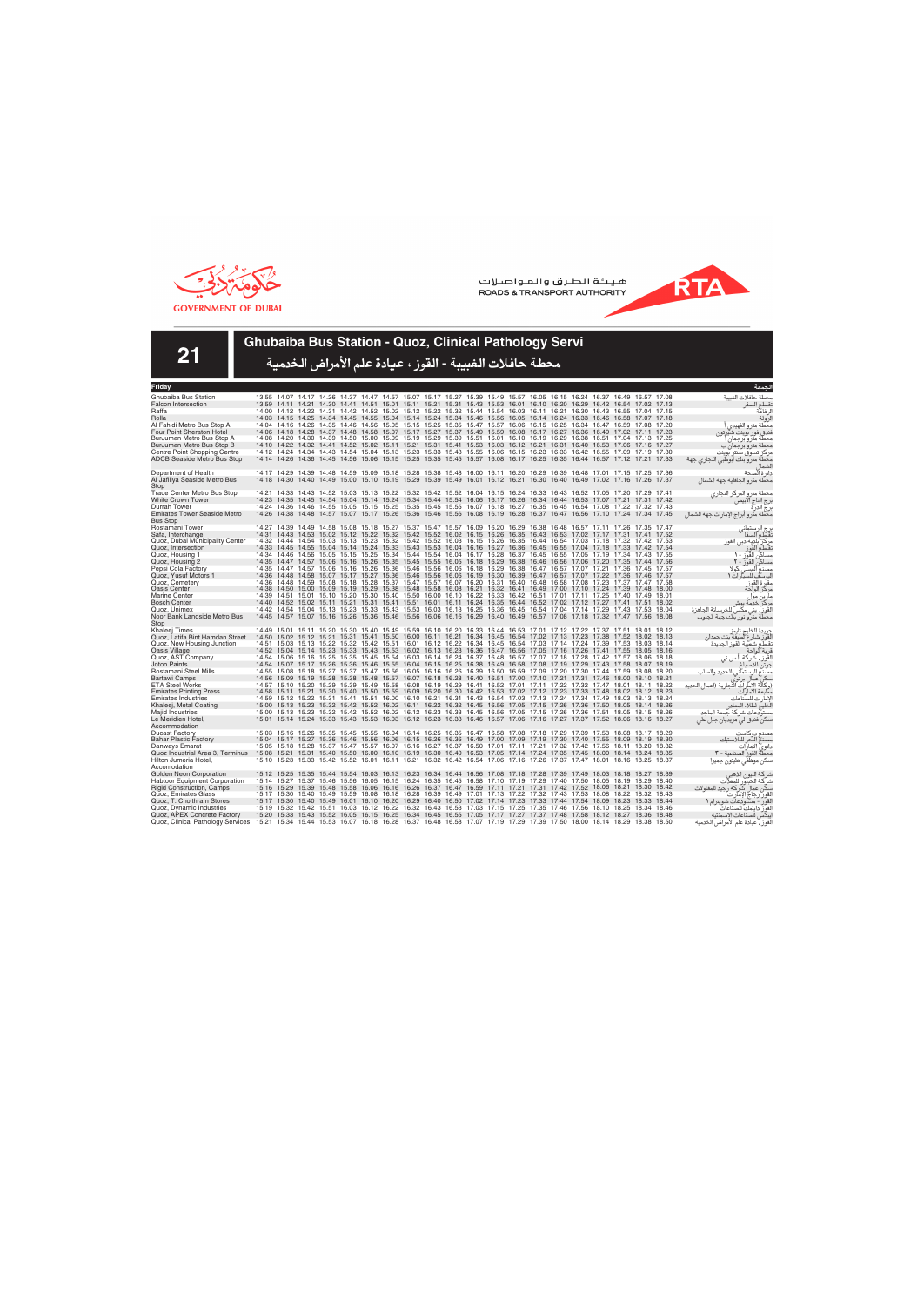



**21**

### **Ghubaiba Bus Station - Quoz, Clinical Pathology Servi**

| Friday                                                             |                                                                                                                                                                                                                                                    |                                                                                                             |  |  |                                                                                                       |  |  |  |  |  |       | لحمعة                                                                                     |
|--------------------------------------------------------------------|----------------------------------------------------------------------------------------------------------------------------------------------------------------------------------------------------------------------------------------------------|-------------------------------------------------------------------------------------------------------------|--|--|-------------------------------------------------------------------------------------------------------|--|--|--|--|--|-------|-------------------------------------------------------------------------------------------|
| Ghubaiba Bus Station                                               | 13.55 14.07 14.17 14.26 14.37 14.47 14.57 15.07 15.17 15.27 15.39 15.49 15.57 16.05 16.15 16.24 16.37 16.49 16.57 17.08                                                                                                                            |                                                                                                             |  |  |                                                                                                       |  |  |  |  |  |       | محطة حافلات الغسة                                                                         |
| <b>Falcon Intersection</b>                                         | 13.59 14.11 14.21 14.30 14.41 14.51 15.01 15.11 15.21 15.31 15.43 15.53 16.01 16.10 16.20 16.29 16.42 16.54 17.02 17.13                                                                                                                            |                                                                                                             |  |  |                                                                                                       |  |  |  |  |  |       | نقاطع الصقر                                                                               |
| Raffa                                                              | 14.00 14.12 14.22 14.31 14.42 14.52 15.02 15.12 15.22 15.32 15.44 15.54 16.03 16.11 16.21 16.30 16.43 16.55 17.04 17.15                                                                                                                            |                                                                                                             |  |  |                                                                                                       |  |  |  |  |  |       | لر فاعة                                                                                   |
| Rolla                                                              | 14.03 14.15 14.25 14.34 14.45 14.55 15.04 15.14 15.24 15.34 15.46 15.56 16.05 16.14 16.24 16.33 16.46 16.58 17.07 17.18                                                                                                                            |                                                                                                             |  |  |                                                                                                       |  |  |  |  |  |       | لرولة                                                                                     |
| Al Fahidi Metro Bus Stop A                                         | 14.04 14.16 14.26 14.35 14.46 14.56 15.05 15.15 15.25 15.35 15.47 15.57 16.06 16.15 16.25 16.34 16.47 16.59 17.08 17.20                                                                                                                            |                                                                                                             |  |  |                                                                                                       |  |  |  |  |  |       | محطة مترو الفهيدى                                                                         |
| <b>Four Point Sheraton Hotel</b>                                   | 14.06 14.18 14.28 14.37 14.48 14.58 15.07 15.17 15.27 15.37 15.49 15.59 16.08 16.17 16.27 16.36 16.49 17.02 17.11 17.23                                                                                                                            |                                                                                                             |  |  |                                                                                                       |  |  |  |  |  |       | فندق فور بوينت شيرتون                                                                     |
| BurJuman Metro Bus Stop A                                          | 14.08 14.20 14.30 14.39 14.50 15.00 15.09 15.19 15.29 15.39 15.51 16.01 16.10 16.19 16.29 16.38 16.51 17.04 17.13 17.25                                                                                                                            |                                                                                                             |  |  |                                                                                                       |  |  |  |  |  |       | محطة مترو برجمان                                                                          |
| BurJuman Metro Bus Stop B                                          | 14.10 14.22 14.32 14.41 14.52 15.02 15.11 15.21 15.31 15.41 15.53 16.03 16.12 16.21 16.31 16.40 16.53 17.06 17.16 17.27<br>14.12 14.24 14.34 14.43 14.54 15.04 15.13 15.23 15.33 15.43 15.55 16.06 16.15 16.23 16.33 16.42 16.55 17.09 17.19 17.30 |                                                                                                             |  |  |                                                                                                       |  |  |  |  |  |       | محطة مترو برجمان ب                                                                        |
| Centre Point Shopping Centre<br><b>ADCB Seaside Metro Bus Stop</b> | 14.14 14.26 14.36 14.45 14.56 15.06 15.15 15.25 15.35 15.45 15.57 16.08 16.17 16.25 16.35 16.44 16.57 17.12 17.21 17.33                                                                                                                            |                                                                                                             |  |  |                                                                                                       |  |  |  |  |  |       | مر کز تسوق سنتر بوینت                                                                     |
|                                                                    |                                                                                                                                                                                                                                                    |                                                                                                             |  |  |                                                                                                       |  |  |  |  |  |       | محطة مترو بنك أبوظبي التجاري جهة                                                          |
| Department of Health                                               | 14.17 14.29 14.39 14.48 14.59 15.09 15.18 15.28 15.38 15.48 16.00 16.11 16.20 16.29 16.39 16.48 17.01 17.15 17.25 17.36                                                                                                                            |                                                                                                             |  |  |                                                                                                       |  |  |  |  |  |       | دائرة ألصحة                                                                               |
| Al Jafiliya Seaside Metro Bus                                      | 14.18 14.30                                                                                                                                                                                                                                        | 14.40 14.49                                                                                                 |  |  | 15.00 15.10 15.19 15.29 15.39 15.49 16.01 16.12 16.21 16.30 16.40 16.49 17.02 17.16 17.26 17.37       |  |  |  |  |  |       | محطة مترو الجافلية جهة الشمال                                                             |
| Stop                                                               |                                                                                                                                                                                                                                                    |                                                                                                             |  |  |                                                                                                       |  |  |  |  |  |       |                                                                                           |
| <b>Trade Center Metro Bus Stop</b>                                 | 14.21 14.33 14.43 14.52 15.03 15.13 15.22 15.32 15.42 15.52 16.04 16.15 16.24 16.33 16.43 16.52 17.05 17.20 17.29 17.41                                                                                                                            |                                                                                                             |  |  |                                                                                                       |  |  |  |  |  |       | محطة مترو المركز التجارى                                                                  |
| <b>White Crown Tower</b>                                           | 14.23 14.35 14.45 14.54 15.04 15.14 15.24 15.34 15.44 15.54 16.06 16.17 16.26 16.34 16.44 16.53 17.07 17.21 17.31 17.42                                                                                                                            |                                                                                                             |  |  |                                                                                                       |  |  |  |  |  |       | برج التاج الآبيض                                                                          |
| Durrah Tower                                                       | 14.24 14.36 14.46 14.55 15.05 15.15 15.25 15.35 15.45 15.55 16.07 16.18 16.27 16.35 16.45 16.54 17.08 17.22 17.32 17.43                                                                                                                            |                                                                                                             |  |  |                                                                                                       |  |  |  |  |  |       | برج الدرة<br>برج الدرة                                                                    |
| <b>Emirates Tower Seaside Metro</b>                                | 14.26 14.38 14.48                                                                                                                                                                                                                                  |                                                                                                             |  |  | 14.57 15.07 15.17 15.26 15.36 15.46 15.56 16.08 16.19 16.28 16.37 16.47 16.56 17.10 17.24 17.34 17.45 |  |  |  |  |  |       | محطة مترو أبراج الإمارات جهة الشمال                                                       |
| <b>Bus Stop</b>                                                    |                                                                                                                                                                                                                                                    |                                                                                                             |  |  |                                                                                                       |  |  |  |  |  |       |                                                                                           |
| Rostamani Tower<br>Safa, Interchange                               | 14.27 14.39 14.49 14.58 15.08 15.18 15.27 15.37 15.47 15.57 16.09 16.20 16.29 16.38 16.48 16.57 17.11 17.26 17.35 17.47<br>14.31 14.43 14.53 15.02 15.12 15.22 15.32 15.42 15.52 16.02 16.15 16.26 16.35 16.43 16.53 17.02 17.17 17.31 17.41 17.52 |                                                                                                             |  |  |                                                                                                       |  |  |  |  |  |       | برج الرستماني<br>تقاطع الصفا                                                              |
| Quoz, Dubai Municipality Center                                    | 14.32 14.44 14.54 15.03 15.13 15.23 15.32 15.42 15.52 16.03 16.15 16.26 16.35 16.44 16.54 17.03 17.18 17.32 17.42 17.53                                                                                                                            |                                                                                                             |  |  |                                                                                                       |  |  |  |  |  |       |                                                                                           |
| Quoz, Intersection                                                 | 14.33 14.45 14.55 15.04 15.14 15.24 15.33 15.43 15.53 16.04 16.16 16.27 16.36 16.45 16.55 17.04 17.18 17.33 17.42 17.54                                                                                                                            |                                                                                                             |  |  |                                                                                                       |  |  |  |  |  |       | مركز بلدية دبي القوز<br>نقاطع القوز                                                       |
| Quoz, Housing 1                                                    | 14.34 14.46 14.56 15.05 15.15 15.25 15.34 15.44 15.54 16.04 16.17 16.28 16.37 16.45 16.55 17.05 17.19 17.34 17.43 17.55                                                                                                                            |                                                                                                             |  |  |                                                                                                       |  |  |  |  |  |       | مساكن القوز - ١                                                                           |
| Quoz, Housing 2                                                    | 14.35 14.47 14.57 15.06 15.16 15.26 15.35 15.45 15.55 16.05 16.18 16.29 16.38 16.46 16.56 17.06 17.20 17.35 17.44 17.56                                                                                                                            |                                                                                                             |  |  |                                                                                                       |  |  |  |  |  |       | مساكن القوز - ٢                                                                           |
| Pepsi Cola Factory                                                 | 14.35 14.47 14.57 15.06 15.16 15.26 15.36 15.46 15.56 16.06 16.18 16.29 16.38 16.47 16.57 17.07 17.21 17.36 17.45 17.57                                                                                                                            |                                                                                                             |  |  |                                                                                                       |  |  |  |  |  |       | مصنع البستى كولا                                                                          |
| Quoz, Yusuf Motors 1                                               | 14.36 14.48 14.58 15.07 15.17 15.27 15.36 15.46 15.56 16.06 16.19 16.30 16.39 16.47 16.57 17.07 17.22 17.36 17.46 17.57                                                                                                                            |                                                                                                             |  |  |                                                                                                       |  |  |  |  |  |       | ليوسف للسيار ات ١                                                                         |
| Quoz, Cemetery                                                     | 14.36 14.48 14.59                                                                                                                                                                                                                                  |                                                                                                             |  |  | 15.08 15.18 15.28 15.37 15.47 15.57 16.07 16.20 16.31 16.40 16.48 16.58 17.08 17.23 17.37 17.47 17.58 |  |  |  |  |  |       | مقبرة القوز<br>مركز الواحة                                                                |
| Oasis Center                                                       | 14.38 14.50 15.00 15.09 15.19 15.29 15.38 15.48 15.58 16.08 16.21 16.32 16.41 16.49 17.00 17.10 17.24 17.39 17.48 18.00                                                                                                                            |                                                                                                             |  |  |                                                                                                       |  |  |  |  |  |       |                                                                                           |
| <b>Marine Center</b>                                               | 14.39 14.51 15.01 15.10 15.20 15.30 15.40 15.50 16.00 16.10 16.22 16.33 16.42 16.51 17.01 17.11 17.25 17.40 17.49 18.01                                                                                                                            |                                                                                                             |  |  |                                                                                                       |  |  |  |  |  |       | مارين موا                                                                                 |
| <b>Bosch Center</b>                                                | 14.40 14.52 15.02 15.11 15.21 15.31 15.41 15.51 16.01 16.11 16.24 16.35 16.44 16.52 17.02 17.12 17.27 17.41 17.51 18.02                                                                                                                            |                                                                                                             |  |  |                                                                                                       |  |  |  |  |  |       | مركز خدمة بوش                                                                             |
| Quoz. Unimex<br>Noor Bank Landside Metro Bus                       | 14.42 14.54 15.04 15.13 15.23 15.33 15.43 15.53 16.03 16.13 16.25 16.36 16.45 16.54 17.04 17.14 17.29 17.43 17.53 18.04<br>14.45 14.57 15.07 15.16 15.26 15.36 15.46 15.56 16.06 16.16 16.29 16.40 16.49 16.57 17.08 17.18 17.32 17.47 17.56 18.08 |                                                                                                             |  |  |                                                                                                       |  |  |  |  |  |       | القوز ، يني مكسّ للخرسانة الجاهزة                                                         |
| Stop                                                               |                                                                                                                                                                                                                                                    |                                                                                                             |  |  |                                                                                                       |  |  |  |  |  |       | محطة مترو نور بنك جهة الجنوب                                                              |
| Khaleei Times                                                      | 14.49 15.01 15.11 15.20 15.30 15.40 15.49 15.59 16.10 16.20 16.33 16.44 16.53 17.01 17.12 17.22 17.37 17.51 18.01 18.12                                                                                                                            |                                                                                                             |  |  |                                                                                                       |  |  |  |  |  |       | جريدة الخليج تايمز                                                                        |
| Quoz, Latifa Bint Hamdan Street                                    | 14.50 15.02 15.12 15.21 15.31 15.41 15.50 16.00 16.11 16.21 16.34 16.45 16.54 17.02 17.13 17.23 17.38 17.52 18.02 18.13                                                                                                                            |                                                                                                             |  |  |                                                                                                       |  |  |  |  |  |       |                                                                                           |
| Quoz, New Housing Junction                                         | 14.51 15.03 15.13 15.22 15.32 15.42 15.51 16.01 16.12 16.22 16.34 16.45 16.54 17.03 17.14 17.24 17.39 17.53 18.03 18.14                                                                                                                            |                                                                                                             |  |  |                                                                                                       |  |  |  |  |  |       | لْقَوِّز شارع لطيفة بنت حمدان<br>نقاطع شعبية القوز الجديدة                                |
| Oasis Village                                                      | 14.52 15.04 15.14 15.23 15.33 15.43 15.53 16.02 16.13 16.23 16.36 16.47 16.56 17.05 17.16 17.26 17.41 17.55 18.05 18.16                                                                                                                            |                                                                                                             |  |  |                                                                                                       |  |  |  |  |  |       | قرية الواحة                                                                               |
| Quoz, AST Company                                                  | 14.54 15.06 15.16 15.25 15.35 15.45 15.54 16.03 16.14 16.24 16.37 16.48 16.57 17.07 17.18 17.28 17.42 17.57 18.06 18.18                                                                                                                            |                                                                                                             |  |  |                                                                                                       |  |  |  |  |  |       | القَوز ، شركة أ س تي                                                                      |
| <b>Joton Paints</b>                                                | 14.54 15.07 15.17 15.26 15.36 15.46 15.55 16.04 16.15 16.25 16.38 16.49 16.58 17.08 17.19 17.29 17.43 17.58 18.07 18.19                                                                                                                            |                                                                                                             |  |  |                                                                                                       |  |  |  |  |  |       | جوتن للاصباغ                                                                              |
| Rostamani Steel Mills                                              | 14.55 15.08 15.18 15.27 15.37 15.47 15.56 16.05 16.16 16.26 16.39 16.50 16.59 17.09 17.20 17.30 17.44 17.59 18.08 18.20                                                                                                                            |                                                                                                             |  |  |                                                                                                       |  |  |  |  |  |       |                                                                                           |
| <b>Bartawi Camps</b>                                               | 14.56 15.09 15.19 15.28 15.38 15.48 15.57 16.07 16.18 16.28 16.40 16.51 17.00 17.10 17.21 17.31 17.46 18.00 18.10 18.21                                                                                                                            |                                                                                                             |  |  |                                                                                                       |  |  |  |  |  |       | مصنّع الرستماني للحديد والصلب<br>سكن عمال برتوي<br>(وكالة الإمارات التجارية (اعمال الحديد |
| <b>ETA Steel Works</b><br><b>Emirates Printing Press</b>           | 14.57 15.10 15.20 15.29 15.39 15.49 15.58 16.08 16.19 16.29 16.41 16.52 17.01 17.11 17.22 17.32 17.47 18.01 18.11 18.22<br>14.58 15.11 15.21 15.30 15.40 15.50 15.59 16.09 16.20 16.30 16.42 16.53 17.02 17.12 17.23 17.33 17.48 18.02 18.12 18.23 |                                                                                                             |  |  |                                                                                                       |  |  |  |  |  |       | مطبعة الامار آت                                                                           |
| <b>Emirates Industries</b>                                         | 14.59 15.12 15.22 15.31 15.41 15.51 16.00 16.10 16.21 16.31 16.43 16.54 17.03 17.13 17.24 17.34 17.49 18.03 18.13 18.24                                                                                                                            |                                                                                                             |  |  |                                                                                                       |  |  |  |  |  |       | لإمار ات للصّناعات                                                                        |
| Khaleej, Metal Coating                                             | 15.00 15.13 15.23 15.32 15.42 15.52 16.02 16.11 16.22 16.32 16.45 16.56 17.05 17.15 17.26 17.36 17.50 18.05 18.14 18.26                                                                                                                            |                                                                                                             |  |  |                                                                                                       |  |  |  |  |  |       | لَخليج لطلاء المعادن                                                                      |
| Majid Industries                                                   | 15.00 15.13 15.23                                                                                                                                                                                                                                  |                                                                                                             |  |  | 15.32 15.42 15.52 16.02 16.12 16.23 16.33 16.45 16.56 17.05 17.15 17.26 17.36 17.51 18.05 18.15 18.26 |  |  |  |  |  |       | مستودعات شركة جمعة الماجد                                                                 |
| Le Meridien Hotel,                                                 | 15.01 15.14 15.24 15.33 15.43 15.53 16.03 16.12 16.23 16.33 16.46 16.57 17.06 17.16 17.27 17.37 17.52 18.06 18.16 18.27                                                                                                                            |                                                                                                             |  |  |                                                                                                       |  |  |  |  |  |       | سکن فندق لي مريديان جبل علي                                                               |
| Accommodation                                                      |                                                                                                                                                                                                                                                    |                                                                                                             |  |  |                                                                                                       |  |  |  |  |  |       |                                                                                           |
| <b>Ducast Factory</b>                                              | 15.03 15.16 15.26 15.35 15.45 15.55 16.04 16.14 16.25 16.35 16.47 16.58 17.08 17.18 17.29 17.39 17.53 18.08 18.17 18.29                                                                                                                            |                                                                                                             |  |  |                                                                                                       |  |  |  |  |  |       | مصنع دوكاست                                                                               |
| <b>Bahar Plastic Factory</b>                                       | 15.04 15.17 15.27 15.36 15.46 15.56 16.06 16.15 16.26 16.36 16.49 17.00 17.09 17.19 17.30 17.40 17.55 18.09 18.19 18.30                                                                                                                            |                                                                                                             |  |  |                                                                                                       |  |  |  |  |  |       | مصذم البحر للبلاستيك                                                                      |
| Danways Emarat                                                     | 15.05 15.18 15.28 15.37 15.47 15.57 16.07 16.16 16.27 16.37 16.50 17.01 17.11 17.21 17.32 17.42 17.56 18.11 18.20 18.32                                                                                                                            |                                                                                                             |  |  |                                                                                                       |  |  |  |  |  |       | دانوي الأمارات                                                                            |
| Quoz Industrial Area 3, Terminus                                   | 15.08 15.21 15.31 15.40 15.50 16.00 16.10 16.19 16.30 16.40 16.53 17.05 17.14 17.24 17.35 17.45 18.00 18.14 18.24 18.35                                                                                                                            |                                                                                                             |  |  |                                                                                                       |  |  |  |  |  |       | محطَّةٌ القوز ۖ الصناعية - ٣                                                              |
| Hilton Jumeria Hotel,                                              | 15.10 15.23 15.33 15.42 15.52 16.01 16.11 16.21 16.32 16.42 16.54 17.06 17.16 17.26 17.37 17.47 18.01 18.16 18.25 18.37                                                                                                                            |                                                                                                             |  |  |                                                                                                       |  |  |  |  |  |       | سكن موظفى هليتون جميرا                                                                    |
| Accomodation<br>Golden Neon Corporation                            | 15.12 15.25 15.35 15.44 15.54 16.03 16.13 16.23 16.34 16.44 16.56 17.08 17.18 17.28 17.39 17.49 18.03 18.18 18.27 18.39                                                                                                                            |                                                                                                             |  |  |                                                                                                       |  |  |  |  |  |       |                                                                                           |
| <b>Habtoor Equipment Corporation</b>                               | 15.14 15.27 15.37 15.46 15.56 16.05 16.15 16.24 16.35 16.45 16.58 17.10 17.19 17.29 17.40 17.50 18.05 18.19 18.29 18.40                                                                                                                            |                                                                                                             |  |  |                                                                                                       |  |  |  |  |  |       | شركة النيون الذهبر<br>شركة الحبتور للمعدات                                                |
| <b>Rigid Construction, Camps</b>                                   | 15.16 15.29                                                                                                                                                                                                                                        | 15.39 15.48 15.58 16.06 16.16 16.26 16.37 16.47 16.59 17.11 17.21 17.31 17.42 17.52 18.06 18.21 18.30 18.42 |  |  |                                                                                                       |  |  |  |  |  |       | سكن عمال شركة رجيد للمقاولات                                                              |
| Quoz, Emirates Glass                                               | 15.17 15.30 15.40 15.49 15.59 16.08 16.18 16.28 16.39 16.49 17.01 17.13 17.22 17.32 17.43 17.53 18.08 18.22 18.32 18.43                                                                                                                            |                                                                                                             |  |  |                                                                                                       |  |  |  |  |  |       | القوز زجاج الإمآراتُ                                                                      |
| Quoz, T. Choithram Stores                                          | 15.17 15.30 15.40 15.49 16.01 16.10 16.20 16.29 16.40 16.50 17.02 17.14 17.23 17.33 17.44 17.54 18.09 18.23 18.33 18.44                                                                                                                            |                                                                                                             |  |  |                                                                                                       |  |  |  |  |  |       | القوز - مستودعات شويترام ١                                                                |
| Quoz, Dynamic Industries                                           | 15.19 15.32 15.42                                                                                                                                                                                                                                  |                                                                                                             |  |  | 15.51 16.03 16.12 16.22 16.32 16.43 16.53 17.03 17.15 17.25 17.35 17.46 17.56 18.10 18.25 18.34       |  |  |  |  |  | 18.46 | القور داينمك للصناعات                                                                     |
| Quoz, APEX Concrete Factory                                        | 15.20 15.33 15.43 15.52 16.05 16.15 16.25 16.34 16.45 16.55 17.05 17.17 17.27 17.37 17.48 17.58 18.12 18.27 18.36 18.48                                                                                                                            |                                                                                                             |  |  |                                                                                                       |  |  |  |  |  |       | يبكس للصناعات الإسمنتية                                                                   |
| Quoz, Clinical Pathology Services                                  | 15.21 15.34 15.44 15.53 16.07 16.18 16.28 16.37 16.48 16.58 17.07 17.19 17.29 17.39 17.50 18.00 18.14 18.29 18.38 18.50                                                                                                                            |                                                                                                             |  |  |                                                                                                       |  |  |  |  |  |       | لقوز ، عيادة علم الأمراض الخدمية                                                          |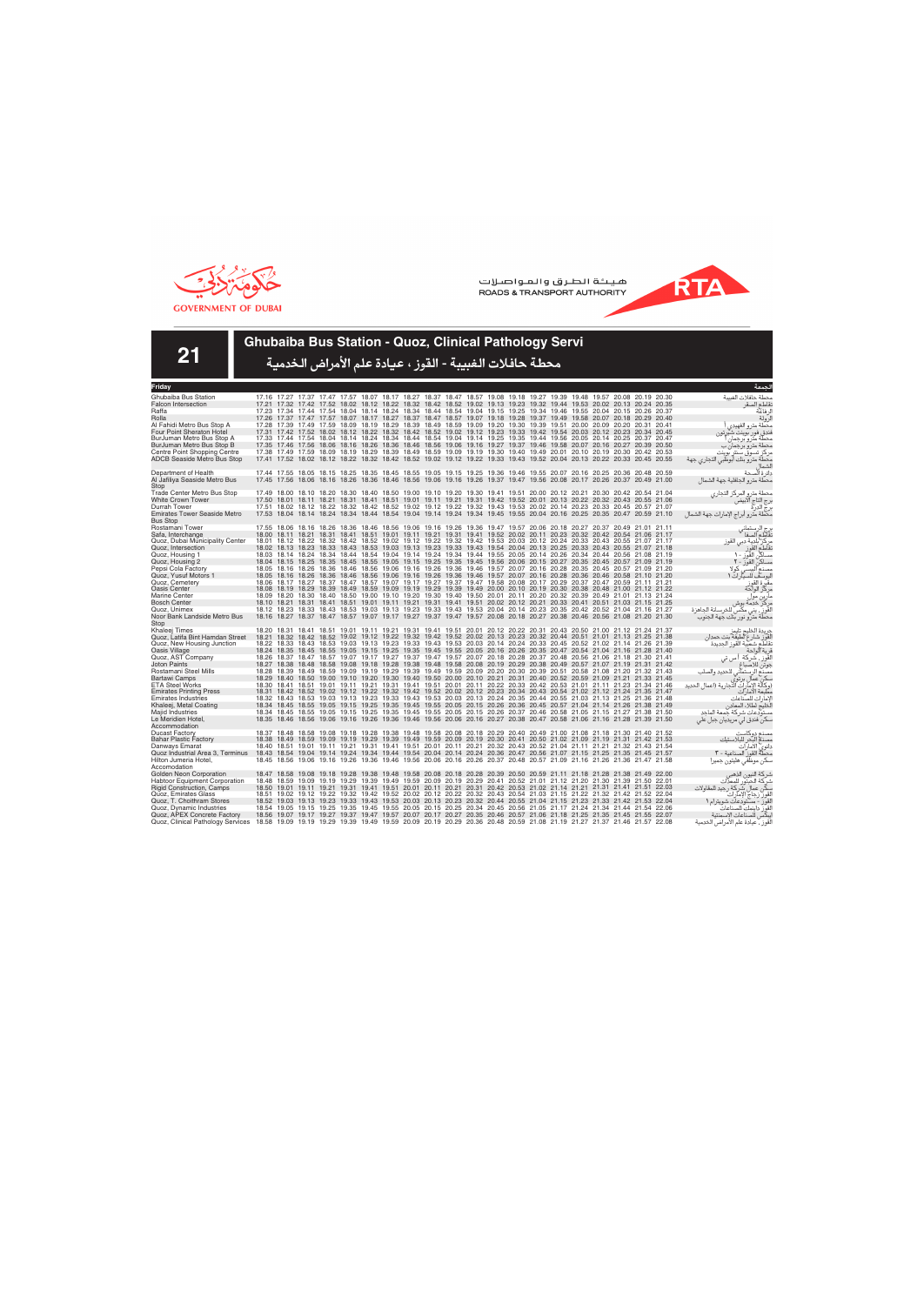



**21**

### **Ghubaiba Bus Station - Quoz, Clinical Pathology Servi**

| Friday                                   |       |                                                                                                                                                                                                                                                    |                                                                                                                   |  |  |  |  |  |                                                                                                       |  |  | الحمعة                                                                                        |
|------------------------------------------|-------|----------------------------------------------------------------------------------------------------------------------------------------------------------------------------------------------------------------------------------------------------|-------------------------------------------------------------------------------------------------------------------|--|--|--|--|--|-------------------------------------------------------------------------------------------------------|--|--|-----------------------------------------------------------------------------------------------|
| Ghubaiba Bus Station                     |       | 17.16 17.27 17.37 17.47 17.57 18.07 18.17 18.27 18.37 18.47 18.57 19.08 19.18 19.27 19.39 19.48 19.57 20.08 20.19 20.30                                                                                                                            |                                                                                                                   |  |  |  |  |  |                                                                                                       |  |  | محطة حافلات الغسة                                                                             |
| <b>Falcon Intersection</b>               |       | 17.21 17.32 17.42 17.52 18.02 18.12 18.22 18.32 18.42 18.52 19.02 19.13 19.23 19.32 19.44 19.53 20.02 20.13 20.24 20.35                                                                                                                            |                                                                                                                   |  |  |  |  |  |                                                                                                       |  |  | نقاطع الصقر                                                                                   |
| Raffa                                    |       | 17.23 17.34 17.44 17.54 18.04 18.14 18.24 18.34 18.44 18.54 19.04 19.15 19.25 19.34 19.46 19.55 20.04 20.15 20.26 20.37                                                                                                                            |                                                                                                                   |  |  |  |  |  |                                                                                                       |  |  | لر فاعة                                                                                       |
| Rolla                                    |       | 17.26 17.37 17.47 17.57 18.07 18.17 18.27 18.37 18.47 18.57 19.07 19.18 19.28 19.37 19.49 19.58 20.07 20.18 20.29 20.40                                                                                                                            |                                                                                                                   |  |  |  |  |  |                                                                                                       |  |  | لرولة                                                                                         |
| Al Fahidi Metro Bus Stop A               |       | 17.28 17.39 17.49 17.59 18.09 18.19 18.29 18.39 18.49 18.59 19.09 19.20 19.30 19.39 19.51 20.00 20.09 20.20 20.31 20.41                                                                                                                            |                                                                                                                   |  |  |  |  |  |                                                                                                       |  |  | محطة مترو الفهيدى                                                                             |
| <b>Four Point Sheraton Hotel</b>         |       | 17.31 17.42 17.52 18.02 18.12 18.22 18.32 18.42 18.52 19.02 19.12 19.23 19.33 19.42 19.54 20.03 20.12 20.23 20.34 20.45                                                                                                                            |                                                                                                                   |  |  |  |  |  |                                                                                                       |  |  | فندق فور بوينت شيرتون                                                                         |
| BurJuman Metro Bus Stop A                |       | 17.33 17.44 17.54 18.04 18.14 18.24 18.34 18.44 18.54 19.04 19.14 19.25 19.35 19.44 19.56 20.05 20.14 20.25 20.37 20.47                                                                                                                            |                                                                                                                   |  |  |  |  |  |                                                                                                       |  |  | محطه مترو برجمار                                                                              |
| BurJuman Metro Bus Stop B                |       | 17.35 17.46 17.56 18.06 18.16 18.26 18.36 18.46 18.56 19.06 19.16 19.27 19.37 19.46 19.58 20.07 20.16 20.27 20.39 20.50                                                                                                                            |                                                                                                                   |  |  |  |  |  |                                                                                                       |  |  | محطة مترو برجمان ب                                                                            |
| Centre Point Shopping Centre             |       | 17.38 17.49 17.59 18.09 18.19 18.29 18.39 18.49 18.59 19.09 19.19 19.30 19.40 19.49 20.01 20.10 20.19 20.30 20.42 20.53                                                                                                                            |                                                                                                                   |  |  |  |  |  |                                                                                                       |  |  | مركز تسوق سنتر بوينت                                                                          |
| <b>ADCB Seaside Metro Bus Stop</b>       |       | 17.41 17.52 18.02 18.12 18.22 18.32 18.42 18.52 19.02 19.12 19.22 19.33 19.43 19.52 20.04 20.13 20.22 20.33 20.45 20.55                                                                                                                            |                                                                                                                   |  |  |  |  |  |                                                                                                       |  |  | محطة مترو بنك أبوظبي التجاري جهة                                                              |
| Department of Health                     |       | 17.44 17.55 18.05 18.15 18.25 18.35 18.45 18.55 19.05 19.15 19.25 19.36 19.46 19.55 20.07 20.16 20.25 20.36 20.48 20.59                                                                                                                            |                                                                                                                   |  |  |  |  |  |                                                                                                       |  |  | دائر ة ألصحة                                                                                  |
| Al Jafiliya Seaside Metro Bus            |       | 17.45 17.56 18.06 18.16 18.26 18.36 18.46 18.56 19.06 19.16 19.26 19.37 19.47 19.56 20.08 20.17 20.26 20.37 20.49 21.00                                                                                                                            |                                                                                                                   |  |  |  |  |  |                                                                                                       |  |  | محطة مترو الجافلية جهة الشمال                                                                 |
| Stop                                     |       |                                                                                                                                                                                                                                                    |                                                                                                                   |  |  |  |  |  |                                                                                                       |  |  |                                                                                               |
| Trade Center Metro Bus Stop              |       | 17.49 18.00 18.10 18.20 18.30 18.40 18.50 19.00 19.10 19.20 19.30 19.41 19.51 20.00 20.12 20.21 20.30 20.42 20.54 21.04                                                                                                                            |                                                                                                                   |  |  |  |  |  |                                                                                                       |  |  | محطة مترو المركز التجاري                                                                      |
| <b>White Crown Tower</b>                 |       | 17.50 18.01 18.11 18.21 18.31 18.41 18.51 19.01 19.11 19.21 19.31 19.42 19.52 20.01 20.13 20.22 20.32 20.43 20.55 21.06                                                                                                                            |                                                                                                                   |  |  |  |  |  |                                                                                                       |  |  | .رج التاج آلآبيضً                                                                             |
| Durrah Tower                             |       | 17.51 18.02 18.12 18.22 18.32 18.42 18.52 19.02 19.12 19.22 19.32 19.43 19.53 20.02 20.14 20.23 20.33 20.45 20.57 21.07                                                                                                                            |                                                                                                                   |  |  |  |  |  |                                                                                                       |  |  | برج الدرة<br>برج الدرة                                                                        |
| <b>Emirates Tower Seaside Metro</b>      |       | 17.53 18.04 18.14 18.24 18.34 18.44 18.54 19.04 19.14 19.24 19.34 19.45 19.55 20.04 20.16 20.25 20.35 20.47 20.59 21.10                                                                                                                            |                                                                                                                   |  |  |  |  |  |                                                                                                       |  |  | مكطة مترو أبراج الإمارات جهة الشمال                                                           |
| <b>Bus Stop</b>                          |       |                                                                                                                                                                                                                                                    |                                                                                                                   |  |  |  |  |  |                                                                                                       |  |  |                                                                                               |
| Rostamani Tower                          |       | 17.55 18.06 18.16 18.26 18.36 18.46 18.56 19.06 19.16 19.26 19.36 19.47 19.57 20.06 20.18 20.27 20.37 20.49 21.01 21.11                                                                                                                            |                                                                                                                   |  |  |  |  |  |                                                                                                       |  |  | برج الرستماني<br>تقاطع الصفا                                                                  |
| Safa, Interchange                        |       | 18.00 18.11 18.21 18.31 18.41 18.51 19.01 19.11 19.21 19.31 19.41 19.52 20.02 20.11 20.23 20.32 20.42 20.54 21.06 21.17                                                                                                                            |                                                                                                                   |  |  |  |  |  |                                                                                                       |  |  |                                                                                               |
| Quoz, Dubai Municipality Center          |       | 18.01 18.12 18.22 18.32 18.42 18.52 19.02 19.12 19.22 19.32 19.42 19.53 20.03 20.12 20.24 20.33 20.43 20.55 21.07 21.17                                                                                                                            |                                                                                                                   |  |  |  |  |  |                                                                                                       |  |  | مركز بلدية دبي القوز                                                                          |
| Quoz, Intersection                       |       | 18.02 18.13 18.23 18.33 18.43 18.53 19.03 19.13 19.23 19.33 19.43 19.54 20.04 20.13 20.25 20.33 20.43 20.55 21.07 21.18                                                                                                                            |                                                                                                                   |  |  |  |  |  |                                                                                                       |  |  | تقاطع القوز                                                                                   |
| Quoz, Housing 1                          |       | 18.03 18.14 18.24 18.34 18.44 18.54 19.04 19.14 19.24 19.34 19.44 19.55 20.05 20.14 20.26 20.34 20.44 20.56 21.08 21.19<br>18.04 18.15 18.25 18.35 18.45 18.55 19.05 19.15 19.25 19.35 19.45 19.56 20.06 20.15 20.27 20.35 20.45 20.57 21.09 21.19 |                                                                                                                   |  |  |  |  |  |                                                                                                       |  |  | مساكن القوز - ١                                                                               |
| Quoz. Housing 2<br>Pepsi Cola Factory    |       | 18.05 18.16 18.26 18.36 18.46 18.56 19.06 19.16 19.26 19.36 19.46 19.57 20.07 20.16 20.28 20.35 20.45 20.57 21.09 21.20                                                                                                                            |                                                                                                                   |  |  |  |  |  |                                                                                                       |  |  | مساكن القوز - ٢<br>مصدم الببسى                                                                |
| Quoz. Yusuf Motors 1                     |       | 18.05 18.16 18.26 18.36 18.46 18.56 19.06 19.16 19.26 19.36 19.46 19.57 20.07 20.16 20.28 20.36 20.46 20.58 21.10 21.20                                                                                                                            |                                                                                                                   |  |  |  |  |  |                                                                                                       |  |  | . که لا<br>اليوسف للسيارات ١                                                                  |
| Quoz, Cemetery                           |       | 18.06 18.17 18.27                                                                                                                                                                                                                                  |                                                                                                                   |  |  |  |  |  | 18.37 18.47 18.57 19.07 19.17 19.27 19.37 19.47 19.58 20.08 20.17 20.29 20.37 20.47 20.59 21.11 21.21 |  |  |                                                                                               |
| Oasis Center                             |       | 18.08 18.19 18.29 18.39 18.49 18.59 19.09 19.19 19.29 19.39 19.49 20.00 20.10 20.19 20.30 20.38 20.48 21.00 21.12 21.22                                                                                                                            |                                                                                                                   |  |  |  |  |  |                                                                                                       |  |  | مقبرة القوز<br>مركز الواحة                                                                    |
| Marine Center                            |       | 18.09 18.20 18.30 18.40 18.50 19.00 19.10 19.20 19.30 19.40 19.50 20.01 20.11 20.20 20.32 20.39 20.49 21.01 21.13 21.24                                                                                                                            |                                                                                                                   |  |  |  |  |  |                                                                                                       |  |  | مارين مول                                                                                     |
| <b>Bosch Center</b>                      |       | 18.10 18.21 18.31 18.41 18.51 19.01 19.11 19.21 19.31 19.41 19.51 20.02 20.12 20.21 20.33 20.41 20.51 21.03 21.15 21.25                                                                                                                            |                                                                                                                   |  |  |  |  |  |                                                                                                       |  |  | مركز خدمة بوش                                                                                 |
| Quoz, Unimex                             |       | 18.12 18.23 18.33 18.43 18.53 19.03 19.13 19.23 19.33 19.43 19.53 20.04 20.14 20.23 20.35 20.42 20.52 21.04 21.16 21.27                                                                                                                            |                                                                                                                   |  |  |  |  |  |                                                                                                       |  |  | القَوزِ ۖ، يني مكَّس للخرسانة الجاهزة                                                         |
| Noor Bank Landside Metro Bus             |       | 18.16 18.27 18.37 18.47 18.57 19.07 19.17 19.27 19.37 19.47 19.57 20.08 20.18 20.27 20.38 20.46 20.56 21.08 21.20 21.30                                                                                                                            |                                                                                                                   |  |  |  |  |  |                                                                                                       |  |  | محطة مترو نور بنك جهة الجنوب                                                                  |
| Stop                                     |       |                                                                                                                                                                                                                                                    |                                                                                                                   |  |  |  |  |  |                                                                                                       |  |  |                                                                                               |
| Khaleei Times                            |       | 18.20 18.31 18.41 18.51 19.01 19.11 19.21 19.31 19.41 19.51 20.01 20.12 20.22 20.31 20.43 20.50 21.00 21.12 21.24 21.37                                                                                                                            |                                                                                                                   |  |  |  |  |  |                                                                                                       |  |  | جريدة الخليج تايمز                                                                            |
| Quoz. Latifa Bint Hamdan Street          |       | 18.21 18.32 18.42 18.52 19.02 19.12 19.22 19.32 19.42 19.52 20.02 20.13 20.23 20.32 20.44 20.51 21.01 21.13 21.25 21.38                                                                                                                            |                                                                                                                   |  |  |  |  |  |                                                                                                       |  |  | لْقوِّز شارع لطيفة بنت حمدان<br>نقاطع شعبية القوز الجديدة                                     |
| Quoz, New Housing Junction               |       | 18.22 18.33 18.43 18.53 19.03 19.13 19.23 19.33 19.43 19.53 20.03 20.14 20.24 20.33 20.45 20.52 21.02 21.14 21.26 21.39                                                                                                                            |                                                                                                                   |  |  |  |  |  |                                                                                                       |  |  |                                                                                               |
| Oasis Village                            |       | 18.24 18.35 18.45 18.55 19.05 19.15 19.25 19.35 19.45 19.55 20.05 20.16 20.26 20.35 20.47 20.54 21.04 21.16 21.28 21.40                                                                                                                            |                                                                                                                   |  |  |  |  |  |                                                                                                       |  |  | قرية الواحة                                                                                   |
| Quoz, AST Company<br><b>Joton Paints</b> |       | 18.26 18.37 18.47 18.57 19.07 19.17 19.27 19.37 19.47 19.57 20.07 20.18 20.28 20.37 20.48 20.56 21.06 21.18 21.30 21.41<br>18.27 18.38 18.48 18.58 19.08 19.18 19.28 19.38 19.48 19.58 20.08 20.19 20.29 20.38 20.49 20.57 21.07 21.19 21.31 21.42 |                                                                                                                   |  |  |  |  |  |                                                                                                       |  |  | القَوز ، شركة أ س تي                                                                          |
| Rostamani Steel Mills                    |       | 18.28 18.39 18.49 18.59 19.09 19.19 19.29 19.39 19.49 19.59 20.09 20.20 20.30 20.39 20.51 20.58 21.08 21.20 21.32 21.43                                                                                                                            |                                                                                                                   |  |  |  |  |  |                                                                                                       |  |  | جوتن للاصباغ                                                                                  |
| <b>Bartawi Camps</b>                     |       | 18.29 18.40 18.50 19.00 19.10 19.20 19.30 19.40 19.50 20.00 20.10 20.21 20.31 20.40 20.52 20.59 21.09 21.21 21.33 21.45                                                                                                                            |                                                                                                                   |  |  |  |  |  |                                                                                                       |  |  | .<br>مصنع الرستماني للحديد والصلب<br>سكن عمال برتوي<br>(وكالة الإمارات التجارية (اعمال الحديد |
| <b>ETA Steel Works</b>                   |       | 18.30 18.41 18.51 19.01 19.11 19.21 19.31 19.41 19.51 20.01 20.11 20.22 20.33 20.42 20.53 21.01 21.11 21.23 21.34 21.46                                                                                                                            |                                                                                                                   |  |  |  |  |  |                                                                                                       |  |  |                                                                                               |
| <b>Emirates Printing Press</b>           |       | 18.31 18.42 18.52 19.02 19.12 19.22 19.32 19.42 19.52 20.02 20.12 20.23 20.34 20.43 20.54 21.02 21.12 21.24 21.35 21.47                                                                                                                            |                                                                                                                   |  |  |  |  |  |                                                                                                       |  |  | مطبعة الامار آت                                                                               |
| <b>Emirates Industries</b>               |       | 18.32 18.43 18.53 19.03 19.13 19.23 19.33 19.43 19.53 20.03 20.13 20.24 20.35 20.44 20.55 21.03 21.13 21.25 21.36 21.48                                                                                                                            |                                                                                                                   |  |  |  |  |  |                                                                                                       |  |  | لإمار ات للصناعات                                                                             |
| Khaleej, Metal Coating                   |       | 18.34 18.45 18.55 19.05 19.15 19.25 19.35 19.45 19.55 20.05 20.15 20.26 20.36 20.45 20.57 21.04 21.14 21.26 21.38 21.49                                                                                                                            |                                                                                                                   |  |  |  |  |  |                                                                                                       |  |  | الخليج لطلاء المعادن                                                                          |
| <b>Maild Industries</b>                  |       | 18.34 18.45 18.55                                                                                                                                                                                                                                  |                                                                                                                   |  |  |  |  |  | 19.05 19.15 19.25 19.35 19.45 19.55 20.05 20.15 20.26 20.37 20.46 20.58 21.05 21.15 21.27 21.38 21.50 |  |  | مستودعات شركة جمعة الماحد                                                                     |
| Le Meridien Hotel,                       |       | 18.35 18.46 18.56 19.06 19.16 19.26 19.36 19.46 19.56 20.06 20.16 20.27 20.38 20.47 20.58 21.06 21.16 21.28 21.39 21.50                                                                                                                            |                                                                                                                   |  |  |  |  |  |                                                                                                       |  |  | سکن فندق لي مريديان جبل علي                                                                   |
| Accommodation                            |       |                                                                                                                                                                                                                                                    |                                                                                                                   |  |  |  |  |  |                                                                                                       |  |  |                                                                                               |
| <b>Ducast Factory</b>                    |       | 18.37 18.48 18.58 19.08 19.18 19.28 19.38 19.48 19.58 20.08 20.18 20.29 20.40 20.49 21.00 21.08 21.18 21.30 21.40 21.52                                                                                                                            |                                                                                                                   |  |  |  |  |  |                                                                                                       |  |  | مصنع دوكاست                                                                                   |
| <b>Bahar Plastic Factory</b>             |       | 18.38 18.49 18.59 19.09 19.19 19.29 19.39 19.49 19.59 20.09 20.19 20.30 20.41 20.50 21.02 21.09 21.19 21.31 21.42 21.53                                                                                                                            |                                                                                                                   |  |  |  |  |  |                                                                                                       |  |  | مصذم البحر للبلاستيك                                                                          |
| Danways Emarat                           |       | 18.40 18.51 19.01 19.11 19.21 19.31 19.41 19.51 20.01 20.11 20.21 20.32 20.43 20.52 21.04 21.11 21.21 21.32 21.43 21.54                                                                                                                            |                                                                                                                   |  |  |  |  |  |                                                                                                       |  |  | دانوي الأمارات                                                                                |
| Quoz Industrial Area 3, Terminus         | 18.43 |                                                                                                                                                                                                                                                    | 18.54 19.04 19.14 19.24 19.34 19.44 19.54 20.04 20.14 20.24 20.36 20.47 20.56 21.07 21.15 21.25 21.35 21.45 21.57 |  |  |  |  |  |                                                                                                       |  |  | محطة القوز الصناعية - ٣                                                                       |
| Hilton Jumeria Hotel.<br>Accomodation    |       | 18.45 18.56 19.06 19.16 19.26 19.36 19.46 19.56 20.06 20.16 20.26 20.37 20.48 20.57 21.09 21.16 21.26 21.36 21.47 21.58                                                                                                                            |                                                                                                                   |  |  |  |  |  |                                                                                                       |  |  | سكن موظفى هليتون جميرا                                                                        |
| Golden Neon Corporation                  |       | 18.47 18.58 19.08 19.18 19.28 19.38 19.48 19.58 20.08 20.18 20.28 20.39 20.50 20.59 21.11 21.18 21.28 21.38 21.49 22.00                                                                                                                            |                                                                                                                   |  |  |  |  |  |                                                                                                       |  |  |                                                                                               |
| <b>Habtoor Equipment Corporation</b>     |       | 18.48 18.59 19.09 19.19 19.29 19.39 19.49 19.59 20.09 20.19 20.29 20.41 20.52 21.01 21.12 21.20 21.30 21.39 21.50 22.01                                                                                                                            |                                                                                                                   |  |  |  |  |  |                                                                                                       |  |  | شركة النيون الذهبر<br>شركة الحبتور للمعدات                                                    |
| <b>Rigid Construction, Camps</b>         | 18.50 | 19.01                                                                                                                                                                                                                                              | 19.11 19.21 19.31 19.41 19.51 20.01 20.11 20.21 20.31 20.42 20.53 21.02 21.14 21.21 21.31 21.41 21.51 22.03       |  |  |  |  |  |                                                                                                       |  |  | سكن عمال شركة رجيد للمقاولات                                                                  |
| Quoz, Emirates Glass                     |       | 18.51 19.02 19.12 19.22 19.32 19.42 19.52 20.02 20.12 20.22 20.32 20.43 20.54 21.03 21.15 21.22 21.32 21.42 21.52 22.04                                                                                                                            |                                                                                                                   |  |  |  |  |  |                                                                                                       |  |  | القوز زجاج الإمآرات                                                                           |
| Quoz, T. Choithram Stores                |       | 18.52 19.03 19.13 19.23 19.33 19.43 19.53 20.03 20.13 20.23 20.32 20.44 20.55 21.04 21.15 21.23 21.33 21.42 21.53 22.04                                                                                                                            |                                                                                                                   |  |  |  |  |  |                                                                                                       |  |  | القور - مستودعات شويترام ١                                                                    |
| Quoz, Dynamic Industries                 |       | 18.54 19.05 19.15 19.25 19.35 19.45 19.55 20.05 20.15 20.25 20.34 20.45 20.56 21.05 21.17 21.24 21.34 21.44 21.54 22.06                                                                                                                            |                                                                                                                   |  |  |  |  |  |                                                                                                       |  |  | لقوز داينمك للصناعات                                                                          |
| Quoz, APEX Concrete Factory              |       | 18.56 19.07 19.17 19.27 19.37 19.47 19.57 20.07 20.17 20.27 20.35 20.46 20.57 21.06 21.18 21.25 21.35 21.45 21.55 22.07                                                                                                                            |                                                                                                                   |  |  |  |  |  |                                                                                                       |  |  | يبكس للصناعات الإسمنتية                                                                       |
| Quoz, Clinical Pathology Services        |       | 18.58 19.09 19.19 19.29 19.39 19.49 19.59 20.09 20.19 20.29 20.36 20.48 20.59 21.08 21.19 21.27 21.37 21.46 21.57 22.08                                                                                                                            |                                                                                                                   |  |  |  |  |  |                                                                                                       |  |  | لقوز ، عيادة علم الأمراض الخدمية                                                              |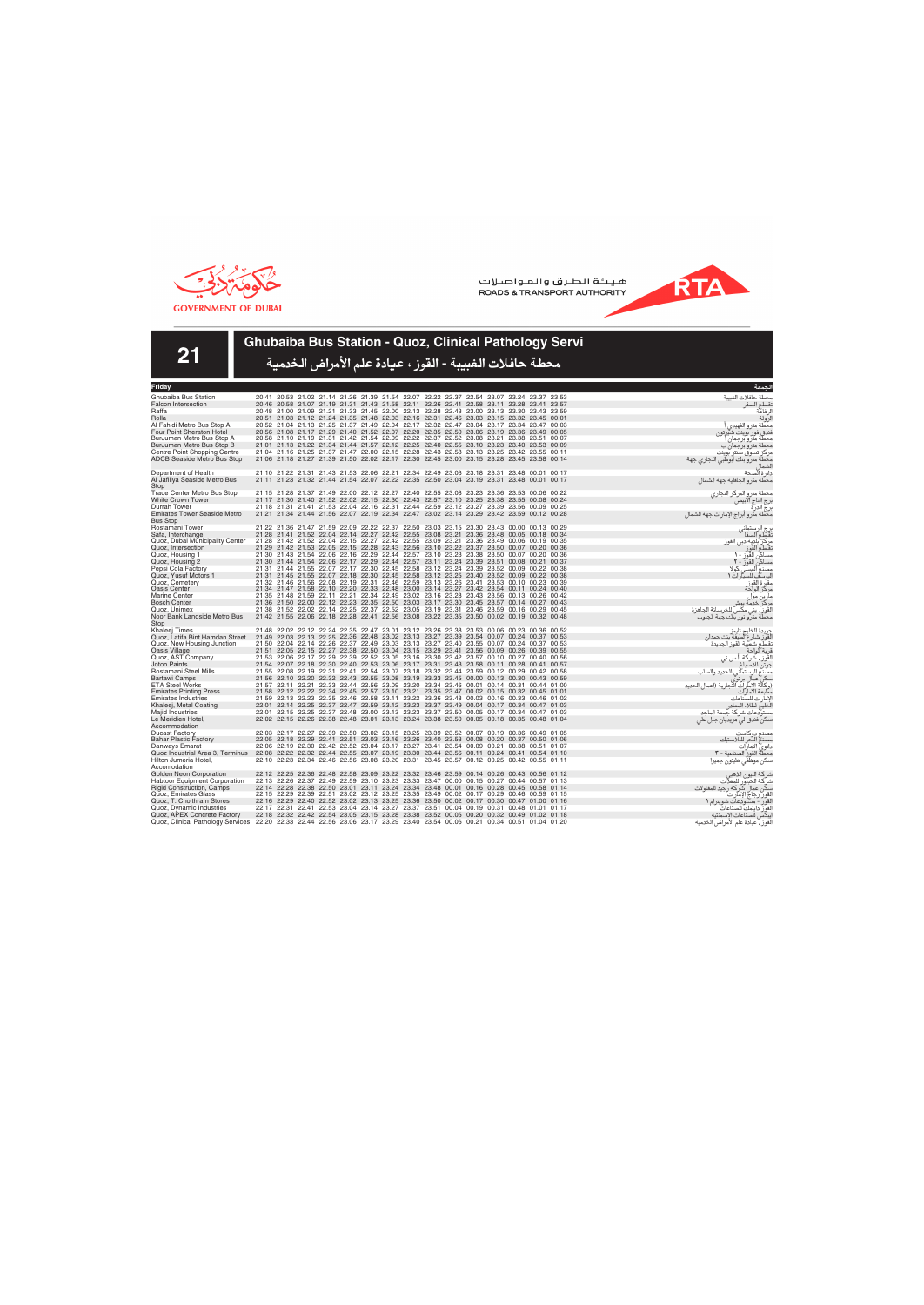



**21**

# **Ghubaiba Bus Station - Quoz, Clinical Pathology Servi**

| Friday                                                                                                                      |                                                                                                                                                                                        |  |  |  |  |  |  | لحمعة                                                     |
|-----------------------------------------------------------------------------------------------------------------------------|----------------------------------------------------------------------------------------------------------------------------------------------------------------------------------------|--|--|--|--|--|--|-----------------------------------------------------------|
| Ghubaiba Bus Station                                                                                                        | 20.41 20.53 21.02 21.14 21.26 21.39 21.54 22.07 22.22 22.37 22.54 23.07 23.24 23.37 23.53                                                                                              |  |  |  |  |  |  | محطة حافلات الغسة                                         |
| <b>Falcon Intersection</b>                                                                                                  | 20.46 20.58 21.07 21.19 21.31 21.43 21.58 22.11 22.26 22.41 22.58 23.11 23.28 23.41 23.57                                                                                              |  |  |  |  |  |  | نقاطع الصقر                                               |
| Raffa                                                                                                                       | 20.48 21.00 21.09 21.21 21.33 21.45 22.00 22.13 22.28 22.43 23.00 23.13 23.30 23.43 23.59                                                                                              |  |  |  |  |  |  | ل فاعة                                                    |
| Rolla                                                                                                                       | 20.51 21.03 21.12 21.24 21.35 21.48 22.03 22.16 22.31 22.46 23.03 23.15 23.32 23.45 00.01                                                                                              |  |  |  |  |  |  | لرولة                                                     |
| Al Fahidi Metro Bus Stop A                                                                                                  | 20.52 21.04 21.13 21.25 21.37 21.49 22.04 22.17 22.32 22.47 23.04 23.17 23.34 23.47 00.03                                                                                              |  |  |  |  |  |  | محطة مترو الفهيدى                                         |
| Four Point Sheraton Hotel                                                                                                   | 20.56 21.08 21.17 21.29 21.40 21.52 22.07 22.20 22.35 22.50 23.06 23.19 23.36 23.49 00.05                                                                                              |  |  |  |  |  |  | فندق فور بوينت شيرتون                                     |
| BurJuman Metro Bus Stop A                                                                                                   | 20.58 21.10 21.19 21.31 21.42 21.54 22.09 22.22 22.37 22.52 23.08 23.21 23.38 23.51 00.07                                                                                              |  |  |  |  |  |  | محطة مترو برجمان                                          |
| BurJuman Metro Bus Stop B                                                                                                   | 21.01 21.13 21.22 21.34 21.44 21.57 22.12 22.25 22.40 22.55 23.10 23.23 23.40 23.53 00.09                                                                                              |  |  |  |  |  |  | محطة مترو برجمان ب                                        |
| Centre Point Shopping Centre                                                                                                | 21.04 21.16 21.25 21.37 21.47 22.00 22.15 22.28 22.43 22.58 23.13 23.25 23.42 23.55 00.11                                                                                              |  |  |  |  |  |  | مركز تسوق سنتر بوينت                                      |
| <b>ADCB Seaside Metro Bus Stop</b>                                                                                          | 21.06 21.18 21.27 21.39 21.50 22.02 22.17 22.30 22.45 23.00 23.15 23.28 23.45 23.58 00.14                                                                                              |  |  |  |  |  |  | محطة مترو بنك أبوظبي التجاري جهة                          |
| Department of Health                                                                                                        | 21.10 21.22 21.31 21.43 21.53 22.06 22.21 22.34 22.49 23.03 23.18 23.31 23.48 00.01 00.17                                                                                              |  |  |  |  |  |  | الشماا<br>دائرة ألصحة                                     |
| Al Jafiliya Seaside Metro Bus                                                                                               | 21.11 21.23 21.32 21.44 21.54 22.07 22.22 22.35 22.50 23.04 23.19 23.31 23.48 00.01 00.17                                                                                              |  |  |  |  |  |  | محطة مترو الجافلية جهة الشمال                             |
| Stop                                                                                                                        |                                                                                                                                                                                        |  |  |  |  |  |  |                                                           |
| Trade Center Metro Bus Stop                                                                                                 | 21.15 21.28 21.37 21.49 22.00 22.12 22.27 22.40 22.55 23.08 23.23 23.36 23.53 00.06 00.22                                                                                              |  |  |  |  |  |  | محطة مترو المركز التجاري                                  |
| <b>White Crown Tower</b>                                                                                                    | 21.17 21.30 21.40 21.52 22.02 22.15 22.30 22.43 22.57 23.10 23.25 23.38 23.55 00.08 00.24                                                                                              |  |  |  |  |  |  | برج إلتاج الآبيض                                          |
| Durrah Tower                                                                                                                | 21.18 21.31 21.41 21.53 22.04 22.16 22.31 22.44 22.59 23.12 23.27 23.39 23.56 00.09 00.25                                                                                              |  |  |  |  |  |  | ابع<br>برج الدرة<br>محطة مترو أبراج الإمارات جهة الشمال   |
| <b>Emirates Tower Seaside Metro</b>                                                                                         | 21.21 21.34 21.44 21.56 22.07 22.19 22.34 22.47 23.02 23.14 23.29 23.42 23.59 00.12 00.28                                                                                              |  |  |  |  |  |  |                                                           |
| <b>Bus Stop</b>                                                                                                             |                                                                                                                                                                                        |  |  |  |  |  |  |                                                           |
| Rostamani Tower                                                                                                             | 21.22 21.36 21.47 21.59 22.09 22.22 22.37 22.50 23.03 23.15 23.30 23.43 00.00 00.13 00.29                                                                                              |  |  |  |  |  |  | برج الرستماني<br>تقاطع الصفا                              |
| Safa, Interchange                                                                                                           | 21.28 21.41 21.52 22.04 22.14 22.27 22.42 22.55 23.08 23.21 23.36 23.48 00.05 00.18 00.34                                                                                              |  |  |  |  |  |  |                                                           |
| Quoz, Dubai Municipality Center                                                                                             | 21.28 21.42 21.52 22.04 22.15 22.27 22.42 22.55 23.09 23.21 23.36 23.49 00.06 00.19 00.35                                                                                              |  |  |  |  |  |  | مركز بلدية دبي القوز<br>نقاطع القوز                       |
| Quoz, Intersection                                                                                                          | 21.29 21.42 21.53 22.05 22.15 22.28 22.43 22.56 23.10 23.22 23.37 23.50 00.07 00.20 00.36                                                                                              |  |  |  |  |  |  |                                                           |
| Quoz, Housing 1                                                                                                             | 21.30 21.43 21.54 22.06 22.16 22.29 22.44 22.57 23.10 23.23 23.38 23.50 00.07 00.20 00.36                                                                                              |  |  |  |  |  |  | مساكن القوز - ١                                           |
| Quoz, Housing 2                                                                                                             | 21.30 21.44 21.54 22.06 22.17 22.29 22.44 22.57 23.11 23.24 23.39 23.51 00.08 00.21 00.37                                                                                              |  |  |  |  |  |  | مساكن القوز - ٢                                           |
| Pepsi Cola Factory<br>Quoz, Yusuf Motors 1                                                                                  | 21.31 21.44 21.55 22.07 22.17 22.30 22.45 22.58 23.12 23.24 23.39 23.52 00.09 00.22 00.38<br>21.31 21.45 21.55 22.07 22.18 22.30 22.45 22.58 23.12 23.25 23.40 23.52 00.09 00.22 00.38 |  |  |  |  |  |  | مصدم الببسر<br>. که لا                                    |
| Quoz, Cemetery                                                                                                              | 21.32 21.46 21.56 22.08 22.19 22.31 22.46 22.59 23.13 23.26 23.41 23.53 00.10 00.23 00.39                                                                                              |  |  |  |  |  |  | ليوسف للسيارات ١                                          |
| Oasis Center                                                                                                                | 21.34 21.47 21.58 22.10 22.20 22.33 22.48 23.00 23.14 23.27 23.42 23.54 00.11 00.24 00.40                                                                                              |  |  |  |  |  |  | مقبرة القوز<br>مركز الواحة                                |
| <b>Marine Center</b>                                                                                                        | 21.35 21.48 21.59 22.11 22.21 22.34 22.49 23.02 23.16 23.28 23.43 23.56 00.13 00.26 00.42                                                                                              |  |  |  |  |  |  |                                                           |
| <b>Bosch Center</b>                                                                                                         | 21.36 21.50 22.00 22.12 22.23 22.35 22.50 23.03 23.17 23.30 23.45 23.57 00.14 00.27 00.43                                                                                              |  |  |  |  |  |  |                                                           |
| Quoz, Unimex                                                                                                                | 21.38 21.52 22.02 22.14 22.25 22.37 22.52 23.05 23.19 23.31 23.46 23.59 00.16 00.29 00.45                                                                                              |  |  |  |  |  |  | سركي<br>مركز خدمة بوش<br>القوز ، يني مكس للخرسانة الجاهزة |
| Noor Bank Landside Metro Bus                                                                                                | 21.42 21.55 22.06 22.18 22.28 22.41 22.56 23.08 23.22 23.35 23.50 00.02 00.19 00.32 00.48                                                                                              |  |  |  |  |  |  | محطة مترو نور بنك جهة الجنوب                              |
| Stop                                                                                                                        |                                                                                                                                                                                        |  |  |  |  |  |  |                                                           |
| Khaleej Times                                                                                                               | 21.48 22.02 22.12 22.24 22.35 22.47 23.01 23.12 23.26 23.38 23.53 00.06 00.23 00.36 00.52                                                                                              |  |  |  |  |  |  | جريدة الخليج تايمز                                        |
| Quoz, Latifa Bint Hamdan Street                                                                                             | 21.49 22.03 22.13 22.25 22.36 22.48 23.02 23.13 23.27 23.39 23.54 00.07 00.24 00.37 00.53                                                                                              |  |  |  |  |  |  | لقوز شارع لطيفة بنت حمدان                                 |
| Quoz, New Housing Junction                                                                                                  | 21.50 22.04 22.14 22.26 22.37 22.49 23.03 23.13 23.27 23.40 23.55 00.07 00.24 00.37 00.53                                                                                              |  |  |  |  |  |  | نقاطع شعبية القوز الحديدة                                 |
| Oasis Village                                                                                                               | 21.51 22.05 22.15 22.27 22.38 22.50 23.04 23.15 23.29 23.41 23.56 00.09 00.26 00.39 00.55                                                                                              |  |  |  |  |  |  | قرية الواحة                                               |
| Quoz, AST Company<br><b>Joton Paints</b>                                                                                    | 21.53 22.06 22.17 22.29 22.39 22.52 23.05 23.16 23.30 23.42 23.57 00.10 00.27 00.40 00.56<br>21.54 22.07 22.18 22.30 22.40 22.53 23.06 23.17 23.31 23.43 23.58 00.11 00.28 00.41 00.57 |  |  |  |  |  |  | القَوز ، شركة ا س تى                                      |
| Rostamani Steel Mills                                                                                                       | 21.55 22.08 22.19 22.31 22.41 22.54 23.07 23.18 23.32 23.44 23.59 00.12 00.29 00.42 00.58                                                                                              |  |  |  |  |  |  | جوتن للاصباغ                                              |
| <b>Bartawi Camps</b>                                                                                                        | 21.56 22.10 22.20 22.32 22.43 22.55 23.08 23.19 23.33 23.45 00.00 00.13 00.30 00.43 00.59                                                                                              |  |  |  |  |  |  | للحديد والصلب<br>مصنع الرستماني                           |
| <b>ETA Steel Works</b>                                                                                                      | 21.57 22.11 22.21 22.33 22.44 22.56 23.09 23.20 23.34 23.46 00.01 00.14 00.31 00.44 01.00                                                                                              |  |  |  |  |  |  | سكن عمال برتوى<br>(وكالة الإمارات التجارية (اعمال الحديد  |
| <b>Emirates Printing Press</b>                                                                                              | 21.58 22.12 22.22 22.34 22.45 22.57 23.10 23.21 23.35 23.47 00.02 00.15 00.32 00.45 01.01                                                                                              |  |  |  |  |  |  | مطبعة الامارات                                            |
| <b>Emirates Industries</b>                                                                                                  | 21.59 22.13 22.23 22.35 22.46 22.58 23.11 23.22 23.36 23.48 00.03 00.16 00.33 00.46 01.02                                                                                              |  |  |  |  |  |  | لامار ات للصناعات                                         |
| Khaleej, Metal Coating                                                                                                      | 22.01 22.14 22.25 22.37 22.47 22.59 23.12 23.23 23.37 23.49 00.04 00.17 00.34 00.47 01.03                                                                                              |  |  |  |  |  |  | لُخليج لطلاء المعادن                                      |
| Majid Industries                                                                                                            | 22.01 22.15 22.25 22.37 22.48 23.00 23.13 23.23 23.37 23.50 00.05 00.17 00.34 00.47 01.03                                                                                              |  |  |  |  |  |  | مستودعات شركة جمعة الماحد                                 |
| Le Meridien Hotel,                                                                                                          | 22.02 22.15 22.26 22.38 22.48 23.01 23.13 23.24 23.38 23.50 00.05 00.18 00.35 00.48 01.04                                                                                              |  |  |  |  |  |  | سکن فندق لي مريديان جبل علي                               |
| Accommodation                                                                                                               |                                                                                                                                                                                        |  |  |  |  |  |  |                                                           |
| <b>Ducast Factory</b>                                                                                                       | 22.03 22.17 22.27 22.39 22.50 23.02 23.15 23.25 23.39 23.52 00.07 00.19 00.36 00.49 01.05                                                                                              |  |  |  |  |  |  | مصنع دوكاست                                               |
| <b>Bahar Plastic Factory</b>                                                                                                | 22.05 22.18 22.29 22.41 22.51 23.03 23.16 23.26 23.40 23.53 00.08 00.20 00.37 00.50 01.06                                                                                              |  |  |  |  |  |  | مصنع البحر للبلاستيك                                      |
| Danways Emarat                                                                                                              | 22.06 22.19 22.30 22.42 22.52 23.04 23.17 23.27 23.41 23.54 00.09 00.21 00.38 00.51 01.07                                                                                              |  |  |  |  |  |  | دانوي الأمارات                                            |
| Quoz Industrial Area 3, Terminus 22.08 22.22 22.32 22.44 22.55 23.07 23.19 23.30 23.44 23.56 00.11 00.24 00.41 00.54 01.10  |                                                                                                                                                                                        |  |  |  |  |  |  | محطَّةٌ القوز ۖ الصناعية - ٣                              |
| Hilton Jumeria Hotel.<br>Accomodation                                                                                       | 22.10 22.23 22.34 22.46 22.56 23.08 23.20 23.31 23.45 23.57 00.12 00.25 00.42 00.55 01.11                                                                                              |  |  |  |  |  |  | سكن موظفى هليتون جميرا                                    |
| Golden Neon Corporation                                                                                                     | 22.12 22.25 22.36 22.48 22.58 23.09 23.22 23.32 23.46 23.59 00.14 00.26 00.43 00.56 01.12                                                                                              |  |  |  |  |  |  |                                                           |
| <b>Habtoor Equipment Corporation</b>                                                                                        | 22.13 22.26 22.37 22.49 22.59 23.10 23.23 23.33 23.47 00.00 00.15 00.27 00.44 00.57 01.13                                                                                              |  |  |  |  |  |  | شركة النيون الذهبي<br>شركة الحبتور للمعذات                |
| <b>Rigid Construction, Camps</b>                                                                                            | 22.14 22.28 22.38 22.50 23.01 23.11 23.24 23.34 23.48 00.01 00.16 00.28 00.45 00.58 01.14                                                                                              |  |  |  |  |  |  |                                                           |
| Quoz, Emirates Glass                                                                                                        | 22.15 22.29 22.39 22.51 23.02 23.12 23.25 23.35 23.49 00.02 00.17 00.29 00.46 00.59 01.15                                                                                              |  |  |  |  |  |  | سكِّن عمال شَّركة رجيد المقاولات<br>القوز زجاج الإمارات   |
| Quoz, T. Choithram Stores                                                                                                   | 22.16 22.29 22.40 22.52 23.02 23.13 23.25 23.36 23.50 00.02 00.17 00.30 00.47 01.00 01.16                                                                                              |  |  |  |  |  |  | القور - مستودعات شويترام ١                                |
| Quoz, Dynamic Industries                                                                                                    | 22.17 22.31 22.41 22.53 23.04 23.14 23.27 23.37 23.51 00.04 00.19 00.31 00.48 01.01 01.17                                                                                              |  |  |  |  |  |  |                                                           |
| Quoz, APEX Concrete Factory                                                                                                 | 22.18 22.32 22.42 22.54 23.05 23.15 23.28 23.38 23.52 00.05 00.20 00.32 00.49 01.02 01.18                                                                                              |  |  |  |  |  |  | القوز داينمك للصناعات<br>إيبكس للصناعات الإسمنتية         |
| Quoz, Clinical Pathology Services 22.20 22.33 22.44 22.56 23.06 23.17 23.29 23.40 23.54 00.06 00.21 00.34 00.51 01.04 01.20 |                                                                                                                                                                                        |  |  |  |  |  |  | لقوز ، عيادة علم الأمراض الخدمية                          |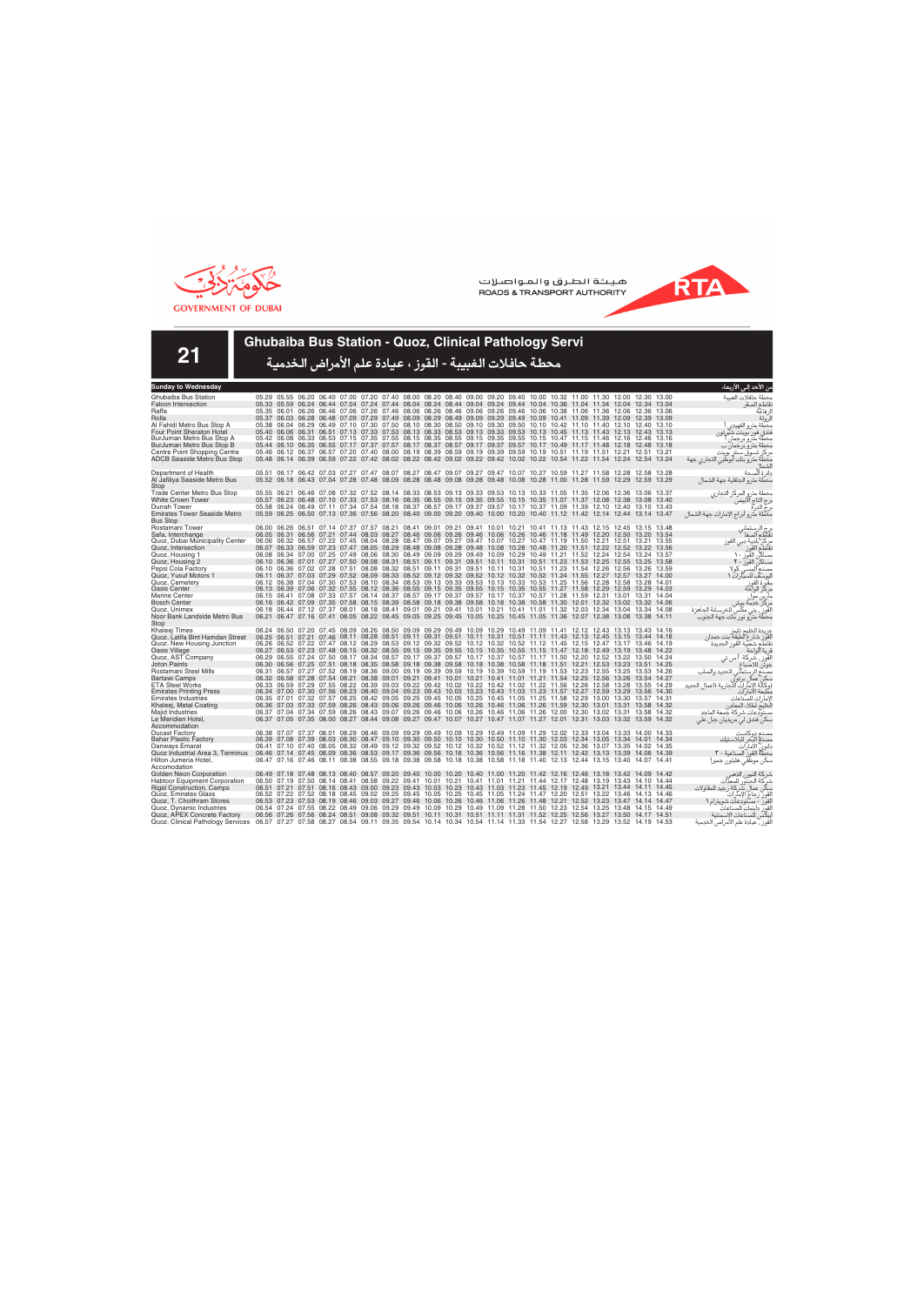



**21**

### **Ghubaiba Bus Station - Quoz, Clinical Pathology Servi**

| Sunday to Wednesday                                                                                                                                       |                   |       |                                                                                                                                                                                                                                                    |  |  |  |  |  |  |  |       | من الأحد إل <i>ى</i> الأربعاء                               |
|-----------------------------------------------------------------------------------------------------------------------------------------------------------|-------------------|-------|----------------------------------------------------------------------------------------------------------------------------------------------------------------------------------------------------------------------------------------------------|--|--|--|--|--|--|--|-------|-------------------------------------------------------------|
| Ghubaiba Bus Station                                                                                                                                      |                   |       | 05.29 05.55 06.20 06.40 07.00 07.20 07.40 08.00 08.20 08.40 09.00 09.20 09.40 10.00 10.32 11.00 11.30 12.00 12.30 13.00                                                                                                                            |  |  |  |  |  |  |  |       | محطة حافلات الغسة                                           |
| <b>Falcon Intersection</b>                                                                                                                                |                   |       | 05.33 05.59 06.24 06.44 07.04 07.24 07.44 08.04 08.24 08.44 09.04 09.24 09.44 10.04 10.36 11.04 11.34 12.04 12.34 13.04                                                                                                                            |  |  |  |  |  |  |  |       | نقاطع الصقر                                                 |
| Raffa                                                                                                                                                     |                   |       | 05.35 06.01 06.26 06.46 07.06 07.26 07.46 08.06 08.26 08.46 09.06 09.26 09.46 10.06 10.38 11.06 11.36 12.06 12.36 13.06                                                                                                                            |  |  |  |  |  |  |  |       | لر فاعة                                                     |
| Rolla                                                                                                                                                     |                   |       | 05.37 06.03 06.28 06.48 07.09 07.29 07.49 08.09 08.29 08.49 09.09 09.29 09.49 10.09 10.41 11.09 11.39 12.09 12.39 13.09                                                                                                                            |  |  |  |  |  |  |  |       | لرولة                                                       |
| Al Fahidi Metro Bus Stop A                                                                                                                                |                   |       | 05.38 06.04 06.29 06.49 07.10 07.30 07.50 08.10 08.30 08.50 09.10 09.30 09.50 10.10 10.42 11.10 11.40 12.10 12.40 13.10                                                                                                                            |  |  |  |  |  |  |  |       | محطة مترو الفهيدى                                           |
| <b>Four Point Sheraton Hotel</b>                                                                                                                          |                   |       | 05.40 06.06 06.31 06.51 07.13 07.33 07.53 08.13 08.33 08.53 09.13 09.33 09.53 10.13 10.45 11.13 11.43 12.13 12.43 13.13                                                                                                                            |  |  |  |  |  |  |  |       | فندق فور بوينت شيرتون                                       |
| BurJuman Metro Bus Stop A                                                                                                                                 |                   |       | 05.42 06.08 06.33 06.53 07.15 07.35 07.55 08.15 08.35 08.55 09.15 09.35 09.55 10.15 10.47 11.15 11.46 12.16 12.46 13.16                                                                                                                            |  |  |  |  |  |  |  |       | محطة مترو برجمان                                            |
| BurJuman Metro Bus Stop B                                                                                                                                 | 05.46 06.12 06.37 |       | 05.44 06.10 06.35 06.55 07.17 07.37 07.57 08.17 08.37 08.57 09.17 09.37 09.57 10.17 10.49 11.17 11.48 12.18 12.48 13.18                                                                                                                            |  |  |  |  |  |  |  |       | محطة مترو برجمان ب                                          |
| Centre Point Shopping Centre<br><b>ADCB Seaside Metro Bus Stop</b>                                                                                        |                   |       | 06.57 07.20 07.40 08.00 08.19 08.39 08.59 09.19 09.39 09.59 10.19 10.51 11.19 11.51 12.21 12.51 13.21<br>05.48 06.14 06.39 06.59 07.22 07.42 08.02 08.22 08.42 09.02 09.22 09.42 10.02 10.22 10.54 11.22 11.54 12.24 12.54 13.24                   |  |  |  |  |  |  |  |       | مركز تسوق سنتر بوينت                                        |
|                                                                                                                                                           |                   |       |                                                                                                                                                                                                                                                    |  |  |  |  |  |  |  |       | محطة مترو بنك أبوظبي التجاري جهة                            |
| Department of Health                                                                                                                                      |                   |       | 05.51 06.17 06.42 07.03 07.27 07.47 08.07 08.27 08.47 09.07 09.27 09.47 10.07 10.27 10.59 11.27 11.58 12.28 12.58 13.28                                                                                                                            |  |  |  |  |  |  |  |       | دائر ة الصحة                                                |
| Al Jafiliya Seaside Metro Bus                                                                                                                             |                   |       | 05.52 06.18 06.43 07.04 07.28 07.48 08.09 08.28 08.48 09.08 09.28 09.48 10.08 10.28 11.00 11.28 11.59 12.29 12.59 13.29                                                                                                                            |  |  |  |  |  |  |  |       | محطة مترو الجافلية جهة الشمال                               |
| Stop                                                                                                                                                      |                   |       |                                                                                                                                                                                                                                                    |  |  |  |  |  |  |  |       |                                                             |
| <b>Trade Center Metro Bus Stop</b>                                                                                                                        |                   |       | 05.55 06.21 06.46 07.08 07.32 07.52 08.14 08.33 08.53 09.13 09.33 09.53 10.13 10.33 11.05 11.35 12.06 12.36 13.06 13.37                                                                                                                            |  |  |  |  |  |  |  |       | محطة مترو المركز التجاري                                    |
| <b>White Crown Tower</b>                                                                                                                                  |                   |       | 05.57 06.23 06.48 07.10 07.33 07.53 08.16 08.35 08.55 09.15 09.35 09.55 10.15 10.35 11.07 11.37 12.08 12.38 13.08 13.40                                                                                                                            |  |  |  |  |  |  |  |       | برج التاج الابيض                                            |
| Durrah Tower                                                                                                                                              |                   |       | 05.58 06.24 06.49 07.11 07.34 07.54 08.18 08.37 08.57 09.17 09.37 09.57 10.17 10.37 11.09 11.39 12.10 12.40 13.10 13.43                                                                                                                            |  |  |  |  |  |  |  |       | برج الدرة                                                   |
| <b>Emirates Tower Seaside Metro</b>                                                                                                                       |                   |       | 05.59 06.25 06.50 07.13 07.36 07.56 08.20 08.40 09.00 09.20 09.40 10.00 10.20 10.40 11.12 11.42 12.14 12.44 13.14 13.47                                                                                                                            |  |  |  |  |  |  |  |       | محطة مترو أبراج الإمارات جهة الشمال                         |
| <b>Bus Stop</b>                                                                                                                                           |                   |       | 06.00 06.26 06.51 07.14 07.37 07.57 08.21 08.41 09.01 09.21 09.41 10.01 10.21 10.41 11.13 11.43 12.15 12.45 13.15 13.48                                                                                                                            |  |  |  |  |  |  |  |       |                                                             |
| Rostamani Tower<br>Safa, Interchange                                                                                                                      |                   |       | 06.05 06.31 06.56 07.21 07.44 08.03 08.27 08.46 09.06 09.26 09.46 10.06 10.26 10.46 11.18 11.49 12.20 12.50 13.20 13.54                                                                                                                            |  |  |  |  |  |  |  |       | برج الرستماني<br>تقاطع الصفا                                |
| Quoz, Dubai Municipality Center                                                                                                                           |                   |       | 06.06 06.32 06.57 07.22 07.45 08.04 08.28 08.47 09.07 09.27 09.47 10.07 10.27 10.47 11.19 11.50 12.21 12.51 13.21 13.55                                                                                                                            |  |  |  |  |  |  |  |       |                                                             |
| Quoz, Intersection                                                                                                                                        |                   |       | 06.07 06.33 06.59 07.23 07.47 08.05 08.29 08.48 09.08 09.28 09.48 10.08 10.28 10.48 11.20 11.51 12.22 12.52 13.22 13.56                                                                                                                            |  |  |  |  |  |  |  |       | مركز بلدية دبي القوز<br>نقاطع القوز                         |
| Quoz, Housing 1                                                                                                                                           |                   |       | 06.08 06.34 07.00 07.25 07.49 08.06 08.30 08.49 09.09 09.29 09.49 10.09 10.29 10.49 11.21 11.52 12.24 12.54 13.24 13.57                                                                                                                            |  |  |  |  |  |  |  |       | مساكن القور ١٠                                              |
| Quoz, Housing 2                                                                                                                                           |                   |       | 06.10 06.36 07.01 07.27 07.50 08.08 08.31 08.51 09.11 09.31 09.51 10.11 10.31 10.51 11.23 11.53 12.25 12.55 13.25                                                                                                                                  |  |  |  |  |  |  |  | 13.58 |                                                             |
| Pepsi Cola Factory                                                                                                                                        |                   |       | 06.10 06.36 07.02 07.28 07.51 08.08 08.32 08.51 09.11 09.31 09.51 10.11 10.31 10.51 11.23 11.54 12.26 12.56 13.26 13.59                                                                                                                            |  |  |  |  |  |  |  |       | مساكن القور - ٢<br>مصنع الببسي كولا                         |
| Quoz. Yusuf Motors 1                                                                                                                                      |                   |       | 06.11 06.37 07.03 07.29 07.52 08.09 08.33 08.52 09.12 09.32 09.52 10.12 10.32 10.52 11.24 11.55 12.27 12.57 13.27 14.00                                                                                                                            |  |  |  |  |  |  |  |       | ليوسف للسيارات ١                                            |
| Quoz, Cemetery                                                                                                                                            |                   |       | 06.12 06.38 07.04 07.30 07.53 08.10 08.34 08.53 09.13 09.33 09.53 10.13 10.33 10.53 11.25 11.56 12.28 12.58 13.28                                                                                                                                  |  |  |  |  |  |  |  | 14.01 | مقبرة القوز<br>مركز الواحة                                  |
| <b>Oasis Center</b>                                                                                                                                       |                   |       | 06.13 06.39 07.06 07.32 07.55 08.12 08.36 08.55 09.15 09.35 09.55 10.15 10.35 10.55 11.27 11.58 12.29 12.59 13.29 14.03                                                                                                                            |  |  |  |  |  |  |  |       |                                                             |
| <b>Marine Center</b>                                                                                                                                      |                   |       | 06.15 06.41 07.08 07.33 07.57 08.14 08.37 08.57 09.17 09.37 09.57 10.17 10.37 10.57 11.28 11.59 12.31 13.01 13.31 14.04                                                                                                                            |  |  |  |  |  |  |  |       | مارين موا                                                   |
| <b>Bosch Center</b>                                                                                                                                       |                   |       | 06.16 06.42 07.09 07.35 07.58 08.15 08.39 08.58 09.18 09.38 09.58 10.18 10.38 10.58 11.30 12.01 12.32 13.02 13.32 14.06                                                                                                                            |  |  |  |  |  |  |  |       | مركز خدمة بوش                                               |
| Quoz. Unimex                                                                                                                                              |                   |       | 06.18 06.44 07.12 07.37 08.01 08.18 08.41 09.01 09.21 09.41 10.01 10.21 10.41 11.01 11.32 12.03 12.34 13.04 13.34 14.08                                                                                                                            |  |  |  |  |  |  |  |       | القَوزِ ۖ، يني مكَّس للخرسانة الجاهزة                       |
| Noor Bank Landside Metro Bus<br>Stop                                                                                                                      |                   |       | 06.21 06.47 07.16 07.41 08.05 08.22 08.45 09.05 09.25 09.45 10.05 10.25 10.45 11.05 11.36 12.07 12.38 13.08 13.38 14.11                                                                                                                            |  |  |  |  |  |  |  |       | محطة مترو نور بنك جهة الجنوب                                |
| Khaleej Times                                                                                                                                             |                   |       | 06.24 06.50 07.20 07.45 08.09 08.26 08.50 09.09 09.29 09.49 10.09 10.29 10.49 11.09 11.41 12.12 12.43 13.13 13.43 14.16                                                                                                                            |  |  |  |  |  |  |  |       |                                                             |
| Quoz, Latifa Bint Hamdan Street                                                                                                                           |                   |       | 06.25 06.51 07.21 07.46 08.11 08.28 08.51 09.11 09.31 09.51 10.11 10.31 10.51 11.11 11.43 12.13 12.45 13.15 13.44 14.18                                                                                                                            |  |  |  |  |  |  |  |       | جريدة الخليج تايمز<br>لقوز شارع لطيفة بنت حمدان             |
| Quoz, New Housing Junction                                                                                                                                |                   |       | 06.26 06.52 07.22 07.47 08.12 08.29 08.53 09.12 09.32 09.52 10.12 10.32 10.52 11.12 11.45 12.15 12.47 13.17 13.46 14.19                                                                                                                            |  |  |  |  |  |  |  |       | نقاطع شعبية القوز الحديدة                                   |
| Oasis Village                                                                                                                                             |                   |       | 06.27 06.53 07.23 07.48 08.15 08.32 08.55 09.15 09.35 09.55 10.15 10.35 10.55 11.15 11.47 12.18 12.49 13.19 13.48 14.22                                                                                                                            |  |  |  |  |  |  |  |       | قرية الواحة                                                 |
| Quoz, AST Company                                                                                                                                         |                   |       | 06.29 06.55 07.24 07.50 08.17 08.34 08.57 09.17 09.37 09.57 10.17 10.37 10.57 11.17 11.50 12.20 12.52 13.22 13.50 14.24                                                                                                                            |  |  |  |  |  |  |  |       | القَوز ، شركة أ س تي                                        |
| <b>Joton Paints</b>                                                                                                                                       |                   |       | 06.30 06.56 07.25 07.51 08.18 08.35 08.58 09.18 09.38 09.58 10.18 10.38 10.58 11.18 11.51 12.21 12.53 13.23 13.51 14.25                                                                                                                            |  |  |  |  |  |  |  |       | جوتن للاصباغ                                                |
| Rostamani Steel Mills                                                                                                                                     |                   |       | 06.31 06.57 07.27 07.52 08.19 08.36 09.00 09.19 09.39 09.59 10.19 10.39 10.59 11.19 11.53 12.23 12.55 13.25 13.53 14.26                                                                                                                            |  |  |  |  |  |  |  |       | .<br>مصنع الرستماني للحديد والصلب                           |
| <b>Bartawi Camps</b>                                                                                                                                      |                   |       | 06.32 06.58 07.28 07.54 08.21 08.38 09.01 09.21 09.41 10.01 10.21 10.41 11.01 11.21 11.54 12.25 12.56 13.26 13.54 14.27                                                                                                                            |  |  |  |  |  |  |  |       | سكن عمال برتوى<br>(وكالة الإمارات التجارية (اعمال الحديد    |
| <b>ETA Steel Works</b>                                                                                                                                    |                   |       | 06.33 06.59 07.29 07.55 08.22 08.39 09.03 09.22 09.42 10.02 10.22 10.42 11.02 11.22 11.56 12.26 12.58 13.28 13.55 14.29                                                                                                                            |  |  |  |  |  |  |  |       |                                                             |
| <b>Emirates Printing Press</b>                                                                                                                            |                   |       | 06.34 07.00 07.30 07.56 08.23 08.40 09.04 09.23 09.43 10.03 10.23 10.43 11.03 11.23 11.57 12.27 12.59 13.29 13.56 14.30                                                                                                                            |  |  |  |  |  |  |  |       | مطبعة الامار ات                                             |
| <b>Emirates Industries</b>                                                                                                                                |                   |       | 06.35 07.01 07.32 07.57 08.25 08.42 09.05 09.25 09.45 10.05 10.25 10.45 11.05 11.25 11.58 12.29 13.00 13.30 13.57 14.31                                                                                                                            |  |  |  |  |  |  |  |       | لإمار ات للصناعات                                           |
| Khaleej, Metal Coating<br>Majid Industries                                                                                                                |                   |       | 06.36 07.03 07.33 07.59 08.26 08.43 09.06 09.26 09.46 10.06 10.26 10.46 11.06 11.26 11.59 12.30 13.01 13.31 13.58 14.32<br>06.37 07.04 07.34 07.59 08.26 08.43 09.07 09.26 09.46 10.06 10.26 10.46 11.06 11.26 12.00 12.30 13.02 13.31 13.58 14.32 |  |  |  |  |  |  |  |       | الخليج لطلاء المعادن<br>مستودعات شركة جمعة الماحد           |
| Le Meridien Hotel,                                                                                                                                        |                   |       | 06.37 07.05 07.35 08.00 08.27 08.44 09.08 09.27 09.47 10.07 10.27 10.47 11.07 11.27 12.01 12.31 13.03 13.32 13.59                                                                                                                                  |  |  |  |  |  |  |  | 14.32 | سکن فندق لی مریدیان جبل علی                                 |
| Accommodation                                                                                                                                             |                   |       |                                                                                                                                                                                                                                                    |  |  |  |  |  |  |  |       |                                                             |
| <b>Ducast Factory</b>                                                                                                                                     |                   |       | 06.38 07.07 07.37 08.01 08.29 08.46 09.09 09.29 09.49 10.09 10.29 10.49 11.09 11.29 12.02 12.33 13.04 13.33 14.00 14.33                                                                                                                            |  |  |  |  |  |  |  |       | مصنع دوكاست                                                 |
| <b>Bahar Plastic Factory</b>                                                                                                                              | 06.39 07.08 07.39 |       | 08.03 08.30 08.47 09.10 09.30 09.50 10.10 10.30 10.50 11.10 11.30 12.03 12.34 13.05 13.34 14.01 14.34                                                                                                                                              |  |  |  |  |  |  |  |       | مصذع البحر للبلاستيك                                        |
| Danways Emarat                                                                                                                                            |                   |       | 06.41 07.10 07.40 08.05 08.32 08.49 09.12 09.32 09.52 10.12 10.32 10.52 11.12 11.32 12.05 12.36 13.07 13.35 14.02 14.35                                                                                                                            |  |  |  |  |  |  |  |       | دانوى الأمارات                                              |
| Quoz Industrial Area 3. Terminus                                                                                                                          |                   |       | 06.46 07.14 07.45 08.09 08.36 08.53 09.17 09.36 09.56 10.16 10.36 10.56 11.16 11.38 12.11 12.42 13.13 13.39 14.06                                                                                                                                  |  |  |  |  |  |  |  | 14.39 | محطةٌ القور ۖ الصناعية - ٣                                  |
| Hilton Jumeria Hotel,                                                                                                                                     | 06.47 07.16 07.46 |       | 08.11 08.38 08.55 09.18 09.38 09.58 10.18 10.38 10.58 11.18 11.40 12.13 12.44 13.15 13.40 14.07                                                                                                                                                    |  |  |  |  |  |  |  | 14.41 | سكن موظفى هليتون جميرا                                      |
| Accomodation                                                                                                                                              |                   |       |                                                                                                                                                                                                                                                    |  |  |  |  |  |  |  |       |                                                             |
| Golden Neon Corporation                                                                                                                                   |                   |       | 06.49 07.18 07.48 08.13 08.40 08.57 09.20 09.40 10.00 10.20 10.40 11.00 11.20 11.42 12.16 12.46 13.18 13.42 14.09 14.42                                                                                                                            |  |  |  |  |  |  |  |       | شركة النيون الذهبى                                          |
| <b>Habtoor Equipment Corporation</b>                                                                                                                      |                   |       | 06.50 07.19 07.50 08.14 08.41 08.58 09.22 09.41 10.01 10.21 10.41 11.01 11.21 11.44 12.17 12.48 13.19 13.43 14.10 14.44                                                                                                                            |  |  |  |  |  |  |  |       | شركة الحبتور للمعذات                                        |
| <b>Rigid Construction, Camps</b>                                                                                                                          | 06.51 07.21       | 07.51 | 08.16 08.43 09.00 09.23 09.43 10.03 10.23 10.43 11.03 11.23 11.45 12.19 12.49 13.21 13.44 14.11 14.45                                                                                                                                              |  |  |  |  |  |  |  |       | سكن عمال شركة رجيد للمقاولات                                |
| Quoz, Emirates Glass                                                                                                                                      |                   |       | 06.52 07.22 07.52 08.18 08.45 09.02 09.25 09.45 10.05 10.25 10.45 11.05 11.24 11.47 12.20 12.51 13.22 13.46 14.13 14.46                                                                                                                            |  |  |  |  |  |  |  |       | القوز زجاج الإمارات منتقد<br>القوز - مستودعات شويترام ١     |
| Quoz. T. Choithram Stores                                                                                                                                 |                   |       | 06.53 07.23 07.53 08.19 08.46 09.03 09.27 09.46 10.06 10.26 10.46 11.06 11.26 11.48 12.21 12.52 13.23 13.47 14.14 14.47                                                                                                                            |  |  |  |  |  |  |  |       |                                                             |
| Quoz, Dynamic Industries<br>Quoz, APEX Concrete Factory                                                                                                   | 06.54 07.24 07.55 |       | 08.22 08.49 09.06 09.29 09.49 10.09 10.29 10.49 11.09 11.28 11.50 12.23 12.54 13.25 13.48 14.15 14.49<br>06.56 07.26 07.56 08.24 08.51 09.08 09.32 09.51 10.11 10.31 10.51 11.11 11.31 11.52 12.25 12.56 13.27 13.50 14.17 14.51                   |  |  |  |  |  |  |  |       | لقوز داينمك للصناعات                                        |
| Quoz, Clinical Pathology Services 06.57 07.27 07.58 08.27 08.54 09.11 09.35 09.54 10.14 10.34 10.54 11.14 11.33 11.54 12.27 12.58 13.29 13.52 14.19 14.53 |                   |       |                                                                                                                                                                                                                                                    |  |  |  |  |  |  |  |       | يبكس للصناعات الإسمنتية<br>لقوز ، عيادة علم الأمراض الخدمية |
|                                                                                                                                                           |                   |       |                                                                                                                                                                                                                                                    |  |  |  |  |  |  |  |       |                                                             |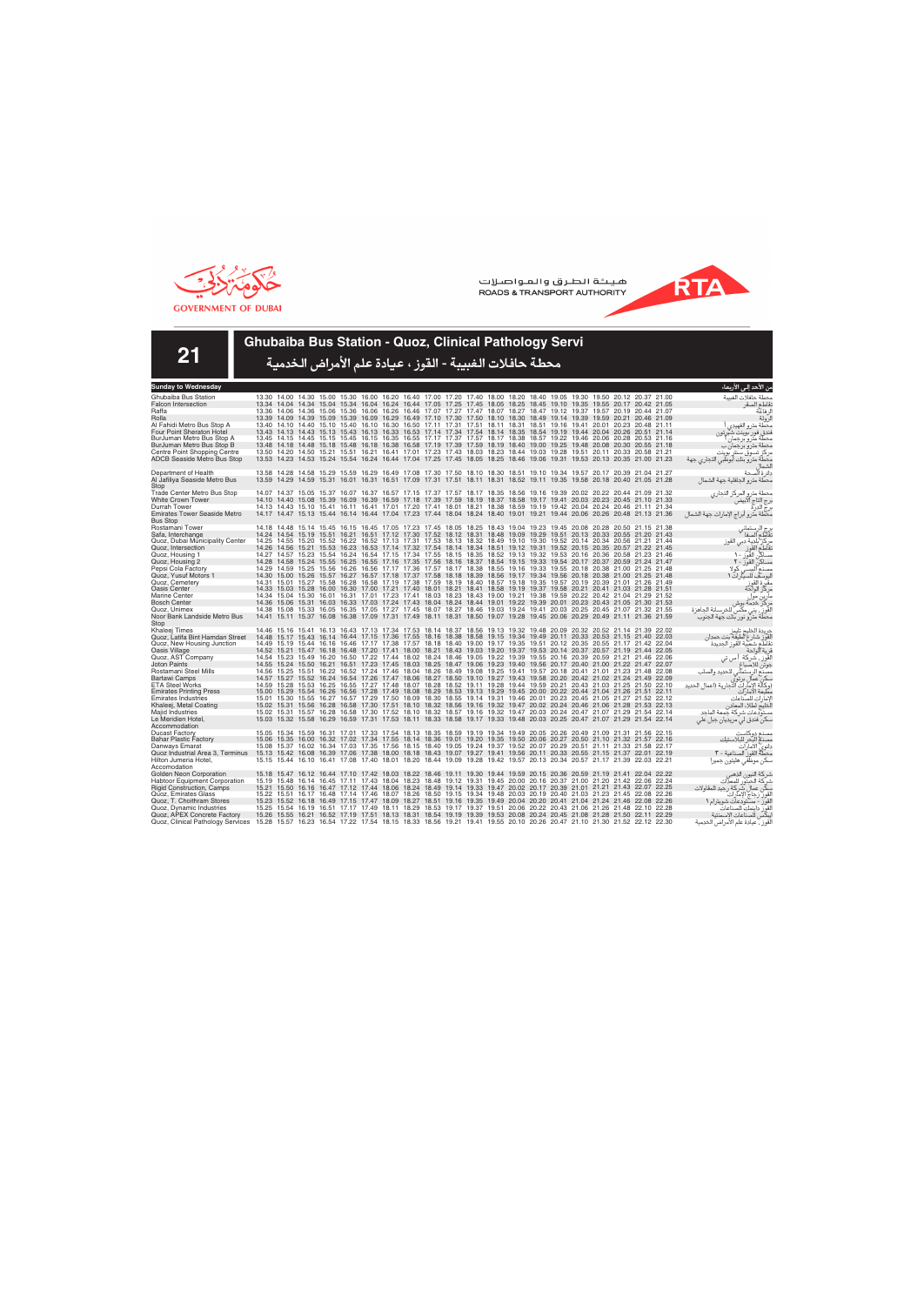



**21**

### **Ghubaiba Bus Station - Quoz, Clinical Pathology Servi**

| Sunday to Wednesday                                       |       |                                                                                                                                              |       |       |                                                                                                       |  |  |  |  |                                                       |  |  | من الأحد إل <i>ى</i> الأربعاء                            |
|-----------------------------------------------------------|-------|----------------------------------------------------------------------------------------------------------------------------------------------|-------|-------|-------------------------------------------------------------------------------------------------------|--|--|--|--|-------------------------------------------------------|--|--|----------------------------------------------------------|
| Ghubaiba Bus Station                                      |       | 13.30 14.00 14.30 15.00 15.30 16.00 16.20 16.40 17.00 17.20 17.40 18.00 18.20 18.40 19.05 19.30 19.50 20.12 20.37 21.00                      |       |       |                                                                                                       |  |  |  |  |                                                       |  |  | محطة حافلات الغسة                                        |
| <b>Falcon Intersection</b>                                |       | 13.34 14.04 14.34 15.04 15.34 16.04 16.24 16.44 17.05 17.25 17.45 18.05 18.25 18.45 19.10 19.35 19.55 20.17 20.42 21.05                      |       |       |                                                                                                       |  |  |  |  |                                                       |  |  | نقاطع الصقر                                              |
| Raffa                                                     |       | 13.36 14.06 14.36                                                                                                                            |       |       | 15.06 15.36 16.06 16.26 16.46 17.07 17.27 17.47 18.07 18.27 18.47 19.12 19.37 19.57 20.19 20.44 21.07 |  |  |  |  |                                                       |  |  | لر فاعة                                                  |
| Rolla                                                     |       | 13.39 14.09 14.39 15.09 15.39 16.09 16.29 16.49 17.10 17.30 17.50 18.10 18.30 18.49 19.14 19.39 19.59 20.21 20.46 21.09                      |       |       |                                                                                                       |  |  |  |  |                                                       |  |  | الرولة                                                   |
| Al Fahidi Metro Bus Stop A                                |       | 13.40 14.10 14.40 15.10 15.40 16.10 16.30 16.50 17.11 17.31 17.51 18.11 18.31 18.51 19.16 19.41 20.01 20.23 20.48 21.11                      |       |       |                                                                                                       |  |  |  |  |                                                       |  |  | محطة مترو الفهيدى                                        |
| <b>Four Point Sheraton Hotel</b>                          |       | 13.43 14.13 14.43 15.13 15.43 16.13 16.33 16.53 17.14 17.34 17.54 18.14 18.35                                                                |       |       |                                                                                                       |  |  |  |  | 18.54 19.19 19.44 20.04 20.26 20.51 21.14             |  |  | فندق فور بوينت شيرتون                                    |
| BurJuman Metro Bus Stop A                                 |       | 13.45 14.15 14.45 15.15 15.45 16.15 16.35 16.55 17.17 17.37 17.57 18.17 18.38 18.57 19.22 19.46 20.06 20.28 20.53 21.16                      |       |       |                                                                                                       |  |  |  |  |                                                       |  |  | محطة مترو برجمان                                         |
| BurJuman Metro Bus Stop B<br>Centre Point Shopping Centre |       | 13.48 14.18 14.48 15.18 15.48 16.18 16.38 16.58 17.19 17.39 17.59 18.19 18.40 19.00 19.25 19.48 20.08 20.30 20.55 21.18<br>13.50 14.20       | 14.50 |       | 15.21 15.51 16.21 16.41 17.01 17.23 17.43 18.03 18.23 18.44 19.03 19.28 19.51 20.11 20.33 20.58 21.21 |  |  |  |  |                                                       |  |  | محطة مترو برجمان ب                                       |
| <b>ADCB Seaside Metro Bus Stop</b>                        |       | 13.53 14.23 14.53 15.24 15.54 16.24 16.44 17.04 17.25 17.45 18.05 18.25 18.46 19.06 19.31 19.53 20.13 20.35 21.00 21.23                      |       |       |                                                                                                       |  |  |  |  |                                                       |  |  | مركز تسوق سنتر بوينت<br>محطة مترو بنك أبوظبي التجاري جهة |
|                                                           |       |                                                                                                                                              |       |       |                                                                                                       |  |  |  |  |                                                       |  |  |                                                          |
| Department of Health                                      |       | 13.58 14.28 14.58 15.29 15.59 16.29 16.49 17.08 17.30 17.50 18.10 18.30 18.51 19.10 19.34 19.57 20.17 20.39 21.04 21.27                      |       |       |                                                                                                       |  |  |  |  |                                                       |  |  | دائر ة ألصحة                                             |
| Al Jafiliya Seaside Metro Bus                             |       | 13.59 14.29 14.59 15.31 16.01 16.31 16.51 17.09 17.31 17.51 18.11 18.31 18.52 19.11 19.35 19.58 20.18 20.40 21.05 21.28                      |       |       |                                                                                                       |  |  |  |  |                                                       |  |  | محطة مترو الجافلية جهة الشمال                            |
| Stop                                                      |       |                                                                                                                                              |       |       |                                                                                                       |  |  |  |  |                                                       |  |  |                                                          |
| <b>Trade Center Metro Bus Stop</b>                        |       | 14.07 14.37 15.05 15.37 16.07 16.37 16.57 17.15 17.37 17.57 18.17 18.35 18.56 19.16 19.39 20.02 20.22 20.44 21.09 21.32                      |       |       |                                                                                                       |  |  |  |  |                                                       |  |  | محطة مترو المركز التجاري                                 |
| <b>White Crown Tower</b>                                  |       | 14.10 14.40 15.08 15.39 16.09 16.39 16.59 17.18 17.39 17.59 18.19 18.37 18.58 19.17 19.41 20.03 20.23 20.45 21.10 21.33                      |       |       |                                                                                                       |  |  |  |  |                                                       |  |  | .رج التاج آلآبيضً                                        |
| Durrah Tower                                              |       | 14.13 14.43 15.10                                                                                                                            |       | 15.41 | 16.11 16.41 17.01 17.20 17.41 18.01 18.21 18.38 18.59 19.19 19.42 20.04 20.24 20.46 21.11 21.34       |  |  |  |  |                                                       |  |  | برج الدرة                                                |
| <b>Emirates Tower Seaside Metro</b><br><b>Bus Stop</b>    |       | 14.17 14.47 15.13 15.44 16.14 16.44 17.04 17.23 17.44 18.04 18.24 18.40 19.01 19.21 19.44 20.06 20.26 20.48 21.13 21.36                      |       |       |                                                                                                       |  |  |  |  |                                                       |  |  | محطة مترو أبراج الإمارات جهة الشمال                      |
| Rostamani Tower                                           |       | 14.18 14.48 15.14 15.45 16.15 16.45 17.05 17.23 17.45 18.05 18.25 18.43 19.04 19.23 19.45 20.08 20.28 20.50 21.15 21.38                      |       |       |                                                                                                       |  |  |  |  |                                                       |  |  |                                                          |
| Safa, Interchange                                         |       | 14.24 14.54 15.19 15.51 16.21 16.51 17.12 17.30 17.52 18.12 18.31 18.48 19.09 19.29 19.51 20.13 20.33 20.55 21.20 21.43                      |       |       |                                                                                                       |  |  |  |  |                                                       |  |  | برج الرستماني<br>تقاطع الصفا                             |
| Quoz, Dubai Municipality Center                           |       | 14.25 14.55 15.20 15.52 16.22 16.52 17.13 17.31 17.53 18.13 18.32 18.49 19.10 19.30 19.52 20.14 20.34 20.56 21.21 21.44                      |       |       |                                                                                                       |  |  |  |  |                                                       |  |  |                                                          |
| Quoz, Intersection                                        |       | 14.26 14.56 15.21 15.53 16.23 16.53 17.14 17.32 17.54 18.14 18.34 18.51 19.12 19.31 19.52 20.15 20.35 20.57 21.22 21.45                      |       |       |                                                                                                       |  |  |  |  |                                                       |  |  | مركز بلدية دبي القوز<br>نقاطع القوز                      |
| Quoz, Housing 1                                           |       | 14.27 14.57 15.23 15.54 16.24 16.54 17.15 17.34 17.55 18.15 18.35 18.52 19.13 19.32 19.53 20.16 20.36 20.58 21.23 21.46                      |       |       |                                                                                                       |  |  |  |  |                                                       |  |  | مساكن القور ١٠                                           |
| Quoz, Housing 2                                           |       | 14.28 14.58 15.24 15.55 16.25 16.55 17.16 17.35 17.56 18.16 18.37 18.54 19.15 19.33 19.54 20.17 20.37 20.59 21.24 21.47                      |       |       |                                                                                                       |  |  |  |  |                                                       |  |  |                                                          |
| Pepsi Cola Factory                                        |       | 14.29 14.59 15.25 15.56 16.26 16.56 17.17 17.36 17.57 18.17 18.38 18.55 19.16 19.33 19.55 20.18 20.38 21.00 21.25 21.48                      |       |       |                                                                                                       |  |  |  |  |                                                       |  |  | مساكن القور - ٢<br>مصنع الببسي كولا                      |
| Quoz. Yusuf Motors 1                                      |       | 14.30 15.00 15.26 15.57 16.27 16.57 17.18 17.37 17.58 18.18 18.39 18.56 19.17 19.34 19.56 20.18 20.38 21.00 21.25 21.48                      |       |       |                                                                                                       |  |  |  |  |                                                       |  |  | ليوسف للسيارات ١                                         |
| Quoz, Cemetery                                            |       | 14.31 15.01 15.27 15.58 16.28 16.58 17.19 17.38 17.59 18.19 18.40 18.57 19.18 19.35 19.57 20.19 20.39 21.01 21.26 21.49                      |       |       |                                                                                                       |  |  |  |  |                                                       |  |  | مقبرة القوز<br>مركز الواحة                               |
| <b>Oasis Center</b>                                       |       | 14.33 15.03 15.28                                                                                                                            |       |       | 16.00 16.30 17.00 17.21 17.40 18.01 18.21 18.41 18.58 19.19 19.37 19.58 20.21 20.41 21.03 21.28 21.51 |  |  |  |  |                                                       |  |  |                                                          |
| <b>Marine Center</b>                                      |       | 14.34 15.04 15.30 16.01 16.31 17.01 17.23 17.41 18.03 18.23 18.43 19.00 19.21 19.38 19.59 20.22 20.42 21.04 21.29 21.52                      |       |       |                                                                                                       |  |  |  |  |                                                       |  |  | مارين موا                                                |
| <b>Bosch Center</b>                                       |       | 14.36 15.06 15.31 16.03 16.33 17.03 17.24 17.43 18.04 18.24 18.44 19.01 19.22 19.39 20.01 20.23 20.43 21.05 21.30 21.53                      |       |       |                                                                                                       |  |  |  |  |                                                       |  |  | مركز خدمة بوش                                            |
| Quoz. Unimex                                              |       | 14.38 15.08 15.33 16.05 16.35 17.05 17.27 17.45 18.07 18.27 18.46 19.03 19.24 19.41 20.03 20.25 20.45 21.07 21.32 21.55                      |       |       |                                                                                                       |  |  |  |  |                                                       |  |  | القَوزِ ۖ، يني مكَّس للخرسانة الجاهزة                    |
| Noor Bank Landside Metro Bus<br>Stop                      |       | 14.41 15.11 15.37 16.08 16.38 17.09 17.31 17.49 18.11 18.31 18.50 19.07 19.28 19.45 20.06 20.29 20.49 21.11 21.36 21.59                      |       |       |                                                                                                       |  |  |  |  |                                                       |  |  | محطة مترو نور بنك جهة الجنوب                             |
| Khaleej Times                                             |       | 14.46 15.16 15.41 16.13 16.43 17.13 17.34 17.53 18.14 18.37 18.56 19.13 19.32 19.48 20.09 20.32 20.52 21.14 21.39 22.02                      |       |       |                                                                                                       |  |  |  |  |                                                       |  |  |                                                          |
| Quoz, Latifa Bint Hamdan Street                           |       | 14.48 15.17 15.43 16.14 16.44 17.15 17.36 17.55 18.16 18.38 18.58 19.15 19.34 19.49 20.11 20.33 20.53 21.15 21.40 22.03                      |       |       |                                                                                                       |  |  |  |  |                                                       |  |  | جريدة الخليج تايمز<br>لقوز شارع لطيفة بنت حمدان          |
| Quoz, New Housing Junction                                |       | 14.49 15.19 15.44 16.16 16.46 17.17 17.38 17.57 18.18 18.40 19.00 19.17 19.35 19.51 20.12 20.35 20.55 21.17 21.42 22.04                      |       |       |                                                                                                       |  |  |  |  |                                                       |  |  | تقاطع شعبية القوز الجديدة                                |
| Oasis Village                                             |       | 14.52 15.21 15.47 16.18 16.48 17.20 17.41 18.00 18.21 18.43 19.03 19.20 19.37 19.53 20.14 20.37 20.57 21.19 21.44 22.05                      |       |       |                                                                                                       |  |  |  |  |                                                       |  |  | فرية آلواحة                                              |
| Quoz, AST Company                                         |       | 14.54 15.23 15.49 16.20 16.50 17.22 17.44 18.02 18.24 18.46 19.05 19.22 19.39 19.55 20.16 20.39 20.59 21.21 21.46 22.06                      |       |       |                                                                                                       |  |  |  |  |                                                       |  |  | القَوز ، شركة أ س تي                                     |
| <b>Joton Paints</b>                                       |       | 14.55 15.24 15.50 16.21 16.51 17.23 17.45 18.03 18.25 18.47 19.06 19.23 19.40 19.56 20.17 20.40 21.00 21.22 21.47 22.07                      |       |       |                                                                                                       |  |  |  |  |                                                       |  |  | جوتن للاصباغ                                             |
| Rostamani Steel Mills                                     |       | 14.56 15.25 15.51 16.22 16.52 17.24 17.46 18.04 18.26 18.49 19.08 19.25 19.41 19.57 20.18 20.41 21.01 21.23 21.48 22.08                      |       |       |                                                                                                       |  |  |  |  |                                                       |  |  | .<br>مصنع الرستماني للحديد والصلب                        |
| <b>Bartawi Camps</b>                                      |       | 14.57 15.27 15.52                                                                                                                            |       |       | 16.24 16.54 17.26 17.47 18.06 18.27 18.50 19.10 19.27 19.43 19.58 20.20 20.42 21.02 21.24 21.49 22.09 |  |  |  |  |                                                       |  |  | سكن عمال برتوى<br>(وكالة الإمارات التجارية (اعمال الحديد |
| <b>ETA Steel Works</b>                                    |       | 14.59 15.28 15.53 16.25 16.55 17.27 17.48 18.07 18.28 18.52 19.11 19.28 19.44 19.59 20.21 20.43 21.03 21.25 21.50 22.10                      |       |       |                                                                                                       |  |  |  |  |                                                       |  |  |                                                          |
| <b>Emirates Printing Press</b>                            |       | 15.00 15.29 15.54 16.26 16.56 17.28 17.49 18.08 18.29 18.53 19.13 19.29 19.45 20.00 20.22 20.44 21.04 21.26 21.51 22.11                      |       |       |                                                                                                       |  |  |  |  |                                                       |  |  | مطبعة الامار ات                                          |
| <b>Emirates Industries</b>                                |       | 15.01 15.30 15.55                                                                                                                            |       |       | 16.27 16.57 17.29 17.50 18.09 18.30 18.55 19.14 19.31 19.46 20.01 20.23 20.45 21.05 21.27 21.52 22.12 |  |  |  |  |                                                       |  |  | لإمار ات للصناعات                                        |
| Khaleej, Metal Coating                                    |       | 15.02 15.31 15.56 16.28 16.58 17.30 17.51 18.10 18.32 18.56 19.16 19.32 19.47 20.02 20.24 20.46 21.06 21.28 21.53 22.13                      |       |       |                                                                                                       |  |  |  |  |                                                       |  |  | الخليج لطلاء المعادن                                     |
| Majid Industries<br>Le Meridien Hotel,                    |       | 15.02 15.31 15.57 16.28 16.58 17.30 17.52 18.10 18.32 18.57 19.16 19.32 19.47 20.03 20.24 20.47 21.07 21.29 21.54 22.14<br>15.03 15.32 15.58 |       |       | 16.29 16.59 17.31 17.53 18.11 18.33 18.58 19.17 19.33 19.48 20.03 20.25 20.47 21.07 21.29 21.54 22.14 |  |  |  |  |                                                       |  |  | مستودعات شركة جمعة الماحد                                |
| Accommodation                                             |       |                                                                                                                                              |       |       |                                                                                                       |  |  |  |  |                                                       |  |  | سکن فندق لی مریدیان جبل علی                              |
| <b>Ducast Factory</b>                                     |       | 15.05 15.34 15.59 16.31 17.01 17.33 17.54 18.13 18.35 18.59 19.19 19.34 19.49 20.05 20.26 20.49 21.09 21.31 21.56 22.15                      |       |       |                                                                                                       |  |  |  |  |                                                       |  |  |                                                          |
| <b>Bahar Plastic Factory</b>                              |       | 15.06 15.35                                                                                                                                  | 16.00 |       | 16.32 17.02 17.34 17.55 18.14 18.36 19.01 19.20 19.35 19.50 20.06 20.27 20.50 21.10 21.32 21.57 22.16 |  |  |  |  |                                                       |  |  | مصنع دوكاست<br>مصذع البحر للبلاستيك                      |
| Danways Emarat                                            |       | 15.08 15.37 16.02 16.34 17.03 17.35 17.56 18.15 18.40 19.05 19.24 19.37 19.52 20.07 20.29 20.51 21.11 21.33 21.58 22.17                      |       |       |                                                                                                       |  |  |  |  |                                                       |  |  | دانوى الأمارات                                           |
| Quoz Industrial Area 3. Terminus                          |       | 15.13 15.42 16.08 16.39 17.06 17.38 18.00 18.18 18.43 19.07 19.27 19.41 19.56 20.11 20.33 20.55 21.15 21.37 22.01 22.19                      |       |       |                                                                                                       |  |  |  |  |                                                       |  |  | محطةٌ القور ۖ الصناعية - ٣                               |
| Hilton Jumeria Hotel,                                     |       | 15.15 15.44 16.10                                                                                                                            |       |       | 16.41 17.08 17.40 18.01 18.20 18.44 19.09 19.28 19.42 19.57 20.13 20.34 20.57 21.17 21.39 22.03 22.21 |  |  |  |  |                                                       |  |  | سكن موظفى هليتون جميرا                                   |
| Accomodation                                              |       |                                                                                                                                              |       |       |                                                                                                       |  |  |  |  |                                                       |  |  |                                                          |
| Golden Neon Corporation                                   |       | 15.18 15.47 16.12 16.44 17.10 17.42 18.03 18.22 18.46 19.11 19.30 19.44 19.59 20.15 20.36 20.59 21.19 21.41 22.04 22.22                      |       |       |                                                                                                       |  |  |  |  |                                                       |  |  | شركة النيون الذهبى                                       |
| <b>Habtoor Equipment Corporation</b>                      |       | 15.19 15.48 16.14 16.45 17.11 17.43 18.04 18.23 18.48 19.12 19.31 19.45 20.00 20.16 20.37 21.00 21.20 21.42 22.06 22.24                      |       |       |                                                                                                       |  |  |  |  |                                                       |  |  | شركة الحبتور للمعذات                                     |
| <b>Rigid Construction, Camps</b>                          | 15.21 | 15.50                                                                                                                                        |       |       | 16.16 16.47 17.12 17.44 18.06 18.24 18.49 19.14 19.33                                                 |  |  |  |  | 19.47 20.02 20.17 20.39 21.01 21.21 21.43 22.07 22.25 |  |  | سكن عمال شركة رجيد للمقاولات                             |
| Quoz, Emirates Glass                                      |       | 15.22 15.51 16.17 16.48 17.14 17.46 18.07 18.26 18.50 19.15 19.34 19.48 20.03 20.19 20.40 21.03 21.23 21.45 22.08 22.26                      |       |       |                                                                                                       |  |  |  |  |                                                       |  |  | لقور زجاج الإمآرات                                       |
| Quoz. T. Choithram Stores                                 |       | 15.23 15.52 16.18 16.49 17.15 17.47 18.09 18.27 18.51 19.16 19.35 19.49 20.04 20.20 20.41 21.04 21.24 21.46 22.08 22.26                      |       |       |                                                                                                       |  |  |  |  |                                                       |  |  | القور - مستودعات شويترام ١                               |
| Quoz, Dynamic Industries                                  |       | 15.25 15.54 16.19 16.51 17.17 17.49 18.11 18.29 18.53 19.17 19.37 19.51 20.06 20.22 20.43 21.06 21.26 21.48 22.10 22.28                      |       |       |                                                                                                       |  |  |  |  |                                                       |  |  | لقوز داينمك للصناعات                                     |
| Quoz, APEX Concrete Factory                               |       | 15.26 15.55 16.21 16.52 17.19 17.51 18.13 18.31 18.54 19.19 19.39 19.53 20.08 20.24 20.45 21.08 21.28 21.50 22.11 22.29                      |       |       |                                                                                                       |  |  |  |  |                                                       |  |  | يبكس للصناعات الإسمنتية                                  |
| Quoz, Clinical Pathology Services                         |       | 15.28 15.57 16.23 16.54 17.22 17.54 18.15 18.33 18.56 19.21 19.41 19.55 20.10 20.26 20.47 21.10 21.30 21.52 22.12 22.30                      |       |       |                                                                                                       |  |  |  |  |                                                       |  |  | لقوز ، عيادة علم الأمراض الخدمية                         |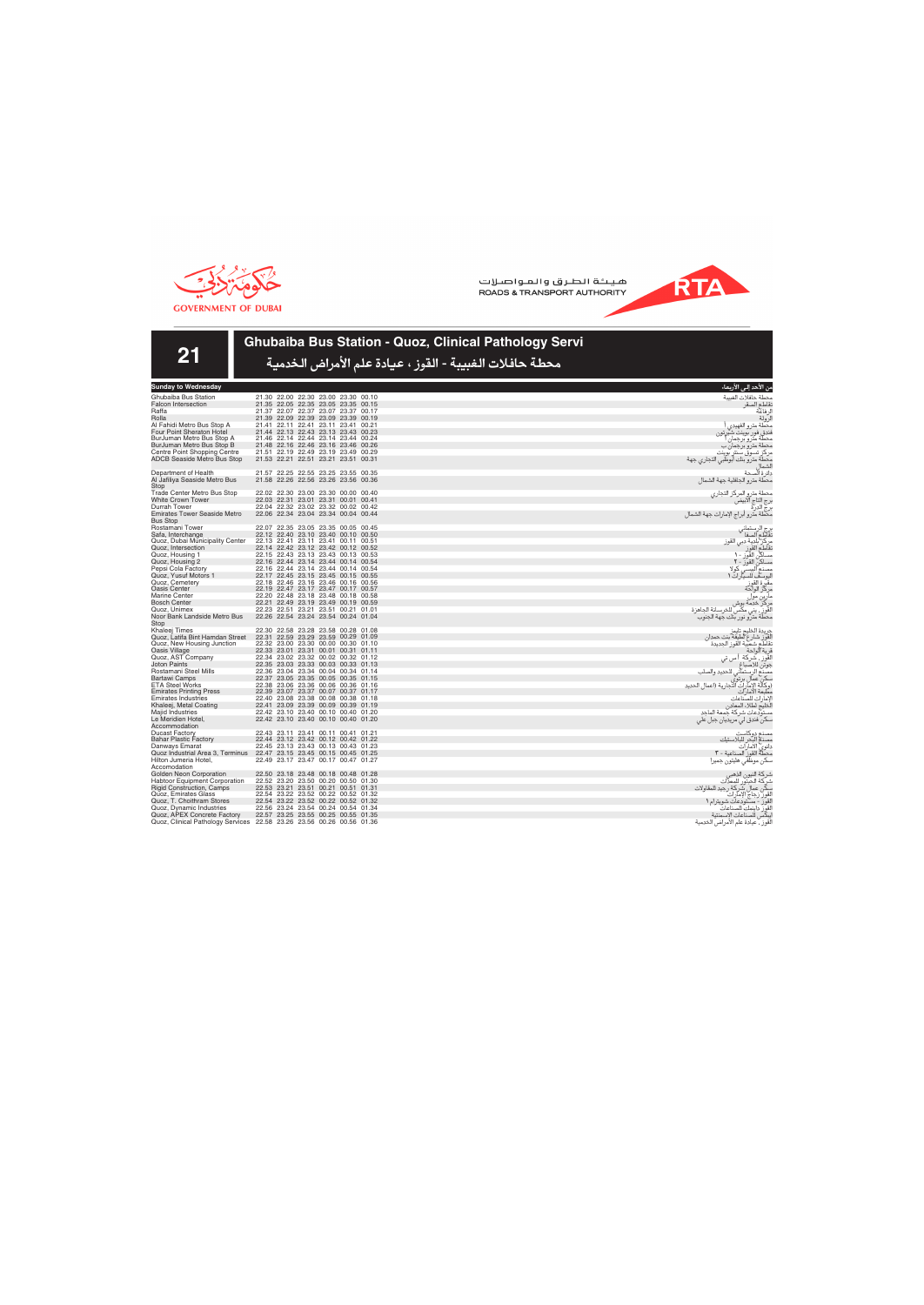

**RTA** 



## **Ghubaiba Bus Station - Quoz, Clinical Pathology Servi**

| <b>Sunday to Wednesday</b>                                            |                                                                            | من الأحد إل <i>ى</i> الأربعاء                                                                                                 |
|-----------------------------------------------------------------------|----------------------------------------------------------------------------|-------------------------------------------------------------------------------------------------------------------------------|
| Ghubaiba Bus Station                                                  | 21.30 22.00 22.30 23.00 23.30 00.10                                        | محطة حافلات الغبيبة                                                                                                           |
| <b>Falcon Intersection</b>                                            | 21.35 22.05 22.35 23.05 23.35 00.15                                        | نقاطع الصقر                                                                                                                   |
| Raffa                                                                 | 21.37 22.07 22.37 23.07 23.37 00.17                                        | لر فاعة                                                                                                                       |
| Rolla                                                                 | 21.39 22.09 22.39 23.09 23.39 00.19                                        | لرولة                                                                                                                         |
| Al Fahidi Metro Bus Stop A                                            | 21.41 22.11 22.41 23.11 23.41 00.21                                        | محطة مترو الفهيدى                                                                                                             |
| Four Point Sheraton Hotel                                             | 21.44 22.13 22.43 23.13 23.43 00.23                                        | فندق فور بوينت شيرتون                                                                                                         |
| BurJuman Metro Bus Stop A                                             | 21.46 22.14 22.44 23.14 23.44 00.24                                        | محطة مترو برجمان ا                                                                                                            |
| BurJuman Metro Bus Stop B                                             | 21.48 22.16 22.46 23.16 23.46 00.26                                        | محطة مترو برجمان ب                                                                                                            |
| Centre Point Shopping Centre                                          | 21.51 22.19 22.49 23.19 23.49 00.29                                        | مركز تسوق سنتر بوينت                                                                                                          |
| <b>ADCB Seaside Metro Bus Stop</b>                                    | 21.53 22.21 22.51 23.21 23.51 00.31                                        | محطة مترو بنك أبوظبي التجاري جهة<br>لشماإ                                                                                     |
| Department of Health                                                  | 21.57 22.25 22.55 23.25 23.55 00.35                                        | دائرة الصحة                                                                                                                   |
| Al Jafiliya Seaside Metro Bus                                         | 21.58 22.26 22.56 23.26 23.56 00.36                                        | محطة مترو الجافلية جهة الشمال                                                                                                 |
| Stop                                                                  |                                                                            |                                                                                                                               |
| Trade Center Metro Bus Stop                                           | 22.02 22.30 23.00 23.30 00.00 00.40                                        | محطة مترو المركز التجارى                                                                                                      |
| <b>White Crown Tower</b>                                              | 22.03 22.31 23.01 23.31 00.01 00.41                                        |                                                                                                                               |
| Durrah Tower                                                          | 22.04 22.32 23.02 23.32 00.02 00.42                                        | رج التاج الآبيضّ<br>رج الدرة                                                                                                  |
| <b>Emirates Tower Seaside Metro</b><br><b>Bus Stop</b>                | 22.06 22.34 23.04 23.34 00.04 00.44                                        | مكطة مترو أبراج الإمارات جهة الشمال                                                                                           |
| Rostamani Tower                                                       | 22.07 22.35 23.05 23.35 00.05 00.45                                        |                                                                                                                               |
| Safa, Interchange                                                     | 22.12 22.40 23.10 23.40 00.10 00.50                                        | رج الرستماني<br>نقاطع الصفا                                                                                                   |
| Quoz, Dubai Municipality Center                                       | 22.13 22.41 23.11 23.41 00.11 00.51                                        |                                                                                                                               |
| Quoz, Intersection                                                    | 22.14 22.42 23.12 23.42 00.12 00.52                                        | مركز بلدية دبي القوز<br>تقاطع القوز                                                                                           |
| Quoz, Housing 1                                                       | 22.15 22.43 23.13 23.43 00.13 00.53                                        |                                                                                                                               |
| Quoz, Housing 2                                                       | 22.16 22.44 23.14 23.44 00.14 00.54                                        | سسكي<br>مساكن القوز - 1<br>مساكن القوز - ٢<br>مصنع البيسي كوا                                                                 |
| Pepsi Cola Factory                                                    | 22.16 22.44 23.14 23.44 00.14 00.54                                        | کولا                                                                                                                          |
| Quoz, Yusuf Motors 1                                                  | 22.17 22.45 23.15 23.45 00.15 00.55                                        |                                                                                                                               |
| Quoz, Cemetery                                                        | 22.18 22.46 23.16 23.46 00.16 00.56                                        |                                                                                                                               |
| Oasis Center                                                          | 22.19 22.47 23.17 23.47 00.17 00.57                                        |                                                                                                                               |
| <b>Marine Center</b>                                                  | 22.20 22.48 23.18 23.48 00.18 00.58                                        |                                                                                                                               |
| <b>Bosch Center</b>                                                   | 22.21 22.49 23.19 23.49 00.19 00.59                                        | يوست سيورت<br>بركز الواحة<br>مركز الواحة<br>مركز خدمة بوش<br>مراتي بني مكس للخرسانة الجاهزة<br>مراتي بني مكس للخرسانة الجاهزة |
| Quoz, Unimex                                                          | 22.23 22.51 23.21 23.51 00.21 01.01                                        |                                                                                                                               |
| Noor Bank Landside Metro Bus<br>Stop                                  | 22.26 22.54 23.24 23.54 00.24 01.04                                        | محطة مترو نور بنك جهة الجنوب                                                                                                  |
| Khaleej Times                                                         | 22.30 22.58 23.28 23.58 00.28 01.08                                        | جريدة الخليج تايمز                                                                                                            |
| Quoz, Latifa Bint Hamdan Street                                       | 22.31 22.59 23.29 23.59 00.29 01.09                                        | لقوز شارع لطيفة بنت حمدان                                                                                                     |
| Quoz, New Housing Junction                                            | 22.32 23.00 23.30 00.00 00.30 01.10                                        | تقاطع شعبية القوز الجديدة                                                                                                     |
| Oasis Village                                                         | 22.33 23.01 23.31 00.01 00.31 01.11                                        | فرية الواحة                                                                                                                   |
| Quoz, AST Company                                                     | 22.34 23.02 23.32 00.02 00.32 01.12                                        | القور سُركة ا<br>ا س تى                                                                                                       |
| <b>Joton Paints</b>                                                   | 22.35 23.03 23.33 00.03 00.33 01.13                                        | جوتن للاصباغ                                                                                                                  |
| Rostamani Steel Mills                                                 | 22.36 23.04 23.34 00.04 00.34 01.14                                        | . ر.<br>مصنع الرستماني للحديد والصلب<br>سكن عمال برتوي<br>(وكالة الإمارات التجارية (اعمال الحديد                              |
| Bartawi Camps                                                         | 22.37 23.05 23.35 00.05 00.35 01.15                                        |                                                                                                                               |
| <b>ETA Steel Works</b>                                                | 22.38 23.06 23.36 00.06 00.36 01.16<br>22.39 23.07 23.37 00.07 00.37 01.17 | مطبعة الأمارات                                                                                                                |
| <b>Emirates Printing Press</b><br><b>Emirates Industries</b>          | 22.40 23.08 23.38 00.08 00.38 01.18                                        | لامار ات للصّناعات                                                                                                            |
| Khaleej, Metal Coating                                                | 22.41 23.09 23.39 00.09 00.39 01.19                                        | لأخليج لطلاء المعادن                                                                                                          |
| Majid Industries                                                      | 22.42 23.10 23.40 00.10 00.40 01.20                                        | مستودعات شركة جمعة الملحد                                                                                                     |
| Le Meridien Hotel,                                                    | 22.42 23.10 23.40 00.10 00.40 01.20                                        | سکن فندق لی مریدیان جبل علی                                                                                                   |
| Accommodation                                                         |                                                                            |                                                                                                                               |
| <b>Ducast Factory</b>                                                 | 22.43 23.11 23.41 00.11 00.41 01.21                                        | مصنع دوكاست                                                                                                                   |
| <b>Bahar Plastic Factory</b>                                          | 22.44 23.12 23.42 00.12 00.42 01.22                                        |                                                                                                                               |
| Danways Emarat                                                        | 22.45 23.13 23.43 00.13 00.43 01.23                                        | مصنع البحر للبلاستيك<br>دانوي الامارات                                                                                        |
| Quoz Industrial Area 3, Terminus                                      | 22.47 23.15 23.45 00.15 00.45 01.25                                        | محطَّةٌ القوز ۖ الصناعية - ٣                                                                                                  |
| Hilton Jumeria Hotel,<br>Accomodation                                 | 22.49 23.17 23.47 00.17 00.47 01.27                                        | .<br>سكن موظفي هليتون جميرا                                                                                                   |
| Golden Neon Corporation                                               | 22.50 23.18 23.48 00.18 00.48 01.28                                        |                                                                                                                               |
| <b>Habtoor Equipment Corporation</b>                                  | 22.52 23.20 23.50 00.20 00.50 01.30                                        | شركة النيون الذهبي<br>شركة الحبتور للمعذات                                                                                    |
| <b>Rigid Construction, Camps</b>                                      | 22.53 23.21 23.51 00.21 00.51 01.31                                        | سكن عمال شركة رجيد للمقاولات                                                                                                  |
| Quoz, Emirates Glass                                                  | 22.54 23.22 23.52 00.22 00.52 01.32                                        | لقوز زجاج الإمارات                                                                                                            |
| Quoz, T. Choithram Stores                                             | 22.54 23.22 23.52 00.22 00.52 01.32                                        | لقوز - مستودعات شويترام ١                                                                                                     |
| Quoz, Dynamic Industries                                              | 22.56 23.24 23.54 00.24 00.54 01.34                                        | القوِّز داينمك الصناعات                                                                                                       |
| Quoz, APEX Concrete Factory                                           | 22.57 23.25 23.55 00.25 00.55 01.35                                        | ايبكس للصناعات الإسمنتية                                                                                                      |
| Quoz, Clinical Pathology Services 22.58 23.26 23.56 00.26 00.56 01.36 |                                                                            | لقوز ، عيادة علم الأمراض الخدمية                                                                                              |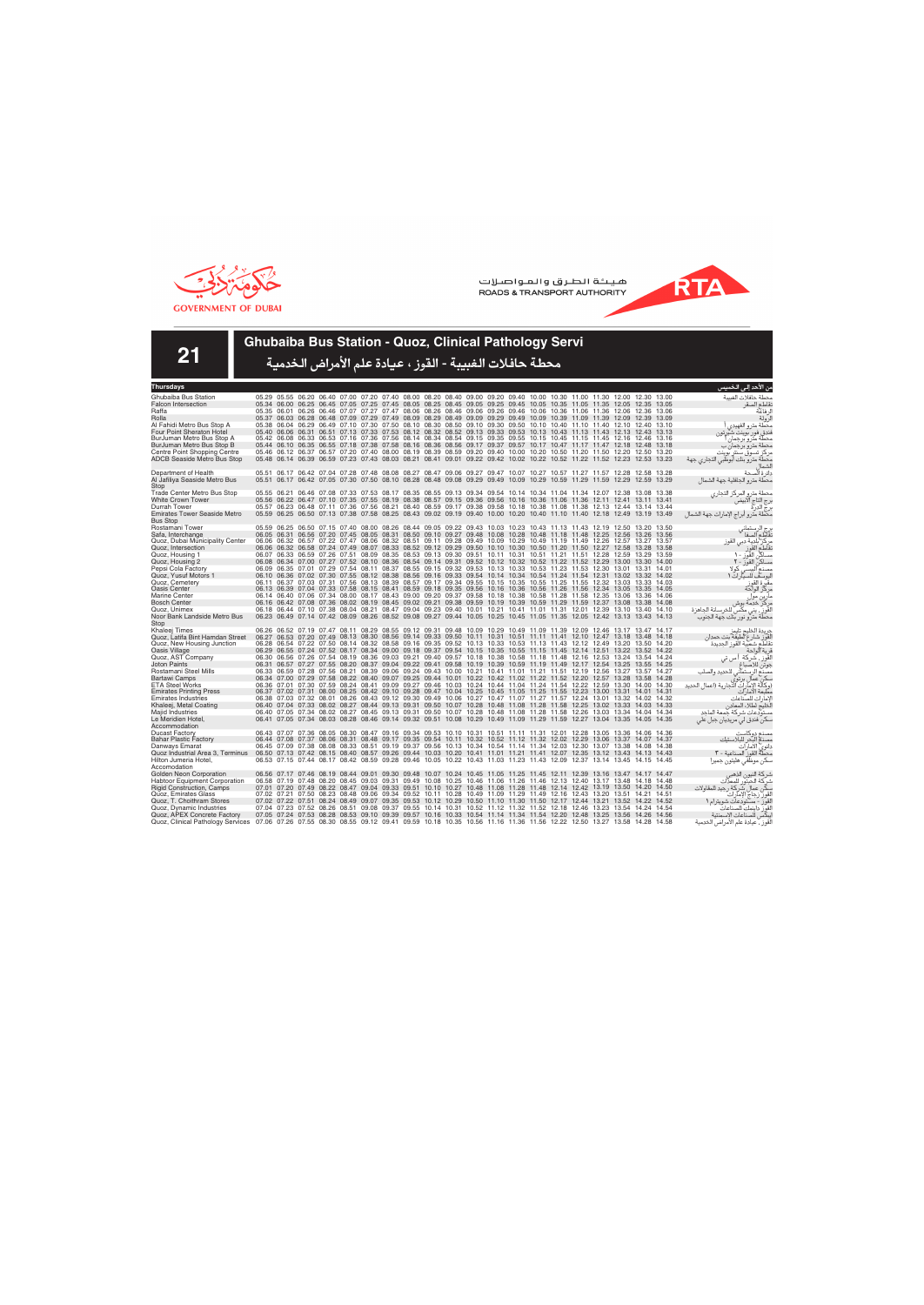



**21**

### **Ghubaiba Bus Station - Quoz, Clinical Pathology Servi**

| Thursdays                                                                                                                                                 |  |                   |       |                                                                                                                                                                                                                                                    |  |  |  |  |                                                                                                 |  |  |       | من الاحد إلى الخميس                                      |
|-----------------------------------------------------------------------------------------------------------------------------------------------------------|--|-------------------|-------|----------------------------------------------------------------------------------------------------------------------------------------------------------------------------------------------------------------------------------------------------|--|--|--|--|-------------------------------------------------------------------------------------------------|--|--|-------|----------------------------------------------------------|
| Ghubaiba Bus Station                                                                                                                                      |  |                   |       | 05.29 05.55 06.20 06.40 07.00 07.20 07.40 08.00 08.20 08.40 09.00 09.20 09.40 10.00 10.30 11.00 11.30 12.00 12.30 13.00                                                                                                                            |  |  |  |  |                                                                                                 |  |  |       | محطة حافلات الغسة                                        |
| <b>Falcon Intersection</b>                                                                                                                                |  |                   |       | 05.34 06.00 06.25 06.45 07.05 07.25 07.45 08.05 08.25 08.45 09.05 09.25 09.45 10.05 10.35 11.05 11.35 12.05 12.35 13.05                                                                                                                            |  |  |  |  |                                                                                                 |  |  |       | نقاطع الصقر                                              |
| Raffa                                                                                                                                                     |  |                   |       | 05.35 06.01 06.26 06.46 07.07 07.27 07.47 08.06 08.26 08.46 09.06 09.26 09.46 10.06 10.36 11.06 11.36 12.06 12.36 13.06                                                                                                                            |  |  |  |  |                                                                                                 |  |  |       | لر فاعة                                                  |
| Rolla                                                                                                                                                     |  |                   |       | 05.37 06.03 06.28 06.48 07.09 07.29 07.49 08.09 08.29 08.49 09.09 09.29 09.49 10.09 10.39 11.09 11.39 12.09 12.39                                                                                                                                  |  |  |  |  |                                                                                                 |  |  | 13.09 | لرولة                                                    |
| Al Fahidi Metro Bus Stop A                                                                                                                                |  |                   |       | 05.38 06.04 06.29 06.49 07.10 07.30 07.50 08.10 08.30 08.50 09.10 09.30 09.50 10.10 10.40 11.10 11.40 12.10 12.40 13.10                                                                                                                            |  |  |  |  |                                                                                                 |  |  |       | محطة مترو الفهيدى                                        |
| Four Point Sheraton Hotel                                                                                                                                 |  |                   |       | 05.40 06.06 06.31 06.51 07.13 07.33 07.53 08.12 08.32 08.52 09.13 09.33 09.53 10.13 10.43 11.13 11.43 12.13 12.43 13.13                                                                                                                            |  |  |  |  |                                                                                                 |  |  |       | فندق فور بوينت شيرتون                                    |
| BurJuman Metro Bus Stop A                                                                                                                                 |  |                   |       | 05.42 06.08 06.33 06.53 07.16 07.36 07.56 08.14 08.34 08.54 09.15 09.35 09.55 10.15 10.45 11.15 11.45 12.16 12.46 13.16                                                                                                                            |  |  |  |  |                                                                                                 |  |  |       | محطة مترو برجمان                                         |
| BurJuman Metro Bus Stop B                                                                                                                                 |  |                   |       | 05.44 06.10 06.35 06.55 07.18 07.38 07.58 08.16 08.36 08.56 09.17 09.37 09.57 10.17 10.47 11.17 11.47 12.18 12.48 13.18                                                                                                                            |  |  |  |  |                                                                                                 |  |  |       | محطة مترو برجمان ب                                       |
| Centre Point Shopping Centre                                                                                                                              |  |                   |       | 05.46 06.12 06.37 06.57 07.20 07.40 08.00 08.19 08.39 08.59 09.20 09.40 10.00 10.20 10.50 11.20 11.50 12.20 12.50 13.20                                                                                                                            |  |  |  |  |                                                                                                 |  |  |       | مركز تسوق سنتر بوينت                                     |
| <b>ADCB Seaside Metro Bus Stop</b>                                                                                                                        |  |                   |       | 05.48 06.14 06.39 06.59 07.23 07.43 08.03 08.21 08.41 09.01 09.22 09.42 10.02 10.22 10.52 11.22 11.52 12.23 12.53 13.23                                                                                                                            |  |  |  |  |                                                                                                 |  |  |       | محطة مترو بنك أبوظبي التجاري جهة                         |
| Department of Health                                                                                                                                      |  |                   |       | 05.51 06.17 06.42 07.04 07.28 07.48 08.08 08.27 08.47 09.06 09.27 09.47 10.07 10.27 10.57 11.27 11.57 12.28 12.58 13.28                                                                                                                            |  |  |  |  |                                                                                                 |  |  |       | دائرة ألصحة                                              |
| Al Jafiliya Seaside Metro Bus                                                                                                                             |  |                   |       | 05.51 06.17 06.42 07.05 07.30 07.50 08.10 08.28 08.48 09.08 09.29 09.49 10.09 10.29 10.59 11.29 11.59 12.29 12.59 13.29                                                                                                                            |  |  |  |  |                                                                                                 |  |  |       | محطة مترو الجافلية جهة الشمال                            |
| Stop                                                                                                                                                      |  |                   |       |                                                                                                                                                                                                                                                    |  |  |  |  |                                                                                                 |  |  |       |                                                          |
| Trade Center Metro Bus Stop                                                                                                                               |  |                   |       | 05.55 06.21 06.46 07.08 07.33 07.53 08.17 08.35 08.55 09.13 09.34 09.54 10.14 10.34 11.04 11.34 12.07 12.38 13.08 13.38                                                                                                                            |  |  |  |  |                                                                                                 |  |  |       | محطة مترو المركز التجاري                                 |
| <b>White Crown Tower</b>                                                                                                                                  |  |                   |       | 05.56 06.22 06.47 07.10 07.35 07.55 08.19 08.38 08.57 09.15 09.36 09.56 10.16 10.36 11.06 11.36 12.11 12.41 13.11 13.41                                                                                                                            |  |  |  |  |                                                                                                 |  |  |       |                                                          |
| Durrah Tower                                                                                                                                              |  |                   |       | 05.57 06.23 06.48 07.11 07.36 07.56 08.21 08.40 08.59 09.17 09.38 09.58 10.18 10.38 11.08 11.38 12.13 12.44 13.14 13.44                                                                                                                            |  |  |  |  |                                                                                                 |  |  |       | رج التاج الابيض<br>رج الدرة                              |
| <b>Emirates Tower Seaside Metro</b>                                                                                                                       |  |                   |       | 05.59 06.25 06.50 07.13 07.38 07.58 08.25 08.43 09.02 09.19 09.40 10.00 10.20 10.40 11.10 11.40 12.18 12.49 13.19 13.49                                                                                                                            |  |  |  |  |                                                                                                 |  |  |       | محطة مترو أبراج الإمارات جهة الشمال                      |
| <b>Bus Stop</b>                                                                                                                                           |  |                   |       |                                                                                                                                                                                                                                                    |  |  |  |  |                                                                                                 |  |  |       |                                                          |
| Rostamani Tower                                                                                                                                           |  |                   |       | 05.59 06.25 06.50 07.15 07.40 08.00 08.26 08.44 09.05 09.22 09.43 10.03 10.23 10.43 11.13 11.43 12.19 12.50 13.20 13.50                                                                                                                            |  |  |  |  |                                                                                                 |  |  |       | رج الرستماني<br>نقاطع الصفا                              |
| Safa, Interchange                                                                                                                                         |  |                   |       | 06.05 06.31 06.56 07.20 07.45 08.05 08.31 08.50 09.10 09.27 09.48 10.08 10.28 10.48 11.18 11.48 12.25 12.56 13.26 13.56                                                                                                                            |  |  |  |  |                                                                                                 |  |  |       |                                                          |
| Quoz, Dubai Municipality Center                                                                                                                           |  |                   |       | 06.06 06.32 06.57 07.22 07.47 08.06 08.32 08.51 09.11 09.28 09.49 10.09 10.29 10.49 11.19 11.49 12.26 12.57 13.27 13.57                                                                                                                            |  |  |  |  |                                                                                                 |  |  |       | مركز بلدية دبي القوز                                     |
| Quoz, Intersection                                                                                                                                        |  |                   |       | 06.06 06.32 06.58 07.24 07.49 08.07 08.33 08.52 09.12 09.29 09.50 10.10 10.30 10.50 11.20 11.50 12.27 12.58 13.28 13.58                                                                                                                            |  |  |  |  |                                                                                                 |  |  |       | مركز القوز<br>تقاطع القوز<br>مساكن القوز - ل             |
| Quoz, Housing 1                                                                                                                                           |  |                   |       | 06.07 06.33 06.59 07.26 07.51 08.09 08.35 08.53 09.13 09.30 09.51 10.11 10.31 10.51 11.21 11.51 12.28 12.59 13.29 13.59                                                                                                                            |  |  |  |  |                                                                                                 |  |  |       |                                                          |
| Quoz, Housing 2<br>Pepsi Cola Factory                                                                                                                     |  |                   |       | 06.08 06.34 07.00 07.27 07.52 08.10 08.36 08.54 09.14 09.31 09.52 10.12 10.32 10.52 11.22 11.52 12.29 13.00 13.30 14.00<br>06.09 06.35 07.01 07.29 07.54 08.11 08.37 08.55 09.15 09.32 09.53 10.13 10.33 10.53 11.23 11.53 12.30 13.01 13.31 14.01 |  |  |  |  |                                                                                                 |  |  |       | مساكن القور - ٢                                          |
| Quoz, Yusuf Motors 1                                                                                                                                      |  |                   |       | 06.10 06.36 07.02 07.30 07.55 08.12 08.38 08.56 09.16 09.33 09.54 10.14 10.34 10.54 11.24 11.54 12.31 13.02 13.32 14.02                                                                                                                            |  |  |  |  |                                                                                                 |  |  |       | ر .<br>اليوسف للسيار ات ١                                |
| Quoz. Cemetery                                                                                                                                            |  |                   |       | 06.11 06.37 07.03 07.31 07.56 08.13 08.39 08.57 09.17 09.34 09.55 10.15 10.35 10.55 11.25 11.55 12.32 13.03 13.33 14.03                                                                                                                            |  |  |  |  |                                                                                                 |  |  |       | مقبّرة القوز                                             |
| <b>Oasis Center</b>                                                                                                                                       |  |                   |       | 06.13 06.39 07.04 07.33 07.58 08.15 08.41 08.59 09.18 09.35 09.56 10.16 10.36 10.56 11.26 11.56 12.34 13.05 13.35 14.05                                                                                                                            |  |  |  |  |                                                                                                 |  |  |       | مركز الواحة                                              |
| Marine Center                                                                                                                                             |  |                   |       | 06.14 06.40 07.06 07.34 08.00 08.17 08.43 09.00 09.20 09.37 09.58 10.18 10.38 10.58 11.28 11.58 12.35 13.06 13.36 14.06                                                                                                                            |  |  |  |  |                                                                                                 |  |  |       | مارين مول                                                |
| <b>Bosch Center</b>                                                                                                                                       |  |                   |       | 06.16 06.42 07.08 07.36 08.02 08.19 08.45 09.02 09.21 09.38 09.59 10.19 10.39 10.59 11.29 11.59 12.37 13.08 13.38 14.08                                                                                                                            |  |  |  |  |                                                                                                 |  |  |       | مركز خدمة بوش                                            |
| Quoz, Unimex                                                                                                                                              |  |                   |       | 06.18 06.44 07.10 07.38 08.04 08.21 08.47 09.04 09.23 09.40 10.01 10.21 10.41 11.01 11.31 12.01 12.39 13.10 13.40 14.10                                                                                                                            |  |  |  |  |                                                                                                 |  |  |       | لقوز ، يني مكّسٌ للخرسانة الجاهزة                        |
| Noor Bank Landside Metro Bus                                                                                                                              |  |                   |       | 06.23 06.49 07.14 07.42 08.09 08.26 08.52 09.08 09.27 09.44 10.05 10.25 10.45 11.05 11.35 12.05 12.42 13.13 13.43 14.13                                                                                                                            |  |  |  |  |                                                                                                 |  |  |       | محطة مترو نور بنك جهة الجنوب                             |
| Stop                                                                                                                                                      |  |                   |       |                                                                                                                                                                                                                                                    |  |  |  |  |                                                                                                 |  |  |       |                                                          |
| Khaleej Times                                                                                                                                             |  |                   |       | 06.26 06.52 07.19 07.47 08.11 08.29 08.55 09.12 09.31 09.48 10.09 10.29 10.49 11.09 11.39 12.09 12.46 13.17 13.47 14.17                                                                                                                            |  |  |  |  |                                                                                                 |  |  |       | جريدة الخليج تايمز                                       |
| Quoz, Latifa Bint Hamdan Street                                                                                                                           |  |                   |       | 06.27 06.53 07.20 07.49 08.13 08.30 08.56 09.14 09.33 09.50 10.11 10.31 10.51 11.11 11.41 12.10 12.47 13.18 13.48 14.18                                                                                                                            |  |  |  |  |                                                                                                 |  |  |       | لقوز شارع لطيفة بنت حمدان                                |
| Quoz, New Housing Junction                                                                                                                                |  |                   |       | 06.28 06.54 07.22 07.50 08.14 08.32 08.58 09.16 09.35 09.52 10.13 10.33 10.53 11.13 11.43 12.12 12.49 13.20 13.50 14.20                                                                                                                            |  |  |  |  |                                                                                                 |  |  |       | نقاطع شعبية القوز الحديدة                                |
| Oasis Village                                                                                                                                             |  |                   |       | 06.29 06.55 07.24 07.52 08.17 08.34 09.00 09.18 09.37 09.54 10.15 10.35 10.55 11.15 11.45 12.14 12.51 13.22 13.52 14.22                                                                                                                            |  |  |  |  |                                                                                                 |  |  |       | قرية الواحة                                              |
| Quoz, AST Company                                                                                                                                         |  |                   |       | 06.30 06.56 07.26 07.54 08.19 08.36 09.03 09.21 09.40 09.57 10.18 10.38 10.58 11.18 11.48 12.16 12.53 13.24 13.54 14.24                                                                                                                            |  |  |  |  |                                                                                                 |  |  |       | لقَوز ، شَركة أس تي                                      |
| <b>Joton Paints</b>                                                                                                                                       |  |                   |       | 06.31 06.57 07.27 07.55 08.20 08.37 09.04 09.22 09.41 09.58 10.19 10.39 10.59 11.19 11.49 12.17 12.54 13.25 13.55 14.25                                                                                                                            |  |  |  |  |                                                                                                 |  |  |       | جوتن للاصباغ                                             |
| Rostamani Steel Mills                                                                                                                                     |  |                   |       | 06.33 06.59 07.28 07.56 08.21 08.39 09.06 09.24 09.43 10.00 10.21 10.41 11.01 11.21 11.51 12.19 12.56 13.27 13.57 14.27<br>06.34 07.00 07.29 07.58 08.22 08.40 09.07 09.25 09.44 10.01 10.22 10.42 11.02 11.22 11.52 12.20 12.57 13.28 13.58       |  |  |  |  |                                                                                                 |  |  |       | .<br>مصنع الرستماني للحديد والصلب                        |
| Bartawi Camps<br><b>ETA Steel Works</b>                                                                                                                   |  |                   |       | 06.36 07.01 07.30 07.59 08.24 08.41 09.09 09.27 09.46 10.03 10.24 10.44 11.04 11.24 11.54 12.22 12.59 13.30 14.00 14.30                                                                                                                            |  |  |  |  |                                                                                                 |  |  | 14.28 | سكن عمال برتوى<br>(وكالة الإمارات التجارية (اعمال الحديد |
| <b>Emirates Printing Press</b>                                                                                                                            |  |                   |       | 06.37 07.02 07.31 08.00 08.25 08.42 09.10 09.28 09.47 10.04 10.25 10.45 11.05 11.25 11.55 12.23 13.00 13.31 14.01 14.31                                                                                                                            |  |  |  |  |                                                                                                 |  |  |       | مطبعة الامار ات                                          |
| <b>Emirates Industries</b>                                                                                                                                |  |                   |       | 06.38 07.03 07.32 08.01 08.26 08.43 09.12 09.30 09.49 10.06 10.27 10.47 11.07 11.27 11.57 12.24 13.01 13.32 14.02 14.32                                                                                                                            |  |  |  |  |                                                                                                 |  |  |       | لامار ات للصناعات                                        |
| Khaleej, Metal Coating                                                                                                                                    |  |                   |       | 06.40 07.04 07.33 08.02 08.27 08.44 09.13 09.31 09.50 10.07 10.28 10.48 11.08 11.28 11.58 12.25 13.02 13.33 14.03 14.33                                                                                                                            |  |  |  |  |                                                                                                 |  |  |       | الخليج لطلاء المعادن                                     |
| <b>Maild Industries</b>                                                                                                                                   |  |                   |       | 06.40 07.05 07.34 08.02 08.27 08.45 09.13 09.31 09.50 10.07 10.28 10.48 11.08 11.28 11.58 12.26 13.03 13.34 14.04 14.34                                                                                                                            |  |  |  |  |                                                                                                 |  |  |       | مستودعات شركة جمعة الماجد                                |
| Le Meridien Hotel,                                                                                                                                        |  |                   |       | 06.41 07.05 07.34 08.03 08.28 08.46 09.14 09.32 09.51 10.08 10.29 10.49 11.09 11.29 11.59 12.27 13.04 13.35 14.05 14.35                                                                                                                            |  |  |  |  |                                                                                                 |  |  |       | سکن فندق لی مریدیان جبل علی                              |
| Accommodation                                                                                                                                             |  |                   |       |                                                                                                                                                                                                                                                    |  |  |  |  |                                                                                                 |  |  |       |                                                          |
| <b>Ducast Factory</b>                                                                                                                                     |  |                   |       | 06.43 07.07 07.36 08.05 08.30 08.47 09.16 09.34 09.53 10.10 10.31 10.51 11.11 11.31 12.01 12.28 13.05 13.36 14.06 14.36                                                                                                                            |  |  |  |  |                                                                                                 |  |  |       | مصذع دوكاست                                              |
| <b>Bahar Plastic Factory</b>                                                                                                                              |  |                   |       | 06.44 07.08 07.37 08.06 08.31 08.48 09.17 09.35 09.54 10.11 10.32 10.52 11.12 11.32 12.02 12.29 13.06 13.37 14.07 14.37                                                                                                                            |  |  |  |  |                                                                                                 |  |  |       | مصذم البحر للبلاستيك                                     |
| Danways Emarat                                                                                                                                            |  |                   |       | 06.45 07.09 07.38 08.08 08.33 08.51 09.19 09.37 09.56 10.13 10.34 10.54 11.14 11.34 12.03 12.30 13.07 13.38 14.08 14.38                                                                                                                            |  |  |  |  |                                                                                                 |  |  |       | دانوي الأمارات                                           |
| Quoz Industrial Area 3, Terminus                                                                                                                          |  |                   |       | 06.50 07.13 07.42 08.15 08.40 08.57 09.26 09.44 10.03 10.20 10.41 11.01 11.21 11.41 12.07 12.35 13.12 13.43 14.13 14.43                                                                                                                            |  |  |  |  |                                                                                                 |  |  |       | محطةٌ القور ۖ الصناعية - ٣                               |
| Hilton Jumeria Hotel,                                                                                                                                     |  |                   |       | 06.53 07.15 07.44 08.17 08.42 08.59 09.28 09.46 10.05 10.22 10.43 11.03 11.23 11.43 12.09 12.37 13.14 13.45 14.15 14.45                                                                                                                            |  |  |  |  |                                                                                                 |  |  |       | سكن موظفى هليتون جميرا                                   |
| Accomodation                                                                                                                                              |  |                   |       |                                                                                                                                                                                                                                                    |  |  |  |  |                                                                                                 |  |  |       |                                                          |
| Golden Neon Corporation                                                                                                                                   |  |                   |       | 06.56 07.17 07.46 08.19 08.44 09.01 09.30 09.48 10.07 10.24 10.45 11.05 11.25 11.45 12.11 12.39 13.16 13.47 14.17 14.47                                                                                                                            |  |  |  |  |                                                                                                 |  |  |       | شركة النيون الذهبر                                       |
| <b>Habtoor Equipment Corporation</b>                                                                                                                      |  |                   |       | 06.58 07.19 07.48 08.20 08.45 09.03 09.31 09.49 10.08 10.25 10.46 11.06 11.26 11.46 12.13 12.40 13.17 13.48 14.18 14.48                                                                                                                            |  |  |  |  |                                                                                                 |  |  |       | شركة الحبتور للمعدات                                     |
| <b>Rigid Construction, Camps</b>                                                                                                                          |  | 07.01 07.20 07.49 | 08.22 | 07.02 07.21 07.50 08.23 08.48 09.06 09.34 09.52 10.11 10.28 10.49 11.09 11.29 11.49 12.16 12.43 13.20 13.51 14.21 14.51                                                                                                                            |  |  |  |  | 08.47 09.04 09.33 09.51 10.10 10.27 10.48 11.08 11.28 11.48 12.14 12.42 13.19 13.50 14.20 14.50 |  |  |       | سكن عمال شركة رجيد للمقاولات                             |
| Quoz, Emirates Glass<br>Quoz, T. Choithram Stores                                                                                                         |  |                   |       | 07.02 07.22 07.51 08.24 08.49 09.07 09.35 09.53 10.12 10.29 10.50 11.10 11.30 11.50 12.17 12.44 13.21 13.52 14.22 14.52                                                                                                                            |  |  |  |  |                                                                                                 |  |  |       | القور رجاج الإمآرات                                      |
| Quoz, Dynamic Industries                                                                                                                                  |  | 07.04 07.23 07.52 |       | 08.26 08.51 09.08 09.37 09.55 10.14 10.31 10.52 11.12 11.32 11.52 12.18 12.46 13.23 13.54 14.24                                                                                                                                                    |  |  |  |  |                                                                                                 |  |  | 14.54 | القور - مستودعات شويترام ١<br>لقوز داينمك للصناعات       |
| Quoz, APEX Concrete Factory                                                                                                                               |  |                   |       | 07.05 07.24 07.53 08.28 08.53 09.10 09.39 09.57 10.16 10.33 10.54 11.14 11.34 11.54 12.20 12.48 13.25 13.56 14.26 14.56                                                                                                                            |  |  |  |  |                                                                                                 |  |  |       | يبكس للصناعات الإسمنتية                                  |
| Quoz, Clinical Pathology Services 07.06 07.26 07.55 08.30 08.55 09.12 09.41 09.59 10.18 10.35 10.56 11.16 11.36 11.56 12.22 12.50 13.27 13.58 14.28 14.58 |  |                   |       |                                                                                                                                                                                                                                                    |  |  |  |  |                                                                                                 |  |  |       | لقوز ، عيادة علم الأمراض الخدمية                         |
|                                                                                                                                                           |  |                   |       |                                                                                                                                                                                                                                                    |  |  |  |  |                                                                                                 |  |  |       |                                                          |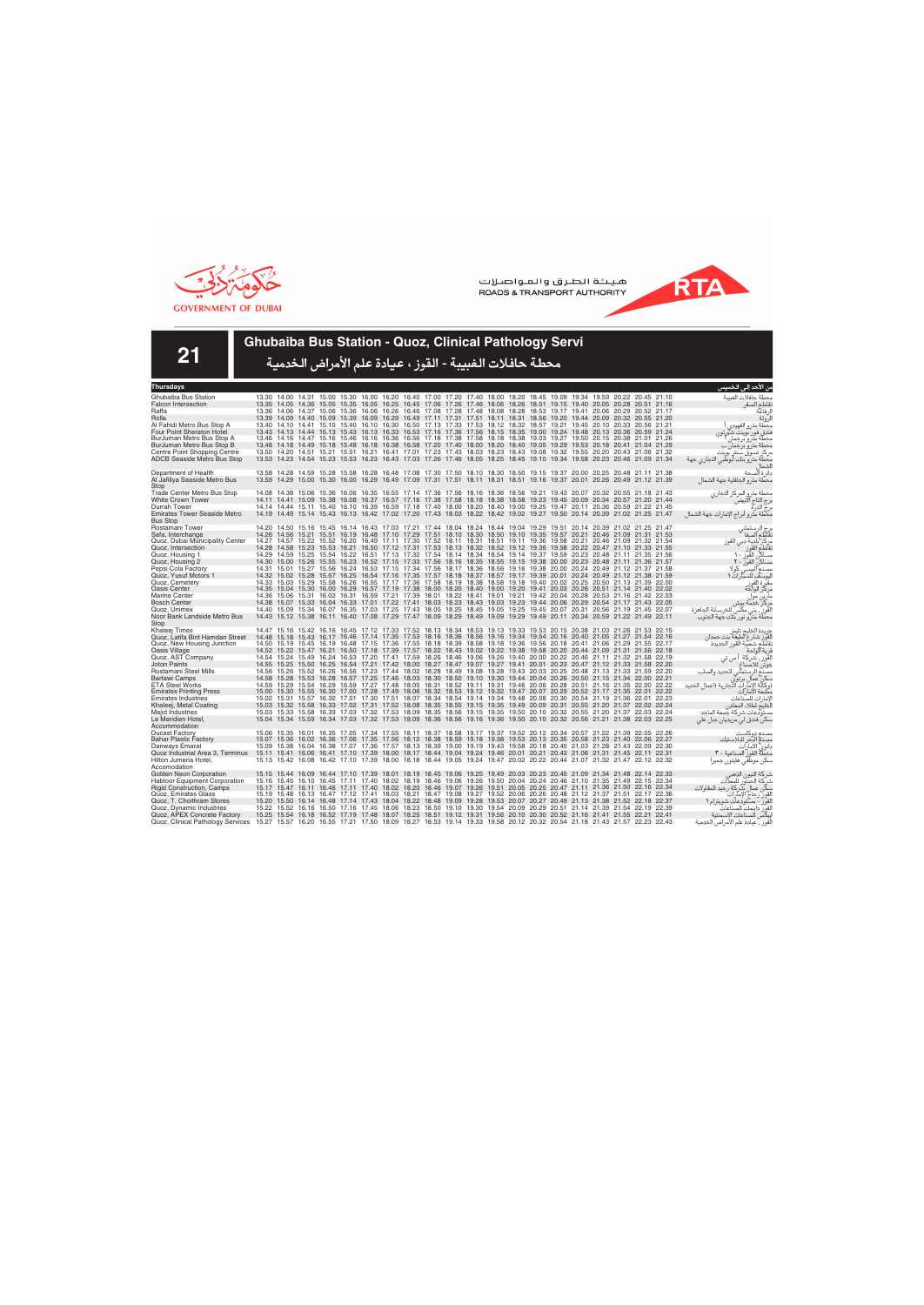



**21**

### **Ghubaiba Bus Station - Quoz, Clinical Pathology Servi**

| Thursdays                                          |       |                                                                                                                                                                                                                                                    |       |                                                                                                                   |                                                                                                       |  |                                                                                                 |  |  |  |  |  |                                                                                           | من الاحد إلى الخميس                                         |
|----------------------------------------------------|-------|----------------------------------------------------------------------------------------------------------------------------------------------------------------------------------------------------------------------------------------------------|-------|-------------------------------------------------------------------------------------------------------------------|-------------------------------------------------------------------------------------------------------|--|-------------------------------------------------------------------------------------------------|--|--|--|--|--|-------------------------------------------------------------------------------------------|-------------------------------------------------------------|
| Ghubaiba Bus Station                               |       | 13.30 14.00 14.31 15.00 15.30 16.00 16.20 16.40 17.00 17.20 17.40 18.00 18.20 18.45 19.09 19.34 19.59 20.22 20.45 21.10                                                                                                                            |       |                                                                                                                   |                                                                                                       |  |                                                                                                 |  |  |  |  |  |                                                                                           | محطة حافلات الغبيبة                                         |
| <b>Falcon Intersection</b>                         |       | 13.35 14.05 14.36 15.05 15.35 16.05 16.25 16.45 17.06 17.26 17.46 18.06 18.26 18.51 19.15 19.40 20.05 20.28 20.51 21.16                                                                                                                            |       |                                                                                                                   |                                                                                                       |  |                                                                                                 |  |  |  |  |  |                                                                                           | نقاطع الصقر                                                 |
| Raffa                                              |       | 13.36 14.06 14.37 15.06 15.36 16.06 16.26 16.46 17.08 17.28 17.48 18.08 18.28 18.53 19.17 19.41 20.06 20.29 20.52 21.17                                                                                                                            |       |                                                                                                                   |                                                                                                       |  |                                                                                                 |  |  |  |  |  |                                                                                           | لر فاعة                                                     |
| Rolla                                              |       | 13.39 14.09 14.40 15.09 15.39 16.09 16.29 16.49 17.11 17.31 17.51 18.11 18.31 18.56 19.20 19.44 20.09 20.32 20.55 21.20                                                                                                                            |       |                                                                                                                   |                                                                                                       |  |                                                                                                 |  |  |  |  |  |                                                                                           | لرولة                                                       |
| Al Fahidi Metro Bus Stop A                         |       | 13.40 14.10 14.41 15.10 15.40 16.10 16.30 16.50 17.13 17.33 17.53 18.12 18.32 18.57 19.21 19.45 20.10 20.33 20.56 21.21                                                                                                                            |       |                                                                                                                   |                                                                                                       |  |                                                                                                 |  |  |  |  |  |                                                                                           | محطة مترو الفهيدى                                           |
| <b>Four Point Sheraton Hotel</b>                   |       | 13.43 14.13 14.44 15.13 15.43 16.13 16.33 16.53 17.16 17.36 17.56 18.15 18.35 19.00 19.24 19.48 20.13 20.36 20.59 21.24                                                                                                                            |       |                                                                                                                   |                                                                                                       |  |                                                                                                 |  |  |  |  |  |                                                                                           | فندق فور بوينت شيرتون                                       |
| BurJuman Metro Bus Stop A                          |       | 13.46 14.16 14.47 15.16 15.46 16.16 16.36 16.56 17.18 17.38 17.58 18.18 18.38 19.03 19.27 19.50 20.15 20.38 21.01 21.26                                                                                                                            |       |                                                                                                                   |                                                                                                       |  |                                                                                                 |  |  |  |  |  |                                                                                           | محطة مترو برجمار                                            |
| BurJuman Metro Bus Stop B                          |       | 13.48 14.18 14.49 15.18 15.48 16.18 16.38 16.58 17.20 17.40 18.00 18.20 18.40 19.05 19.29 19.53 20.18 20.41 21.04 21.29                                                                                                                            |       |                                                                                                                   |                                                                                                       |  |                                                                                                 |  |  |  |  |  |                                                                                           | محطة مترو برجمان ب                                          |
| Centre Point Shopping Centre                       |       | 13.50 14.20                                                                                                                                                                                                                                        | 14.51 |                                                                                                                   | 15.21 15.51 16.21 16.41 17.01 17.23 17.43 18.03 18.23 18.43 19.08 19.32 19.55 20.20 20.43 21.06 21.32 |  |                                                                                                 |  |  |  |  |  |                                                                                           | مركز تسوق سنتر بوينت                                        |
| <b>ADCB Seaside Metro Bus Stop</b>                 |       | 13.53 14.23 14.54 15.23 15.53 16.23 16.43 17.03 17.26 17.46 18.05 18.25 18.45 19.10 19.34 19.58 20.23 20.46 21.09 21.34                                                                                                                            |       |                                                                                                                   |                                                                                                       |  |                                                                                                 |  |  |  |  |  |                                                                                           | محطة مترو بنك أبوظبي التجاري جهة                            |
| Department of Health                               |       | 13.58 14.28 14.59 15.28 15.58 16.28 16.48 17.08 17.30 17.50 18.10 18.30 18.50 19.15 19.37 20.00 20.25 20.48 21.11 21.38                                                                                                                            |       |                                                                                                                   |                                                                                                       |  |                                                                                                 |  |  |  |  |  |                                                                                           | دائر ة ألصحة                                                |
| Al Jafiliya Seaside Metro Bus                      |       | 13.59 14.29 15.00 15.30 16.00 16.29 16.49 17.09 17.31 17.51 18.11 18.31 18.51 19.16 19.37 20.01 20.26 20.49 21.12 21.39                                                                                                                            |       |                                                                                                                   |                                                                                                       |  |                                                                                                 |  |  |  |  |  |                                                                                           | محطة مترو الجافلية جهة الشمال                               |
| Stop                                               |       |                                                                                                                                                                                                                                                    |       |                                                                                                                   |                                                                                                       |  |                                                                                                 |  |  |  |  |  |                                                                                           |                                                             |
| Trade Center Metro Bus Stop                        |       | 14.08 14.38 15.06 15.36 16.06 16.35 16.55 17.14 17.36 17.56 18.16 18.36 18.56 19.21 19.43 20.07 20.32 20.55 21.18 21.43                                                                                                                            |       |                                                                                                                   |                                                                                                       |  |                                                                                                 |  |  |  |  |  |                                                                                           | محطة مترو المركز التجارى                                    |
| White Crown Tower                                  |       | 14.11 14.41 15.09 15.38 16.08 16.37 16.57 17.16 17.38 17.58 18.18 18.38 18.58 19.23 19.45 20.09 20.34 20.57 21.20 21.44                                                                                                                            |       |                                                                                                                   |                                                                                                       |  |                                                                                                 |  |  |  |  |  |                                                                                           |                                                             |
| Durrah Tower                                       |       | 14.14 14.44 15.11 15.40 16.10 16.39 16.59 17.18 17.40 18.00 18.20 18.40 19.00 19.25 19.47 20.11 20.36 20.59 21.22 21.45                                                                                                                            |       |                                                                                                                   |                                                                                                       |  |                                                                                                 |  |  |  |  |  |                                                                                           | رج التاج الابيض<br>رج الدرة                                 |
| <b>Emirates Tower Seaside Metro</b>                |       | 14.19 14.49 15.14 15.43 16.13 16.42 17.02 17.20 17.43 18.03 18.22 18.42 19.02 19.27 19.50 20.14 20.39 21.02 21.25 21.47                                                                                                                            |       |                                                                                                                   |                                                                                                       |  |                                                                                                 |  |  |  |  |  |                                                                                           | محطة مترو ابراج الإمارات جهة الشمال                         |
| <b>Bus Stop</b>                                    |       |                                                                                                                                                                                                                                                    |       |                                                                                                                   |                                                                                                       |  |                                                                                                 |  |  |  |  |  |                                                                                           |                                                             |
| Rostamani Tower                                    |       | 14.20 14.50 15.16 15.45 16.14 16.43 17.03 17.21 17.44 18.04 18.24 18.44 19.04 19.29 19.51 20.14 20.39 21.02 21.25 21.47                                                                                                                            |       |                                                                                                                   |                                                                                                       |  |                                                                                                 |  |  |  |  |  |                                                                                           | رج الرستماني<br>نقاطع الصفا                                 |
| Safa, Interchange                                  |       | 14.26 14.56 15.21 15.51 16.19 16.48 17.10 17.29 17.51 18.10 18.30 18.50 19.10 19.35 19.57 20.21 20.46 21.09 21.31 21.53                                                                                                                            |       |                                                                                                                   |                                                                                                       |  |                                                                                                 |  |  |  |  |  |                                                                                           |                                                             |
| Quoz, Dubai Municipality Center                    |       | 14.27 14.57 15.22 15.52 16.20 16.49 17.11 17.30 17.52 18.11 18.31 18.51 19.11 19.36 19.58 20.21 20.46 21.09 21.32 21.54                                                                                                                            |       |                                                                                                                   | 15.53 16.21 16.50 17.12 17.31 17.53 18.13 18.32 18.52 19.12 19.36 19.58 20.22 20.47 21.10 21.33 21.55 |  |                                                                                                 |  |  |  |  |  |                                                                                           | .<br>مركز بلدية دبي القوز                                   |
| Quoz, Intersection<br>Quoz, Housing 1              | 14.28 | 14.58 15.23<br>14.29 14.59 15.25 15.54 16.22 16.51 17.13 17.32 17.54 18.14 18.34 18.54 19.14 19.37 19.59 20.23 20.48 21.11 21.35 21.56                                                                                                             |       |                                                                                                                   |                                                                                                       |  |                                                                                                 |  |  |  |  |  |                                                                                           | تقآطع القوز                                                 |
| Quoz, Housing 2                                    |       | 14.30 15.00 15.26 15.55 16.23 16.52 17.15 17.33 17.56 18.16 18.35 18.55 19.15 19.38 20.00 20.23 20.48 21.11 21.36 21.57                                                                                                                            |       |                                                                                                                   |                                                                                                       |  |                                                                                                 |  |  |  |  |  |                                                                                           | مساكن القوز - ٢                                             |
| Pepsi Cola Factory                                 |       | 14.31 15.01 15.27 15.56 16.24 16.53 17.15 17.34 17.56 18.17 18.36 18.56 19.16 19.38 20.00 20.24 20.49 21.12 21.37 21.58                                                                                                                            |       |                                                                                                                   |                                                                                                       |  |                                                                                                 |  |  |  |  |  |                                                                                           | مصنع الببسي كولا                                            |
| Quoz, Yusuf Motors 1                               |       | 14.32 15.02 15.28 15.57 16.25 16.54 17.16 17.35 17.57 18.18 18.37 18.57 19.17 19.39 20.01 20.24 20.49 21.12 21.38 21.59                                                                                                                            |       |                                                                                                                   |                                                                                                       |  |                                                                                                 |  |  |  |  |  |                                                                                           | اليوسف للسيارات 1                                           |
| Quoz, Cemetery                                     |       | 14.33 15.03 15.29                                                                                                                                                                                                                                  |       |                                                                                                                   | 15.58 16.26                                                                                           |  |                                                                                                 |  |  |  |  |  | 16.55 17.17 17.36 17.58 18.19 18.38 18.58 19.18 19.40 20.02 20.25 20.50 21.13 21.39 22.00 |                                                             |
| <b>Oasis Center</b>                                |       | 14.35 15.04 15.30 16.00 16.29 16.57 17.19 17.38 18.00 18.20 18.40 19.00 19.20 19.41 20.03 20.26 20.51 21.14 21.40 22.02                                                                                                                            |       |                                                                                                                   |                                                                                                       |  |                                                                                                 |  |  |  |  |  |                                                                                           | مقبرة القوز<br>مركز الواحة                                  |
| <b>Marine Center</b>                               |       | 14.36 15.06 15.31 16.02 16.31 16.59 17.21 17.39 18.01 18.22 18.41 19.01 19.21 19.42 20.04 20.28 20.53 21.16 21.42 22.03                                                                                                                            |       |                                                                                                                   |                                                                                                       |  |                                                                                                 |  |  |  |  |  |                                                                                           | مارين موا                                                   |
| <b>Bosch Center</b>                                |       | 14.38 15.07 15.33 16.04 16.33 17.01 17.22 17.41 18.03 18.23 18.43 19.03 19.23 19.44 20.06 20.29 20.54 21.17 21.43 22.05                                                                                                                            |       |                                                                                                                   |                                                                                                       |  |                                                                                                 |  |  |  |  |  |                                                                                           | مركز خدمة بوش                                               |
| Quoz, Unimex                                       |       | 14.40 15.09 15.34 16.07 16.35 17.03 17.25 17.43 18.05 18.25 18.45 19.05 19.25 19.45 20.07 20.31 20.56 21.19 21.45 22.07                                                                                                                            |       |                                                                                                                   |                                                                                                       |  |                                                                                                 |  |  |  |  |  |                                                                                           | القوز ٍ، يني مكّسٌ للخرسانة الجاهزة                         |
| Noor Bank Landside Metro Bus                       |       | 14.43 15.12 15.38 16.11 16.40 17.08 17.29 17.47 18.09 18.29 18.49 19.09 19.29 19.49 20.11 20.34 20.59 21.22 21.49 22.11                                                                                                                            |       |                                                                                                                   |                                                                                                       |  |                                                                                                 |  |  |  |  |  |                                                                                           | محطة مترو نور بنك جهة الجنوب                                |
| Stop                                               |       |                                                                                                                                                                                                                                                    |       |                                                                                                                   |                                                                                                       |  |                                                                                                 |  |  |  |  |  |                                                                                           |                                                             |
| Khaleej Times                                      |       | 14.47 15.16 15.42 16.16 16.45 17.12 17.33 17.52 18.13 18.34 18.53 19.13 19.33 19.53 20.15 20.38 21.03 21.26 21.53 22.15                                                                                                                            |       |                                                                                                                   |                                                                                                       |  |                                                                                                 |  |  |  |  |  |                                                                                           | جريدة الخليج تايمز                                          |
| Quoz, Latifa Bint Hamdan Street                    |       | 14.48 15.18 15.43 16.17 16.46 17.14 17.35 17.53 18.16 18.36 18.56 19.16 19.34 19.54 20.16 20.40 21.05 21.27 21.54 22.16                                                                                                                            |       |                                                                                                                   |                                                                                                       |  |                                                                                                 |  |  |  |  |  |                                                                                           | لْقَوْز شارع لْطيفَة بنت حمدان<br>نقاطع شعبية القوز الجديدة |
| Quoz, New Housing Junction                         |       | 14.50 15.19 15.45 16.19 16.48 17.15 17.36 17.55 18.18 18.39 18.58 19.18 19.36 19.56 20.18 20.41 21.06 21.29 21.55 22.17                                                                                                                            |       |                                                                                                                   |                                                                                                       |  |                                                                                                 |  |  |  |  |  |                                                                                           | قرية الواحة                                                 |
| Oasis Village<br>Quoz, AST Company                 |       | 14.52 15.22 15.47 16.21 16.50 17.18 17.39 17.57 18.22 18.43 19.02 19.22 19.38 19.58 20.20 20.44 21.09 21.31 21.56 22.18<br>14.54 15.24 15.49 16.24 16.53 17.20 17.41 17.59 18.26 18.46 19.06 19.26 19.40 20.00 20.22 20.46 21.11 21.32 21.58 22.19 |       |                                                                                                                   |                                                                                                       |  |                                                                                                 |  |  |  |  |  |                                                                                           |                                                             |
| <b>Joton Paints</b>                                |       | 14.55 15.25 15.50 16.25 16.54 17.21 17.42 18.00 18.27 18.47 19.07 19.27 19.41 20.01 20.23 20.47 21.12 21.33 21.58 22.20                                                                                                                            |       |                                                                                                                   |                                                                                                       |  |                                                                                                 |  |  |  |  |  |                                                                                           | لقوز ، شركة أ س تي<br>جوتن للاصباغ                          |
| Rostamani Steel Mills                              |       | 14.56 15.26 15.52 16.26 16.56 17.23 17.44 18.02 18.28 18.49 19.08 19.28 19.43 20.03 20.25 20.48 21.13 21.33 21.59 22.20                                                                                                                            |       |                                                                                                                   |                                                                                                       |  |                                                                                                 |  |  |  |  |  |                                                                                           | .<br>مصنع الرستماني للحديد والصلب                           |
| <b>Bartawi Camps</b>                               |       | 14.58 15.28 15.53 16.28                                                                                                                                                                                                                            |       |                                                                                                                   |                                                                                                       |  | 16.57 17.25 17.46 18.03 18.30 18.50 19.10 19.30 19.44 20.04 20.26 20.50 21.15 21.34 22.00 22.21 |  |  |  |  |  |                                                                                           |                                                             |
| <b>ETA Steel Works</b>                             |       | 14.59 15.29 15.54 16.29 16.59 17.27 17.48 18.05 18.31 18.52 19.11 19.31 19.46 20.06 20.28 20.51 21.16 21.35 22.00 22.22                                                                                                                            |       |                                                                                                                   |                                                                                                       |  |                                                                                                 |  |  |  |  |  |                                                                                           | سكن عمال برتوي<br>(وكالة الإمارات التجارية (اعمال الحديد    |
| <b>Emirates Printing Press</b>                     |       | 15.00 15.30 15.55 16.30 17.00 17.28 17.49 18.06 18.32 18.53 19.12 19.32 19.47 20.07 20.29 20.52 21.17 21.35 22.01 22.22                                                                                                                            |       |                                                                                                                   |                                                                                                       |  |                                                                                                 |  |  |  |  |  |                                                                                           | مطبعة الأمارات                                              |
| <b>Emirates Industries</b>                         |       | 15.02 15.31 15.57 16.32 17.01 17.30 17.51 18.07 18.34 18.54 19.14 19.34 19.48 20.08 20.30 20.54 21.19 21.36 22.01 22.23                                                                                                                            |       |                                                                                                                   |                                                                                                       |  |                                                                                                 |  |  |  |  |  |                                                                                           | الإمار ات للصّناعات                                         |
| Khaleej, Metal Coating                             |       | 15.03 15.32 15.58 16.33 17.02 17.31 17.52 18.08 18.35 18.55 19.15 19.35 19.49 20.09 20.31 20.55 21.20 21.37 22.02 22.24                                                                                                                            |       |                                                                                                                   |                                                                                                       |  |                                                                                                 |  |  |  |  |  |                                                                                           | لَخليج لطلاء المعادن                                        |
| <b>Maild Industries</b>                            |       | 15.03 15.33 15.58                                                                                                                                                                                                                                  |       |                                                                                                                   | 16.33 17.03 17.32 17.53 18.09 18.35 18.56 19.15 19.35 19.50 20.10 20.32 20.55 21.20 21.37 22.03 22.24 |  |                                                                                                 |  |  |  |  |  |                                                                                           | مستودعات شركة جمعة الماحد                                   |
| Le Meridien Hotel,                                 |       | 15.04 15.34 15.59                                                                                                                                                                                                                                  |       |                                                                                                                   | 16.34 17.03 17.32 17.53 18.09 18.36 18.56 19.16 19.36 19.50 20.10 20.32 20.56 21.21 21.38 22.03 22.25 |  |                                                                                                 |  |  |  |  |  |                                                                                           | سکن فندق لي مريديان جبل علي                                 |
| Accommodation                                      |       |                                                                                                                                                                                                                                                    |       |                                                                                                                   |                                                                                                       |  |                                                                                                 |  |  |  |  |  |                                                                                           |                                                             |
| <b>Ducast Factory</b>                              |       | 15.06 15.35 16.01 16.35 17.05 17.34 17.55 18.11 18.37 18.58 19.17 19.37 19.52 20.12 20.34 20.57 21.22 21.39 22.05 22.26                                                                                                                            |       |                                                                                                                   |                                                                                                       |  |                                                                                                 |  |  |  |  |  |                                                                                           | مصذع دو کاست                                                |
| <b>Bahar Plastic Factory</b>                       |       | 15.07 15.36 16.02 16.36 17.06 17.35 17.56 18.12 18.38 18.59 19.18 19.38 19.53 20.13 20.35 20.58 21.23 21.40 22.06 22.27                                                                                                                            |       |                                                                                                                   |                                                                                                       |  |                                                                                                 |  |  |  |  |  |                                                                                           | مصذم البحر للبلاستيك<br>دانوي الأمارات                      |
| Danways Emarat<br>Quoz Industrial Area 3, Terminus | 15.11 | 15.09 15.38 16.04 16.38 17.07 17.36 17.57 18.13 18.39 19.00 19.19 19.43 19.58 20.18 20.40 21.03 21.28 21.43 22.09 22.30                                                                                                                            |       | 15.41 16.06 16.41 17.10 17.39 18.00 18.17 18.44 19.04 19.24 19.46 20.01 20.21 20.43 21.06 21.31 21.45 22.11 22.31 |                                                                                                       |  |                                                                                                 |  |  |  |  |  |                                                                                           | محطةٌ القور ۖ الصناعية - ٣                                  |
| Hilton Jumeria Hotel.                              |       | 15.13 15.42 16.08                                                                                                                                                                                                                                  |       |                                                                                                                   | 16.42 17.10 17.39 18.00 18.18 18.44 19.05 19.24 19.47 20.02 20.22 20.44 21.07 21.32 21.47 22.12 22.32 |  |                                                                                                 |  |  |  |  |  |                                                                                           | سكن موظفى هليتون جميرا                                      |
| Accomodation                                       |       |                                                                                                                                                                                                                                                    |       |                                                                                                                   |                                                                                                       |  |                                                                                                 |  |  |  |  |  |                                                                                           |                                                             |
| Golden Neon Corporation                            |       | 15.15 15.44 16.09 16.44 17.10 17.39 18.01 18.19 18.45 19.06 19.25 19.49 20.03 20.23 20.45 21.09 21.34 21.48 22.14 22.33                                                                                                                            |       |                                                                                                                   |                                                                                                       |  |                                                                                                 |  |  |  |  |  |                                                                                           | شركة النيون الذهبر                                          |
| <b>Habtoor Equipment Corporation</b>               |       | 15.16 15.45 16.10 16.45 17.11 17.40 18.02 18.19 18.46 19.06 19.26 19.50 20.04 20.24 20.46 21.10 21.35 21.49 22.15 22.34                                                                                                                            |       |                                                                                                                   |                                                                                                       |  |                                                                                                 |  |  |  |  |  |                                                                                           | شركة الحبتور للمعدات                                        |
| <b>Rigid Construction, Camps</b>                   | 15.17 |                                                                                                                                                                                                                                                    |       | 15.47 16.11 16.46 17.11 17.40 18.02 18.20 18.46 19.07 19.26 19.51 20.05 20.25 20.47 21.11 21.36 21.50 22.16 22.34 |                                                                                                       |  |                                                                                                 |  |  |  |  |  |                                                                                           | سكن عمال شركة رجيد للمقاولات                                |
| Quoz, Emirates Glass                               |       | 15.19 15.48 16.13 16.47 17.12 17.41 18.03 18.21 18.47 19.08 19.27 19.52 20.06 20.26 20.48 21.12 21.37 21.51 22.17 22.36                                                                                                                            |       |                                                                                                                   |                                                                                                       |  |                                                                                                 |  |  |  |  |  |                                                                                           | القور رجاج الإمآرات                                         |
| Quoz, T. Choithram Stores                          |       | 15.20 15.50 16.14 16.48 17.14 17.43 18.04 18.22 18.48 19.09 19.28 19.53 20.07 20.27 20.49 21.13 21.38 21.52 22.18 22.37                                                                                                                            |       |                                                                                                                   |                                                                                                       |  |                                                                                                 |  |  |  |  |  |                                                                                           | القور - مستودعات شويترام ١                                  |
| Quoz, Dynamic Industries                           |       | 15.22 15.52 16.16 16.50 17.16 17.45 18.06 18.23 18.50 19.10 19.30 19.54 20.09 20.29 20.51 21.14 21.39 21.54 22.19                                                                                                                                  |       |                                                                                                                   |                                                                                                       |  |                                                                                                 |  |  |  |  |  | 22.39                                                                                     | لقوز داينمك للصناعات                                        |
| Quoz, APEX Concrete Factory                        |       | 15.25 15.54 16.18 16.52 17.19 17.48 18.07 18.25 18.51 19.12 19.31 19.56 20.10 20.30 20.52 21.16 21.41 21.55 22.21 22.41                                                                                                                            |       |                                                                                                                   |                                                                                                       |  |                                                                                                 |  |  |  |  |  |                                                                                           | يبكس للصناعات الإسمنتية                                     |
| Quoz, Clinical Pathology Services                  |       | 15.27 15.57 16.20 16.55 17.21 17.50 18.09 18.27 18.53 19.14 19.33 19.58 20.12 20.32 20.54 21.18 21.43 21.57 22.23 22.43                                                                                                                            |       |                                                                                                                   |                                                                                                       |  |                                                                                                 |  |  |  |  |  |                                                                                           | لقوز ، عيادة علم الأمراض الخدمية                            |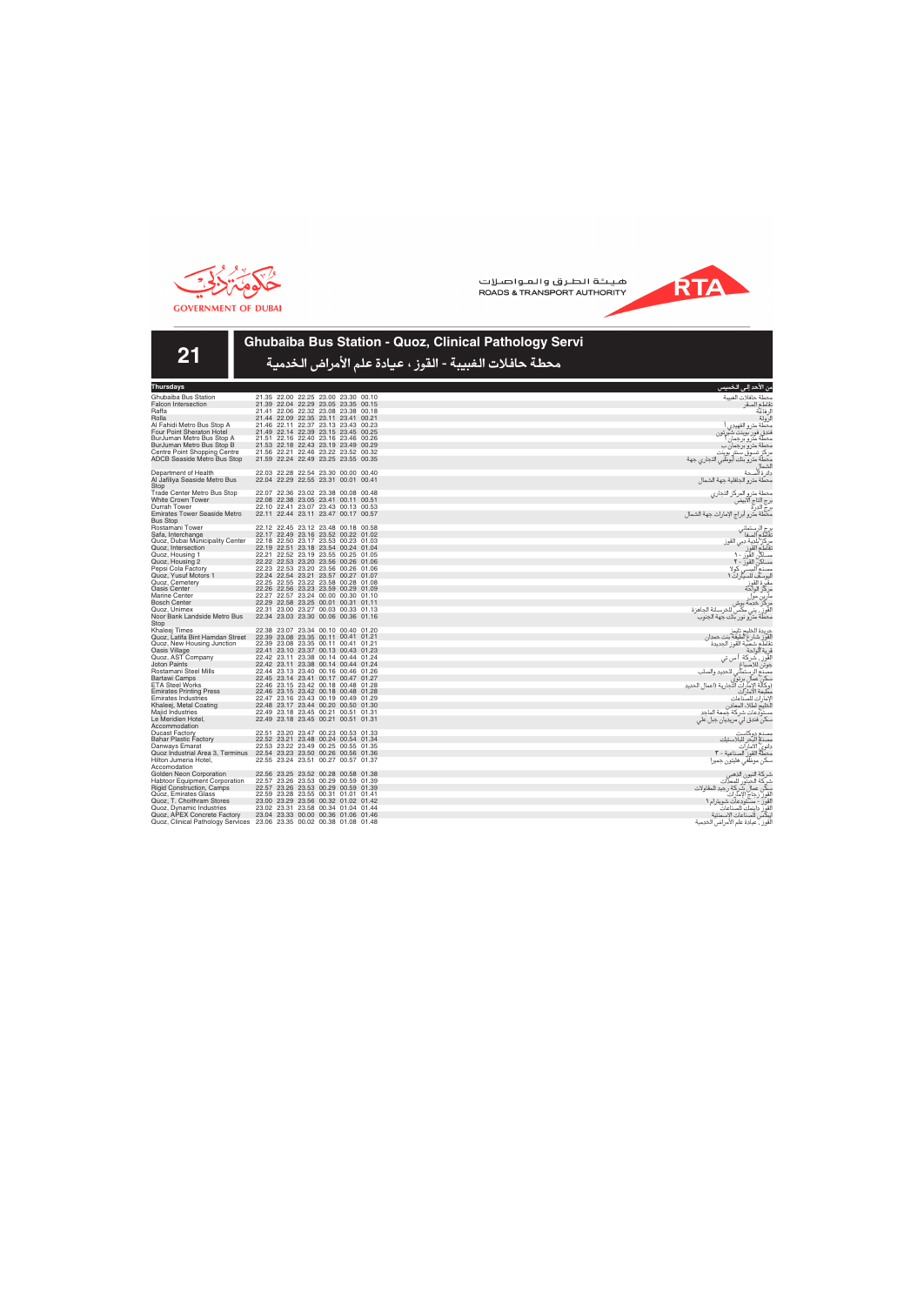

**RTA** 



## **Ghubaiba Bus Station - Quoz, Clinical Pathology Servi**

| <b>Thursdays</b>                                                         |                                                                            | من الأحد إلى الخميس                                                                              |
|--------------------------------------------------------------------------|----------------------------------------------------------------------------|--------------------------------------------------------------------------------------------------|
| Ghubaiba Bus Station                                                     | 21.35 22.00 22.25 23.00 23.30 00.10                                        | محطة حافلات الغسة                                                                                |
| <b>Falcon Intersection</b>                                               | 21.39 22.04 22.29 23.05 23.35 00.15                                        | نقاطع الصقر                                                                                      |
| Raffa                                                                    | 21.41 22.06 22.32 23.08 23.38 00.18                                        | ل فاعة                                                                                           |
| Rolla                                                                    | 21.44 22.09 22.35 23.11 23.41 00.21                                        | لرولة                                                                                            |
| Al Fahidi Metro Bus Stop A                                               | 21.46 22.11 22.37 23.13 23.43 00.23                                        | محطة مترو الفهيدى                                                                                |
| Four Point Sheraton Hotel                                                | 21.49 22.14 22.39 23.15 23.45 00.25                                        | فندق فور بوينت شيرتون                                                                            |
| BurJuman Metro Bus Stop A                                                | 21.51 22.16 22.40 23.16 23.46 00.26                                        | محطة مترو برجمان                                                                                 |
| BurJuman Metro Bus Stop B                                                | 21.53 22.18 22.43 23.19 23.49 00.29                                        | محطة مترو برجمان ب                                                                               |
| Centre Point Shopping Centre                                             | 21.56 22.21 22.46 23.22 23.52 00.32                                        | مركز تسوق سنتر بوينت                                                                             |
| <b>ADCB Seaside Metro Bus Stop</b>                                       | 21.59 22.24 22.49 23.25 23.55 00.35                                        | محطة مترو بنك أبوظبي التجاري جهة                                                                 |
| Department of Health                                                     | 22.03 22.28 22.54 23.30 00.00 00.40                                        | دائرة ألصحة                                                                                      |
| Al Jafiliya Seaside Metro Bus                                            | 22.04 22.29 22.55 23.31 00.01 00.41                                        | محطة مترو الجافلية جهة الشمال                                                                    |
| Stop                                                                     |                                                                            |                                                                                                  |
| Trade Center Metro Bus Stop                                              | 22.07 22.36 23.02 23.38 00.08 00.48                                        | محطة مترو المركز التجارى                                                                         |
| White Crown Tower                                                        | 22.08 22.38 23.05 23.41 00.11 00.51                                        |                                                                                                  |
| Durrah Tower                                                             | 22.10 22.41 23.07 23.43 00.13 00.53                                        | رج التاج الآبيضّ<br>رج الدرة                                                                     |
| <b>Emirates Tower Seaside Metro</b>                                      | 22.11 22.44 23.11 23.47 00.17 00.57                                        | بن<br>محطة مترو أبراج الإمارات جهة الشمال                                                        |
| <b>Bus Stop</b>                                                          |                                                                            |                                                                                                  |
| Rostamani Tower                                                          | 22.12 22.45 23.12 23.48 00.18 00.58                                        | برج الرستماني<br>تقاطع الصفا                                                                     |
| Safa, Interchange                                                        | 22.17 22.49 23.16 23.52 00.22 01.02                                        |                                                                                                  |
| Quoz, Dubai Municipality Center                                          | 22.18 22.50 23.17 23.53 00.23 01.03<br>22.19 22.51 23.18 23.54 00.24 01.04 | مركز بلدية دبي القوز<br>تقاطع القوز                                                              |
| Quoz, Intersection<br>Quoz, Housing 1                                    | 22.21 22.52 23.19 23.55 00.25 01.05                                        | مساكن القوز - ١                                                                                  |
| Quoz, Housing 2                                                          | 22.22 22.53 23.20 23.56 00.26 01.06                                        |                                                                                                  |
| Pepsi Cola Factory                                                       | 22.23 22.53 23.20 23.56 00.26 01.06                                        | مساکن القور - ۲<br>مصنع الببسی کوا<br>. که لا                                                    |
| Quoz, Yusuf Motors 1                                                     | 22.24 22.54 23.21 23.57 00.27 01.07                                        | اليوسف للسيارات 1                                                                                |
| Quoz, Cemetery                                                           | 22.25 22.55 23.22 23.58 00.28 01.08                                        | مقبّر ة القوز                                                                                    |
| Oasis Center                                                             | 22.26 22.56 23.23 23.59 00.29 01.09                                        | مركز الواحة                                                                                      |
| Marine Center                                                            | 22.27 22.57 23.24 00.00 00.30 01.10                                        |                                                                                                  |
| <b>Bosch Center</b>                                                      | 22.29 22.58 23.25 00.01 00.31 01.11                                        |                                                                                                  |
| Quoz, Unimex                                                             | 22.31 23.00 23.27 00.03 00.33 01.13                                        |                                                                                                  |
| Noor Bank Landside Metro Bus<br>Stop                                     | 22.34 23.03 23.30 00.06 00.36 01.16                                        | محطة مترو نور بنك جهة الجنوب                                                                     |
| Khaleej Times                                                            | 22.38 23.07 23.34 00.10 00.40 01.20                                        | جريدة الخليج تايمز                                                                               |
| Quoz, Latifa Bint Hamdan Street                                          | 22.39 23.08 23.35 00.11 00.41 01.21                                        | لقوز شار ع لطيفة بنت حمدان                                                                       |
| Quoz, New Housing Junction                                               | 22.39 23.08 23.35 00.11 00.41 01.21                                        | نقاطع شعبية القوز الجديدة                                                                        |
| Oasis Village                                                            | 22.41 23.10 23.37 00.13 00.43 01.23                                        | قرية الواحة                                                                                      |
| Quoz, AST Company                                                        | 22.42 23.11 23.38 00.14 00.44 01.24                                        | لقوز , شركة<br>ا س تى                                                                            |
| <b>Joton Paints</b>                                                      | 22.42 23.11 23.38 00.14 00.44 01.24                                        | جوتن للاصباغ                                                                                     |
| Rostamani Steel Mills                                                    | 22.44 23.13 23.40 00.16 00.46 01.26                                        |                                                                                                  |
| <b>Bartawi Camps</b><br><b>ETA Steel Works</b>                           | 22.45 23.14 23.41 00.17 00.47 01.27<br>22.46 23.15 23.42 00.18 00.48 01.28 | . ر.<br>مصنع الرستماني للحديد والصلب<br>سكن عمال برتوي<br>(وكالة الإمارات التجارية (اعمال الحديد |
| <b>Emirates Printing Press</b>                                           | 22.46 23.15 23.42 00.18 00.48 01.28                                        | مطبعة الامارات                                                                                   |
| <b>Emirates Industries</b>                                               | 22.47 23.16 23.43 00.19 00.49 01.29                                        | لإمار ات للصّناعات                                                                               |
| Khaleej, Metal Coating                                                   | 22.48 23.17 23.44 00.20 00.50 01.30                                        | الخليج لطلاء المعادن                                                                             |
| Majid Industries                                                         | 22.49 23.18 23.45 00.21 00.51 01.31                                        | مستودعات شركة جمعة الماحد                                                                        |
| Le Meridien Hotel,                                                       | 22.49 23.18 23.45 00.21 00.51 01.31                                        | سکن فندق لي مريديان جبل علي                                                                      |
| Accommodation                                                            |                                                                            |                                                                                                  |
| <b>Ducast Factory</b>                                                    | 22.51 23.20 23.47 00.23 00.53 01.33                                        | مصذع دوكاست                                                                                      |
| <b>Bahar Plastic Factory</b>                                             | 22.52 23.21 23.48 00.24 00.54 01.34                                        | مصنع البحر للبلاستيك                                                                             |
| Danways Emarat                                                           | 22.53 23.22 23.49 00.25 00.55 01.35                                        | مسمع سبر سب<br>دانوی الامارات                                                                    |
| Quoz Industrial Area 3, Terminus                                         | 22.54 23.23 23.50 00.26 00.56 01.36                                        | محطةٌ القوز الصناعية - ٣                                                                         |
| Hilton Jumeria Hotel,                                                    | 22.55 23.24 23.51 00.27 00.57 01.37                                        | سكن موظفى هليتون جميرا                                                                           |
| Accomodation                                                             |                                                                            |                                                                                                  |
| Golden Neon Corporation                                                  | 22.56 23.25 23.52 00.28 00.58 01.38                                        | شركة النيون الذهبي<br>شركة الحبتور للمعذات                                                       |
| <b>Habtoor Equipment Corporation</b><br><b>Rigid Construction, Camps</b> | 22.57 23.26 23.53 00.29 00.59 01.39<br>22.57 23.26 23.53 00.29 00.59 01.39 |                                                                                                  |
| Quoz, Emirates Glass                                                     | 22.59 23.28 23.55 00.31 01.01 01.41                                        | سكّن عمال شّركة رجيد للمقاولات<br>القوز زجاج الإمارات                                            |
| Quoz, T. Choithram Stores                                                | 23.00 23.29 23.56 00.32 01.02 01.42                                        | القور - مستودعات شويترام ١                                                                       |
| Quoz. Dynamic Industries                                                 | 23.02 23.31 23.58 00.34 01.04 01.44                                        | القور داينمك للصناعات                                                                            |
| Quoz, APEX Concrete Factory                                              | 23.04 23.33 00.00 00.36 01.06 01.46                                        | يبكس للصناعات الإسمنتية                                                                          |
|                                                                          | Quoz, Clinical Pathology Services 23.06 23.35 00.02 00.38 01.08 01.48      | لقوز ، عيادة علم الأمراض الخدمية                                                                 |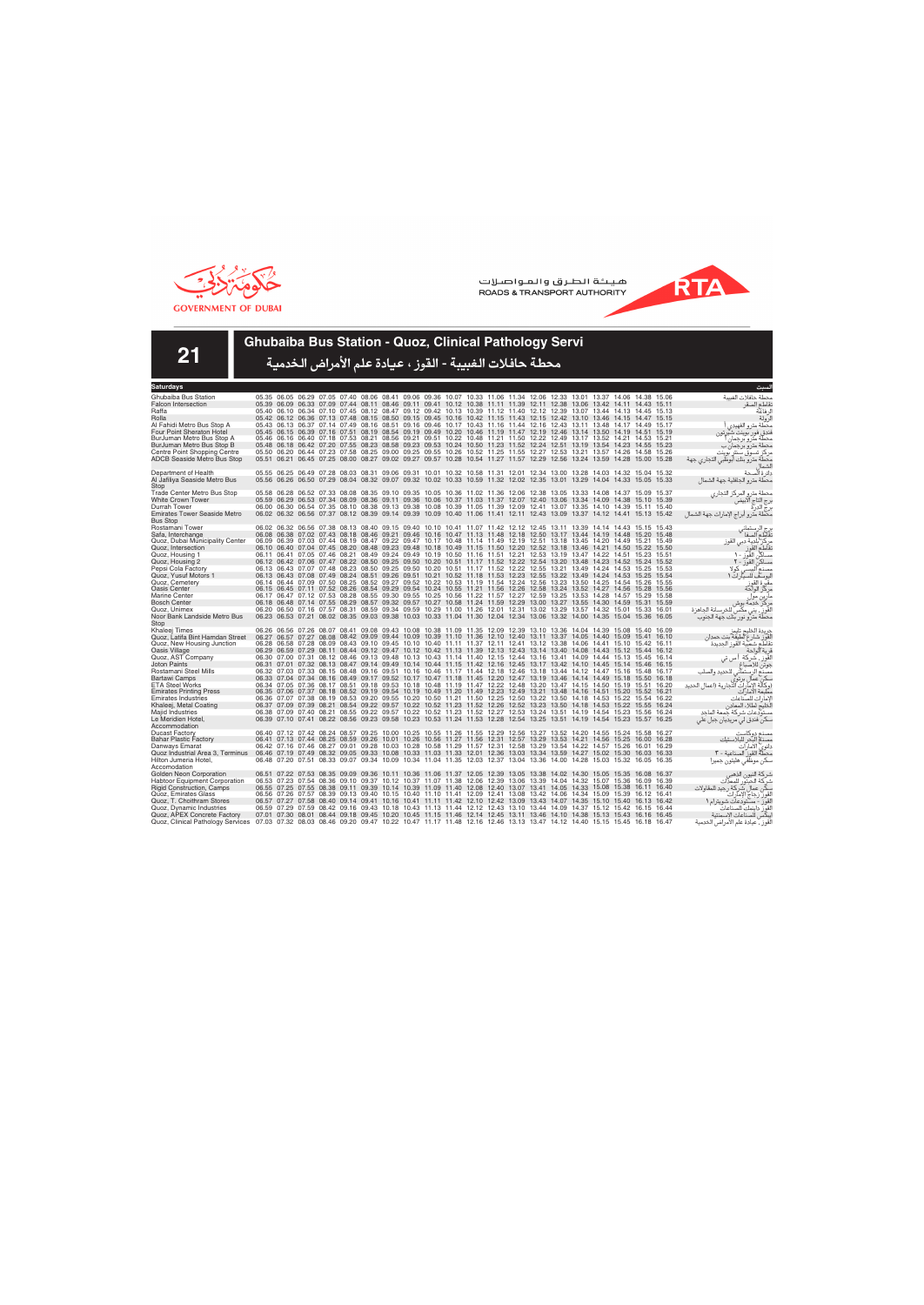



**21**

### **Ghubaiba Bus Station - Quoz, Clinical Pathology Servi**

| Saturdays                                                                |                                                                                                                         |                   |       |                                                                                                                                                                                                                                                    |                                                                                                 |  |  |  |  |  |  |       |                                                                                           |
|--------------------------------------------------------------------------|-------------------------------------------------------------------------------------------------------------------------|-------------------|-------|----------------------------------------------------------------------------------------------------------------------------------------------------------------------------------------------------------------------------------------------------|-------------------------------------------------------------------------------------------------|--|--|--|--|--|--|-------|-------------------------------------------------------------------------------------------|
| Ghubaiba Bus Station                                                     |                                                                                                                         |                   |       | 05.35 06.05 06.29 07.05 07.40 08.06 08.41 09.06 09.36 10.07 10.33 11.06 11.34 12.06 12.33 13.01 13.37 14.06 14.38 15.06                                                                                                                            |                                                                                                 |  |  |  |  |  |  |       | محطة حافلات الغسة                                                                         |
| <b>Falcon Intersection</b>                                               |                                                                                                                         |                   |       | 05.39 06.09 06.33 07.09 07.44 08.11 08.46 09.11 09.41 10.12 10.38 11.11 11.39 12.11 12.38 13.06 13.42 14.11 14.43 15.11                                                                                                                            |                                                                                                 |  |  |  |  |  |  |       | نقاطع الصقر                                                                               |
| Raffa                                                                    |                                                                                                                         |                   |       | 05.40 06.10 06.34 07.10 07.45 08.12 08.47 09.12 09.42 10.13 10.39 11.12 11.40 12.12 12.39 13.07 13.44 14.13 14.45 15.13                                                                                                                            |                                                                                                 |  |  |  |  |  |  |       | لر فاعة                                                                                   |
| Rolla                                                                    |                                                                                                                         |                   |       | 05.42 06.12 06.36 07.13 07.48 08.15 08.50 09.15 09.45 10.16 10.42 11.15 11.43 12.15 12.42 13.10 13.46 14.15 14.47 15.15                                                                                                                            |                                                                                                 |  |  |  |  |  |  |       | لرولة                                                                                     |
| Al Fahidi Metro Bus Stop A                                               |                                                                                                                         |                   |       | 05.43 06.13 06.37 07.14 07.49 08.16 08.51 09.16 09.46 10.17 10.43 11.16 11.44 12.16 12.43 13.11 13.48 14.17 14.49 15.17                                                                                                                            |                                                                                                 |  |  |  |  |  |  |       | محطة مترو الفهيدى                                                                         |
| Four Point Sheraton Hotel                                                |                                                                                                                         |                   |       | 05.45 06.15 06.39 07.16 07.51 08.19 08.54 09.19 09.49 10.20 10.46 11.19 11.47 12.19 12.46 13.14 13.50 14.19 14.51 15.19                                                                                                                            |                                                                                                 |  |  |  |  |  |  |       | فندق فور بوينت شيرتون                                                                     |
| BurJuman Metro Bus Stop A                                                |                                                                                                                         |                   |       | 05.46 06.16 06.40 07.18 07.53 08.21 08.56 09.21 09.51 10.22 10.48 11.21 11.50 12.22 12.49 13.17 13.52 14.21 14.53 15.21                                                                                                                            |                                                                                                 |  |  |  |  |  |  |       | محطة مترو برجمان                                                                          |
| BurJuman Metro Bus Stop B                                                |                                                                                                                         |                   |       | 05.48 06.18 06.42 07.20 07.55 08.23 08.58 09.23 09.53 10.24 10.50 11.23 11.52 12.24 12.51 13.19 13.54 14.23 14.55 15.23                                                                                                                            |                                                                                                 |  |  |  |  |  |  |       | محطة مترو برجمان ب                                                                        |
| Centre Point Shopping Centre                                             |                                                                                                                         |                   |       | 05.50 06.20 06.44 07.23 07.58 08.25 09.00 09.25 09.55 10.26 10.52 11.25 11.55 12.27 12.53 13.21 13.57 14.26 14.58 15.26                                                                                                                            |                                                                                                 |  |  |  |  |  |  |       | مر کز تسوق سنتر بوینت                                                                     |
| <b>ADCB Seaside Metro Bus Stop</b>                                       |                                                                                                                         |                   |       | 05.51 06.21 06.45 07.25 08.00 08.27 09.02 09.27 09.57 10.28 10.54 11.27 11.57 12.29 12.56 13.24 13.59 14.28 15.00 15.28                                                                                                                            |                                                                                                 |  |  |  |  |  |  |       | محطة مترو بنك أبوظبي التجاري جهة                                                          |
| Department of Health                                                     |                                                                                                                         |                   |       | 05.55 06.25 06.49 07.28 08.03 08.31 09.06 09.31 10.01 10.32 10.58 11.31 12.01 12.34 13.00 13.28 14.03 14.32 15.04 15.32                                                                                                                            |                                                                                                 |  |  |  |  |  |  |       | دائرة ألصحة                                                                               |
| Al Jafiliya Seaside Metro Bus                                            |                                                                                                                         |                   |       | 05.56 06.26 06.50 07.29 08.04 08.32 09.07 09.32 10.02 10.33 10.59 11.32 12.02 12.35 13.01 13.29 14.04 14.33 15.05 15.33                                                                                                                            |                                                                                                 |  |  |  |  |  |  |       | محطة مترو الجافلية جهة الشمال                                                             |
| Stop                                                                     |                                                                                                                         |                   |       |                                                                                                                                                                                                                                                    |                                                                                                 |  |  |  |  |  |  |       |                                                                                           |
| <b>Trade Center Metro Bus Stop</b>                                       |                                                                                                                         |                   |       | 05.58 06.28 06.52 07.33 08.08 08.35 09.10 09.35 10.05 10.36 11.02 11.36 12.06 12.38 13.05 13.33 14.08 14.37 15.09 15.37                                                                                                                            |                                                                                                 |  |  |  |  |  |  |       | محطة مترو المركز التجاري                                                                  |
| <b>White Crown Tower</b>                                                 |                                                                                                                         |                   |       | 05.59 06.29 06.53 07.34 08.09 08.36 09.11 09.36 10.06 10.37 11.03 11.37 12.07 12.40 13.06 13.34 14.09 14.38 15.10 15.39                                                                                                                            |                                                                                                 |  |  |  |  |  |  |       | برج التاج الآبيض                                                                          |
| Durrah Tower                                                             |                                                                                                                         |                   |       | 06.00 06.30 06.54 07.35 08.10 08.38 09.13 09.38 10.08 10.39 11.05 11.39 12.09 12.41 13.07 13.35 14.10 14.39 15.11 15.40                                                                                                                            |                                                                                                 |  |  |  |  |  |  |       | برج الدرة<br>برج الدرة                                                                    |
| <b>Emirates Tower Seaside Metro</b>                                      |                                                                                                                         |                   |       | 06.02 06.32 06.56 07.37 08.12 08.39 09.14 09.39 10.09 10.40 11.06 11.41 12.11 12.43 13.09 13.37 14.12 14.41 15.13 15.42                                                                                                                            |                                                                                                 |  |  |  |  |  |  |       | محطة مترو أبراج الإمارات جهة الشمال                                                       |
| <b>Bus Stop</b>                                                          |                                                                                                                         |                   |       |                                                                                                                                                                                                                                                    |                                                                                                 |  |  |  |  |  |  |       |                                                                                           |
| Rostamani Tower                                                          |                                                                                                                         |                   |       | 06.02 06.32 06.56 07.38 08.13 08.40 09.15 09.40 10.10 10.41 11.07 11.42 12.12 12.45 13.11 13.39 14.14 14.43 15.15 15.43                                                                                                                            |                                                                                                 |  |  |  |  |  |  |       | برج الرستماني<br>تقاطع الصفا                                                              |
| Safa, Interchange                                                        |                                                                                                                         |                   |       | 06.08 06.38 07.02 07.43 08.18 08.46 09.21 09.46 10.16 10.47 11.13 11.48 12.18 12.50 13.17 13.44 14.19 14.48 15.20 15.48                                                                                                                            |                                                                                                 |  |  |  |  |  |  |       |                                                                                           |
| Quoz, Dubai Municipality Center                                          |                                                                                                                         |                   |       | 06.09 06.39 07.03 07.44 08.19 08.47 09.22 09.47 10.17 10.48 11.14 11.49 12.19 12.51 13.18 13.45 14.20 14.49 15.21 15.49                                                                                                                            |                                                                                                 |  |  |  |  |  |  |       | مركز بلدية دبي القوز<br>نقاطع القوز                                                       |
| Quoz, Intersection                                                       |                                                                                                                         |                   |       | 06.10 06.40 07.04 07.45 08.20 08.48 09.23 09.48 10.18 10.49 11.15 11.50 12.20 12.52 13.18 13.46 14.21 14.50 15.22 15.50                                                                                                                            |                                                                                                 |  |  |  |  |  |  |       |                                                                                           |
| Quoz, Housing 1                                                          |                                                                                                                         |                   |       | 06.11 06.41 07.05 07.46 08.21 08.49 09.24 09.49 10.19 10.50 11.16 11.51 12.21 12.53 13.19 13.47 14.22 14.51 15.23 15.51                                                                                                                            |                                                                                                 |  |  |  |  |  |  |       | مساكن القوز - ١                                                                           |
| Quoz, Housing 2                                                          |                                                                                                                         |                   |       | 06.12 06.42 07.06 07.47 08.22 08.50 09.25 09.50 10.20 10.51 11.17 11.52 12.22 12.54 13.20 13.48 14.23 14.52 15.24 15.52                                                                                                                            |                                                                                                 |  |  |  |  |  |  |       | مساكن القوز - ٢                                                                           |
| Pepsi Cola Factory                                                       |                                                                                                                         |                   |       | 06.13 06.43 07.07 07.48 08.23 08.50 09.25 09.50 10.20 10.51 11.17 11.52 12.22 12.55 13.21 13.49 14.24 14.53 15.25 15.53<br>06.13 06.43 07.08 07.49 08.24 08.51 09.26 09.51 10.21 10.52 11.18 11.53 12.23 12.55 13.22 13.49 14.24 14.53 15.25       |                                                                                                 |  |  |  |  |  |  |       | مصنع البستي كولا                                                                          |
| Quoz, Yusuf Motors 1<br>Quoz, Cemetery                                   |                                                                                                                         |                   |       | 06.14 06.44 07.09 07.50 08.25 08.52 09.27 09.52 10.22 10.53 11.19 11.54 12.24 12.56 13.23 13.50 14.25 14.54 15.26 15.55                                                                                                                            |                                                                                                 |  |  |  |  |  |  | 15.54 | اليوسف للسيارات ١                                                                         |
| Oasis Center                                                             |                                                                                                                         |                   |       | 06.15 06.45 07.11 07.52 08.26 08.54 09.29 09.54 10.24 10.55 11.21 11.56 12.26 12.58 13.24 13.52 14.27 14.56 15.28 15.56                                                                                                                            |                                                                                                 |  |  |  |  |  |  |       | مقبرة القوز<br>مركز الواحة                                                                |
| Marine Center                                                            |                                                                                                                         |                   |       | 06.17 06.47 07.12 07.53 08.28 08.55 09.30 09.55 10.25 10.56 11.22 11.57 12.27 12.59 13.25 13.53 14.28 14.57 15.29 15.58                                                                                                                            |                                                                                                 |  |  |  |  |  |  |       |                                                                                           |
| <b>Bosch Center</b>                                                      |                                                                                                                         |                   |       | 06.18 06.48 07.14 07.55 08.29 08.57 09.32 09.57 10.27 10.58 11.24 11.59 12.29 13.00 13.27 13.55 14.30 14.59 15.31 15.59                                                                                                                            |                                                                                                 |  |  |  |  |  |  |       | مارين موا<br>مركز خدمة بوش                                                                |
| Quoz. Unimex                                                             |                                                                                                                         |                   |       | 06.20 06.50 07.16 07.57 08.31 08.59 09.34 09.59 10.29 11.00 11.26 12.01 12.31 13.02 13.29 13.57 14.32 15.01 15.33 16.01                                                                                                                            |                                                                                                 |  |  |  |  |  |  |       | القَوزِ ۖ، يني مكَّس للخرسانة الجاهزة                                                     |
| Noor Bank Landside Metro Bus                                             |                                                                                                                         |                   |       | 06.23 06.53 07.21 08.02 08.35 09.03 09.38 10.03 10.33 11.04 11.30 12.04 12.34 13.06 13.32 14.00 14.35 15.04 15.36 16.05                                                                                                                            |                                                                                                 |  |  |  |  |  |  |       | محطة مترو نور بنك جهة الجنوب                                                              |
| Stop                                                                     |                                                                                                                         |                   |       |                                                                                                                                                                                                                                                    |                                                                                                 |  |  |  |  |  |  |       |                                                                                           |
| Khaleei Times                                                            |                                                                                                                         |                   |       | 06.26 06.56 07.26 08.07 08.41 09.08 09.43 10.08 10.38 11.09 11.35 12.09 12.39 13.10 13.36 14.04 14.39 15.08 15.40 16.09                                                                                                                            |                                                                                                 |  |  |  |  |  |  |       | جريدة الخليج تايمز                                                                        |
| Quoz, Latifa Bint Hamdan Street                                          |                                                                                                                         |                   |       | 06.27 06.57 07.27 08.08 08.42 09.09 09.44 10.09 10.39 11.10 11.36 12.10 12.40 13.11 13.37 14.05 14.40 15.09 15.41 16.10                                                                                                                            |                                                                                                 |  |  |  |  |  |  |       | لْقَوِّز شارع لطيفة بنت حمدان<br>نقاطع شعبية القوز الجديدة                                |
| Quoz, New Housing Junction                                               |                                                                                                                         |                   |       | 06.28 06.58 07.28 08.09 08.43 09.10 09.45 10.10 10.40 11.11 11.37 12.11 12.41 13.12 13.38 14.06 14.41 15.10 15.42 16.11                                                                                                                            |                                                                                                 |  |  |  |  |  |  |       |                                                                                           |
| Oasis Village                                                            |                                                                                                                         |                   |       | 06.29 06.59 07.29 08.11 08.44 09.12 09.47 10.12 10.42 11.13 11.39 12.13 12.43 13.14 13.40 14.08 14.43 15.12 15.44 16.12                                                                                                                            |                                                                                                 |  |  |  |  |  |  |       | قرية الواحة                                                                               |
| Quoz, AST Company                                                        |                                                                                                                         |                   |       | 06.30 07.00 07.31 08.12 08.46 09.13 09.48 10.13 10.43 11.14 11.40 12.15 12.44 13.16 13.41 14.09 14.44 15.13 15.45 16.14                                                                                                                            |                                                                                                 |  |  |  |  |  |  |       | القَوز ، شركة أ س تي                                                                      |
| <b>Joton Paints</b>                                                      |                                                                                                                         |                   |       | 06.31 07.01 07.32 08.13 08.47 09.14 09.49 10.14 10.44 11.15 11.42 12.16 12.45 13.17 13.42 14.10 14.45 15.14 15.46 16.15                                                                                                                            |                                                                                                 |  |  |  |  |  |  |       | جوتن للاصباغ                                                                              |
| Rostamani Steel Mills<br><b>Bartawi Camps</b>                            |                                                                                                                         |                   |       | 06.32 07.03 07.33 08.15 08.48 09.16 09.51 10.16 10.46 11.17 11.44 12.18 12.46 13.18 13.44 14.12 14.47 15.16 15.48 16.17<br>06.33 07.04 07.34 08.16 08.49 09.17 09.52 10.17 10.47 11.18 11.45 12.20 12.47 13.19 13.46 14.14 14.49 15.18 15.50 16.18 |                                                                                                 |  |  |  |  |  |  |       | مصنّع الرستماني للحديد والصلب<br>سكن عمال برتوي<br>(وكالة الإمارات التجارية (اعمال الحديد |
| <b>ETA Steel Works</b>                                                   |                                                                                                                         |                   |       | 06.34 07.05 07.36 08.17 08.51 09.18 09.53 10.18 10.48 11.19 11.47 12.22 12.48 13.20 13.47 14.15 14.50 15.19 15.51 16.20                                                                                                                            |                                                                                                 |  |  |  |  |  |  |       |                                                                                           |
| <b>Emirates Printing Press</b>                                           |                                                                                                                         |                   |       | 06.35 07.06 07.37 08.18 08.52 09.19 09.54 10.19 10.49 11.20 11.49 12.23 12.49 13.21 13.48 14.16 14.51 15.20 15.52 16.21                                                                                                                            |                                                                                                 |  |  |  |  |  |  |       | مطبعة الامار آت                                                                           |
| <b>Emirates Industries</b>                                               |                                                                                                                         |                   |       | 06.36 07.07 07.38 08.19 08.53 09.20 09.55 10.20 10.50 11.21 11.50 12.25 12.50 13.22 13.50 14.18 14.53 15.22 15.54 16.22                                                                                                                            |                                                                                                 |  |  |  |  |  |  |       | لإمار ات للصّناعات                                                                        |
| Khaleej, Metal Coating                                                   |                                                                                                                         |                   |       | 06.37 07.09 07.39 08.21 08.54 09.22 09.57 10.22 10.52 11.23 11.52 12.26 12.52 13.23 13.50 14.18 14.53 15.22 15.55 16.24                                                                                                                            |                                                                                                 |  |  |  |  |  |  |       | لَخليج لطلاء المعادن                                                                      |
| Majid Industries                                                         |                                                                                                                         |                   |       | 06.38 07.09 07.40 08.21 08.55 09.22 09.57 10.22 10.52 11.23 11.52 12.27 12.53 13.24 13.51 14.19 14.54 15.23 15.56 16.24                                                                                                                            |                                                                                                 |  |  |  |  |  |  |       | مستودعات شركة حمعة الماحد                                                                 |
| Le Meridien Hotel,                                                       |                                                                                                                         |                   |       | 06.39 07.10 07.41 08.22 08.56 09.23 09.58 10.23 10.53 11.24 11.53 12.28 12.54 13.25 13.51 14.19 14.54 15.23 15.57 16.25                                                                                                                            |                                                                                                 |  |  |  |  |  |  |       | سکن فندق لی مریدیان جبل علی                                                               |
| Accommodation                                                            |                                                                                                                         |                   |       |                                                                                                                                                                                                                                                    |                                                                                                 |  |  |  |  |  |  |       |                                                                                           |
| <b>Ducast Factory</b>                                                    |                                                                                                                         |                   |       | 06.40 07.12 07.42 08.24 08.57 09.25 10.00 10.25 10.55 11.26 11.55 12.29 12.56 13.27 13.52 14.20 14.55 15.24 15.58 16.27                                                                                                                            |                                                                                                 |  |  |  |  |  |  |       | مصنع دوكاست                                                                               |
| <b>Bahar Plastic Factory</b>                                             |                                                                                                                         |                   |       | 06.41 07.13 07.44 08.25 08.59 09.26 10.01 10.26 10.56 11.27 11.56 12.31 12.57 13.29 13.53 14.21 14.56 15.25 16.00 16.28                                                                                                                            |                                                                                                 |  |  |  |  |  |  |       | مصذم البحر للبلاستيك                                                                      |
| Danways Emarat                                                           |                                                                                                                         |                   |       | 06.42 07.16 07.46 08.27 09.01 09.28 10.03 10.28 10.58 11.29 11.57 12.31 12.58 13.29 13.54 14.22 14.57 15.26 16.01 16.29                                                                                                                            |                                                                                                 |  |  |  |  |  |  |       | دانوي الأمارات                                                                            |
| Quoz Industrial Area 3, Terminus                                         | 06.46 07.19 07.49 08.32 09.05 09.33 10.08 10.33 11.03 11.33 12.01 12.36 13.03 13.34 13.59 14.27 15.02 15.30 16.03 16.33 |                   |       |                                                                                                                                                                                                                                                    |                                                                                                 |  |  |  |  |  |  |       | محطَّةٌ القوز ۖ الصناعية - ٣                                                              |
| Hilton Jumeria Hotel,                                                    |                                                                                                                         |                   |       | 06.48 07.20 07.51 08.33 09.07 09.34 10.09 10.34 11.04 11.35 12.03 12.37 13.04 13.36 14.00 14.28 15.03 15.32 16.05 16.35                                                                                                                            |                                                                                                 |  |  |  |  |  |  |       | سكن موظفى هليتون جميرا                                                                    |
| Accomodation                                                             |                                                                                                                         |                   |       |                                                                                                                                                                                                                                                    |                                                                                                 |  |  |  |  |  |  |       |                                                                                           |
| Golden Neon Corporation                                                  |                                                                                                                         |                   |       | 06.51 07.22 07.53 08.35 09.09 09.36 10.11 10.36 11.06 11.37 12.05 12.39 13.05 13.38 14.02 14.30 15.05 15.35 16.08 16.37<br>06.53 07.23 07.54 08.36 09.10 09.37 10.12 10.37 11.07 11.38 12.06 12.39 13.06 13.39 14.04 14.32 15.07 15.36 16.09 16.39 |                                                                                                 |  |  |  |  |  |  |       | شركة النيون الذهبر<br>شركة الحبتور للمعدات                                                |
| <b>Habtoor Equipment Corporation</b><br><b>Rigid Construction, Camps</b> |                                                                                                                         | 06.55 07.25 07.55 | 08.38 |                                                                                                                                                                                                                                                    | 09.11 09.39 10.14 10.39 11.09 11.40 12.08 12.40 13.07 13.41 14.05 14.33 15.08 15.38 16.11 16.40 |  |  |  |  |  |  |       | سكن عمال شركة رجيد للمقاولات                                                              |
| Quoz, Emirates Glass                                                     |                                                                                                                         |                   |       | 06.56 07.26 07.57 08.39 09.13 09.40 10.15 10.40 11.10 11.41 12.09 12.41 13.08 13.42 14.06 14.34 15.09 15.39 16.12 16.41                                                                                                                            |                                                                                                 |  |  |  |  |  |  |       | القوز زجاج الإمآراتُ                                                                      |
| Quoz, T. Choithram Stores                                                |                                                                                                                         |                   |       | 06.57 07.27 07.58 08.40 09.14 09.41 10.16 10.41 11.11 11.42 12.10 12.42 13.09 13.43 14.07 14.35 15.10 15.40 16.13 16.42                                                                                                                            |                                                                                                 |  |  |  |  |  |  |       | القوز - مستودعات شويترام ١                                                                |
| Quoz, Dynamic Industries                                                 |                                                                                                                         |                   |       | 06.59 07.29 07.59 08.42 09.16 09.43 10.18 10.43 11.13 11.44 12.12 12.43 13.10 13.44 14.09 14.37 15.12 15.42 16.15 16.44                                                                                                                            |                                                                                                 |  |  |  |  |  |  |       |                                                                                           |
| Quoz, APEX Concrete Factory                                              |                                                                                                                         |                   |       | 07.01 07.30 08.01 08.44 09.18 09.45 10.20 10.45 11.15 11.46 12.14 12.45 13.11 13.46 14.10 14.38 15.13 15.43 16.16 16.45                                                                                                                            |                                                                                                 |  |  |  |  |  |  |       | لقوز داينمك للصناعات<br>يبكس للصناعات الإسمنتية                                           |
| Quoz, Clinical Pathology Services                                        | 07.03 07.32 08.03 08.46 09.20 09.47 10.22 10.47 11.17 11.48 12.16 12.46 13.13 13.47 14.12 14.40 15.15 15.45 16.18 16.47 |                   |       |                                                                                                                                                                                                                                                    |                                                                                                 |  |  |  |  |  |  |       | لقوز ، عيادة علم الأمراض الخدمية                                                          |
|                                                                          |                                                                                                                         |                   |       |                                                                                                                                                                                                                                                    |                                                                                                 |  |  |  |  |  |  |       |                                                                                           |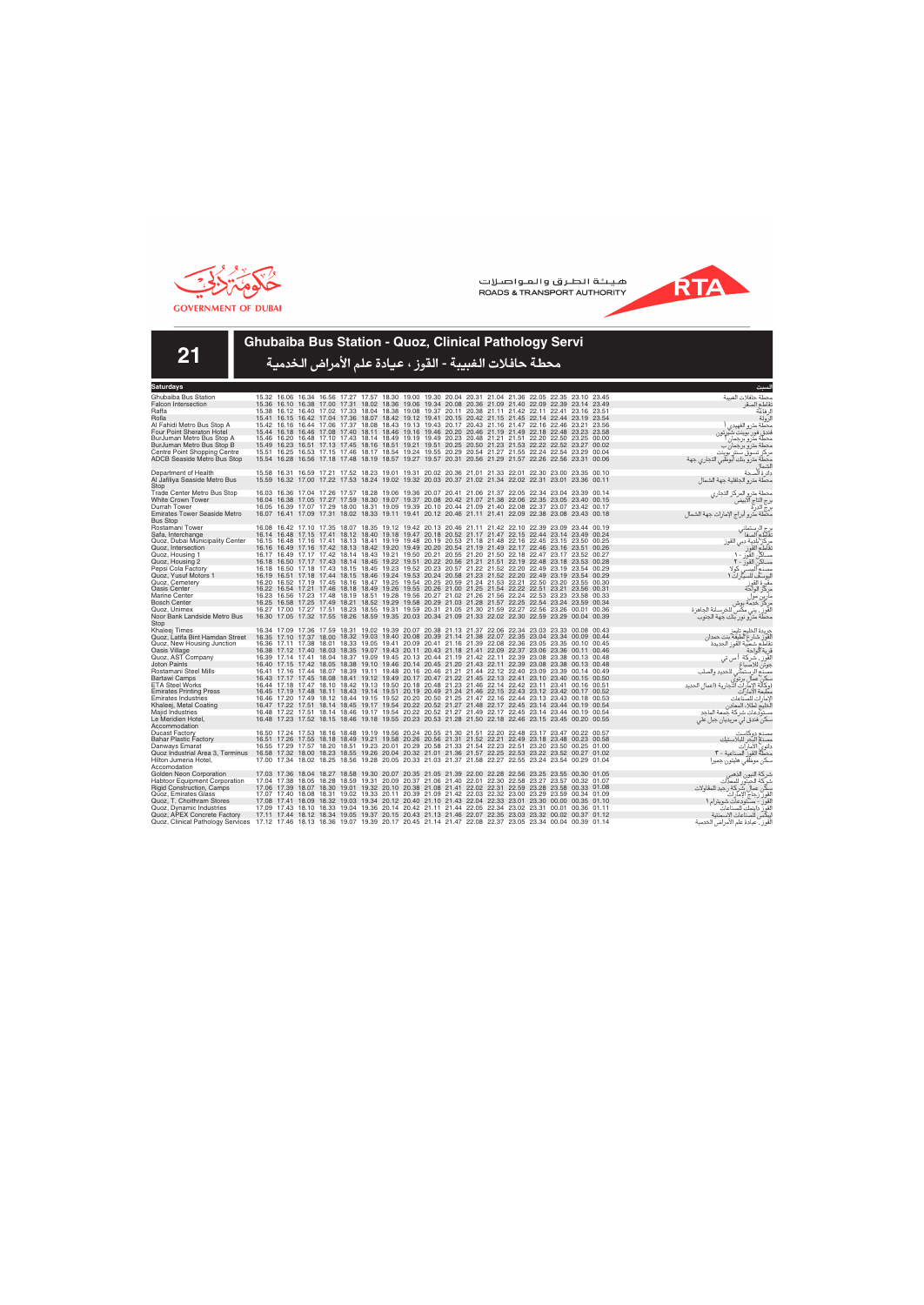



**21**

### **Ghubaiba Bus Station - Quoz, Clinical Pathology Servi**

| Saturdays                                                                                                                               |                                                                                                       |  |                                                                                                                                                                                                                |  |  |  |  |  |  |                                                          |
|-----------------------------------------------------------------------------------------------------------------------------------------|-------------------------------------------------------------------------------------------------------|--|----------------------------------------------------------------------------------------------------------------------------------------------------------------------------------------------------------------|--|--|--|--|--|--|----------------------------------------------------------|
| Ghubaiba Bus Station                                                                                                                    |                                                                                                       |  | 15.32 16.06 16.34 16.56 17.27 17.57 18.30 19.00 19.30 20.04 20.31 21.04 21.36 22.05 22.35 23.10 23.45                                                                                                          |  |  |  |  |  |  | محطة حافلات الغسة                                        |
| <b>Falcon Intersection</b>                                                                                                              |                                                                                                       |  | 15.36 16.10 16.38 17.00 17.31 18.02 18.36 19.06 19.34 20.08 20.36 21.09 21.40 22.09 22.39 23.14 23.49                                                                                                          |  |  |  |  |  |  | نقاطع الصقر                                              |
| Raffa                                                                                                                                   |                                                                                                       |  | 15.38 16.12 16.40 17.02 17.33 18.04 18.38 19.08 19.37 20.11 20.38 21.11 21.42 22.11 22.41 23.16 23.51                                                                                                          |  |  |  |  |  |  | ل فاعة                                                   |
| Rolla                                                                                                                                   |                                                                                                       |  | 15.41 16.15 16.42 17.04 17.36 18.07 18.42 19.12 19.41 20.15 20.42 21.15 21.45 22.14 22.44 23.19 23.54                                                                                                          |  |  |  |  |  |  | لرولة                                                    |
| Al Fahidi Metro Bus Stop A                                                                                                              |                                                                                                       |  | 15.42 16.16 16.44 17.06 17.37 18.08 18.43 19.13 19.43 20.17 20.43 21.16 21.47 22.16 22.46 23.21 23.56                                                                                                          |  |  |  |  |  |  | محطة مترو الفهيدى                                        |
| Four Point Sheraton Hotel                                                                                                               |                                                                                                       |  | 15.44 16.18 16.46 17.08 17.40 18.11 18.46 19.16 19.46 20.20 20.46 21.19 21.49 22.18 22.48 23.23 23.58                                                                                                          |  |  |  |  |  |  | فندق فور بوينت شيرتون                                    |
| BurJuman Metro Bus Stop A                                                                                                               |                                                                                                       |  | 15.46 16.20 16.48 17.10 17.43 18.14 18.49 19.19 19.49 20.23 20.48 21.21 21.51 22.20 22.50 23.25 00.00<br>15.49 16.23 16.51 17.13 17.45 18.16 18.51 19.21 19.51 20.25 20.50 21.23 21.53 22.22 22.52 23.27 00.02 |  |  |  |  |  |  | محطة مترو برجمان                                         |
| BurJuman Metro Bus Stop B<br>Centre Point Shopping Centre                                                                               |                                                                                                       |  | 15.51 16.25 16.53 17.15 17.46 18.17 18.54 19.24 19.55 20.29 20.54 21.27 21.55 22.24 22.54 23.29 00.04                                                                                                          |  |  |  |  |  |  | محطة مترو برجمان ب<br>مر کز تسوق سنتر بوینت              |
| <b>ADCB Seaside Metro Bus Stop</b>                                                                                                      |                                                                                                       |  | 15.54 16.28 16.56 17.18 17.48 18.19 18.57 19.27 19.57 20.31 20.56 21.29 21.57 22.26 22.56 23.31 00.06                                                                                                          |  |  |  |  |  |  | محطة مترو بنك أبوظبي التجاري جهة                         |
|                                                                                                                                         |                                                                                                       |  |                                                                                                                                                                                                                |  |  |  |  |  |  |                                                          |
| Department of Health                                                                                                                    |                                                                                                       |  | 15.58 16.31 16.59 17.21 17.52 18.23 19.01 19.31 20.02 20.36 21.01 21.33 22.01 22.30 23.00 23.35 00.10                                                                                                          |  |  |  |  |  |  | دائر ة الصحة                                             |
| Al Jafiliya Seaside Metro Bus                                                                                                           |                                                                                                       |  | 15.59 16.32 17.00 17.22 17.53 18.24 19.02 19.32 20.03 20.37 21.02 21.34 22.02 22.31 23.01 23.36 00.11                                                                                                          |  |  |  |  |  |  | محطة مترو الجافلية جهة الشماإ                            |
| Stop                                                                                                                                    |                                                                                                       |  |                                                                                                                                                                                                                |  |  |  |  |  |  |                                                          |
| <b>Trade Center Metro Bus Stop</b>                                                                                                      |                                                                                                       |  | 16.03 16.36 17.04 17.26 17.57 18.28 19.06 19.36 20.07 20.41 21.06 21.37 22.05 22.34 23.04 23.39 00.14                                                                                                          |  |  |  |  |  |  | محطة مترو المركز التجارى                                 |
| <b>White Crown Tower</b>                                                                                                                |                                                                                                       |  | 16.04 16.38 17.05 17.27 17.59 18.30 19.07 19.37 20.08 20.42 21.07 21.38 22.06 22.35 23.05 23.40 00.15                                                                                                          |  |  |  |  |  |  | برج التاج آلآبيضً                                        |
| Durrah Tower                                                                                                                            |                                                                                                       |  | 16.05 16.39 17.07 17.29 18.00 18.31 19.09 19.39 20.10 20.44 21.09 21.40 22.08 22.37 23.07 23.42 00.17                                                                                                          |  |  |  |  |  |  | برج الدرة<br>برج الدرة                                   |
| <b>Emirates Tower Seaside Metro</b>                                                                                                     |                                                                                                       |  | 16.07 16.41 17.09 17.31 18.02 18.33 19.11 19.41 20.12 20.46 21.11 21.41 22.09 22.38 23.08 23.43 00.18                                                                                                          |  |  |  |  |  |  | مكطة مترو أبراج الإمارات جهة الشمال                      |
| <b>Bus Stop</b><br>Rostamani Tower                                                                                                      |                                                                                                       |  | 16.08 16.42 17.10 17.35 18.07 18.35 19.12 19.42 20.13 20.46 21.11 21.42 22.10 22.39 23.09 23.44 00.19                                                                                                          |  |  |  |  |  |  |                                                          |
| Safa, Interchange                                                                                                                       |                                                                                                       |  | 16.14 16.48 17.15 17.41 18.12 18.40 19.18 19.47 20.18 20.52 21.17 21.47 22.15 22.44 23.14 23.49 00.24                                                                                                          |  |  |  |  |  |  | رج الرستمان <sub>،</sub><br>تقاطع الصفا                  |
| Quoz, Dubai Municipality Center                                                                                                         |                                                                                                       |  | 16.15 16.48 17.16 17.41 18.13 18.41 19.19 19.48 20.19 20.53 21.18 21.48 22.16 22.45 23.15 23.50 00.25                                                                                                          |  |  |  |  |  |  | مركز بلدية دبي القوز                                     |
| Quoz, Intersection                                                                                                                      |                                                                                                       |  | 16.16 16.49 17.16 17.42 18.13 18.42 19.20 19.49 20.20 20.54 21.19 21.49 22.17 22.46 23.16 23.51 00.26                                                                                                          |  |  |  |  |  |  | تقاطع القوز                                              |
| Quoz, Housing 1                                                                                                                         |                                                                                                       |  | 16.17 16.49 17.17 17.42 18.14 18.43 19.21 19.50 20.21 20.55 21.20 21.50 22.18 22.47 23.17 23.52 00.27                                                                                                          |  |  |  |  |  |  | مساكن القوز - ١                                          |
| Quoz, Housing 2                                                                                                                         |                                                                                                       |  | 16.18 16.50 17.17 17.43 18.14 18.45 19.22 19.51 20.22 20.56 21.21 21.51 22.19 22.48 23.18 23.53 00.28                                                                                                          |  |  |  |  |  |  | مساكن القوز - ٢                                          |
| Pepsi Cola Factory                                                                                                                      |                                                                                                       |  | 16.18 16.50 17.18 17.43 18.15 18.45 19.23 19.52 20.23 20.57 21.22 21.52 22.20 22.49 23.19 23.54 00.29                                                                                                          |  |  |  |  |  |  | مصنع البستي كولا                                         |
| Quoz, Yusuf Motors 1                                                                                                                    |                                                                                                       |  | 16.19 16.51 17.18 17.44 18.15 18.46 19.24 19.53 20.24 20.58 21.23 21.52 22.20 22.49 23.19 23.54 00.29                                                                                                          |  |  |  |  |  |  | ليوسف للسيارات ١                                         |
| Quoz, Cemetery                                                                                                                          |                                                                                                       |  | 16.20 16.52 17.19 17.45 18.16 18.47 19.25 19.54 20.25 20.59 21.24 21.53 22.21 22.50 23.20 23.55 00.30                                                                                                          |  |  |  |  |  |  | مقبرة القوز<br>مركز الواحة                               |
| Oasis Center                                                                                                                            |                                                                                                       |  | 16.22 16.54 17.21 17.46 18.18 18.49 19.26 19.55 20.26 21.00 21.25 21.54 22.22 22.51 23.21 23.56 00.31                                                                                                          |  |  |  |  |  |  |                                                          |
| Marine Center<br><b>Bosch Center</b>                                                                                                    |                                                                                                       |  | 16.23 16.56 17.23 17.48 18.19 18.51 19.28 19.56 20.27 21.02 21.26 21.56 22.24 22.53 23.23 23.58 00.33<br>16.25 16.58 17.25 17.49 18.21 18.52 19.29 19.58 20.29 21.03 21.28 21.57 22.25 22.54 23.24 23.59 00.34 |  |  |  |  |  |  | مارين مول                                                |
| Quoz. Unimex                                                                                                                            |                                                                                                       |  | 16.27 17.00 17.27 17.51 18.23 18.55 19.31 19.59 20.31 21.05 21.30 21.59 22.27 22.56 23.26 00.01 00.36                                                                                                          |  |  |  |  |  |  | مركز خدمة بوش<br>القوز ، يني مكسّ للخرسانة الجاهزة       |
| Noor Bank Landside Metro Bus                                                                                                            |                                                                                                       |  | 16.30 17.05 17.32 17.55 18.26 18.59 19.35 20.03 20.34 21.09 21.33 22.02 22.30 22.59 23.29 00.04 00.39                                                                                                          |  |  |  |  |  |  | محطة مترو نور بنك جهة الجنوب                             |
| Stop                                                                                                                                    |                                                                                                       |  |                                                                                                                                                                                                                |  |  |  |  |  |  |                                                          |
| Khaleei Times                                                                                                                           |                                                                                                       |  | 16.34 17.09 17.36 17.59 18.31 19.02 19.39 20.07 20.38 21.13 21.37 22.06 22.34 23.03 23.33 00.08 00.43                                                                                                          |  |  |  |  |  |  | جريدة الخليج تايمز                                       |
| Quoz, Latifa Bint Hamdan Street                                                                                                         |                                                                                                       |  | 16.35 17.10 17.37 18.00 18.32 19.03 19.40 20.08 20.39 21.14 21.38 22.07 22.35 23.04 23.34 00.09 00.44                                                                                                          |  |  |  |  |  |  | لقوز شارع لطيفة بنت حمدان                                |
| Quoz, New Housing Junction                                                                                                              |                                                                                                       |  | 16.36 17.11 17.38 18.01 18.33 19.05 19.41 20.09 20.41 21.16 21.39 22.08 22.36 23.05 23.35 00.10 00.45                                                                                                          |  |  |  |  |  |  | تقاطع شعبية القوز الجديدة                                |
| Oasis Village                                                                                                                           |                                                                                                       |  | 16.38 17.12 17.40 18.03 18.35 19.07 19.43 20.11 20.43 21.18 21.41 22.09 22.37 23.06 23.36 00.11 00.46                                                                                                          |  |  |  |  |  |  | قرية الواحة                                              |
| Quoz, AST Company                                                                                                                       |                                                                                                       |  | 16.39 17.14 17.41 18.04 18.37 19.09 19.45 20.13 20.44 21.19 21.42 22.11 22.39 23.08 23.38 00.13 00.48                                                                                                          |  |  |  |  |  |  | لقوز ، شركة ا س تى                                       |
| <b>Joton Paints</b>                                                                                                                     |                                                                                                       |  | 16.40 17.15 17.42 18.05 18.38 19.10 19.46 20.14 20.45 21.20 21.43 22.11 22.39 23.08 23.38 00.13 00.48                                                                                                          |  |  |  |  |  |  | جوتن للاصباغ                                             |
| Rostamani Steel Mills<br><b>Bartawi Camps</b>                                                                                           |                                                                                                       |  | 16.41 17.16 17.44 18.07 18.39 19.11 19.48 20.16 20.46 21.21 21.44 22.12 22.40 23.09 23.39 00.14 00.49<br>16.43 17.17 17.45 18.08 18.41 19.12 19.49 20.17 20.47 21.22 21.45 22.13 22.41 23.10 23.40 00.15 00.50 |  |  |  |  |  |  | مصنع الرستماني للحديد والصلب                             |
| <b>ETA Steel Works</b>                                                                                                                  |                                                                                                       |  | 16.44 17.18 17.47 18.10 18.42 19.13 19.50 20.18 20.48 21.23 21.46 22.14 22.42 23.11 23.41 00.16 00.51                                                                                                          |  |  |  |  |  |  | سكن عمال برتوي<br>(وكالة الإمارات التجارية (اعمال الحديد |
| <b>Emirates Printing Press</b>                                                                                                          |                                                                                                       |  | 16.45 17.19 17.48 18.11 18.43 19.14 19.51 20.19 20.49 21.24 21.46 22.15 22.43 23.12 23.42 00.17 00.52                                                                                                          |  |  |  |  |  |  | مطبعة الامارات                                           |
| <b>Emirates Industries</b>                                                                                                              |                                                                                                       |  | 16.46 17.20 17.49 18.12 18.44 19.15 19.52 20.20 20.50 21.25 21.47 22.16 22.44 23.13 23.43 00.18 00.53                                                                                                          |  |  |  |  |  |  | لامار ات للصّناعات                                       |
| Khaleej, Metal Coating                                                                                                                  |                                                                                                       |  | 16.47 17.22 17.51 18.14 18.45 19.17 19.54 20.22 20.52 21.27 21.48 22.17 22.45 23.14 23.44 00.19 00.54                                                                                                          |  |  |  |  |  |  | لَخليج لطلاء المعادن                                     |
| Majid Industries                                                                                                                        |                                                                                                       |  | 16.48 17.22 17.51 18.14 18.46 19.17 19.54 20.22 20.52 21.27 21.49 22.17 22.45 23.14 23.44 00.19 00.54                                                                                                          |  |  |  |  |  |  | مستودعات شركة حمعة الماحد                                |
| Le Meridien Hotel,                                                                                                                      |                                                                                                       |  | 16.48 17.23 17.52 18.15 18.46 19.18 19.55 20.23 20.53 21.28 21.50 22.18 22.46 23.15 23.45 00.20 00.55                                                                                                          |  |  |  |  |  |  | سکن فندق لي مريديان جبل علي                              |
| Accommodation                                                                                                                           |                                                                                                       |  |                                                                                                                                                                                                                |  |  |  |  |  |  |                                                          |
| <b>Ducast Factory</b>                                                                                                                   |                                                                                                       |  | 16.50 17.24 17.53 18.16 18.48 19.19 19.56 20.24 20.55 21.30 21.51 22.20 22.48 23.17 23.47 00.22 00.57                                                                                                          |  |  |  |  |  |  | مصذع دوكاست                                              |
| <b>Bahar Plastic Factory</b>                                                                                                            |                                                                                                       |  | 16.51 17.26 17.55 18.18 18.49 19.21 19.58 20.26 20.56 21.31 21.52 22.21 22.49 23.18 23.48 00.23 00.58                                                                                                          |  |  |  |  |  |  | مصنع البحر للبلاستيك                                     |
| Danways Emarat<br>Quoz Industrial Area 3, Terminus                                                                                      | 16.58 17.32 18.00 18.23 18.55 19.26 20.04 20.32 21.01 21.36 21.57 22.25 22.53 23.22 23.52 00.27 01.02 |  | 16.55 17.29 17.57 18.20 18.51 19.23 20.01 20.29 20.58 21.33 21.54 22.23 22.51 23.20 23.50 00.25 01.00                                                                                                          |  |  |  |  |  |  | دانوي الأمارات<br>محطَّةٌ القوز ۖ الصناعية – ٣           |
| Hilton Jumeria Hotel,                                                                                                                   |                                                                                                       |  | 17.00 17.34 18.02 18.25 18.56 19.28 20.05 20.33 21.03 21.37 21.58 22.27 22.55 23.24 23.54 00.29 01.04                                                                                                          |  |  |  |  |  |  | سکن موظفی هلیتون جمیرا                                   |
| Accomodation                                                                                                                            |                                                                                                       |  |                                                                                                                                                                                                                |  |  |  |  |  |  |                                                          |
| Golden Neon Corporation                                                                                                                 |                                                                                                       |  | 17.03 17.36 18.04 18.27 18.58 19.30 20.07 20.35 21.05 21.39 22.00 22.28 22.56 23.25 23.55 00.30 01.05                                                                                                          |  |  |  |  |  |  | شركة النيون الذهبر                                       |
| <b>Habtoor Equipment Corporation</b>                                                                                                    |                                                                                                       |  | 17.04 17.38 18.05 18.28 18.59 19.31 20.09 20.37 21.06 21.40 22.01 22.30 22.58 23.27 23.57 00.32 01.07                                                                                                          |  |  |  |  |  |  | شركة الحبتور للمعدات                                     |
| <b>Rigid Construction, Camps</b>                                                                                                        | 17.06                                                                                                 |  | 17.39 18.07 18.30 19.01 19.32 20.10 20.38 21.08 21.41 22.02 22.31 22.59 23.28 23.58 00.33 01.08                                                                                                                |  |  |  |  |  |  | سكن عمال شركة رجيد للمقاولات                             |
| Quoz, Emirates Glass                                                                                                                    |                                                                                                       |  | 17.07 17.40 18.08 18.31 19.02 19.33 20.11 20.39 21.09 21.42 22.03 22.32 23.00 23.29 23.59 00.34 01.09                                                                                                          |  |  |  |  |  |  | القوز زجاج الإمآرات                                      |
| Quoz, T. Choithram Stores                                                                                                               |                                                                                                       |  | 17.08 17.41 18.09 18.32 19.03 19.34 20.12 20.40 21.10 21.43 22.04 22.33 23.01 23.30 00.00 00.35 01.10                                                                                                          |  |  |  |  |  |  | القوز - مستودعات شويترام ١                               |
| Quoz, Dynamic Industries                                                                                                                |                                                                                                       |  | 17.09 17.43 18.10 18.33 19.04 19.36 20.14 20.42 21.11 21.44 22.05 22.34 23.02 23.31 00.01 00.36 01.11                                                                                                          |  |  |  |  |  |  | لقوز داينمك للصناعات<br>يبكس للصناعات الإسمنتية          |
| Quoz, APEX Concrete Factory                                                                                                             |                                                                                                       |  | 17.11 17.44 18.12 18.34 19.05 19.37 20.15 20.43 21.13 21.46 22.07 22.35 23.03 23.32 00.02 00.37 01.12                                                                                                          |  |  |  |  |  |  |                                                          |
| Quoz, Clinical Pathology Services 17.12 17.46 18.13 18.36 19.07 19.39 20.17 20.45 21.14 21.47 22.08 22.37 23.05 23.34 00.04 00.39 01.14 |                                                                                                       |  |                                                                                                                                                                                                                |  |  |  |  |  |  | لقوز ، عيادة علم الأمراض الخدمية                         |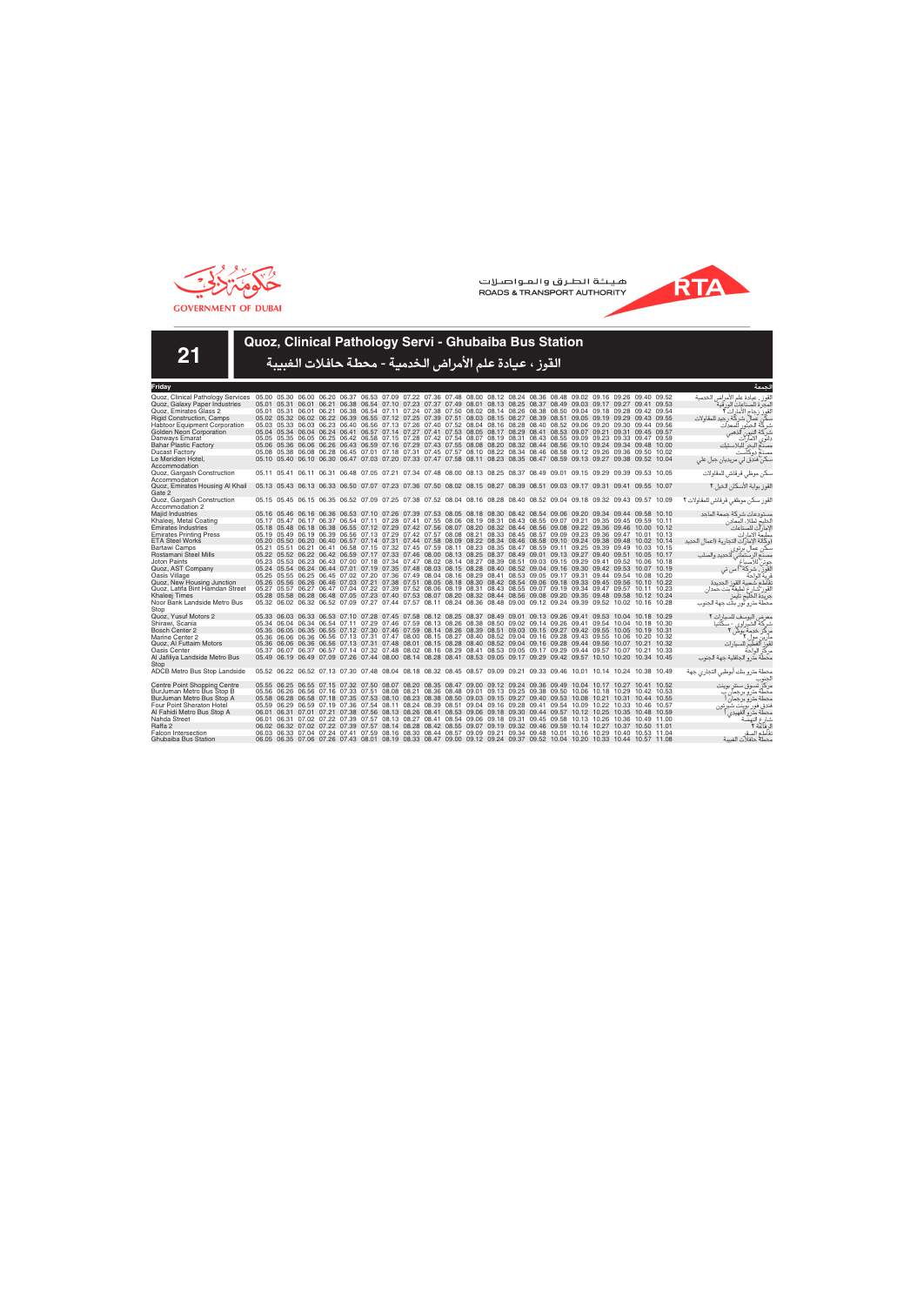



**21**

## **Quoz, Clinical Pathology Servi - Ghubaiba Bus Station**

| Fridav                                    |                                                                                                                         |  |                                                                                                                         |  |  |  |  |  |  |  | لحمعة                                   |
|-------------------------------------------|-------------------------------------------------------------------------------------------------------------------------|--|-------------------------------------------------------------------------------------------------------------------------|--|--|--|--|--|--|--|-----------------------------------------|
| Quoz, Clinical Pathology Services         | 05.00 05.30 06.00 06.20 06.37 06.53 07.09 07.22 07.36 07.48 08.00 08.12 08.24 08.36 08.48 09.02 09.16 09.26 09.40 09.52 |  |                                                                                                                         |  |  |  |  |  |  |  | القوز ، عيادة علم الأمراض الخدمية       |
| Quoz, Galaxy Paper Industries             |                                                                                                                         |  | 05.01 05.31 06.01 06.21 06.38 06.54 07.10 07.23 07.37 07.49 08.01 08.13 08.25 08.37 08.49 09.03 09.17 09.27 09.41 09.53 |  |  |  |  |  |  |  | لمحر ة للصناعات الور قبة                |
| Quoz. Emirates Glass 2                    |                                                                                                                         |  | 05.01 05.31 06.01 06.21 06.38 06.54 07.11 07.24 07.38 07.50 08.02 08.14 08.26 08.38 08.50 09.04 09.18 09.28 09.42 09.54 |  |  |  |  |  |  |  | القوز زجاج الأمارات ٢ّ                  |
| <b>Rigid Construction, Camps</b>          |                                                                                                                         |  | 05.02 05.32 06.02 06.22 06.39 06.55 07.12 07.25 07.39 07.51 08.03 08.15 08.27 08.39 08.51 09.05 09.19 09.29 09.43 09.55 |  |  |  |  |  |  |  | كن عمال شركة رجيد للمقاولات             |
| <b>Habtoor Equipment Corporation</b>      |                                                                                                                         |  | 05.03 05.33 06.03 06.23 06.40 06.56 07.13 07.26 07.40 07.52 08.04 08.16 08.28 08.40 08.52 09.06 09.20 09.30 09.44 09.56 |  |  |  |  |  |  |  | شر كّة الحبتور<br>للمعدات               |
| Golden Neon Corporation                   |                                                                                                                         |  | 05.04 05.34 06.04 06.24 06.41 06.57 07.14 07.27 07.41 07.53 08.05 08.17 08.29 08.41 08.53 09.07 09.21 09.31 09.45 09.57 |  |  |  |  |  |  |  | آلذهبي<br>شركة النيون                   |
| Danways Emarat                            |                                                                                                                         |  | 05.05 05.35 06.05 06.25 06.42 06.58 07.15 07.28 07.42 07.54 08.07 08.19 08.31 08.43 08.55 09.09 09.23 09.33 09.47 09.59 |  |  |  |  |  |  |  | دانوى الامارات                          |
| <b>Bahar Plastic Factory</b>              |                                                                                                                         |  | 05.06 05.36 06.06 06.26 06.43 06.59 07.16 07.29 07.43 07.55 08.08 08.20 08.32 08.44 08.56 09.10 09.24 09.34 09.48 10.00 |  |  |  |  |  |  |  | مصدم البحر للبلاستيك                    |
| <b>Ducast Factory</b>                     |                                                                                                                         |  | 05.08 05.38 06.08 06.28 06.45 07.01 07.18 07.31 07.45 07.57 08.10 08.22 08.34 08.46 08.58 09.12 09.26 09.36 09.50 10.02 |  |  |  |  |  |  |  | مصنع دوكآست                             |
| Le Meridien Hotel,                        |                                                                                                                         |  | 05.10 05.40 06.10 06.30 06.47 07.03 07.20 07.33 07.47 07.58 08.11 08.23 08.35 08.47 08.59 09.13 09.27 09.38 09.52 10.04 |  |  |  |  |  |  |  | سکن فندق لی مریدیان جبل علی             |
| Accommodation                             |                                                                                                                         |  |                                                                                                                         |  |  |  |  |  |  |  |                                         |
| Quoz, Gargash Construction                |                                                                                                                         |  | 05.11 05.41 06.11 06.31 06.48 07.05 07.21 07.34 07.48 08.00 08.13 08.25 08.37 08.49 09.01 09.15 09.29 09.39 09.53 10.05 |  |  |  |  |  |  |  | سكن موظى قرقاش للمقاولات                |
| Accommodation                             |                                                                                                                         |  |                                                                                                                         |  |  |  |  |  |  |  |                                         |
| Quoz, Emirates Housing Al Khail<br>Gate 2 | 05.13 05.43 06.13 06.33 06.50 07.07 07.23 07.36 07.50 08.02 08.15 08.27 08.39 08.51 09.03 09.17 09.31 09.41 09.55 10.07 |  |                                                                                                                         |  |  |  |  |  |  |  | لقوز بوابة الأسكان الخيل ٢              |
| Quoz, Gargash Construction                |                                                                                                                         |  | 05.15 05.45 06.15 06.35 06.52 07.09 07.25 07.38 07.52 08.04 08.16 08.28 08.40 08.52 09.04 09.18 09.32 09.43 09.57 10.09 |  |  |  |  |  |  |  | القوز سكن موظفى قرقاش للمقاولات ٢       |
| Accommodation 2                           |                                                                                                                         |  |                                                                                                                         |  |  |  |  |  |  |  |                                         |
| Majid Industries                          |                                                                                                                         |  | 05.16 05.46 06.16 06.36 06.53 07.10 07.26 07.39 07.53 08.05 08.18 08.30 08.42 08.54 09.06 09.20 09.34 09.44 09.58 10.10 |  |  |  |  |  |  |  | مستودعات شركة جمعة الماحد               |
| Khaleej, Metal Coating                    |                                                                                                                         |  | 05.17 05.47 06.17 06.37 06.54 07.11 07.28 07.41 07.55 08.06 08.19 08.31 08.43 08.55 09.07 09.21 09.35 09.45 09.59 10.11 |  |  |  |  |  |  |  | الخليج لطلاء المعادن                    |
| <b>Emirates Industries</b>                |                                                                                                                         |  | 05.18 05.48 06.18 06.38 06.55 07.12 07.29 07.42 07.56 08.07 08.20 08.32 08.44 08.56 09.08 09.22 09.36 09.46 10.00 10.12 |  |  |  |  |  |  |  | الإمارآت للصناعات                       |
| <b>Emirates Printing Press</b>            |                                                                                                                         |  | 05.19 05.49 06.19 06.39 06.56 07.13 07.29 07.42 07.57 08.08 08.21 08.33 08.45 08.57 09.09 09.23 09.36 09.47 10.01 10.13 |  |  |  |  |  |  |  | مطبعة الامارات                          |
| <b>ETA Steel Works</b>                    |                                                                                                                         |  | 05.20 05.50 06.20 06.40 06.57 07.14 07.31 07.44 07.58 08.09 08.22 08.34 08.46 08.58 09.10 09.24 09.38 09.48 10.02 10.14 |  |  |  |  |  |  |  | (وكالة الإمار ات التجارية (اعمال الحديد |
| <b>Bartawi Camps</b>                      |                                                                                                                         |  | 05.21 05.51 06.21 06.41 06.58 07.15 07.32 07.45 07.59 08.11 08.23 08.35 08.47 08.59 09.11 09.25 09.39 09.49 10.03 10.15 |  |  |  |  |  |  |  | سكن عمال برتوي                          |
| Rostamani Steel Mills                     |                                                                                                                         |  | 05.22 05.52 06.22 06.42 06.59 07.17 07.33 07.46 08.00 08.13 08.25 08.37 08.49 09.01 09.13 09.27 09.40 09.51 10.05 10.17 |  |  |  |  |  |  |  | للحديد والصلب<br>مصنع الرستماني         |
| <b>Joton Paints</b>                       |                                                                                                                         |  | 05.23 05.53 06.23 06.43 07.00 07.18 07.34 07.47 08.02 08.14 08.27 08.39 08.51 09.03 09.15 09.29 09.41 09.52 10.06 10.18 |  |  |  |  |  |  |  | جوتن للاصباغ                            |
| Quoz, AST Company                         |                                                                                                                         |  | 05.24 05.54 06.24 06.44 07.01 07.19 07.35 07.48 08.03 08.15 08.28 08.40 08.52 09.04 09.16 09.30 09.42 09.53 10.07 10.19 |  |  |  |  |  |  |  | القوز ، شركة أ س تى                     |
| Oasis Village                             |                                                                                                                         |  | 05.25 05.55 06.25 06.45 07.02 07.20 07.36 07.49 08.04 08.16 08.29 08.41 08.53 09.05 09.17 09.31 09.44 09.54 10.08 10.20 |  |  |  |  |  |  |  | فرية الواحة                             |
| Quoz, New Housing Junction                |                                                                                                                         |  | 05.26 05.56 06.26 06.46 07.03 07.21 07.38 07.51 08.05 08.18 08.30 08.42 08.54 09.06 09.18 09.33 09.45 09.56 10.10 10.22 |  |  |  |  |  |  |  | نقاطع شعبية القوز الجديدة               |
| Quoz, Latifa Bint Hamdan Street           |                                                                                                                         |  | 05.27 05.57 06.27 06.47 07.04 07.22 07.39 07.52 08.06 08.19 08.31 08.43 08.55 09.07 09.19 09.34 09.47 09.57 10.11 10.23 |  |  |  |  |  |  |  | لقوز شارع لطيفة بنت حمدان               |
| Khaleej Times                             |                                                                                                                         |  | 05.28 05.58 06.28 06.48 07.05 07.23 07.40 07.53 08.07 08.20 08.32 08.44 08.56 09.08 09.20 09.35 09.48 09.58 10.12 10.24 |  |  |  |  |  |  |  | جريدة الخليج تايمز                      |
| Noor Bank Landside Metro Bus<br>Stop      |                                                                                                                         |  | 05.32 06.02 06.32 06.52 07.09 07.27 07.44 07.57 08.11 08.24 08.36 08.48 09.00 09.12 09.24 09.39 09.52 10.02 10.16 10.28 |  |  |  |  |  |  |  | محطة مترو نور بنك جهة الجنوب            |
| Quoz. Yusuf Motors 2                      |                                                                                                                         |  | 05.33 06.03 06.33 06.53 07.10 07.28 07.45 07.58 08.12 08.25 08.37 08.49 09.01 09.13 09.26 09.41 09.53 10.04 10.18 10.29 |  |  |  |  |  |  |  | معرض اليوسف للسيارات ٢                  |
| Shirawi, Scania                           |                                                                                                                         |  | 05.34 06.04 06.34 06.54 07.11 07.29 07.46 07.59 08.13 08.26 08.38 08.50 09.02 09.14 09.26 09.41 09.54 10.04 10.18 10.30 |  |  |  |  |  |  |  | شرکة الشير اوي - سکانيا                 |
| Bosch Center 2                            |                                                                                                                         |  | 05.35 06.05 06.35 06.55 07.12 07.30 07.46 07.59 08.14 08.26 08.39 08.51 09.03 09.15 09.27 09.42 09.55 10.05 10.19 10.31 |  |  |  |  |  |  |  | مركز خدمة بوش                           |
| Marine Center 2                           |                                                                                                                         |  | 05.36 06.06 06.36 06.56 07.13 07.31 07.47 08.00 08.15 08.27 08.40 08.52 09.04 09.16 09.28 09.43 09.55 10.06 10.20 10.32 |  |  |  |  |  |  |  | مار ین مول ۲                            |
| Quoz, Al Futtaim Motors                   |                                                                                                                         |  | 05.36 06.06 06.36 06.56 07.13 07.31 07.48 08.01 08.15 08.28 08.40 08.52 09.04 09.16 09.28 09.44 09.56 10.07 10.21 10.32 |  |  |  |  |  |  |  | للسيار ات<br>قوز الفطيم                 |
| Oasis Center                              |                                                                                                                         |  | 05.37 06.07 06.37 06.57 07.14 07.32 07.48 08.02 08.16 08.29 08.41 08.53 09.05 09.17 09.29 09.44 09.57 10.07 10.21 10.33 |  |  |  |  |  |  |  | مركز الواحة                             |
| Al Jafiliya Landside Metro Bus<br>Stop    |                                                                                                                         |  | 05.49 06.19 06.49 07.09 07.26 07.44 08.00 08.14 08.28 08.41 08.53 09.05 09.17 09.29 09.42 09.57 10.10 10.20 10.34 10.45 |  |  |  |  |  |  |  | محطة مترو الجافلية جهة الجنوب           |
| ADCB Metro Bus Stop Landside              |                                                                                                                         |  | 05.52 06.22 06.52 07.13 07.30 07.48 08.04 08.18 08.32 08.45 08.57 09.09 09.21 09.33 09.46 10.01 10.14 10.24 10.38 10.49 |  |  |  |  |  |  |  | محطة مترو بنك أبوظبي التجاري جهة        |
| <b>Centre Point Shopping Centre</b>       |                                                                                                                         |  | 05.55 06.25 06.55 07.15 07.32 07.50 08.07 08.20 08.35 08.47 09.00 09.12 09.24 09.36 09.49 10.04 10.17 10.27 10.41 10.52 |  |  |  |  |  |  |  | مركز تسوق سنتر بوينت                    |
| BurJuman Metro Bus Stop B                 |                                                                                                                         |  | 05.56 06.26 06.56 07.16 07.33 07.51 08.08 08.21 08.36 08.48 09.01 09.13 09.25 09.38 09.50 10.06 10.18 10.29 10.42 10.53 |  |  |  |  |  |  |  | محطة متر و برجمان ب                     |
| BurJuman Metro Bus Stop A                 |                                                                                                                         |  | 05.58 06.28 06.58 07.18 07.35 07.53 08.10 08.23 08.38 08.50 09.03 09.15 09.27 09.40 09.53 10.08 10.21 10.31 10.44 10.55 |  |  |  |  |  |  |  | محطة مترو برجمان                        |
| Four Point Sheraton Hotel                 |                                                                                                                         |  | 05.59 06.29 06.59 07.19 07.36 07.54 08.11 08.24 08.39 08.51 09.04 09.16 09.28 09.41 09.54 10.09 10.22 10.33 10.46 10.57 |  |  |  |  |  |  |  | فندق فور بوينت شير تون                  |
| Al Fahidi Metro Bus Stop A                |                                                                                                                         |  | 06.01 06.31 07.01 07.21 07.38 07.56 08.13 08.26 08.41 08.53 09.06 09.18 09.30 09.44 09.57 10.12 10.25 10.35 10.48 10.59 |  |  |  |  |  |  |  | محطة مترو الفهيدي ا                     |
| Nahda Street                              |                                                                                                                         |  | 06.01 06.31 07.02 07.22 07.39 07.57 08.13 08.27 08.41 08.54 09.06 09.18 09.31 09.45 09.58 10.13 10.26 10.36 10.49 11.00 |  |  |  |  |  |  |  | شارع النهضّة<br>لرفاعة ٢                |
| Raffa 2                                   |                                                                                                                         |  | 06.02 06.32 07.02 07.22 07.39 07.57 08.14 08.28 08.42 08.55 09.07 09.19 09.32 09.46 09.59 10.14 10.27 10.37 10.50 11.01 |  |  |  |  |  |  |  |                                         |
| <b>Falcon Intersection</b>                |                                                                                                                         |  | 06.03 06.33 07.04 07.24 07.41 07.59 08.16 08.30 08.44 08.57 09.09 09.21 09.34 09.48 10.01 10.16 10.29 10.40 10.53 11.04 |  |  |  |  |  |  |  | نقاطع الصقر                             |
| Ghubaiba Bus Station                      |                                                                                                                         |  | 06.05 06.35 07.06 07.26 07.43 08.01 08.19 08.33 08.47 09.00 09.12 09.24 09.37 09.52 10.04 10.20 10.33 10.44 10.57 11.08 |  |  |  |  |  |  |  | محطة حافلات الغسة                       |
|                                           |                                                                                                                         |  |                                                                                                                         |  |  |  |  |  |  |  |                                         |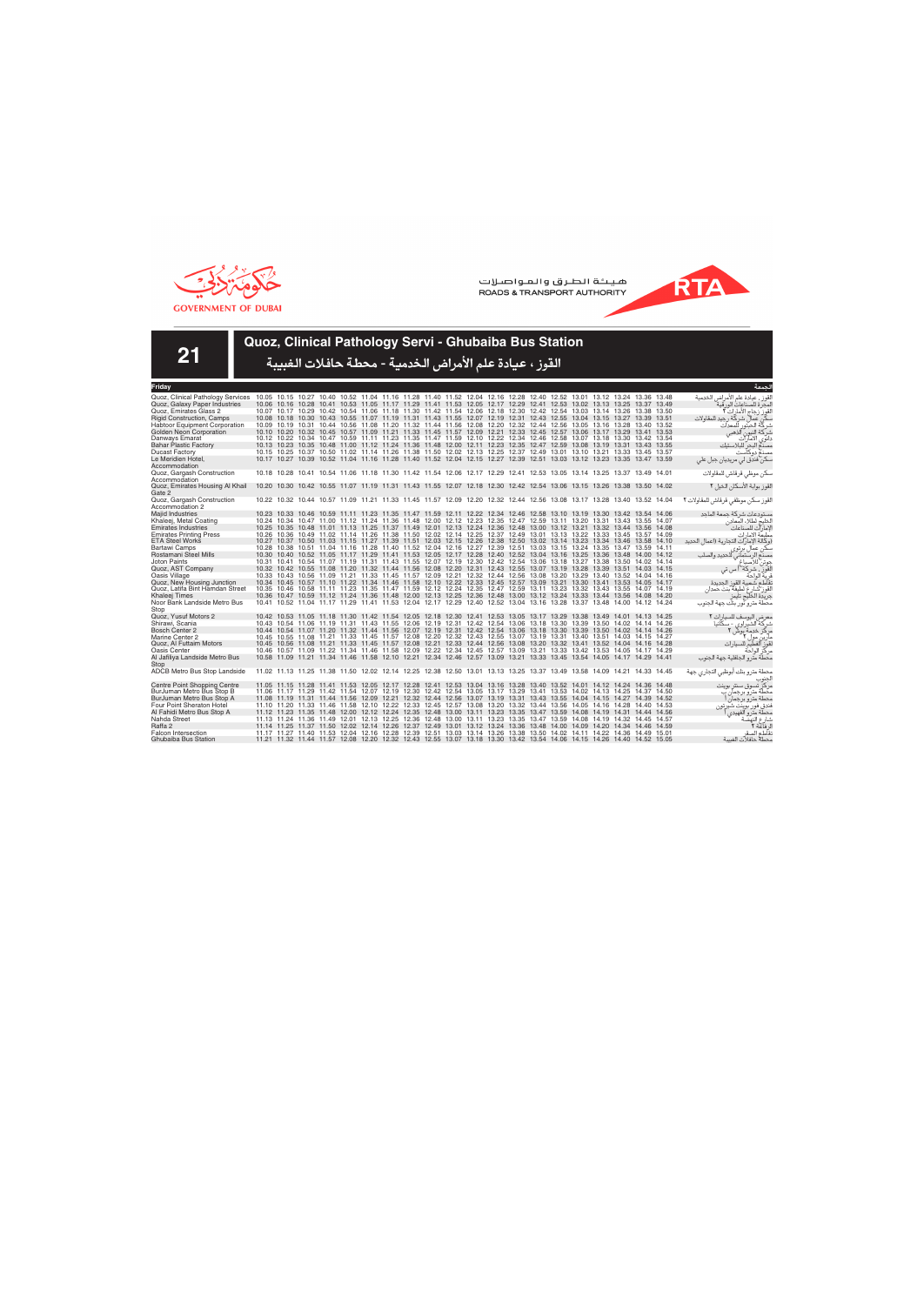



**21**

## **Quoz, Clinical Pathology Servi - Ghubaiba Bus Station**

| Friday                            |                                                                                                                         |  |  |  |  |  |  |                                                                                                                                                                                                                                                    |  |  | لحمعة                                   |
|-----------------------------------|-------------------------------------------------------------------------------------------------------------------------|--|--|--|--|--|--|----------------------------------------------------------------------------------------------------------------------------------------------------------------------------------------------------------------------------------------------------|--|--|-----------------------------------------|
| Quoz, Clinical Pathology Services | 10.05 10.15 10.27 10.40 10.52 11.04 11.16 11.28 11.40 11.52 12.04 12.16 12.28 12.40 12.52 13.01 13.12 13.24 13.36 13.48 |  |  |  |  |  |  |                                                                                                                                                                                                                                                    |  |  | القوز ، عيادة علم الأمراض الخدمية       |
| Quoz, Galaxy Paper Industries     |                                                                                                                         |  |  |  |  |  |  | 10.06 10.16 10.28 10.41 10.53 11.05 11.17 11.29 11.41 11.53 12.05 12.17 12.29 12.41 12.53 13.02 13.13 13.25 13.37 13.49                                                                                                                            |  |  | لمحر ة للصناعات الور قية                |
| Quoz. Emirates Glass 2            |                                                                                                                         |  |  |  |  |  |  | 10.07 10.17 10.29 10.42 10.54 11.06 11.18 11.30 11.42 11.54 12.06 12.18 12.30 12.42 12.54 13.03 13.14 13.26 13.38 13.50                                                                                                                            |  |  | القوز زجاج الأمارات ٢ّ                  |
| <b>Rigid Construction, Camps</b>  |                                                                                                                         |  |  |  |  |  |  | 10.08 10.18 10.30 10.43 10.55 11.07 11.19 11.31 11.43 11.55 12.07 12.19 12.31 12.43 12.55 13.04 13.15 13.27 13.39 13.51                                                                                                                            |  |  | یکن عمال شر کة رجید للمقاولات           |
| Habtoor Equipment Corporation     |                                                                                                                         |  |  |  |  |  |  | 10.09 10.19 10.31 10.44 10.56 11.08 11.20 11.32 11.44 11.56 12.08 12.20 12.32 12.44 12.56 13.05 13.16 13.28 13.40 13.52                                                                                                                            |  |  | شركة الحبتور<br>للمعدات                 |
| Golden Neon Corporation           |                                                                                                                         |  |  |  |  |  |  | 10.10 10.20 10.32 10.45 10.57 11.09 11.21 11.33 11.45 11.57 12.09 12.21 12.33 12.45 12.57 13.06 13.17 13.29 13.41 13.53                                                                                                                            |  |  | آلذهبي<br>شركة النيون                   |
| Danways Emarat                    |                                                                                                                         |  |  |  |  |  |  | 10.12 10.22 10.34 10.47 10.59 11.11 11.23 11.35 11.47 11.59 12.10 12.22 12.34 12.46 12.58 13.07 13.18 13.30 13.42 13.54                                                                                                                            |  |  | الامآرآت<br>دانوی                       |
| <b>Bahar Plastic Factory</b>      |                                                                                                                         |  |  |  |  |  |  | 10.13 10.23 10.35 10.48 11.00 11.12 11.24 11.36 11.48 12.00 12.11 12.23 12.35 12.47 12.59 13.08 13.19 13.31 13.43 13.55                                                                                                                            |  |  | مصدم البحر للبلاستيك                    |
| <b>Ducast Factory</b>             |                                                                                                                         |  |  |  |  |  |  | 10.15 10.25 10.37 10.50 11.02 11.14 11.26 11.38 11.50 12.02 12.13 12.25 12.37 12.49 13.01 13.10 13.21 13.33 13.45 13.57                                                                                                                            |  |  | مصنع دوكآست                             |
| Le Meridien Hotel,                |                                                                                                                         |  |  |  |  |  |  | 10.17 10.27 10.39 10.52 11.04 11.16 11.28 11.40 11.52 12.04 12.15 12.27 12.39 12.51 13.03 13.12 13.23 13.35 13.47 13.59                                                                                                                            |  |  | سکن فندق لی مریدیان جبل علی             |
| Accommodation                     |                                                                                                                         |  |  |  |  |  |  |                                                                                                                                                                                                                                                    |  |  |                                         |
| Quoz, Gargash Construction        |                                                                                                                         |  |  |  |  |  |  | 10.18 10.28 10.41 10.54 11.06 11.18 11.30 11.42 11.54 12.06 12.17 12.29 12.41 12.53 13.05 13.14 13.25 13.37 13.49 14.01                                                                                                                            |  |  | سكن موظى قرقاش للمقاولات                |
| Accommodation                     |                                                                                                                         |  |  |  |  |  |  |                                                                                                                                                                                                                                                    |  |  |                                         |
| Quoz, Emirates Housing Al Khail   |                                                                                                                         |  |  |  |  |  |  | 10.20 10.30 10.42 10.55 11.07 11.19 11.31 11.43 11.55 12.07 12.18 12.30 12.42 12.54 13.06 13.15 13.26 13.38 13.50 14.02                                                                                                                            |  |  | لقوز بوابة الأسكان الخيل ٢              |
| Gate 2                            |                                                                                                                         |  |  |  |  |  |  |                                                                                                                                                                                                                                                    |  |  |                                         |
| Quoz, Gargash Construction        |                                                                                                                         |  |  |  |  |  |  | 10.22 10.32 10.44 10.57 11.09 11.21 11.33 11.45 11.57 12.09 12.20 12.32 12.44 12.56 13.08 13.17 13.28 13.40 13.52 14.04                                                                                                                            |  |  | القوز سكن موظفى قرقاش للمقاولات ٢       |
| Accommodation 2                   |                                                                                                                         |  |  |  |  |  |  |                                                                                                                                                                                                                                                    |  |  |                                         |
| Majid Industries                  |                                                                                                                         |  |  |  |  |  |  | 10.23 10.33 10.46 10.59 11.11 11.23 11.35 11.47 11.59 12.11 12.22 12.34 12.46 12.58 13.10 13.19 13.30 13.42 13.54 14.06                                                                                                                            |  |  | مستودعات شركة جمعة الماحد               |
| Khaleej, Metal Coating            |                                                                                                                         |  |  |  |  |  |  | 10.24 10.34 10.47 11.00 11.12 11.24 11.36 11.48 12.00 12.12 12.23 12.35 12.47 12.59 13.11 13.20 13.31 13.43 13.55 14.07                                                                                                                            |  |  | الخليج لطلاء المعادن                    |
| <b>Emirates Industries</b>        |                                                                                                                         |  |  |  |  |  |  | 10.25 10.35 10.48 11.01 11.13 11.25 11.37 11.49 12.01 12.13 12.24 12.36 12.48 13.00 13.12 13.21 13.32 13.44 13.56 14.08                                                                                                                            |  |  | الإمارات للصناعات                       |
| <b>Emirates Printing Press</b>    |                                                                                                                         |  |  |  |  |  |  | 10.26 10.36 10.49 11.02 11.14 11.26 11.38 11.50 12.02 12.14 12.25 12.37 12.49 13.01 13.13 13.22 13.33 13.45 13.57 14.09                                                                                                                            |  |  | مطبعة الامارات                          |
| <b>ETA Steel Works</b>            |                                                                                                                         |  |  |  |  |  |  | 10.27 10.37 10.50 11.03 11.15 11.27 11.39 11.51 12.03 12.15 12.26 12.38 12.50 13.02 13.14 13.23 13.34 13.46 13.58 14.10                                                                                                                            |  |  | (وكالة الإمار ات التحارية (اعمال الحديد |
| Bartawi Camps                     |                                                                                                                         |  |  |  |  |  |  | 10.28 10.38 10.51 11.04 11.16 11.28 11.40 11.52 12.04 12.16 12.27 12.39 12.51 13.03 13.15 13.24 13.35 13.47 13.59 14.11                                                                                                                            |  |  | سکن عمال بر توی                         |
| Rostamani Steel Mills             |                                                                                                                         |  |  |  |  |  |  | 10.30 10.40 10.52 11.05 11.17 11.29 11.41 11.53 12.05 12.17 12.28 12.40 12.52 13.04 13.16 13.25 13.36 13.48 14.00 14.12                                                                                                                            |  |  | للحديد والصلب<br>مصنع الرستماني         |
| <b>Joton Paints</b>               |                                                                                                                         |  |  |  |  |  |  | 10.31 10.41 10.54 11.07 11.19 11.31 11.43 11.55 12.07 12.19 12.30 12.42 12.54 13.06 13.18 13.27 13.38 13.50 14.02 14.14                                                                                                                            |  |  | جوتن للاصداغ                            |
| Quoz, AST Company                 |                                                                                                                         |  |  |  |  |  |  | 10.32 10.42 10.55 11.08 11.20 11.32 11.44 11.56 12.08 12.20 12.31 12.43 12.55 13.07 13.19 13.28 13.39 13.51 14.03 14.15                                                                                                                            |  |  | القوز ، شركة أ س تي                     |
| Oasis Village                     |                                                                                                                         |  |  |  |  |  |  | 10.33 10.43 10.56 11.09 11.21 11.33 11.45 11.57 12.09 12.21 12.32 12.44 12.56 13.08 13.20 13.29 13.40 13.52 14.04 14.16                                                                                                                            |  |  | فرية الواحة                             |
| Quoz, New Housing Junction        |                                                                                                                         |  |  |  |  |  |  | 10.34 10.45 10.57 11.10 11.22 11.34 11.46 11.58 12.10 12.22 12.33 12.45 12.57 13.09 13.21 13.30 13.41 13.53 14.05 14.17                                                                                                                            |  |  | نقاطع شعبية القوز الجديدة               |
| Quoz, Latifa Bint Hamdan Street   |                                                                                                                         |  |  |  |  |  |  | 10.35 10.46 10.58 11.11 11.23 11.35 11.47 11.59 12.12 12.24 12.35 12.47 12.59 13.11 13.23 13.32 13.43 13.55 14.07 14.19                                                                                                                            |  |  | لقوز شارع لطيفة بنت حمدان               |
| Khaleej Times                     |                                                                                                                         |  |  |  |  |  |  | 10.36 10.47 10.59 11.12 11.24 11.36 11.48 12.00 12.13 12.25 12.36 12.48 13.00 13.12 13.24 13.33 13.44 13.56 14.08 14.20                                                                                                                            |  |  | جريدة الخليج تايمز                      |
| Noor Bank Landside Metro Bus      |                                                                                                                         |  |  |  |  |  |  | 10.41 10.52 11.04 11.17 11.29 11.41 11.53 12.04 12.17 12.29 12.40 12.52 13.04 13.16 13.28 13.37 13.48 14.00 14.12 14.24                                                                                                                            |  |  | محطة مترو نور بنك جهة الجنوب            |
| Stop                              |                                                                                                                         |  |  |  |  |  |  |                                                                                                                                                                                                                                                    |  |  |                                         |
| Quoz. Yusuf Motors 2              |                                                                                                                         |  |  |  |  |  |  | 10.42 10.53 11.05 11.18 11.30 11.42 11.54 12.05 12.18 12.30 12.41 12.53 13.05 13.17 13.29 13.38 13.49 14.01 14.13 14.25                                                                                                                            |  |  | معرض اليوسف للسيارات ٢                  |
| Shirawi, Scania                   |                                                                                                                         |  |  |  |  |  |  | 10.43 10.54 11.06 11.19 11.31 11.43 11.55 12.06 12.19 12.31 12.42 12.54 13.06 13.18 13.30 13.39 13.50 14.02 14.14 14.26                                                                                                                            |  |  | شرکة الشير اوي - سکانيا                 |
| Bosch Center 2                    |                                                                                                                         |  |  |  |  |  |  | 10.44 10.54 11.07 11.20 11.32 11.44 11.56 12.07 12.19 12.31 12.42 12.54 13.06 13.18 13.30 13.39 13.50 14.02 14.14 14.26                                                                                                                            |  |  | مركز خدمة بوش                           |
| Marine Center 2                   |                                                                                                                         |  |  |  |  |  |  | 10.45 10.55 11.08 11.21 11.33 11.45 11.57 12.08 12.20 12.32 12.43 12.55 13.07 13.19 13.31 13.40 13.51 14.03 14.15 14.27                                                                                                                            |  |  | مار بن مول ۲                            |
| Quoz, Al Futtaim Motors           |                                                                                                                         |  |  |  |  |  |  | 10.45 10.56 11.08 11.21 11.33 11.45 11.57 12.08 12.21 12.33 12.44 12.56 13.08 13.20 13.32 13.41 13.52 14.04 14.16 14.28                                                                                                                            |  |  | للسيار ات                               |
| Oasis Center                      |                                                                                                                         |  |  |  |  |  |  | 10.46 10.57 11.09 11.22 11.34 11.46 11.58 12.09 12.22 12.34 12.45 12.57 13.09 13.21 13.33 13.42 13.53 14.05 14.17 14.29                                                                                                                            |  |  | مركز الواحة                             |
| Al Jafiliya Landside Metro Bus    |                                                                                                                         |  |  |  |  |  |  | 10.58 11.09 11.21 11.34 11.46 11.58 12.10 12.21 12.34 12.46 12.57 13.09 13.21 13.33 13.45 13.54 14.05 14.17 14.29 14.41                                                                                                                            |  |  | محطة مترو الجافلية جهة الجنوب           |
| Stop                              |                                                                                                                         |  |  |  |  |  |  |                                                                                                                                                                                                                                                    |  |  |                                         |
| ADCB Metro Bus Stop Landside      |                                                                                                                         |  |  |  |  |  |  | 11.02 11.13 11.25 11.38 11.50 12.02 12.14 12.25 12.38 12.50 13.01 13.13 13.25 13.37 13.49 13.58 14.09 14.21 14.33 14.45                                                                                                                            |  |  | محطة مترو بنك أبوظبي التجاري جهة        |
|                                   |                                                                                                                         |  |  |  |  |  |  |                                                                                                                                                                                                                                                    |  |  |                                         |
| Centre Point Shopping Centre      |                                                                                                                         |  |  |  |  |  |  | 11.05 11.15 11.28 11.41 11.53 12.05 12.17 12.28 12.41 12.53 13.04 13.16 13.28 13.40 13.52 14.01 14.12 14.24 14.36 14.48                                                                                                                            |  |  | مركز تسوق سنتر بوينت                    |
| BurJuman Metro Bus Stop B         |                                                                                                                         |  |  |  |  |  |  | 11.06 11.17 11.29 11.42 11.54 12.07 12.19 12.30 12.42 12.54 13.05 13.17 13.29 13.41 13.53 14.02 14.13 14.25 14.37 14.50                                                                                                                            |  |  | محطة مترو برجمان ب                      |
| BurJuman Metro Bus Stop A         |                                                                                                                         |  |  |  |  |  |  | 11.08 11.19 11.31 11.44 11.56 12.09 12.21 12.32 12.44 12.56 13.07 13.19 13.31 13.43 13.55 14.04 14.15 14.27 14.39 14.52                                                                                                                            |  |  | محطة مترو برجمان                        |
| Four Point Sheraton Hotel         |                                                                                                                         |  |  |  |  |  |  | 11.10 11.20 11.33 11.46 11.58 12.10 12.22 12.33 12.45 12.57 13.08 13.20 13.32 13.44 13.56 14.05 14.16 14.28 14.40 14.53                                                                                                                            |  |  | فندق فور بوينت شير تون                  |
| Al Fahidi Metro Bus Stop A        |                                                                                                                         |  |  |  |  |  |  | 11.12 11.23 11.35 11.48 12.00 12.12 12.24 12.35 12.48 13.00 13.11 13.23 13.35 13.47 13.59 14.08 14.19 14.31 14.44 14.56<br>11.13 11.24 11.36 11.49 12.01 12.13 12.25 12.36 12.48 13.00 13.11 13.23 13.35 13.47 13.59 14.08 14.19 14.32 14.45 14.57 |  |  | محطة متر و الفهيدي                      |
| Nahda Street                      |                                                                                                                         |  |  |  |  |  |  |                                                                                                                                                                                                                                                    |  |  | شارع النهذ<br>ل فآعة ٢                  |
| Raffa 2                           |                                                                                                                         |  |  |  |  |  |  | 11.14 11.25 11.37 11.50 12.02 12.14 12.26 12.37 12.49 13.01 13.12 13.24 13.36 13.48 14.00 14.09 14.20 14.34 14.46 14.59<br>11.17 11.27 11.40 11.53 12.04 12.16 12.28 12.39 12.51 13.03 13.14 13.26 13.38 13.50 14.02 14.11 14.22 14.36 14.49 15.01 |  |  |                                         |
| <b>Falcon Intersection</b>        |                                                                                                                         |  |  |  |  |  |  | 11.21 11.32 11.44 11.57 12.08 12.20 12.32 12.43 12.55 13.07 13.18 13.30 13.42 13.54 14.06 14.15 14.26 14.40 14.52 15.05                                                                                                                            |  |  | نقاطع الصقر<br>محطة حافلات الغسة        |
| Ghubaiba Bus Station              |                                                                                                                         |  |  |  |  |  |  |                                                                                                                                                                                                                                                    |  |  |                                         |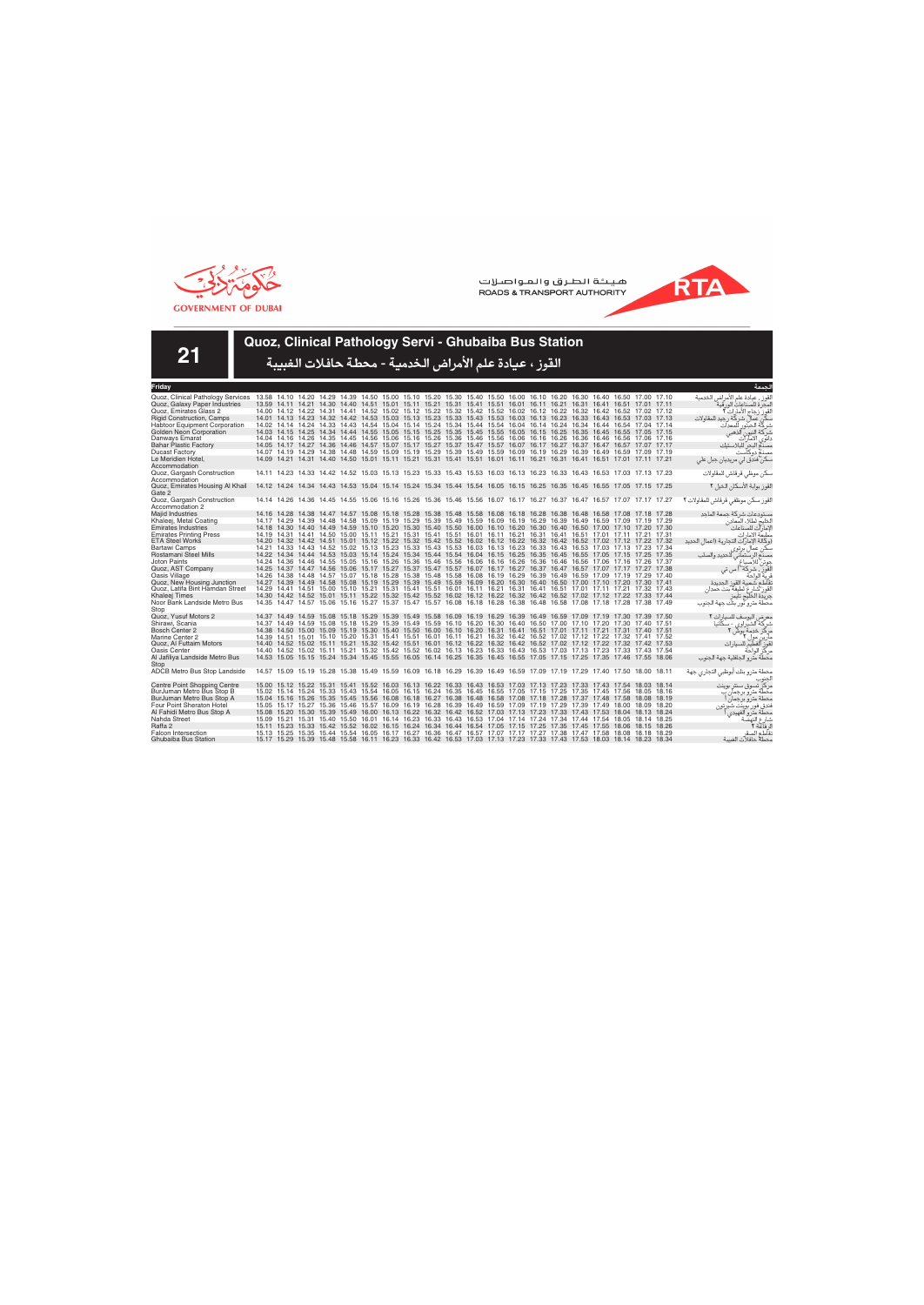



**21**

## **Quoz, Clinical Pathology Servi - Ghubaiba Bus Station**

| Friday                                    |                                                                                                                         |  |                                                                                                                         |  |  |  |  |  |  |  | لحمعة                                   |
|-------------------------------------------|-------------------------------------------------------------------------------------------------------------------------|--|-------------------------------------------------------------------------------------------------------------------------|--|--|--|--|--|--|--|-----------------------------------------|
| Quoz, Clinical Pathology Services         | 13.58 14.10 14.20 14.29 14.39 14.50 15.00 15.10 15.20 15.30 15.40 15.50 16.00 16.10 16.20 16.30 16.40 16.50 17.00 17.10 |  |                                                                                                                         |  |  |  |  |  |  |  | القوز ، عيادة علم الأمراض الخدمية       |
| Quoz, Galaxy Paper Industries             |                                                                                                                         |  | 13.59 14.11 14.21 14.30 14.40 14.51 15.01 15.11 15.21 15.31 15.41 15.51 16.01 16.11 16.21 16.31 16.41 16.51 17.01 17.11 |  |  |  |  |  |  |  | لمحر ة للصناعات الور قية                |
| Quoz. Emirates Glass 2                    |                                                                                                                         |  | 14.00 14.12 14.22 14.31 14.41 14.52 15.02 15.12 15.22 15.32 15.42 15.52 16.02 16.12 16.22 16.32 16.42 16.52 17.02 17.12 |  |  |  |  |  |  |  | القوز زجاج الأمارات ٢ّ                  |
| <b>Rigid Construction, Camps</b>          |                                                                                                                         |  | 14.01 14.13 14.23 14.32 14.42 14.53 15.03 15.13 15.23 15.33 15.43 15.53 16.03 16.13 16.23 16.33 16.43 16.53 17.03 17.13 |  |  |  |  |  |  |  | كن عمال شركة رجيد للمقاولات             |
| Habtoor Equipment Corporation             |                                                                                                                         |  | 14.02 14.14 14.24 14.33 14.43 14.54 15.04 15.14 15.24 15.34 15.44 15.54 16.04 16.14 16.24 16.34 16.44 16.54 17.04 17.14 |  |  |  |  |  |  |  | شركة الحبتور<br>للمعدات                 |
| Golden Neon Corporation                   |                                                                                                                         |  | 14.03 14.15 14.25 14.34 14.44 14.55 15.05 15.15 15.25 15.35 15.45 15.55 16.05 16.15 16.25 16.35 16.45 16.55 17.05 17.15 |  |  |  |  |  |  |  | آلذهبي<br>شركة النيون                   |
| Danways Emarat                            |                                                                                                                         |  | 14.04 14.16 14.26 14.35 14.45 14.56 15.06 15.16 15.26 15.36 15.46 15.56 16.06 16.16 16.26 16.36 16.46 16.56 17.06 17.16 |  |  |  |  |  |  |  | الامآرآت<br>دانوی                       |
| <b>Bahar Plastic Factory</b>              |                                                                                                                         |  | 14.05 14.17 14.27 14.36 14.46 14.57 15.07 15.17 15.27 15.37 15.47 15.57 16.07 16.17 16.27 16.37 16.47 16.57 17.07 17.17 |  |  |  |  |  |  |  | مصدم البحر للبلاستيك                    |
| <b>Ducast Factory</b>                     |                                                                                                                         |  | 14.07 14.19 14.29 14.38 14.48 14.59 15.09 15.19 15.29 15.39 15.49 15.59 16.09 16.19 16.29 16.39 16.49 16.59 17.09 17.19 |  |  |  |  |  |  |  | مصنع دوكآست                             |
| Le Meridien Hotel,                        |                                                                                                                         |  | 14.09 14.21 14.31 14.40 14.50 15.01 15.11 15.21 15.31 15.41 15.51 16.01 16.11 16.21 16.31 16.41 16.51 17.01 17.11 17.21 |  |  |  |  |  |  |  | سکن فندق لی مریدیان جبل علی             |
| Accommodation                             |                                                                                                                         |  |                                                                                                                         |  |  |  |  |  |  |  |                                         |
| Quoz, Gargash Construction                |                                                                                                                         |  | 14.11 14.23 14.33 14.42 14.52 15.03 15.13 15.23 15.33 15.43 15.53 16.03 16.13 16.23 16.33 16.43 16.53 17.03 17.13 17.23 |  |  |  |  |  |  |  | سكن موظى قرقاش للمقاولات                |
| Accommodation                             |                                                                                                                         |  |                                                                                                                         |  |  |  |  |  |  |  |                                         |
| Quoz, Emirates Housing Al Khail<br>Gate 2 | 14.12 14.24 14.34 14.43 14.53 15.04 15.14 15.24 15.34 15.44 15.54 16.05 16.15 16.25 16.35 16.45 16.55 17.05 17.15 17.25 |  |                                                                                                                         |  |  |  |  |  |  |  | لقوز بوابة الأسكان الخيل ٢              |
| Quoz, Gargash Construction                |                                                                                                                         |  | 14.14 14.26 14.36 14.45 14.55 15.06 15.16 15.26 15.36 15.46 15.56 16.07 16.17 16.27 16.37 16.47 16.57 17.07 17.17 17.27 |  |  |  |  |  |  |  | القوز سكن موظفى قرقاش للمقاولات ٢       |
| Accommodation 2                           |                                                                                                                         |  |                                                                                                                         |  |  |  |  |  |  |  |                                         |
| Majid Industries                          |                                                                                                                         |  | 14.16 14.28 14.38 14.47 14.57 15.08 15.18 15.28 15.38 15.48 15.58 16.08 16.18 16.28 16.38 16.48 16.58 17.08 17.18 17.28 |  |  |  |  |  |  |  | مستودعات شركة جمعة الماحد               |
| Khaleej, Metal Coating                    |                                                                                                                         |  | 14.17 14.29 14.39 14.48 14.58 15.09 15.19 15.29 15.39 15.49 15.59 16.09 16.19 16.29 16.39 16.49 16.59 17.09 17.19 17.29 |  |  |  |  |  |  |  | الخليج لطلاء المعادن                    |
| <b>Emirates Industries</b>                |                                                                                                                         |  | 14.18 14.30 14.40 14.49 14.59 15.10 15.20 15.30 15.40 15.50 16.00 16.10 16.20 16.30 16.40 16.50 17.00 17.10 17.20 17.30 |  |  |  |  |  |  |  | الإمارآت للصناعات                       |
| <b>Emirates Printing Press</b>            |                                                                                                                         |  | 14.19 14.31 14.41 14.50 15.00 15.11 15.21 15.31 15.41 15.51 16.01 16.11 16.21 16.31 16.41 16.51 17.01 17.11 17.21 17.31 |  |  |  |  |  |  |  | مطبعة الامارات                          |
| <b>ETA Steel Works</b>                    |                                                                                                                         |  | 14.20 14.32 14.42 14.51 15.01 15.12 15.22 15.32 15.42 15.52 16.02 16.12 16.22 16.32 16.42 16.52 17.02 17.12 17.22 17.32 |  |  |  |  |  |  |  | (وكالة الإمار ات التجارية (اعمال الحديد |
| Bartawi Camps                             |                                                                                                                         |  | 14.21 14.33 14.43 14.52 15.02 15.13 15.23 15.33 15.43 15.53 16.03 16.13 16.23 16.33 16.43 16.53 17.03 17.13 17.23 17.34 |  |  |  |  |  |  |  | سکن عمال بر توی                         |
| Rostamani Steel Mills                     |                                                                                                                         |  | 14.22 14.34 14.44 14.53 15.03 15.14 15.24 15.34 15.44 15.54 16.04 16.15 16.25 16.35 16.45 16.55 17.05 17.15 17.25 17.35 |  |  |  |  |  |  |  | للحديد والصلب<br>مصنع الرستماني         |
| <b>Joton Paints</b>                       |                                                                                                                         |  | 14.24 14.36 14.46 14.55 15.05 15.16 15.26 15.36 15.46 15.56 16.06 16.16 16.26 16.36 16.46 16.56 17.06 17.16 17.26 17.37 |  |  |  |  |  |  |  | جوتن للاصداغ                            |
| Quoz, AST Company                         |                                                                                                                         |  | 14.25 14.37 14.47 14.56 15.06 15.17 15.27 15.37 15.47 15.57 16.07 16.17 16.27 16.37 16.47 16.57 17.07 17.17 17.27 17.38 |  |  |  |  |  |  |  | القوز ، شركة أ س تى                     |
| Oasis Village                             |                                                                                                                         |  | 14.26 14.38 14.48 14.57 15.07 15.18 15.28 15.38 15.48 15.58 16.08 16.19 16.29 16.39 16.49 16.59 17.09 17.19 17.29 17.40 |  |  |  |  |  |  |  | فرية الواحة                             |
| Quoz, New Housing Junction                |                                                                                                                         |  | 14.27 14.39 14.49 14.58 15.08 15.19 15.29 15.39 15.49 15.59 16.09 16.20 16.30 16.40 16.50 17.00 17.10 17.20 17.30 17.41 |  |  |  |  |  |  |  | نقاطع شعبية القوز الجديدة               |
| Quoz, Latifa Bint Hamdan Street           |                                                                                                                         |  | 14.29 14.41 14.51 15.00 15.10 15.21 15.31 15.41 15.51 16.01 16.11 16.21 16.31 16.41 16.51 17.01 17.11 17.21 17.32 17.43 |  |  |  |  |  |  |  | لقوز شارع لطيفة بنت حمدان               |
| Khaleej Times                             |                                                                                                                         |  | 14.30 14.42 14.52 15.01 15.11 15.22 15.32 15.42 15.52 16.02 16.12 16.22 16.32 16.42 16.52 17.02 17.12 17.22 17.33 17.44 |  |  |  |  |  |  |  | جريدة الخليج تايمز                      |
| Noor Bank Landside Metro Bus<br>Stop      |                                                                                                                         |  | 14.35 14.47 14.57 15.06 15.16 15.27 15.37 15.47 15.57 16.08 16.18 16.28 16.38 16.48 16.58 17.08 17.18 17.28 17.38 17.49 |  |  |  |  |  |  |  | محطة مترو نور بنك جهة الجنوب            |
| Quoz, Yusuf Motors 2                      |                                                                                                                         |  | 14.37 14.49 14.59 15.08 15.18 15.29 15.39 15.49 15.58 16.09 16.19 16.29 16.39 16.49 16.59 17.09 17.19 17.30 17.39 17.50 |  |  |  |  |  |  |  | معرض اليوسف للسيارات ٢                  |
| Shirawi, Scania                           |                                                                                                                         |  | 14.37 14.49 14.59 15.08 15.18 15.29 15.39 15.49 15.59 16.10 16.20 16.30 16.40 16.50 17.00 17.10 17.20 17.30 17.40 17.51 |  |  |  |  |  |  |  | شرکة الشير اوي - سکانيا                 |
| Bosch Center 2                            |                                                                                                                         |  | 14.38 14.50 15.00 15.09 15.19 15.30 15.40 15.50 16.00 16.10 16.20 16.31 16.41 16.51 17.01 17.11 17.21 17.31 17.40 17.51 |  |  |  |  |  |  |  | مركز خدمة بوش                           |
| Marine Center 2                           |                                                                                                                         |  | 14.39 14.51 15.01 15.10 15.20 15.31 15.41 15.51 16.01 16.11 16.21 16.32 16.42 16.52 17.02 17.12 17.22 17.32 17.41 17.52 |  |  |  |  |  |  |  | مار ین مول ۲                            |
| Quoz, Al Futtaim Motors                   |                                                                                                                         |  | 14.40 14.52 15.02 15.11 15.21 15.32 15.42 15.51 16.01 16.12 16.22 16.32 16.42 16.52 17.02 17.12 17.22 17.32 17.42 17.53 |  |  |  |  |  |  |  | للسيار ات<br>قوز الفطيم                 |
| Oasis Center                              |                                                                                                                         |  | 14.40 14.52 15.02 15.11 15.21 15.32 15.42 15.52 16.02 16.13 16.23 16.33 16.43 16.53 17.03 17.13 17.23 17.33 17.43 17.54 |  |  |  |  |  |  |  | مركز الواحة                             |
| Al Jafiliya Landside Metro Bus<br>Stop    |                                                                                                                         |  | 14.53 15.05 15.15 15.24 15.34 15.45 15.55 16.05 16.14 16.25 16.35 16.45 16.55 17.05 17.15 17.25 17.35 17.46 17.55 18.06 |  |  |  |  |  |  |  | محطة مترو الجافلية جهة الجنوب           |
| ADCB Metro Bus Stop Landside              |                                                                                                                         |  | 14.57 15.09 15.19 15.28 15.38 15.49 15.59 16.09 16.18 16.29 16.39 16.49 16.59 17.09 17.19 17.29 17.40 17.50 18.00 18.11 |  |  |  |  |  |  |  | محطة مترو بنك أبوظبي التجاري جهة        |
| <b>Centre Point Shopping Centre</b>       |                                                                                                                         |  | 15.00 15.12 15.22 15.31 15.41 15.52 16.03 16.13 16.22 16.33 16.43 16.53 17.03 17.13 17.23 17.33 17.43 17.54 18.03 18.14 |  |  |  |  |  |  |  | مركز تسوق سنتر بوينت                    |
| BurJuman Metro Bus Stop B                 |                                                                                                                         |  | 15.02 15.14 15.24 15.33 15.43 15.54 16.05 16.15 16.24 16.35 16.45 16.55 17.05 17.15 17.25 17.35 17.45 17.56 18.05 18.16 |  |  |  |  |  |  |  | محطة مترو برجمان ب                      |
| BurJuman Metro Bus Stop A                 |                                                                                                                         |  | 15.04 15.16 15.26 15.35 15.45 15.56 16.08 16.18 16.27 16.38 16.48 16.58 17.08 17.18 17.28 17.37 17.48 17.58 18.08 18.19 |  |  |  |  |  |  |  | محطة مترو برجمان                        |
| Four Point Sheraton Hotel                 |                                                                                                                         |  | 15.05 15.17 15.27 15.36 15.46 15.57 16.09 16.19 16.28 16.39 16.49 16.59 17.09 17.19 17.29 17.39 17.49 18.00 18.09 18.20 |  |  |  |  |  |  |  | فندق فور بوينت شير تون                  |
| Al Fahidi Metro Bus Stop A                |                                                                                                                         |  | 15.08 15.20 15.30 15.39 15.49 16.00 16.13 16.22 16.32 16.42 16.52 17.03 17.13 17.23 17.33 17.43 17.53 18.04 18.13 18.24 |  |  |  |  |  |  |  | محطة مترو الفهيدى ا                     |
| Nahda Street                              |                                                                                                                         |  | 15.09 15.21 15.31 15.40 15.50 16.01 16.14 16.23 16.33 16.43 16.53 17.04 17.14 17.24 17.34 17.44 17.54 18.05 18.14 18.25 |  |  |  |  |  |  |  | شارع النهضة                             |
| Raffa 2                                   |                                                                                                                         |  | 15.11 15.23 15.33 15.42 15.52 16.02 16.15 16.24 16.34 16.44 16.54 17.05 17.15 17.25 17.35 17.45 17.55 18.06 18.15 18.26 |  |  |  |  |  |  |  | ل فاعة ٢                                |
| <b>Falcon Intersection</b>                |                                                                                                                         |  | 15.13 15.25 15.35 15.44 15.54 16.05 16.17 16.27 16.36 16.47 16.57 17.07 17.17 17.27 17.38 17.47 17.58 18.08 18.18 18.29 |  |  |  |  |  |  |  | نقآطع الصقر                             |
| Ghubaiba Bus Station                      |                                                                                                                         |  | 15.17 15.29 15.39 15.48 15.58 16.11 16.23 16.33 16.42 16.53 17.03 17.13 17.23 17.33 17.43 17.53 18.03 18.14 18.23 18.34 |  |  |  |  |  |  |  | محطة حافلات الغسة                       |
|                                           |                                                                                                                         |  |                                                                                                                         |  |  |  |  |  |  |  |                                         |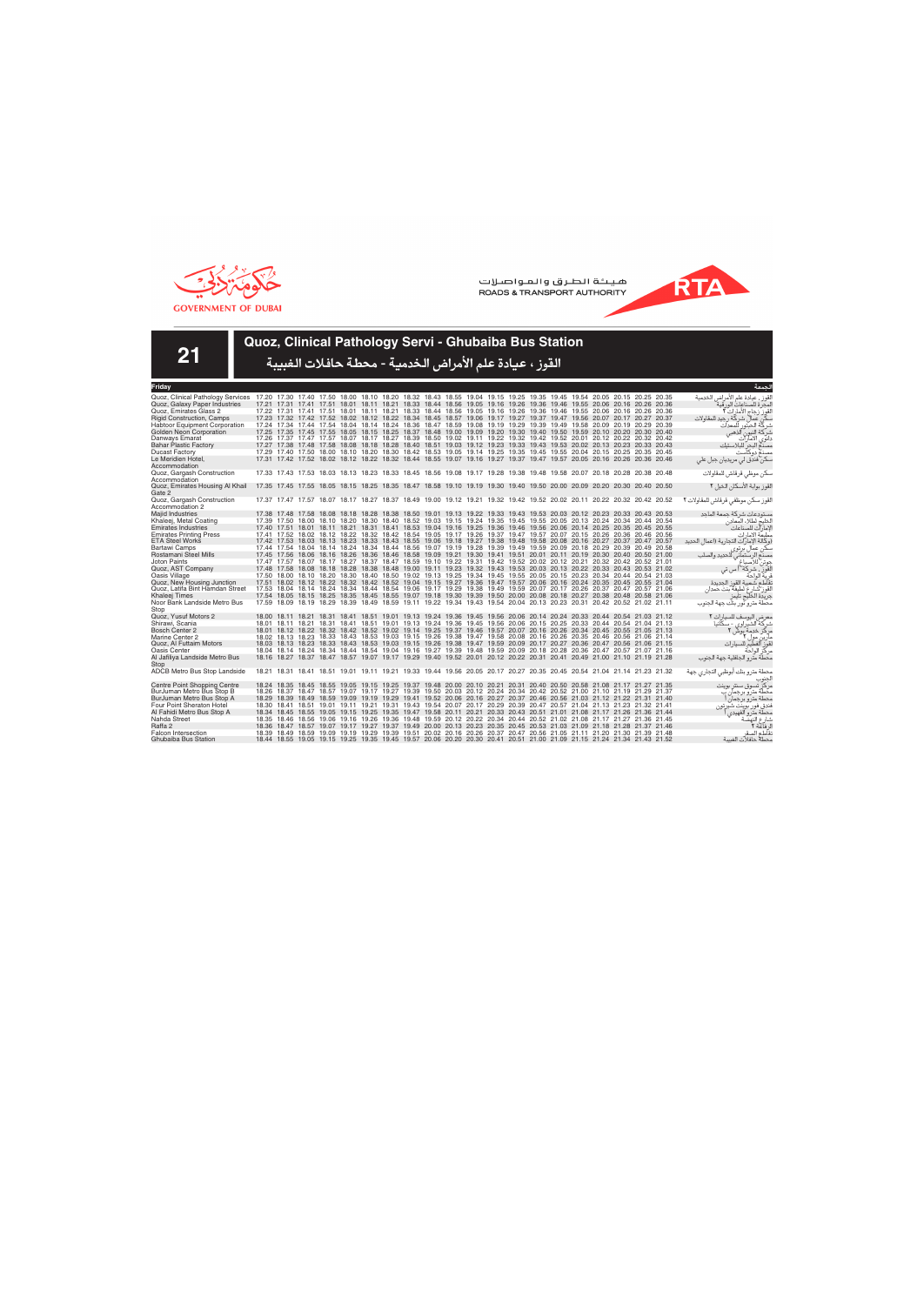



**21**

## **Quoz, Clinical Pathology Servi - Ghubaiba Bus Station**

| Friday                                                                                                                                                    |  |  |  |                                                                                                                                                                                                                                                    |  |  |  |  |  |  | لحمعة                                   |
|-----------------------------------------------------------------------------------------------------------------------------------------------------------|--|--|--|----------------------------------------------------------------------------------------------------------------------------------------------------------------------------------------------------------------------------------------------------|--|--|--|--|--|--|-----------------------------------------|
| Quoz, Clinical Pathology Services 17.20 17.30 17.40 17.50 18.00 18.10 18.20 18.32 18.43 18.55 19.04 19.15 19.25 19.35 19.45 19.54 20.05 20.15 20.25 20.35 |  |  |  |                                                                                                                                                                                                                                                    |  |  |  |  |  |  | لقوز ، عيادة علم الأمراض الخدمية        |
| Quoz, Galaxy Paper Industries                                                                                                                             |  |  |  | 17.21 17.31 17.41 17.51 18.01 18.11 18.21 18.33 18.44 18.56 19.05 19.16 19.26 19.36 19.46 19.55 20.06 20.16 20.26 20.36                                                                                                                            |  |  |  |  |  |  | لمحر ة للصناعات الور قبة                |
| Quoz. Emirates Glass 2                                                                                                                                    |  |  |  | 17.22 17.31 17.41 17.51 18.01 18.11 18.21 18.33 18.44 18.56 19.05 19.16 19.26 19.36 19.46 19.55 20.06 20.16 20.26 20.36                                                                                                                            |  |  |  |  |  |  | القوز زجاج الأمار ات ٢                  |
| <b>Rigid Construction, Camps</b>                                                                                                                          |  |  |  | 17.23 17.32 17.42 17.52 18.02 18.12 18.22 18.34 18.45 18.57 19.06 19.17 19.27 19.37 19.47 19.56 20.07 20.17 20.27 20.37                                                                                                                            |  |  |  |  |  |  | كن عمال شركة رجيد للمقاولات             |
| <b>Habtoor Equipment Corporation</b>                                                                                                                      |  |  |  | 17.24 17.34 17.44 17.54 18.04 18.14 18.24 18.36 18.47 18.59 19.08 19.19 19.29 19.39 19.49 19.58 20.09 20.19 20.29 20.39                                                                                                                            |  |  |  |  |  |  | شر كّة الحبّة ر<br>للمعدات              |
| Golden Neon Corporation                                                                                                                                   |  |  |  | 17.25 17.35 17.45 17.55 18.05 18.15 18.25 18.37 18.48 19.00 19.09 19.20 19.30 19.40 19.50 19.59 20.10 20.20 20.30 20.40                                                                                                                            |  |  |  |  |  |  | آلذهبے<br>شركة النيون                   |
| Danways Emarat                                                                                                                                            |  |  |  | 17.26 17.37 17.47 17.57 18.07 18.17 18.27 18.39 18.50 19.02 19.11 19.22 19.32 19.42 19.52 20.01 20.12 20.22 20.32 20.42                                                                                                                            |  |  |  |  |  |  | دانوي الامآرات                          |
| <b>Bahar Plastic Factory</b>                                                                                                                              |  |  |  | 17.27 17.38 17.48 17.58 18.08 18.18 18.28 18.40 18.51 19.03 19.12 19.23 19.33 19.43 19.53 20.02 20.13 20.23 20.33 20.43                                                                                                                            |  |  |  |  |  |  | مصدع البحر للبلاستيك                    |
| <b>Ducast Factory</b>                                                                                                                                     |  |  |  | 17.29 17.40 17.50 18.00 18.10 18.20 18.30 18.42 18.53 19.05 19.14 19.25 19.35 19.45 19.55 20.04 20.15 20.25 20.35 20.45                                                                                                                            |  |  |  |  |  |  | مصنع دوكآست                             |
| Le Meridien Hotel,                                                                                                                                        |  |  |  | 17.31 17.42 17.52 18.02 18.12 18.22 18.32 18.44 18.55 19.07 19.16 19.27 19.37 19.47 19.57 20.05 20.16 20.26 20.36 20.46                                                                                                                            |  |  |  |  |  |  | سکن فندق لی مریدیان جبل علی             |
| Accommodation                                                                                                                                             |  |  |  |                                                                                                                                                                                                                                                    |  |  |  |  |  |  |                                         |
| Quoz, Gargash Construction                                                                                                                                |  |  |  | 17.33 17.43 17.53 18.03 18.13 18.23 18.33 18.45 18.56 19.08 19.17 19.28 19.38 19.48 19.58 20.07 20.18 20.28 20.38 20.48                                                                                                                            |  |  |  |  |  |  | سكن موظى قرقاش للمقاولات                |
| Accommodation                                                                                                                                             |  |  |  |                                                                                                                                                                                                                                                    |  |  |  |  |  |  |                                         |
| Quoz, Emirates Housing Al Khail                                                                                                                           |  |  |  | 17.35 17.45 17.55 18.05 18.15 18.25 18.35 18.47 18.58 19.10 19.19 19.30 19.40 19.50 20.00 20.09 20.20 20.30 20.40 20.50                                                                                                                            |  |  |  |  |  |  | القوز بوابة الأسكان الخيل ٢             |
| Gate 2                                                                                                                                                    |  |  |  |                                                                                                                                                                                                                                                    |  |  |  |  |  |  |                                         |
| Quoz, Gargash Construction                                                                                                                                |  |  |  | 17.37 17.47 17.57 18.07 18.17 18.27 18.37 18.49 19.00 19.12 19.21 19.32 19.42 19.52 20.02 20.11 20.22 20.32 20.42 20.52                                                                                                                            |  |  |  |  |  |  | القوز سكن موظفى قرقاش للمقاولات ٢       |
| Accommodation 2                                                                                                                                           |  |  |  |                                                                                                                                                                                                                                                    |  |  |  |  |  |  |                                         |
| Majid Industries                                                                                                                                          |  |  |  | 17.38 17.48 17.58 18.08 18.18 18.28 18.38 18.50 19.01 19.13 19.22 19.33 19.43 19.53 20.03 20.12 20.23 20.33 20.43 20.53                                                                                                                            |  |  |  |  |  |  | مستودعات شركة جمعة الماحد               |
| Khaleej, Metal Coating                                                                                                                                    |  |  |  | 17.39 17.50 18.00 18.10 18.20 18.30 18.40 18.52 19.03 19.15 19.24 19.35 19.45 19.55 20.05 20.13 20.24 20.34 20.44 20.54                                                                                                                            |  |  |  |  |  |  | الخليج لطلاء المعادن                    |
| <b>Emirates Industries</b>                                                                                                                                |  |  |  | 17.40 17.51 18.01 18.11 18.21 18.31 18.41 18.53 19.04 19.16 19.25 19.36 19.46 19.56 20.06 20.14 20.25 20.35 20.45 20.55                                                                                                                            |  |  |  |  |  |  | لإمارات للصناعات                        |
| <b>Emirates Printing Press</b>                                                                                                                            |  |  |  | 17.41 17.52 18.02 18.12 18.22 18.32 18.42 18.54 19.05 19.17 19.26 19.37 19.47 19.57 20.07 20.15 20.26 20.36 20.46 20.56                                                                                                                            |  |  |  |  |  |  | مطبعة الامارات                          |
| <b>ETA Steel Works</b><br>Bartawi Camps                                                                                                                   |  |  |  | 17.42 17.53 18.03 18.13 18.23 18.33 18.43 18.55 19.06 19.18 19.27 19.38 19.48 19.58 20.08 20.16 20.27 20.37 20.47 20.57<br>17.44 17.54 18.04 18.14 18.24 18.34 18.44 18.56 19.07 19.19 19.28 19.39 19.49 19.59 20.09 20.18 20.29 20.39 20.49 20.58 |  |  |  |  |  |  | (وكالة الإمار ات التجارية (اعمال الحديد |
| Rostamani Steel Mills                                                                                                                                     |  |  |  | 17.45 17.56 18.06 18.16 18.26 18.36 18.46 18.58 19.09 19.21 19.30 19.41 19.51 20.01 20.11 20.19 20.30 20.40 20.50 21.00                                                                                                                            |  |  |  |  |  |  | سکن عمال بر تو ی                        |
| <b>Joton Paints</b>                                                                                                                                       |  |  |  | 17.47 17.57 18.07 18.17 18.27 18.37 18.47 18.59 19.10 19.22 19.31 19.42 19.52 20.02 20.12 20.21 20.32 20.42 20.52 21.01                                                                                                                            |  |  |  |  |  |  | للحديد والصلب<br>مصنع الرستماني ا       |
| Quoz, AST Company                                                                                                                                         |  |  |  | 17.48 17.58 18.08 18.18 18.28 18.38 18.48 19.00 19.11 19.23 19.32 19.43 19.53 20.03 20.13 20.22 20.33 20.43 20.53 21.02                                                                                                                            |  |  |  |  |  |  | جوتن للاصباغ<br>القور ، شركة أ س تي     |
| Oasis Village                                                                                                                                             |  |  |  | 17.50 18.00 18.10 18.20 18.30 18.40 18.50 19.02 19.13 19.25 19.34 19.45 19.55 20.05 20.15 20.23 20.34 20.44 20.54 21.03                                                                                                                            |  |  |  |  |  |  | ف بة الواحة                             |
| Quoz, New Housing Junction                                                                                                                                |  |  |  | 17.51 18.02 18.12 18.22 18.32 18.42 18.52 19.04 19.15 19.27 19.36 19.47 19.57 20.06 20.16 20.24 20.35 20.45 20.55 21.04                                                                                                                            |  |  |  |  |  |  | تقاطع شعبية القوز الجديدة               |
| Quoz. Latifa Bint Hamdan Street                                                                                                                           |  |  |  | 17.53 18.04 18.14 18.24 18.34 18.44 18.54 19.06 19.17 19.29 19.38 19.49 19.59 20.07 20.17 20.26 20.37 20.47 20.57 21.06                                                                                                                            |  |  |  |  |  |  | لقوز شارع لطيفة بنت حمدان               |
| Khaleei Times                                                                                                                                             |  |  |  | 17.54 18.05 18.15 18.25 18.35 18.45 18.55 19.07 19.18 19.30 19.39 19.50 20.00 20.08 20.18 20.27 20.38 20.48 20.58 21.06                                                                                                                            |  |  |  |  |  |  | جريدة الخليج تايمز                      |
| Noor Bank Landside Metro Bus                                                                                                                              |  |  |  | 17.59 18.09 18.19 18.29 18.39 18.49 18.59 19.11 19.22 19.34 19.43 19.54 20.04 20.13 20.23 20.31 20.42 20.52 21.02 21.11                                                                                                                            |  |  |  |  |  |  | محطة مترو نور بنك جهة الجنوب            |
| Stop                                                                                                                                                      |  |  |  |                                                                                                                                                                                                                                                    |  |  |  |  |  |  |                                         |
| Quoz. Yusuf Motors 2                                                                                                                                      |  |  |  | 18.00 18.11 18.21 18.31 18.41 18.51 19.01 19.13 19.24 19.36 19.45 19.56 20.06 20.14 20.24 20.33 20.44 20.54 21.03 21.12                                                                                                                            |  |  |  |  |  |  | معرض اليوسف للسيارات ٢                  |
| Shirawi, Scania                                                                                                                                           |  |  |  | 18.01 18.11 18.21 18.31 18.41 18.51 19.01 19.13 19.24 19.36 19.45 19.56 20.06 20.15 20.25 20.33 20.44 20.54 21.04 21.13                                                                                                                            |  |  |  |  |  |  | شرکة الشيراوي - سکانيا                  |
| Bosch Center 2                                                                                                                                            |  |  |  | 18.01 18.12 18.22 18.32 18.42 18.52 19.02 19.14 19.25 19.37 19.46 19.57 20.07 20.16 20.26 20.34 20.45 20.55 21.05 21.13                                                                                                                            |  |  |  |  |  |  | مرکز خدمة بوش ۲                         |
| Marine Center 2                                                                                                                                           |  |  |  | 18.02 18.13 18.23 18.33 18.43 18.53 19.03 19.15 19.26 19.38 19.47 19.58 20.08 20.16 20.26 20.35 20.46 20.56 21.06 21.14                                                                                                                            |  |  |  |  |  |  | مار ین مول ۲                            |
| Quoz, Al Futtaim Motors                                                                                                                                   |  |  |  | 18.03 18.13 18.23 18.33 18.43 18.53 19.03 19.15 19.26 19.38 19.47 19.59 20.09 20.17 20.27 20.36 20.47 20.56 21.06 21.15                                                                                                                            |  |  |  |  |  |  | لقوز الفطيم للسيار ات                   |
| <b>Oasis Center</b>                                                                                                                                       |  |  |  | 18.04 18.14 18.24 18.34 18.44 18.54 19.04 19.16 19.27 19.39 19.48 19.59 20.09 20.18 20.28 20.36 20.47 20.57 21.07 21.16                                                                                                                            |  |  |  |  |  |  | مركز الواحة                             |
| Al Jafiliya Landside Metro Bus                                                                                                                            |  |  |  | 18.16 18.27 18.37 18.47 18.57 19.07 19.17 19.29 19.40 19.52 20.01 20.12 20.22 20.31 20.41 20.49 21.00 21.10 21.19 21.28                                                                                                                            |  |  |  |  |  |  | محطة مترو الجافلية جهة الجنوب           |
| Stop                                                                                                                                                      |  |  |  |                                                                                                                                                                                                                                                    |  |  |  |  |  |  |                                         |
| ADCB Metro Bus Stop Landside                                                                                                                              |  |  |  | 18.21 18.31 18.41 18.51 19.01 19.11 19.21 19.33 19.44 19.56 20.05 20.17 20.27 20.35 20.45 20.54 21.04 21.14 21.23 21.32                                                                                                                            |  |  |  |  |  |  | محطة مترو بنك أبوظبي التجاري جهة        |
|                                                                                                                                                           |  |  |  |                                                                                                                                                                                                                                                    |  |  |  |  |  |  |                                         |
| Centre Point Shopping Centre                                                                                                                              |  |  |  | 18.24 18.35 18.45 18.55 19.05 19.15 19.25 19.37 19.48 20.00 20.10 20.21 20.31 20.40 20.50 20.58 21.08 21.17 21.27 21.35                                                                                                                            |  |  |  |  |  |  | مر کز تسوق سنتر بوینت                   |
| BurJuman Metro Bus Stop B                                                                                                                                 |  |  |  | 18.26 18.37 18.47 18.57 19.07 19.17 19.27 19.39 19.50 20.03 20.12 20.24 20.34 20.42 20.52 21.00 21.10 21.19 21.29 21.37                                                                                                                            |  |  |  |  |  |  | محطة متر و بر حمان ب                    |
| BurJuman Metro Bus Stop A                                                                                                                                 |  |  |  | 18.29 18.39 18.49 18.59 19.09 19.19 19.29 19.41 19.52 20.06 20.16 20.27 20.37 20.46 20.56 21.03 21.12 21.22 21.31 21.40                                                                                                                            |  |  |  |  |  |  | محطة مترو برجمان                        |
| Four Point Sheraton Hotel                                                                                                                                 |  |  |  | 18.30 18.41 18.51 19.01 19.11 19.21 19.31 19.43 19.54 20.07 20.17 20.29 20.39 20.47 20.57 21.04 21.13 21.23 21.32 21.41                                                                                                                            |  |  |  |  |  |  | فندق فور بوينت شير تون                  |
| Al Fahidi Metro Bus Stop A                                                                                                                                |  |  |  | 18.34 18.45 18.55 19.05 19.15 19.25 19.35 19.47 19.58 20.11 20.21 20.33 20.43 20.51 21.01 21.08 21.17 21.26 21.36 21.44                                                                                                                            |  |  |  |  |  |  | محطة متر و الفهيدي                      |
| Nahda Street                                                                                                                                              |  |  |  | 18.35 18.46 18.56 19.06 19.16 19.26 19.36 19.48 19.59 20.12 20.22 20.34 20.44 20.52 21.02 21.08 21.17 21.27 21.36 21.45                                                                                                                            |  |  |  |  |  |  | شارع النهضة                             |
| Raffa 2                                                                                                                                                   |  |  |  | 18.36 18.47 18.57 19.07 19.17 19.27 19.37 19.49 20.00 20.13 20.23 20.35 20.45 20.53 21.03 21.09 21.18 21.28 21.37 21.46                                                                                                                            |  |  |  |  |  |  | ل فاعة ٢                                |
| <b>Falcon Intersection</b>                                                                                                                                |  |  |  | 18.39 18.49 18.59 19.09 19.19 19.29 19.39 19.51 20.02 20.16 20.26 20.37 20.47 20.56 21.05 21.11 21.20 21.30 21.39 21.48                                                                                                                            |  |  |  |  |  |  | نقاطع الصقر                             |
| Ghubaiba Bus Station                                                                                                                                      |  |  |  | 18.44 18.55 19.05 19.15 19.25 19.35 19.45 19.57 20.06 20.20 20.30 20.41 20.51 21.00 21.09 21.15 21.24 21.34 21.43 21.52                                                                                                                            |  |  |  |  |  |  | محطة حافلات الغسة                       |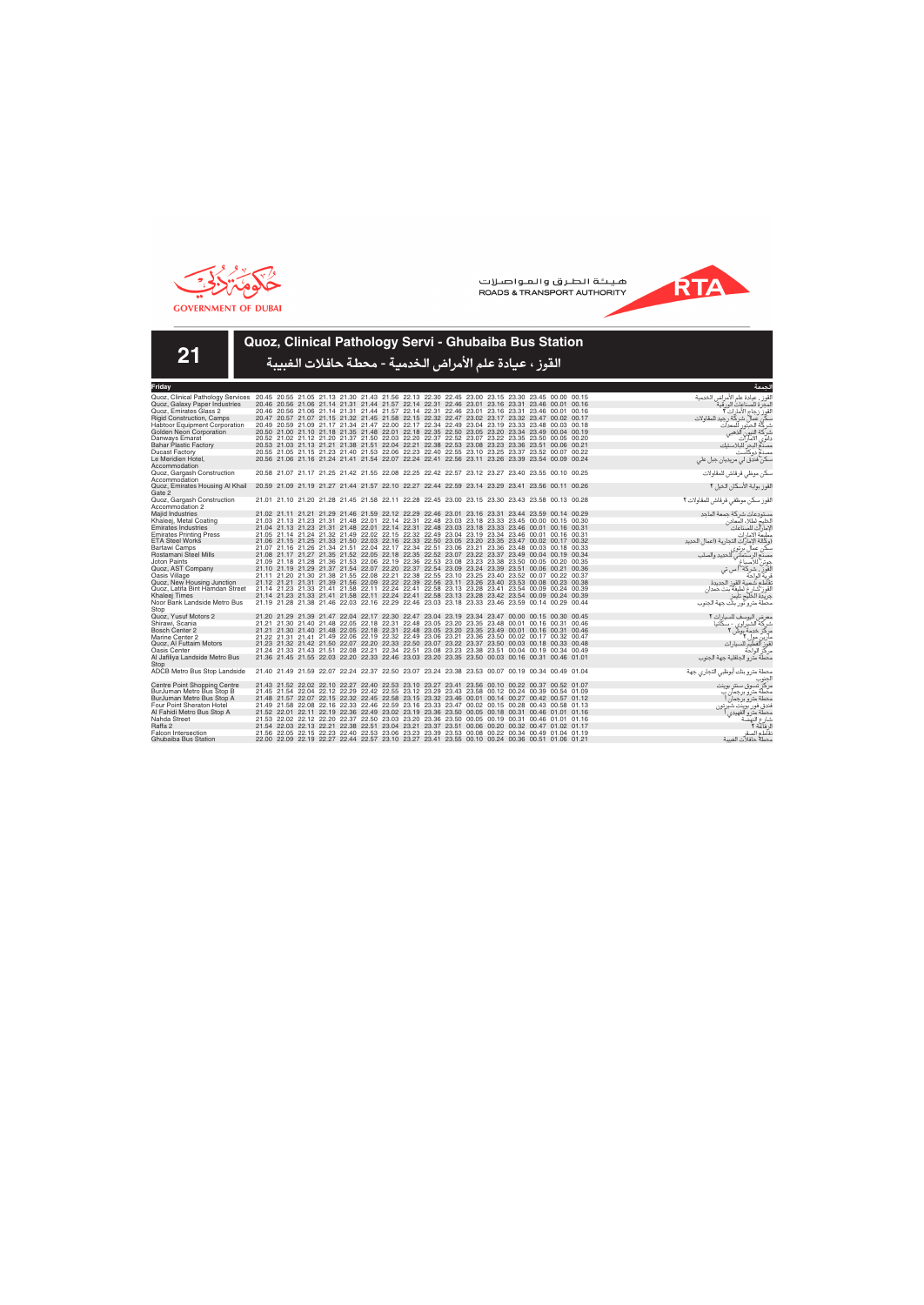



**21**

# **Quoz, Clinical Pathology Servi - Ghubaiba Bus Station**

| Fridav                                |  |                                                                                                                                                                                                    | لحمعة                                   |
|---------------------------------------|--|----------------------------------------------------------------------------------------------------------------------------------------------------------------------------------------------------|-----------------------------------------|
| Quoz, Clinical Pathology Services     |  | 20.45 20.55 21.05 21.13 21.30 21.43 21.56 22.13 22.30 22.45 23.00 23.15 23.30 23.45 00.00 00.15                                                                                                    | لقوز ، عيادة علم الأمراض الخدمية        |
| Quoz, Galaxy Paper Industries         |  | 20.46 20.56 21.06 21.14 21.31 21.44 21.57 22.14 22.31 22.46 23.01 23.16 23.31 23.46 00.01 00.16                                                                                                    | لمحر ة للصناعات الور قبة                |
| Quoz. Emirates Glass 2                |  | 20.46 20.56 21.06 21.14 21.31 21.44 21.57 22.14 22.31 22.46 23.01 23.16 23.31 23.46 00.01 00.16                                                                                                    | القوز رجاج الأمارات ٢                   |
| <b>Rigid Construction, Camps</b>      |  | 20.47 20.57 21.07 21.15 21.32 21.45 21.58 22.15 22.32 22.47 23.02 23.17 23.32 23.47 00.02 00.17                                                                                                    | كة , حدد للمقاولات<br>دن عمال شر        |
| Habtoor Equipment Corporation         |  | 20.49 20.59 21.09 21.17 21.34 21.47 22.00 22.17 22.34 22.49 23.04 23.19 23.33 23.48 00.03 00.18                                                                                                    | شر كّة الحبّتور<br>للمعدات              |
| Golden Neon Corporation               |  | 20.50 21.00 21.10 21.18 21.35 21.48 22.01 22.18 22.35 22.50 23.05 23.20 23.34 23.49 00.04 00.19                                                                                                    | شركة النيون<br>الذهبے                   |
| Danways Emarat                        |  | 20.52 21.02 21.12 21.20 21.37 21.50 22.03 22.20 22.37 22.52 23.07 23.22 23.35 23.50 00.05 00.20                                                                                                    | الامار آت<br>دانوى                      |
| <b>Bahar Plastic Factory</b>          |  | 20.53 21.03 21.13 21.21 21.38 21.51 22.04 22.21 22.38 22.53 23.08 23.23 23.36 23.51 00.06 00.21                                                                                                    | مصدم البحر للبلاستيك                    |
| <b>Ducast Factory</b>                 |  | 20.55 21.05 21.15 21.23 21.40 21.53 22.06 22.23 22.40 22.55 23.10 23.25 23.37 23.52 00.07 00.22                                                                                                    | مصنع دوكآست                             |
| Le Meridien Hotel,                    |  | 20.56 21.06 21.16 21.24 21.41 21.54 22.07 22.24 22.41 22.56 23.11 23.26 23.39 23.54 00.09 00.24                                                                                                    | سکن فندق لی مریدیان جبل علی             |
| Accommodation                         |  |                                                                                                                                                                                                    |                                         |
| Quoz, Gargash Construction            |  | 20.58 21.07 21.17 21.25 21.42 21.55 22.08 22.25 22.42 22.57 23.12 23.27 23.40 23.55 00.10 00.25                                                                                                    | سكن موظى قرقاش للمقاولات                |
| Accommodation                         |  |                                                                                                                                                                                                    |                                         |
| Quoz, Emirates Housing Al Khail       |  | 20.59 21.09 21.19 21.27 21.44 21.57 22.10 22.27 22.44 22.59 23.14 23.29 23.41 23.56 00.11 00.26                                                                                                    | القوز بوابة الأسكان الخيل ٢             |
| Gate 2                                |  |                                                                                                                                                                                                    |                                         |
| Quoz, Gargash Construction            |  | 21.01 21.10 21.20 21.28 21.45 21.58 22.11 22.28 22.45 23.00 23.15 23.30 23.43 23.58 00.13 00.28                                                                                                    | لقوز سكن موظفى قرقاش للمقاولات ٢        |
| Accommodation 2                       |  |                                                                                                                                                                                                    |                                         |
| <b>Majid Industries</b>               |  | 21.02 21.11 21.21 21.29 21.46 21.59 22.12 22.29 22.46 23.01 23.16 23.31 23.44 23.59 00.14 00.29                                                                                                    | مستودعات شركة حمعة الماحد               |
| Khaleej, Metal Coating                |  | 21.03 21.13 21.23 21.31 21.48 22.01 22.14 22.31 22.48 23.03 23.18 23.33 23.45 00.00 00.15 00.30                                                                                                    | الخليج لطلاء المعادن                    |
| <b>Emirates Industries</b>            |  | 21.04 21.13 21.23 21.31 21.48 22.01 22.14 22.31 22.48 23.03 23.18 23.33 23.46 00.01 00.16 00.31                                                                                                    | لإمارآت للصناعات                        |
| <b>Emirates Printing Press</b>        |  | 21.05 21.14 21.24 21.32 21.49 22.02 22.15 22.32 22.49 23.04 23.19 23.34 23.46 00.01 00.16 00.31                                                                                                    | مطبعة الامارات                          |
| <b>ETA Steel Works</b>                |  | 21.06 21.15 21.25 21.33 21.50 22.03 22.16 22.33 22.50 23.05 23.20 23.35 23.47 00.02 00.17 00.32                                                                                                    | (وكالة الإمار ات التجارية (اعمال الحديد |
| Bartawi Camps                         |  | 21.07 21.16 21.26 21.34 21.51 22.04 22.17 22.34 22.51 23.06 23.21 23.36 23.48 00.03 00.18 00.33                                                                                                    | ہکن عما(<br>، بر تو ی                   |
| Rostamani Steel Mills<br>Joton Paints |  | 21.08 21.17 21.27 21.35 21.52 22.05 22.18 22.35 22.52 23.07 23.22 23.37 23.49 00.04 00.19 00.34<br>21.09 21.18 21.28 21.36 21.53 22.06 22.19 22.36 22.53 23.08 23.23 23.38 23.50 00.05 00.20 00.35 | للحديد والصلب<br>الرستماني              |
| Quoz, AST Company                     |  | 21.10 21.19 21.29 21.37 21.54 22.07 22.20 22.37 22.54 23.09 23.24 23.39 23.51 00.06 00.21 00.36                                                                                                    | شركة أس تى                              |
| Oasis Village                         |  | 21.11 21.20 21.30 21.38 21.55 22.08 22.21 22.38 22.55 23.10 23.25 23.40 23.52 00.07 00.22 00.37                                                                                                    | ف بة الواحة                             |
| Quoz, New Housing Junction            |  | 21.12 21.21 21.31 21.39 21.56 22.09 22.22 22.39 22.56 23.11 23.26 23.40 23.53 00.08 00.23 00.38                                                                                                    | نقاطع شعبية القوز الحديدة               |
| Quoz. Latifa Bint Hamdan Street       |  | 21.14 21.23 21.33 21.41 21.58 22.11 22.24 22.41 22.58 23.13 23.28 23.41 23.54 00.09 00.24 00.39                                                                                                    | لقوز شارع لطيفة بنت حمدان               |
| Khaleei Times                         |  | 21.14 21.23 21.33 21.41 21.58 22.11 22.24 22.41 22.58 23.13 23.28 23.42 23.54 00.09 00.24 00.39                                                                                                    | حريدة الخليج تايمز                      |
| Noor Bank Landside Metro Bus          |  | 21.19 21.28 21.38 21.46 22.03 22.16 22.29 22.46 23.03 23.18 23.33 23.46 23.59 00.14 00.29 00.44                                                                                                    | محطة مترو نور بنك جهة الجنوب            |
| Stop                                  |  |                                                                                                                                                                                                    |                                         |
| Quoz. Yusuf Motors 2                  |  | 21.20 21.29 21.39 21.47 22.04 22.17 22.30 22.47 23.04 23.19 23.34 23.47 00.00 00.15 00.30 00.45                                                                                                    | معرض اليوسف للسيارات ٢                  |
| Shirawi, Scania                       |  | 21.21 21.30 21.40 21.48 22.05 22.18 22.31 22.48 23.05 23.20 23.35 23.48 00.01 00.16 00.31 00.46                                                                                                    | شركة الشير اوي - سكانيا                 |
| Bosch Center 2                        |  | 21.21 21.30 21.40 21.48 22.05 22.18 22.31 22.48 23.05 23.20 23.35 23.49 00.01 00.16 00.31 00.46                                                                                                    | مركز خدمة بوش ٢                         |
| Marine Center 2                       |  | 21.22 21.31 21.41 21.49 22.06 22.19 22.32 22.49 23.06 23.21 23.36 23.50 00.02 00.17 00.32 00.47                                                                                                    | مارین مول ۲                             |
| Quoz, Al Futtaim Motors               |  | 21.23 21.32 21.42 21.50 22.07 22.20 22.33 22.50 23.07 23.22 23.37 23.50 00.03 00.18 00.33 00.48                                                                                                    | الفطيم للسيار ات                        |
| Oasis Center                          |  | 21.24 21.33 21.43 21.51 22.08 22.21 22.34 22.51 23.08 23.23 23.38 23.51 00.04 00.19 00.34 00.49                                                                                                    | مركز الواحة                             |
| Al Jafiliya Landside Metro Bus        |  | 21.36 21.45 21.55 22.03 22.20 22.33 22.46 23.03 23.20 23.35 23.50 00.03 00.16 00.31 00.46 01.01                                                                                                    | محطة مترو الجافلية جهة الحنوب           |
| Stop                                  |  |                                                                                                                                                                                                    |                                         |
| ADCB Metro Bus Stop Landside          |  | 21.40 21.49 21.59 22.07 22.24 22.37 22.50 23.07 23.24 23.38 23.53 00.07 00.19 00.34 00.49 01.04                                                                                                    | محطة مترو بنك أبوظبي التجاري جهة        |
|                                       |  |                                                                                                                                                                                                    |                                         |
| <b>Centre Point Shopping Centre</b>   |  | 21.43 21.52 22.02 22.10 22.27 22.40 22.53 23.10 23.27 23.41 23.56 00.10 00.22 00.37 00.52 01.07                                                                                                    | مر کز -تسوق سنتر ابوینت                 |
| BurJuman Metro Bus Stop B             |  | 21.45 21.54 22.04 22.12 22.29 22.42 22.55 23.12 23.29 23.43 23.58 00.12 00.24 00.39 00.54 01.09                                                                                                    | محطة متر و بر حمان ب                    |
| BurJuman Metro Bus Stop A             |  | 21.48 21.57 22.07 22.15 22.32 22.45 22.58 23.15 23.32 23.46 00.01 00.14 00.27 00.42 00.57 01.12                                                                                                    | محطة مترو برجمان                        |
| Four Point Sheraton Hotel             |  | 21.49 21.58 22.08 22.16 22.33 22.46 22.59 23.16 23.33 23.47 00.02 00.15 00.28 00.43 00.58 01.13                                                                                                    | فندق فور بوينت شيرتون                   |
| Al Fahidi Metro Bus Stop A            |  | 21.52 22.01 22.11 22.19 22.36 22.49 23.02 23.19 23.36 23.50 00.05 00.18 00.31 00.46 01.01 01.16                                                                                                    | محطة متر و الفهيدي                      |
| Nahda Street                          |  | 21.53 22.02 22.12 22.20 22.37 22.50 23.03 23.20 23.36 23.50 00.05 00.19 00.31 00.46 01.01 01.16                                                                                                    | شارع النهضة                             |
| Raffa 2                               |  | 21.54 22.03 22.13 22.21 22.38 22.51 23.04 23.21 23.37 23.51 00.06 00.20 00.32 00.47 01.02 01.17                                                                                                    | ل فاعة ٢                                |
| <b>Falcon Intersection</b>            |  | 21.56 22.05 22.15 22.23 22.40 22.53 23.06 23.23 23.39 23.53 00.08 00.22 00.34 00.49 01.04 01.19                                                                                                    | نقاطع الصقر                             |
| Ghubaiba Bus Station                  |  | 22.00 22.09 22.19 22.27 22.44 22.57 23.10 23.27 23.41 23.55 00.10 00.24 00.36 00.51 01.06 01.21                                                                                                    | محطة حافلات الغسة                       |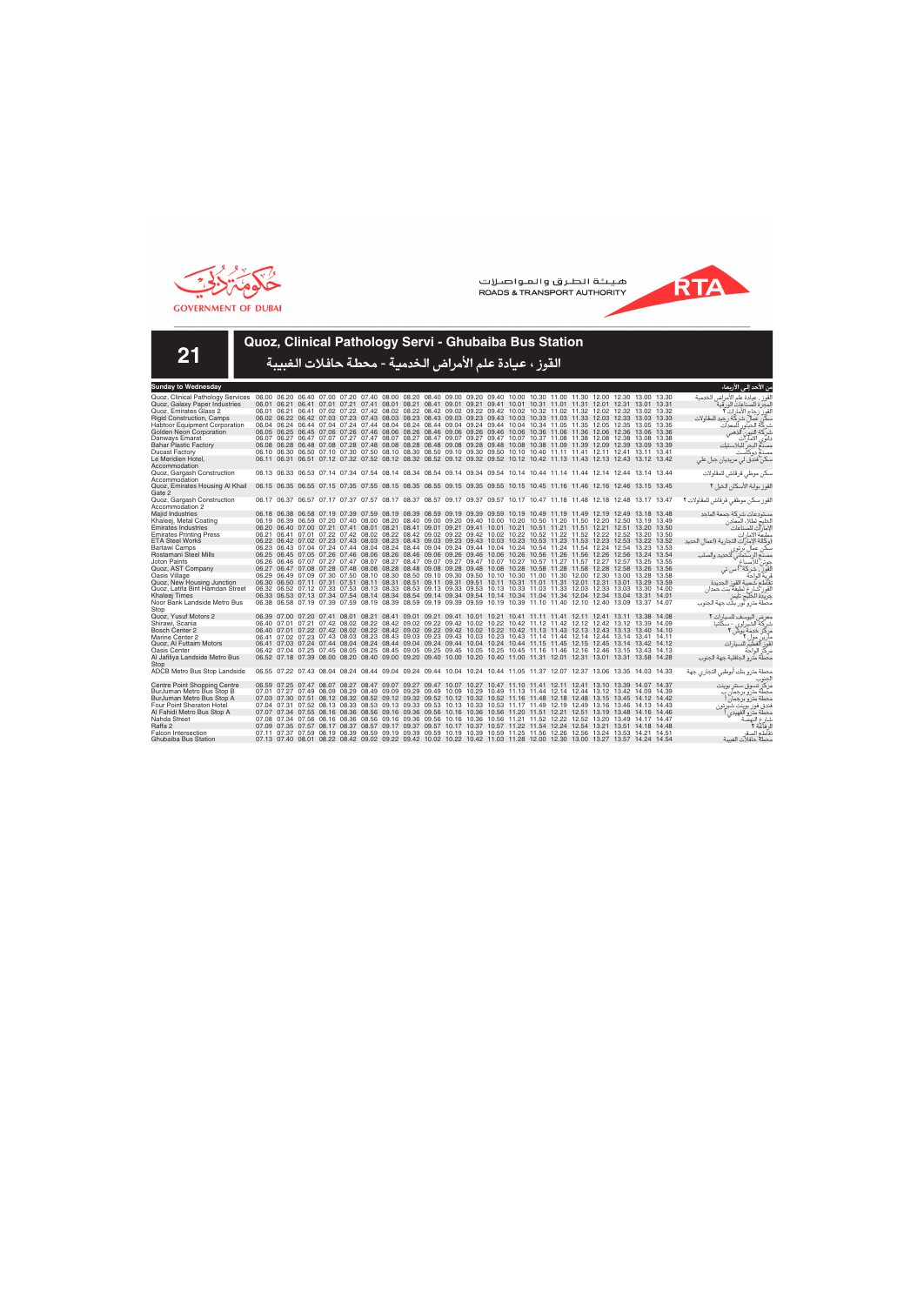



**21**

# **Quoz, Clinical Pathology Servi - Ghubaiba Bus Station**

| <b>Sunday to Wednesday</b>                                                                                                                                |  |  |  |  |  |  |  |                                                                                                                         |  |  | من الأحد إلى<br>الأربعاء                     |
|-----------------------------------------------------------------------------------------------------------------------------------------------------------|--|--|--|--|--|--|--|-------------------------------------------------------------------------------------------------------------------------|--|--|----------------------------------------------|
| Quoz, Clinical Pathology Services 06.00 06.20 06.40 07.00 07.20 07.40 08.00 08.20 08.40 09.00 09.20 09.40 10.00 10.30 11.00 11.30 12.00 12.30 13.00 13.30 |  |  |  |  |  |  |  |                                                                                                                         |  |  | لقوز ، عيادة علم الأمراض الخدمية             |
| Quoz, Galaxy Paper Industries                                                                                                                             |  |  |  |  |  |  |  | 06.01 06.21 06.41 07.01 07.21 07.41 08.01 08.21 08.41 09.01 09.21 09.41 10.01 10.31 11.01 11.31 12.01 12.31 13.01 13.31 |  |  | المحر ة للصناعات الور قية                    |
| Quoz. Emirates Glass 2                                                                                                                                    |  |  |  |  |  |  |  | 06.01 06.21 06.41 07.02 07.22 07.42 08.02 08.22 08.42 09.02 09.22 09.42 10.02 10.32 11.02 11.32 12.02 12.32 13.02 13.32 |  |  | القوز زجاج الأمارات ٢                        |
| <b>Rigid Construction, Camps</b>                                                                                                                          |  |  |  |  |  |  |  | 06.02 06.22 06.42 07.03 07.23 07.43 08.03 08.23 08.43 09.03 09.23 09.43 10.03 10.33 11.03 11.33 12.03 12.33 13.03 13.33 |  |  | سكن عمال شركة رجيد للمقاولات                 |
| <b>Habtoor Equipment Corporation</b>                                                                                                                      |  |  |  |  |  |  |  | 06.04 06.24 06.44 07.04 07.24 07.44 08.04 08.24 08.44 09.04 09.24 09.44 10.04 10.34 11.05 11.35 12.05 12.35 13.05 13.35 |  |  | شركة الحبتور<br>للمعدات                      |
| Golden Neon Corporation                                                                                                                                   |  |  |  |  |  |  |  | 06.05 06.25 06.45 07.06 07.26 07.46 08.06 08.26 08.46 09.06 09.26 09.46 10.06 10.36 11.06 11.36 12.06 12.36 13.06 13.36 |  |  | شركة النيون ألذهبي                           |
| Danways Emarat                                                                                                                                            |  |  |  |  |  |  |  | 06.07 06.27 06.47 07.07 07.27 07.47 08.07 08.27 08.47 09.07 09.27 09.47 10.07 10.37 11.08 11.38 12.08 12.38 13.08 13.38 |  |  | دانوي الامارات                               |
| <b>Bahar Plastic Factory</b>                                                                                                                              |  |  |  |  |  |  |  | 06.08 06.28 06.48 07.08 07.28 07.48 08.08 08.28 08.48 09.08 09.28 09.48 10.08 10.38 11.09 11.39 12.09 12.39 13.09 13.39 |  |  | مصنع البحر للبلاستك                          |
| <b>Ducast Factory</b>                                                                                                                                     |  |  |  |  |  |  |  | 06.10 06.30 06.50 07.10 07.30 07.50 08.10 08.30 08.50 09.10 09.30 09.50 10.10 10.40 11.11 11.41 12.11 12.41 13.11 13.41 |  |  | مصنع دوكآست                                  |
| Le Meridien Hotel.                                                                                                                                        |  |  |  |  |  |  |  | 06.11 06.31 06.51 07.12 07.32 07.52 08.12 08.32 08.52 09.12 09.32 09.52 10.12 10.42 11.13 11.43 12.13 12.43 13.12 13.42 |  |  | سکن فندق لي مريديان جبل علي                  |
| Accommodation                                                                                                                                             |  |  |  |  |  |  |  |                                                                                                                         |  |  |                                              |
| Quoz, Gargash Construction                                                                                                                                |  |  |  |  |  |  |  | 06.13 06.33 06.53 07.14 07.34 07.54 08.14 08.34 08.54 09.14 09.34 09.54 10.14 10.44 11.14 11.44 12.14 12.44 13.14 13.44 |  |  | سكن موظى قرقاش للمقاولات                     |
| Accommodation                                                                                                                                             |  |  |  |  |  |  |  |                                                                                                                         |  |  |                                              |
| Quoz, Emirates Housing Al Khail                                                                                                                           |  |  |  |  |  |  |  | 06.15 06.35 06.55 07.15 07.35 07.55 08.15 08.35 08.55 09.15 09.35 09.55 10.15 10.45 11.16 11.46 12.16 12.46 13.15 13.45 |  |  | القوز بوابة الأسكان الخيل ٢                  |
| Gate 2                                                                                                                                                    |  |  |  |  |  |  |  |                                                                                                                         |  |  |                                              |
| Quoz, Gargash Construction                                                                                                                                |  |  |  |  |  |  |  | 06.17 06.37 06.57 07.17 07.37 07.57 08.17 08.37 08.57 09.17 09.37 09.57 10.17 10.47 11.18 11.48 12.18 12.48 13.17 13.47 |  |  | لقوز سكن موظفى قرقاش للمقاولات ٢             |
| Accommodation 2                                                                                                                                           |  |  |  |  |  |  |  |                                                                                                                         |  |  |                                              |
| Majid Industries                                                                                                                                          |  |  |  |  |  |  |  | 06.18 06.38 06.58 07.19 07.39 07.59 08.19 08.39 08.59 09.19 09.39 09.59 10.19 10.49 11.19 11.49 12.19 12.49 13.18 13.48 |  |  | مستودعات شركة جمعة الماحد                    |
| Khaleej, Metal Coating                                                                                                                                    |  |  |  |  |  |  |  | 06.19 06.39 06.59 07.20 07.40 08.00 08.20 08.40 09.00 09.20 09.40 10.00 10.20 10.50 11.20 11.50 12.20 12.50 13.19 13.49 |  |  | الخليج لطلاء المعادن                         |
| <b>Emirates Industries</b>                                                                                                                                |  |  |  |  |  |  |  | 06.20 06.40 07.00 07.21 07.41 08.01 08.21 08.41 09.01 09.21 09.41 10.01 10.21 10.51 11.21 11.51 12.21 12.51 13.20 13.50 |  |  | لامارآت للصناعات                             |
| <b>Emirates Printing Press</b>                                                                                                                            |  |  |  |  |  |  |  | 06.21 06.41 07.01 07.22 07.42 08.02 08.22 08.42 09.02 09.22 09.42 10.02 10.22 10.52 11.22 11.52 12.22 12.52 13.20 13.50 |  |  | مطبعة الامارات                               |
| <b>ETA Steel Works</b>                                                                                                                                    |  |  |  |  |  |  |  | 06.22 06.42 07.02 07.23 07.43 08.03 08.23 08.43 09.03 09.23 09.43 10.03 10.23 10.53 11.23 11.53 12.23 12.53 13.22 13.52 |  |  | (وكالة الإمار آت التجارية (اعمال الحديد      |
| Bartawi Camps                                                                                                                                             |  |  |  |  |  |  |  | 06.23 06.43 07.04 07.24 07.44 08.04 08.24 08.44 09.04 09.24 09.44 10.04 10.24 10.54 11.24 11.54 12.24 12.54 13.23 13.53 |  |  |                                              |
| Rostamani Steel Mills                                                                                                                                     |  |  |  |  |  |  |  | 06.25 06.45 07.05 07.26 07.46 08.06 08.26 08.46 09.06 09.26 09.46 10.06 10.26 10.56 11.26 11.56 12.26 12.56 13.24 13.54 |  |  | سکن عمال بر توی                              |
| Joton Paints                                                                                                                                              |  |  |  |  |  |  |  | 06.26 06.46 07.07 07.27 07.47 08.07 08.27 08.47 09.07 09.27 09.47 10.07 10.27 10.57 11.27 11.57 12.27 12.57 13.25 13.55 |  |  | مصنع الرستماني للحديد والصلب<br>جوتن للاصباغ |
| Quoz, AST Company                                                                                                                                         |  |  |  |  |  |  |  | 06.27 06.47 07.08 07.28 07.48 08.08 08.28 08.48 09.08 09.28 09.48 10.08 10.28 10.58 11.28 11.58 12.28 12.58 13.26 13.56 |  |  | القوز ، شركة أ س تي                          |
| Oasis Village                                                                                                                                             |  |  |  |  |  |  |  | 06.29 06.49 07.09 07.30 07.50 08.10 08.30 08.50 09.10 09.30 09.50 10.10 10.30 11.00 11.30 12.00 12.30 13.00 13.28 13.58 |  |  | قربة الواحة                                  |
| Quoz, New Housing Junction                                                                                                                                |  |  |  |  |  |  |  | 06.30 06.50 07.11 07.31 07.51 08.11 08.31 08.51 09.11 09.31 09.51 10.11 10.31 11.01 11.31 12.01 12.31 13.01 13.29 13.59 |  |  | تقاطع شعبية القوز الجديدة                    |
| Quoz, Latifa Bint Hamdan Street                                                                                                                           |  |  |  |  |  |  |  | 06.32 06.52 07.12 07.33 07.53 08.13 08.33 08.53 09.13 09.33 09.53 10.13 10.33 11.03 11.33 12.03 12.33 13.03 13.30 14.00 |  |  | لقوز شارع لطيفة بنت حمدان                    |
| Khaleei Times                                                                                                                                             |  |  |  |  |  |  |  | 06.33 06.53 07.13 07.34 07.54 08.14 08.34 08.54 09.14 09.34 09.54 10.14 10.34 11.04 11.34 12.04 12.34 13.04 13.31 14.01 |  |  | جريدة الخليج تايمز                           |
| Noor Bank Landside Metro Bus                                                                                                                              |  |  |  |  |  |  |  | 06.38 06.58 07.19 07.39 07.59 08.19 08.39 08.59 09.19 09.39 09.59 10.19 10.39 11.10 11.40 12.10 12.40 13.09 13.37 14.07 |  |  | محطة مترو نور بنك جهة الجنوب                 |
| Stop                                                                                                                                                      |  |  |  |  |  |  |  |                                                                                                                         |  |  |                                              |
| Quoz. Yusuf Motors 2                                                                                                                                      |  |  |  |  |  |  |  | 06.39 07.00 07.20 07.41 08.01 08.21 08.41 09.01 09.21 09.41 10.01 10.21 10.41 11.11 11.41 12.11 12.41 13.11 13.38 14.08 |  |  | معر ض اليوسف للسيار ات ٢                     |
| Shirawi, Scania                                                                                                                                           |  |  |  |  |  |  |  | 06.40 07.01 07.21 07.42 08.02 08.22 08.42 09.02 09.22 09.42 10.02 10.22 10.42 11.12 11.42 12.12 12.42 13.12 13.39 14.09 |  |  | شرکة الشيراوي - سکانيا                       |
| Bosch Center 2                                                                                                                                            |  |  |  |  |  |  |  | 06.40 07.01 07.22 07.42 08.02 08.22 08.42 09.02 09.22 09.42 10.02 10.22 10.42 11.13 11.43 12.13 12.43 13.13 13.40 14.10 |  |  | مركز خدمة بوش                                |
| Marine Center 2                                                                                                                                           |  |  |  |  |  |  |  | 06.41 07.02 07.23 07.43 08.03 08.23 08.43 09.03 09.23 09.43 10.03 10.23 10.43 11.14 11.44 12.14 12.44 13.14 13.41 14.11 |  |  | مار ین مول ۲                                 |
| Quoz, Al Futtaim Motors                                                                                                                                   |  |  |  |  |  |  |  | 06.41 07.03 07.24 07.44 08.04 08.24 08.44 09.04 09.24 09.44 10.04 10.24 10.44 11.15 11.45 12.15 12.45 13.14 13.42 14.12 |  |  | لقوز الفطيم<br>للسيار ات                     |
| <b>Oasis Center</b>                                                                                                                                       |  |  |  |  |  |  |  | 06.42 07.04 07.25 07.45 08.05 08.25 08.45 09.05 09.25 09.45 10.05 10.25 10.45 11.16 11.46 12.16 12.46 13.15 13.43 14.13 |  |  | مركز الواحة                                  |
| Al Jafiliya Landside Metro Bus                                                                                                                            |  |  |  |  |  |  |  | 06.52 07.18 07.39 08.00 08.20 08.40 09.00 09.20 09.40 10.00 10.20 10.40 11.00 11.31 12.01 12.31 13.01 13.31 13.58 14.28 |  |  | محطة مترو الجافلية جهة الجنوب                |
| Stop                                                                                                                                                      |  |  |  |  |  |  |  |                                                                                                                         |  |  |                                              |
| ADCB Metro Bus Stop Landside                                                                                                                              |  |  |  |  |  |  |  | 06.55 07.22 07.43 08.04 08.24 08.44 09.04 09.24 09.44 10.04 10.24 10.44 11.05 11.37 12.07 12.37 13.06 13.35 14.03 14.33 |  |  | محطة مترو بنك أبوظبى التجارى جهة             |
|                                                                                                                                                           |  |  |  |  |  |  |  |                                                                                                                         |  |  |                                              |
| <b>Centre Point Shopping Centre</b>                                                                                                                       |  |  |  |  |  |  |  | 06.59 07.25 07.47 08.07 08.27 08.47 09.07 09.27 09.47 10.07 10.27 10.47 11.10 11.41 12.11 12.41 13.10 13.39 14.07 14.37 |  |  | مركز تسوق سنتر بوينت                         |
| BurJuman Metro Bus Stop B                                                                                                                                 |  |  |  |  |  |  |  | 07.01 07.27 07.49 08.09 08.29 08.49 09.09 09.29 09.49 10.09 10.29 10.49 11.13 11.44 12.14 12.44 13.12 13.42 14.09 14.39 |  |  | محطة متر و برجمان ب                          |
| BurJuman Metro Bus Stop A                                                                                                                                 |  |  |  |  |  |  |  | 07.03 07.30 07.51 08.12 08.32 08.52 09.12 09.32 09.52 10.12 10.32 10.52 11.16 11.48 12.18 12.48 13.15 13.45 14.12 14.42 |  |  | محطة مترو برجمان                             |
| <b>Four Point Sheraton Hotel</b>                                                                                                                          |  |  |  |  |  |  |  | 07.04 07.31 07.52 08.13 08.33 08.53 09.13 09.33 09.53 10.13 10.33 10.53 11.17 11.49 12.19 12.49 13.16 13.46 14.13 14.43 |  |  | فندق فور بوينت شير تون                       |
| Al Fahidi Metro Bus Stop A                                                                                                                                |  |  |  |  |  |  |  | 07.07 07.34 07.55 08.16 08.36 08.56 09.16 09.36 09.56 10.16 10.36 10.56 11.20 11.51 12.21 12.51 13.19 13.48 14.16 14.46 |  |  | محطة متر و الفهيدي                           |
| Nahda Street                                                                                                                                              |  |  |  |  |  |  |  | 07.08 07.34 07.56 08.16 08.36 08.56 09.16 09.36 09.56 10.16 10.36 10.56 11.21 11.52 12.22 12.52 13.20 13.49 14.17 14.47 |  |  | شارع النهّضّ                                 |
| Raffa 2                                                                                                                                                   |  |  |  |  |  |  |  | 07.09 07.35 07.57 08.17 08.37 08.57 09.17 09.37 09.57 10.17 10.37 10.57 11.22 11.54 12.24 12.54 13.21 13.51 14.18 14.48 |  |  | ل فاعة ٢                                     |
| <b>Falcon Intersection</b>                                                                                                                                |  |  |  |  |  |  |  | 07.11 07.37 07.59 08.19 08.39 08.59 09.19 09.39 09.59 10.19 10.39 10.59 11.25 11.56 12.26 12.56 13.24 13.53 14.21 14.51 |  |  | نقاطع الصق                                   |
| Ghubaiba Bus Station                                                                                                                                      |  |  |  |  |  |  |  | 07.13 07.40 08.01 08.22 08.42 09.02 09.22 09.42 10.02 10.22 10.42 11.03 11.28 12.00 12.30 13.00 13.27 13.57 14.24 14.54 |  |  | محطة حافلات الغسة                            |
|                                                                                                                                                           |  |  |  |  |  |  |  |                                                                                                                         |  |  |                                              |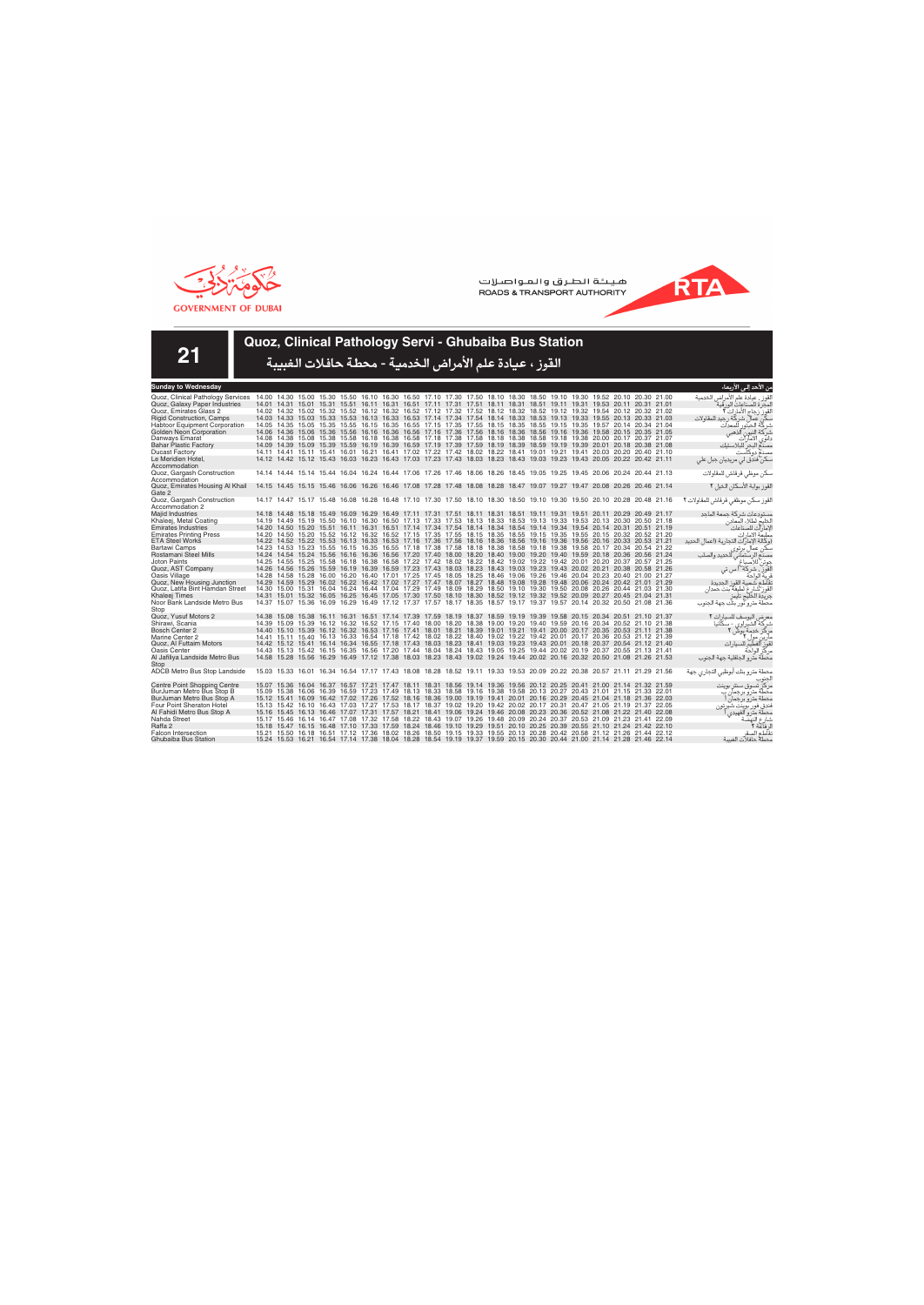



**21**

## **Quoz, Clinical Pathology Servi - Ghubaiba Bus Station**

| Sunday to Wednesday                  |  |  |  |                                                                                                                         |  |  |  |  |  |  | من الأحد إلى الأربعاء                   |
|--------------------------------------|--|--|--|-------------------------------------------------------------------------------------------------------------------------|--|--|--|--|--|--|-----------------------------------------|
| Quoz, Clinical Pathology Services    |  |  |  | 14.00 14.30 15.00 15.30 15.50 16.10 16.30 16.50 17.10 17.30 17.50 18.10 18.30 18.50 19.10 19.30 19.52 20.10 20.30 21.00 |  |  |  |  |  |  | لقوز ، عيادة علم الأمراض الخدمية        |
| Quoz, Galaxy Paper Industries        |  |  |  | 14.01 14.31 15.01 15.31 15.51 16.11 16.31 16.51 17.11 17.31 17.51 18.11 18.31 18.51 19.11 19.31 19.53 20.11 20.31 21.01 |  |  |  |  |  |  | لمحر ة للصناعات الور قبة                |
| Quoz. Emirates Glass 2               |  |  |  | 14.02 14.32 15.02 15.32 15.52 16.12 16.32 16.52 17.12 17.32 17.52 18.12 18.32 18.52 19.12 19.32 19.54 20.12 20.32 21.02 |  |  |  |  |  |  | القوز زجاج الأمارات ٢                   |
| <b>Rigid Construction, Camps</b>     |  |  |  | 14.03 14.33 15.03 15.33 15.53 16.13 16.33 16.53 17.14 17.34 17.54 18.14 18.33 18.53 19.13 19.33 19.55 20.13 20.33 21.03 |  |  |  |  |  |  | یکن عمال شر که ر جید للمقاولات          |
| <b>Habtoor Equipment Corporation</b> |  |  |  | 14.05 14.35 15.05 15.35 15.55 16.15 16.35 16.55 17.15 17.35 17.55 18.15 18.35 18.55 19.15 19.35 19.57 20.14 20.34 21.04 |  |  |  |  |  |  | شركة الحبتور<br>للمعدات                 |
| Golden Neon Corporation              |  |  |  | 14.06 14.36 15.06 15.36 15.56 16.16 16.36 16.56 17.16 17.36 17.56 18.16 18.36 18.56 19.16 19.36 19.58 20.15 20.35 21.05 |  |  |  |  |  |  | شركة النيون<br>آلذهبے                   |
| Danways Emarat                       |  |  |  | 14.08 14.38 15.08 15.38 15.58 16.18 16.38 16.58 17.18 17.38 17.58 18.18 18.38 18.58 19.18 19.38 20.00 20.17 20.37 21.07 |  |  |  |  |  |  | دانوي الامآرات                          |
| <b>Bahar Plastic Factory</b>         |  |  |  | 14.09 14.39 15.09 15.39 15.59 16.19 16.39 16.59 17.19 17.39 17.59 18.19 18.39 18.59 19.19 19.39 20.01 20.18 20.38 21.08 |  |  |  |  |  |  | مصدم البحر للبلاستيك                    |
| <b>Ducast Factory</b>                |  |  |  | 14.11 14.41 15.11 15.41 16.01 16.21 16.41 17.02 17.22 17.42 18.02 18.22 18.41 19.01 19.21 19.41 20.03 20.20 20.40 21.10 |  |  |  |  |  |  | مصنع دوكآست                             |
| Le Meridien Hotel,                   |  |  |  | 14.12 14.42 15.12 15.43 16.03 16.23 16.43 17.03 17.23 17.43 18.03 18.23 18.43 19.03 19.23 19.43 20.05 20.22 20.42 21.11 |  |  |  |  |  |  | سکن فندق لی مریدیان جبل علی             |
| Accommodation                        |  |  |  |                                                                                                                         |  |  |  |  |  |  |                                         |
| Quoz, Gargash Construction           |  |  |  | 14.14 14.44 15.14 15.44 16.04 16.24 16.44 17.06 17.26 17.46 18.06 18.26 18.45 19.05 19.25 19.45 20.06 20.24 20.44 21.13 |  |  |  |  |  |  | سكن موظى قرقاش للمقاولات                |
| Accommodation                        |  |  |  |                                                                                                                         |  |  |  |  |  |  |                                         |
| Quoz, Emirates Housing Al Khail      |  |  |  | 14.15 14.45 15.15 15.46 16.06 16.26 16.46 17.08 17.28 17.48 18.08 18.28 18.47 19.07 19.27 19.47 20.08 20.26 20.46 21.14 |  |  |  |  |  |  | القوز بوابة الأسكان الخيل ٢             |
| Gate 2                               |  |  |  |                                                                                                                         |  |  |  |  |  |  |                                         |
| Quoz, Gargash Construction           |  |  |  | 14.17 14.47 15.17 15.48 16.08 16.28 16.48 17.10 17.30 17.50 18.10 18.30 18.50 19.10 19.30 19.50 20.10 20.28 20.48 21.16 |  |  |  |  |  |  | القوز سكن موظفى قرقاش للمقاولات ٢       |
| Accommodation 2                      |  |  |  |                                                                                                                         |  |  |  |  |  |  |                                         |
| <b>Majid Industries</b>              |  |  |  | 14.18 14.48 15.18 15.49 16.09 16.29 16.49 17.11 17.31 17.51 18.11 18.31 18.51 19.11 19.31 19.51 20.11 20.29 20.49 21.17 |  |  |  |  |  |  | مستودعات شركة جمعة الماحد               |
| Khaleej, Metal Coating               |  |  |  | 14.19 14.49 15.19 15.50 16.10 16.30 16.50 17.13 17.33 17.53 18.13 18.33 18.53 19.13 19.33 19.53 20.13 20.30 20.50 21.18 |  |  |  |  |  |  | الخليج لطلاء المعادن                    |
| <b>Emirates Industries</b>           |  |  |  | 14.20 14.50 15.20 15.51 16.11 16.31 16.51 17.14 17.34 17.54 18.14 18.34 18.54 19.14 19.34 19.54 20.14 20.31 20.51 21.19 |  |  |  |  |  |  | لإمارات للصناعات                        |
| <b>Emirates Printing Press</b>       |  |  |  | 14.20 14.50 15.20 15.52 16.12 16.32 16.52 17.15 17.35 17.55 18.15 18.35 18.55 19.15 19.35 19.55 20.15 20.32 20.52 21.20 |  |  |  |  |  |  | مطبعة الامارات                          |
| <b>ETA Steel Works</b>               |  |  |  | 14.22 14.52 15.22 15.53 16.13 16.33 16.53 17.16 17.36 17.56 18.16 18.36 18.56 19.16 19.36 19.56 20.16 20.33 20.53 21.21 |  |  |  |  |  |  | (وكالة الإمار ات التجارية (اعمال الحديد |
| Bartawi Camps                        |  |  |  | 14.23 14.53 15.23 15.55 16.15 16.35 16.55 17.18 17.38 17.58 18.18 18.38 18.58 19.18 19.38 19.58 20.17 20.34 20.54 21.22 |  |  |  |  |  |  | سکن عمال پر توی                         |
| Rostamani Steel Mills                |  |  |  | 14.24 14.54 15.24 15.56 16.16 16.36 16.56 17.20 17.40 18.00 18.20 18.40 19.00 19.20 19.40 19.59 20.18 20.36 20.56 21.24 |  |  |  |  |  |  | للحديد والصلب<br>مصنع الرستماني ا       |
| Joton Paints                         |  |  |  | 14.25 14.55 15.25 15.58 16.18 16.38 16.58 17.22 17.42 18.02 18.22 18.42 19.02 19.22 19.42 20.01 20.20 20.37 20.57 21.25 |  |  |  |  |  |  | جوتن للاصباغ                            |
| Quoz, AST Company                    |  |  |  | 14.26 14.56 15.26 15.59 16.19 16.39 16.59 17.23 17.43 18.03 18.23 18.43 19.03 19.23 19.43 20.02 20.21 20.38 20.58 21.26 |  |  |  |  |  |  | القور ، شركة أ س تي                     |
| Oasis Village                        |  |  |  | 14.28 14.58 15.28 16.00 16.20 16.40 17.01 17.25 17.45 18.05 18.25 18.46 19.06 19.26 19.46 20.04 20.23 20.40 21.00 21.27 |  |  |  |  |  |  | ف بة الواحة                             |
| Quoz, New Housing Junction           |  |  |  | 14.29 14.59 15.29 16.02 16.22 16.42 17.02 17.27 17.47 18.07 18.27 18.48 19.08 19.28 19.48 20.06 20.24 20.42 21.01 21.29 |  |  |  |  |  |  | نقاطع شعبية القوز الحديدة               |
| Quoz, Latifa Bint Hamdan Street      |  |  |  | 14.30 15.00 15.31 16.04 16.24 16.44 17.04 17.29 17.49 18.09 18.29 18.50 19.10 19.30 19.50 20.08 20.26 20.44 21.03 21.30 |  |  |  |  |  |  | لقوز شارع لطيفة بنت حمدان               |
| Khaleei Times                        |  |  |  | 14.31 15.01 15.32 16.05 16.25 16.45 17.05 17.30 17.50 18.10 18.30 18.52 19.12 19.32 19.52 20.09 20.27 20.45 21.04 21.31 |  |  |  |  |  |  | جريدة الخليج تايمز                      |
| Noor Bank Landside Metro Bus         |  |  |  | 14.37 15.07 15.36 16.09 16.29 16.49 17.12 17.37 17.57 18.17 18.35 18.57 19.17 19.37 19.57 20.14 20.32 20.50 21.08 21.36 |  |  |  |  |  |  | محطة مترو نور بنك جهة الجنوب            |
| Stop                                 |  |  |  |                                                                                                                         |  |  |  |  |  |  |                                         |
| Quoz, Yusuf Motors 2                 |  |  |  | 14.38 15.08 15.38 16.11 16.31 16.51 17.14 17.39 17.59 18.19 18.37 18.59 19.19 19.39 19.58 20.15 20.34 20.51 21.10 21.37 |  |  |  |  |  |  | معرض اليوسف للسيارات ٢                  |
| Shirawi, Scania                      |  |  |  | 14.39 15.09 15.39 16.12 16.32 16.52 17.15 17.40 18.00 18.20 18.38 19.00 19.20 19.40 19.59 20.16 20.34 20.52 21.10 21.38 |  |  |  |  |  |  | شرکة الشيراوي - سکانيا                  |
| <b>Bosch Center 2</b>                |  |  |  | 14.40 15.10 15.39 16.12 16.32 16.53 17.16 17.41 18.01 18.21 18.39 19.01 19.21 19.41 20.00 20.17 20.35 20.53 21.11 21.38 |  |  |  |  |  |  | مرکز خدمة بوش ۲                         |
| Marine Center 2                      |  |  |  | 14.41 15.11 15.40 16.13 16.33 16.54 17.18 17.42 18.02 18.22 18.40 19.02 19.22 19.42 20.01 20.17 20.36 20.53 21.12 21.39 |  |  |  |  |  |  | مار ین مول ۲                            |
| Quoz, Al Futtaim Motors              |  |  |  | 14.42 15.12 15.41 16.14 16.34 16.55 17.18 17.43 18.03 18.23 18.41 19.03 19.23 19.43 20.01 20.18 20.37 20.54 21.12 21.40 |  |  |  |  |  |  | لقوز آلفطيم للسيار ات                   |
| Oasis Center                         |  |  |  | 14.43 15.13 15.42 16.15 16.35 16.56 17.20 17.44 18.04 18.24 18.43 19.05 19.25 19.44 20.02 20.19 20.37 20.55 21.13 21.41 |  |  |  |  |  |  | مركز الواحة                             |
| Al Jafiliya Landside Metro Bus       |  |  |  | 14.58 15.28 15.56 16.29 16.49 17.12 17.38 18.03 18.23 18.43 19.02 19.24 19.44 20.02 20.16 20.32 20.50 21.08 21.26 21.53 |  |  |  |  |  |  | محطة مترو الجافلية جهة الجنوب           |
| Stop                                 |  |  |  |                                                                                                                         |  |  |  |  |  |  |                                         |
| ADCB Metro Bus Stop Landside         |  |  |  | 15.03 15.33 16.01 16.34 16.54 17.17 17.43 18.08 18.28 18.52 19.11 19.33 19.53 20.09 20.22 20.38 20.57 21.11 21.29 21.56 |  |  |  |  |  |  | محطة مترو بنك أبوظبى التجارى جهة        |
|                                      |  |  |  |                                                                                                                         |  |  |  |  |  |  |                                         |
| Centre Point Shopping Centre         |  |  |  | 15.07 15.36 16.04 16.37 16.57 17.21 17.47 18.11 18.31 18.56 19.14 19.36 19.56 20.12 20.25 20.41 21.00 21.14 21.32 21.59 |  |  |  |  |  |  | مر کز تسوق سنتر بوینت                   |
| BurJuman Metro Bus Stop B            |  |  |  | 15.09 15.38 16.06 16.39 16.59 17.23 17.49 18.13 18.33 18.58 19.16 19.38 19.58 20.13 20.27 20.43 21.01 21.15 21.33 22.01 |  |  |  |  |  |  | محطة مترو برجمان ب                      |
| BurJuman Metro Bus Stop A            |  |  |  | 15.12 15.41 16.09 16.42 17.02 17.26 17.52 18.16 18.36 19.00 19.19 19.41 20.01 20.16 20.29 20.45 21.04 21.18 21.36 22.03 |  |  |  |  |  |  | محطة مترو برجمان                        |
| <b>Four Point Sheraton Hotel</b>     |  |  |  | 15.13 15.42 16.10 16.43 17.03 17.27 17.53 18.17 18.37 19.02 19.20 19.42 20.02 20.17 20.31 20.47 21.05 21.19 21.37 22.05 |  |  |  |  |  |  | فندق فور بوينت شيرتون                   |
| Al Fahidi Metro Bus Stop A           |  |  |  | 15.16 15.45 16.13 16.46 17.07 17.31 17.57 18.21 18.41 19.06 19.24 19.46 20.08 20.23 20.36 20.52 21.08 21.22 21.40 22.08 |  |  |  |  |  |  | محطة مترو الفهيدي ا                     |
| Nahda Street                         |  |  |  | 15.17 15.46 16.14 16.47 17.08 17.32 17.58 18.22 18.43 19.07 19.26 19.48 20.09 20.24 20.37 20.53 21.09 21.23 21.41 22.09 |  |  |  |  |  |  | شارع النهضة                             |
| Raffa 2                              |  |  |  | 15.18 15.47 16.15 16.48 17.10 17.33 17.59 18.24 18.46 19.10 19.29 19.51 20.10 20.25 20.39 20.55 21.10 21.24 21.42 22.10 |  |  |  |  |  |  | لا فآعة ٢                               |
| <b>Falcon Intersection</b>           |  |  |  | 15.21 15.50 16.18 16.51 17.12 17.36 18.02 18.26 18.50 19.15 19.33 19.55 20.13 20.28 20.42 20.58 21.12 21.26 21.44 22.12 |  |  |  |  |  |  | نقاطع الصقر                             |
| Ghubaiba Bus Station                 |  |  |  | 15.24 15.53 16.21 16.54 17.14 17.38 18.04 18.28 18.54 19.19 19.37 19.59 20.15 20.30 20.44 21.00 21.14 21.28 21.46 22.14 |  |  |  |  |  |  | محطة حافلات الغسة                       |
|                                      |  |  |  |                                                                                                                         |  |  |  |  |  |  |                                         |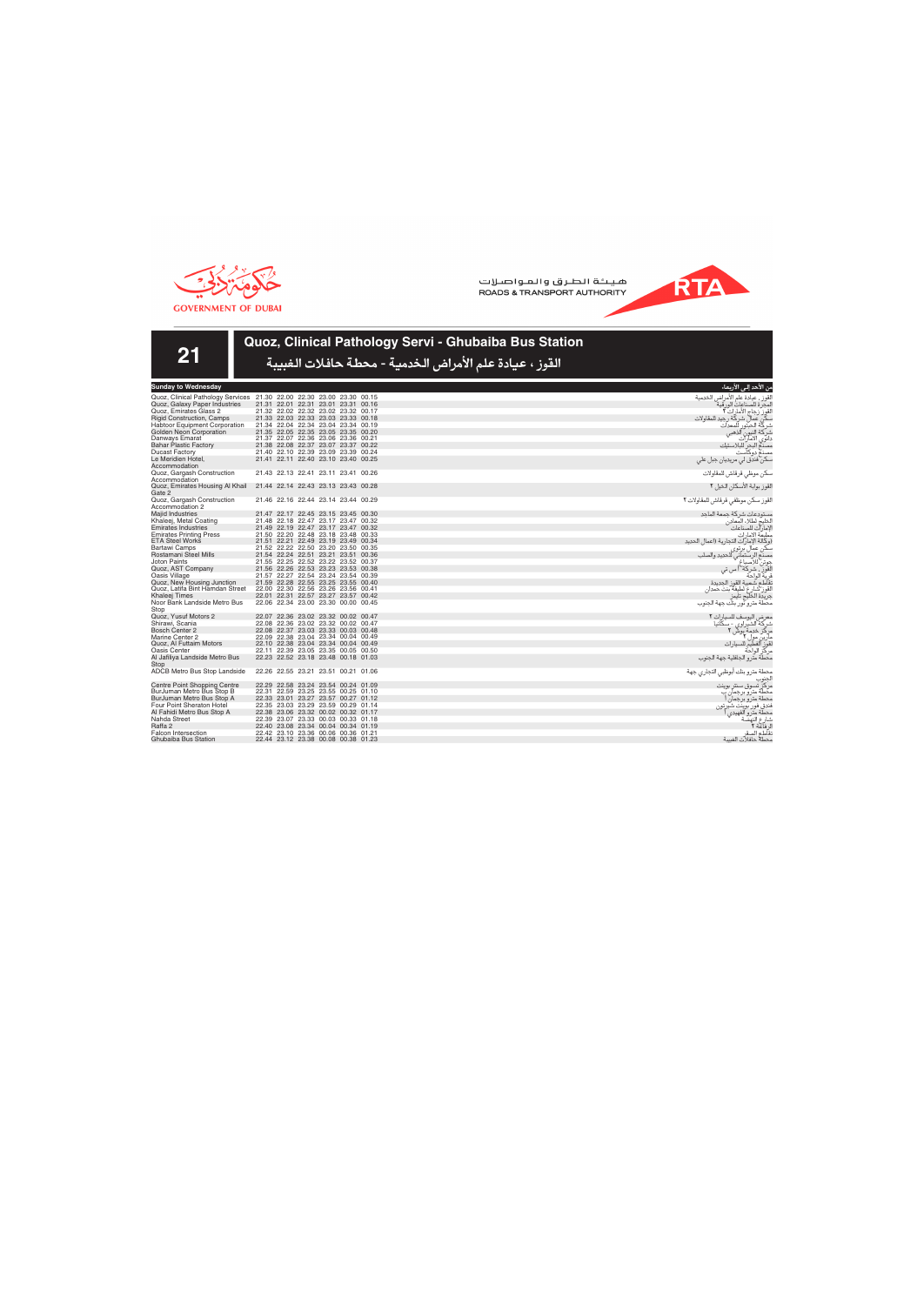



# **Quoz, Clinical Pathology Servi - Ghubaiba Bus Station**

القوز ، عيادة علم الأمراض الخدمية - محطة حافلات الغبيبة

| Sunday to Wednesday                  |       |                               |                         |       |                                     |       |
|--------------------------------------|-------|-------------------------------|-------------------------|-------|-------------------------------------|-------|
| Quoz, Clinical Pathology Services    |       |                               |                         |       | 21.30 22.00 22.30 23.00 23.30 00.15 |       |
| Quoz, Galaxy Paper Industries        | 21.31 |                               |                         |       | 22.01 22.31 23.01 23.31             | 00.16 |
| Quoz, Emirates Glass 2               |       |                               |                         |       | 21.32 22.02 22.32 23.02 23.32       | 00.17 |
| <b>Rigid Construction, Camps</b>     |       |                               |                         |       | 21.33 22.03 22.33 23.03 23.33 00.18 |       |
| <b>Habtoor Equipment Corporation</b> |       |                               |                         |       | 21.34 22.04 22.34 23.04 23.34 00.19 |       |
| Golden Neon Corporation              |       |                               |                         |       | 21.35 22.05 22.35 23.05 23.35 00.20 |       |
| Danways Emarat                       |       |                               |                         |       | 21.37 22.07 22.36 23.06 23.36       | 00.21 |
| <b>Bahar Plastic Factory</b>         |       |                               |                         |       | 21.38 22.08 22.37 23.07 23.37       | 00.22 |
| <b>Ducast Factory</b>                |       |                               |                         |       | 21.40 22.10 22.39 23.09 23.39       | 00.24 |
| Le Meridien Hotel.                   |       |                               |                         |       | 21.41 22.11 22.40 23.10 23.40       | 00.25 |
| Accommodation                        |       |                               |                         |       |                                     |       |
| Quoz, Gargash Construction           |       | 21.43 22.13 22.41 23.11 23.41 |                         |       |                                     | 00.26 |
| Accommodation                        |       |                               |                         |       |                                     |       |
| Quoz, Emirates Housing Al Khail      |       | 21.44 22.14 22.43 23.13 23.43 |                         |       |                                     | 00.28 |
| Gate 2                               |       |                               |                         |       |                                     |       |
| Quoz, Gargash Construction           |       |                               |                         |       | 21.46 22.16 22.44 23.14 23.44 00.29 |       |
| Accommodation 2                      |       |                               |                         |       |                                     |       |
| <b>Majid Industries</b>              | 21.47 |                               | 22.17 22.45 23.15 23.45 |       |                                     | 00.30 |
| Khaleej, Metal Coating               |       |                               |                         |       | 21.48 22.18 22.47 23.17 23.47       | 00.32 |
| <b>Emirates Industries</b>           |       |                               |                         |       | 21.49 22.19 22.47 23.17 23.47       | 00.32 |
| <b>Emirates Printing Press</b>       |       |                               |                         |       | 21.50 22.20 22.48 23.18 23.48       | 00.33 |
| <b>ETA Steel Works</b>               | 21.51 |                               |                         |       | 22.21 22.49 23.19 23.49             | 00.34 |
| Bartawi Camps                        |       |                               |                         |       | 21.52 22.22 22.50 23.20 23.50 00.35 |       |
| Rostamani Steel Mills                |       | 21.54 22.24 22.51             |                         | 23.21 | 23.51                               | 00.36 |
| <b>Joton Paints</b>                  |       |                               |                         |       | 21.55 22.25 22.52 23.22 23.52 00.37 |       |
| Quoz, AST Company                    |       |                               |                         |       | 21.56 22.26 22.53 23.23 23.53 00.38 |       |
| Oasis Village                        |       |                               |                         |       | 21.57 22.27 22.54 23.24 23.54       | 00.39 |
| Quoz, New Housing Junction           |       |                               |                         |       | 21.59 22.28 22.55 23.25 23.55       | 00.40 |
| Quoz, Latifa Bint Hamdan Street      |       |                               |                         |       | 22.00 22.30 22.56 23.26 23.56 00.41 |       |
| Khaleej Times                        | 22.01 |                               | 22.31 22.57 23.27       |       | 23.57                               | 00.42 |
| Noor Bank Landside Metro Bus         |       |                               |                         |       | 22.06 22.34 23.00 23.30 00.00 00.45 |       |
| Stop                                 |       |                               |                         |       |                                     |       |
| Quoz, Yusuf Motors 2                 |       |                               |                         |       | 22.07 22.36 23.02 23.32 00.02       | 00.47 |
| Shirawi. Scania                      |       |                               |                         |       | 22.08 22.36 23.02 23.32 00.02       | 00.47 |
| <b>Bosch Center 2</b>                |       |                               |                         |       | 22.08 22.37 23.03 23.33 00.03 00.48 |       |
| Marine Center 2                      |       |                               |                         |       | 22.09 22.38 23.04 23.34 00.04 00.49 |       |
| Quoz, Al Futtaim Motors              | 22.10 |                               |                         |       | 22.38 23.04 23.34 00.04 00.49       |       |
| Oasis Center                         | 22.11 |                               |                         |       | 22.39 23.05 23.35 00.05             | 00.50 |
| Al Jafiliya Landside Metro Bus       |       |                               |                         |       | 22.23 22.52 23.18 23.48 00.18 01.03 |       |
| Stop                                 |       |                               |                         |       |                                     |       |
| ADCB Metro Bus Stop Landside         |       |                               |                         |       | 22.26 22.55 23.21 23.51 00.21       | 01.06 |
|                                      |       |                               |                         |       |                                     |       |
| Centre Point Shopping Centre         | 22.29 |                               | 22.58 23.24             |       | 23.54 00.24                         | 01.09 |
| BurJuman Metro Bus Stop B            |       |                               |                         |       | 22.31 22.59 23.25 23.55 00.25 01.10 |       |
| BurJuman Metro Bus Stop A            |       |                               |                         |       | 22.33 23.01 23.27 23.57 00.27 01.12 |       |
| Four Point Sheraton Hotel            |       |                               |                         |       | 22.35 23.03 23.29 23.59 00.29 01.14 |       |
| Al Fahidi Metro Bus Stop A           |       |                               |                         |       | 22.38 23.06 23.32 00.02 00.32 01.17 |       |
| Nahda Street                         |       |                               |                         |       | 22.39 23.07 23.33 00.03 00.33 01.18 |       |
| Raffa 2                              | 22.40 |                               |                         |       | 23.08 23.34 00.04 00.34 01.19       |       |
| <b>Falcon Intersection</b>           |       |                               |                         |       | 22.42 23.10 23.36 00.06 00.36 01.21 |       |
| Ghubaiba Bus Station                 |       |                               |                         |       | 22.44 23.12 23.38 00.08 00.38 01.23 |       |
|                                      |       |                               |                         |       |                                     |       |

| القوز ، عيادة علم الامراض الخدمية                                                  |
|------------------------------------------------------------------------------------|
| المجرة للصناعات الورقية                                                            |
| القوز رجاج الأمارات <b>؟</b><br>سكن عمال شركة رجيد للمقاولات                       |
|                                                                                    |
| شركة الحبتور للمعدات                                                               |
|                                                                                    |
| شركة النيون الذهبي<br>دانوي الامارات                                               |
|                                                                                    |
| رب<br>مصنع البحر للبلاستيك<br>مصنع دوكاست                                          |
| سکن فندق لي مريديان جبل علي                                                        |
| سكن موظي قرقاش للمقاولات                                                           |
| القوز بوابة الأسكان الخيل ٢                                                        |
| القوز سكن موظفي قرقاش للمقاولات ٢                                                  |
| مستودعات شركة جمعة الماجد                                                          |
| الخليج لطلاء المعادن                                                               |
| الإمارات للصناعات                                                                  |
| مطبعّة الامارات                                                                    |
| (وكالة الإمارات التجارية (اعمال الحديد                                             |
|                                                                                    |
|                                                                                    |
|                                                                                    |
|                                                                                    |
|                                                                                    |
|                                                                                    |
|                                                                                    |
| .<br>تقاطع شعبية القوز الجديدة<br>القوز شارع لطيفة بنت حمدان<br>جريدة الخليج تايمز |
| .<br>محطة مترو نور بنك جهة الجنوب                                                  |
| معر ض اليوسف للسيارات ٢                                                            |
|                                                                                    |
| شركة الشيراوي - سكانيا<br>مركز خدمة بوش ٢                                          |
|                                                                                    |

RTA

مركز خدمة بوش ٢ مارين مول ٢  $1 - 3$ مركز الواحة<br>محطة مترو الجافلية جهة الجنوب .<br>مطة مترو بنك أبوظبي التجاري جهة

س الأحد إل*ى* الأربعاء

الجنوب ، ق سنڌ بوين*ت* محطة مترو برجمان ب<br>محطة مترو برجمان أ فندق فور بوينت شيرتون محطة مترو الفهيدي ا شارع النهضة<br>الرفاعة ٢ تقاطع الصقر<br>محطه حافلات الغبيبة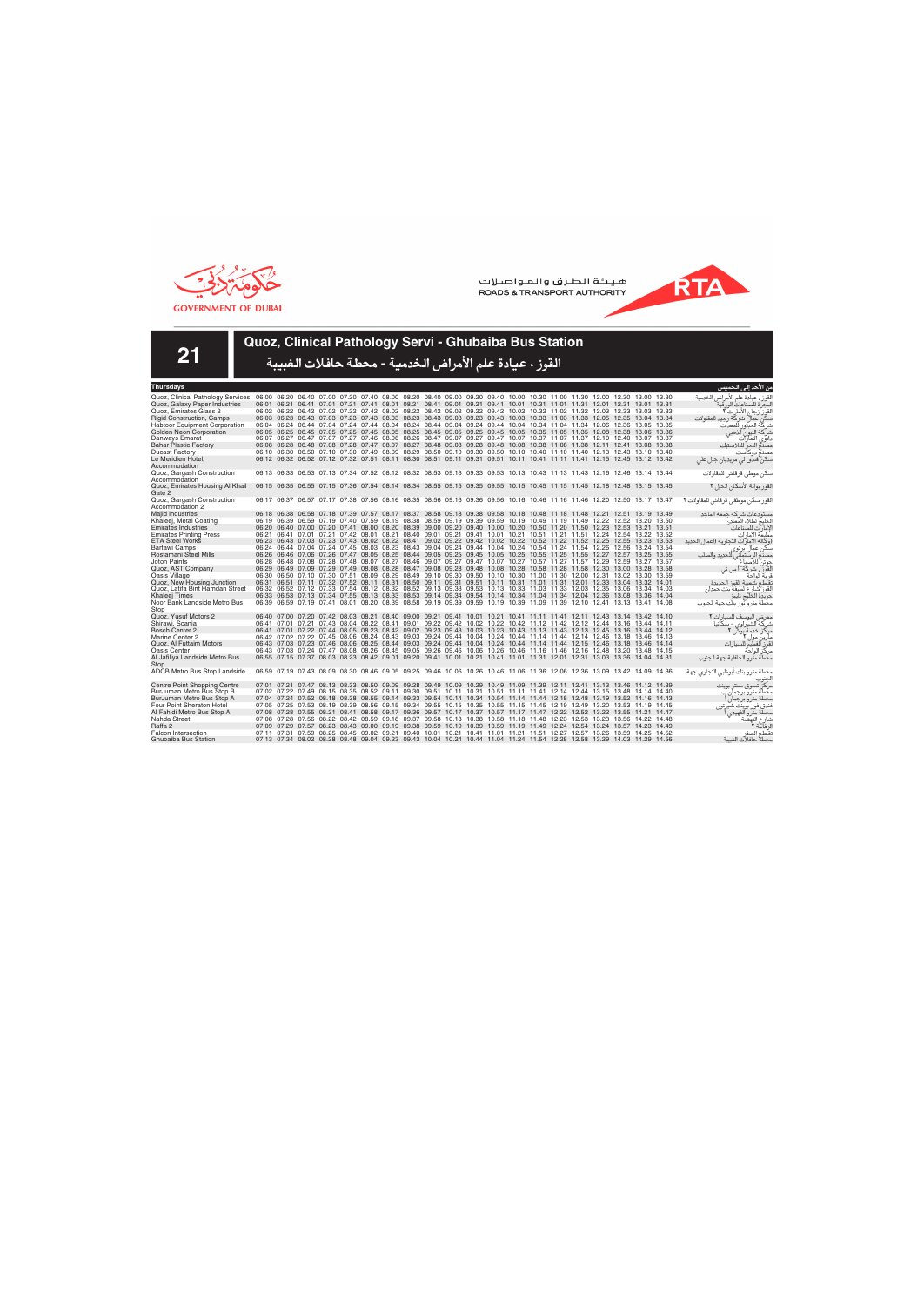



**21**

# **Quoz, Clinical Pathology Servi - Ghubaiba Bus Station**

| <b>Thursdays</b>                     |  |  |                                                                                                                         |  |  |  |  |  |  |  |       | ىن الاحد إلى الخميس                               |
|--------------------------------------|--|--|-------------------------------------------------------------------------------------------------------------------------|--|--|--|--|--|--|--|-------|---------------------------------------------------|
| Quoz, Clinical Pathology Services    |  |  | 06.00 06.20 06.40 07.00 07.20 07.40 08.00 08.20 08.40 09.00 09.20 09.40 10.00 10.30 11.00 11.30 12.00 12.30 13.00 13.30 |  |  |  |  |  |  |  |       | لقوز ، عيادة علم الأمراض الخدمية                  |
| Quoz, Galaxy Paper Industries        |  |  | 06.01 06.21 06.41 07.01 07.21 07.41 08.01 08.21 08.41 09.01 09.21 09.41 10.01 10.31 11.01 11.31 12.01 12.31 13.01 13.31 |  |  |  |  |  |  |  |       | لمحر ة للصناعات الور قية                          |
| Quoz. Emirates Glass 2               |  |  | 06.02 06.22 06.42 07.02 07.22 07.42 08.02 08.22 08.42 09.02 09.22 09.42 10.02 10.32 11.02 11.32 12.03 12.33 13.03 13.33 |  |  |  |  |  |  |  |       | لقوز زجاج الأمارات ٢                              |
| <b>Rigid Construction, Camps</b>     |  |  | 06.03 06.23 06.43 07.03 07.23 07.43 08.03 08.23 08.43 09.03 09.23 09.43 10.03 10.33 11.03 11.33 12.05 12.35 13.04 13.34 |  |  |  |  |  |  |  |       | كِّن عمال شركَّة رجيد للمقاولات                   |
| <b>Habtoor Equipment Corporation</b> |  |  | 06.04 06.24 06.44 07.04 07.24 07.44 08.04 08.24 08.44 09.04 09.24 09.44 10.04 10.34 11.04 11.34 12.06 12.36 13.05       |  |  |  |  |  |  |  | 13.35 | شركة الحبتور<br>للمعدات                           |
| Golden Neon Corporation              |  |  | 06.05 06.25 06.45 07.05 07.25 07.45 08.05 08.25 08.45 09.05 09.25 09.45 10.05 10.35 11.05 11.35 12.08 12.38 13.06       |  |  |  |  |  |  |  | 13.36 | ِ اَلذهبی<br>شركة النيون                          |
| Danways Emarat                       |  |  | 06.07 06.27 06.47 07.07 07.27 07.46 08.06 08.26 08.47 09.07 09.27 09.47 10.07 10.37 11.07 11.37 12.10 12.40 13.07 13.37 |  |  |  |  |  |  |  |       | الامآرات<br>دانوی '                               |
| <b>Bahar Plastic Factory</b>         |  |  | 06.08 06.28 06.48 07.08 07.28 07.47 08.07 08.27 08.48 09.08 09.28 09.48 10.08 10.38 11.08 11.38 12.11 12.41 13.08 13.38 |  |  |  |  |  |  |  |       | مصدع البحر للبلاستيك                              |
| <b>Ducast Factory</b>                |  |  | 06.10 06.30 06.50 07.10 07.30 07.49 08.09 08.29 08.50 09.10 09.30 09.50 10.10 10.40 11.10 11.40 12.13 12.43 13.10 13.40 |  |  |  |  |  |  |  |       | مصنع دوكآست                                       |
| Le Meridien Hotel.                   |  |  | 06.12 06.32 06.52 07.12 07.32 07.51 08.11 08.30 08.51 09.11 09.31 09.51 10.11 10.41 11.11 11.41 12.15 12.45 13.12 13.42 |  |  |  |  |  |  |  |       | سکن فندق لي مريديان جبل علي                       |
| Accommodation                        |  |  |                                                                                                                         |  |  |  |  |  |  |  |       |                                                   |
| Quoz, Gargash Construction           |  |  | 06.13 06.33 06.53 07.13 07.34 07.52 08.12 08.32 08.53 09.13 09.33 09.53 10.13 10.43 11.13 11.43 12.16 12.46 13.14 13.44 |  |  |  |  |  |  |  |       | سكن موظى قرقاش للمقاولات                          |
| Accommodation                        |  |  |                                                                                                                         |  |  |  |  |  |  |  |       |                                                   |
| Quoz, Emirates Housing Al Khail      |  |  | 06.15 06.35 06.55 07.15 07.36 07.54 08.14 08.34 08.55 09.15 09.35 09.55 10.15 10.45 11.15 11.45 12.18 12.48 13.15 13.45 |  |  |  |  |  |  |  |       | القوز بوابة الأسكان الخيل ٢                       |
| Gate 2                               |  |  |                                                                                                                         |  |  |  |  |  |  |  |       |                                                   |
| Quoz, Gargash Construction           |  |  | 06.17 06.37 06.57 07.17 07.38 07.56 08.16 08.35 08.56 09.16 09.36 09.56 10.16 10.46 11.16 11.46 12.20 12.50 13.17 13.47 |  |  |  |  |  |  |  |       | القوز سكن موظفى قرقاش للمقاولات ٢                 |
| Accommodation 2                      |  |  |                                                                                                                         |  |  |  |  |  |  |  |       |                                                   |
| <b>Maiid Industries</b>              |  |  | 06.18 06.38 06.58 07.18 07.39 07.57 08.17 08.37 08.58 09.18 09.38 09.58 10.18 10.48 11.18 11.48 12.21 12.51 13.19 13.49 |  |  |  |  |  |  |  |       | مستودعات شركة جمعة الماحد                         |
| Khaleej, Metal Coating               |  |  | 06.19 06.39 06.59 07.19 07.40 07.59 08.19 08.38 08.59 09.19 09.39 09.59 10.19 10.49 11.19 11.49 12.22 12.52 13.20 13.50 |  |  |  |  |  |  |  |       | الخليج لطلاء المعادن                              |
| <b>Emirates Industries</b>           |  |  | 06.20 06.40 07.00 07.20 07.41 08.00 08.20 08.39 09.00 09.20 09.40 10.00 10.20 10.50 11.20 11.50 12.23 12.53 13.21 13.51 |  |  |  |  |  |  |  |       | لامارآت للصناعات                                  |
| <b>Emirates Printing Press</b>       |  |  | 06.21 06.41 07.01 07.21 07.42 08.01 08.21 08.40 09.01 09.21 09.41 10.01 10.21 10.51 11.21 11.51 12.24 12.54 13.22 13.52 |  |  |  |  |  |  |  |       | مطبعة الامارات                                    |
| <b>ETA Steel Works</b>               |  |  | 06.23 06.43 07.03 07.23 07.43 08.02 08.22 08.41 09.02 09.22 09.42 10.02 10.22 10.52 11.22 11.52 12.25 12.55 13.23 13.53 |  |  |  |  |  |  |  |       | وكالة الإمارات التجارية (اعمال الحديد             |
| Bartawi Camps                        |  |  | 06.24 06.44 07.04 07.24 07.45 08.03 08.23 08.43 09.04 09.24 09.44 10.04 10.24 10.54 11.24 11.54 12.26 12.56 13.24 13.54 |  |  |  |  |  |  |  |       | ڪن عما(<br>ل برتوی                                |
| Rostamani Steel Mills                |  |  | 06.26 06.46 07.06 07.26 07.47 08.05 08.25 08.44 09.05 09.25 09.45 10.05 10.25 10.55 11.25 11.55 12.27 12.57 13.25 13.55 |  |  |  |  |  |  |  |       | بصذع الرستماني للحديد والصلب                      |
| <b>Joton Paints</b>                  |  |  | 06.28 06.48 07.08 07.28 07.48 08.07 08.27 08.46 09.07 09.27 09.47 10.07 10.27 10.57 11.27 11.57 12.29 12.59 13.27       |  |  |  |  |  |  |  | 13.57 | جوتن للأصباغ                                      |
| Quoz, AST Company                    |  |  | 06.29 06.49 07.09 07.29 07.49 08.08 08.28 08.47 09.08 09.28 09.48 10.08 10.28 10.58 11.28 11.58 12.30 13.00 13.28       |  |  |  |  |  |  |  | 13.58 | لقوز ، شركة أ س تي                                |
| Oasis Village                        |  |  | 06.30 06.50 07.10 07.30 07.51 08.09 08.29 08.49 09.10 09.30 09.50 10.10 10.30 11.00 11.30 12.00 12.31 13.02 13.30 13.59 |  |  |  |  |  |  |  |       | قرية الواحة                                       |
| Quoz, New Housing Junction           |  |  | 06.31 06.51 07.11 07.32 07.52 08.11 08.31 08.50 09.11 09.31 09.51 10.11 10.31 11.01 11.31 12.01 12.33 13.04 13.32 14.01 |  |  |  |  |  |  |  |       | نقاطع شعبية القوز الحديدة                         |
| Quoz, Latifa Bint Hamdan Street      |  |  | 06.32 06.52 07.12 07.33 07.54 08.12 08.32 08.52 09.13 09.33 09.53 10.13 10.33 11.03 11.33 12.03 12.05 13.06 13.34 14.03 |  |  |  |  |  |  |  |       | لقوز شارع لطيفة بنت حمدان                         |
| Khaleej Times                        |  |  | 06.33 06.53 07.13 07.34 07.55 08.13 08.33 08.53 09.14 09.34 09.54 10.14 10.34 11.04 11.34 12.04 12.36 13.08 13.36 14.04 |  |  |  |  |  |  |  |       | جريدة الخليج تايمز                                |
| Noor Bank Landside Metro Bus<br>Stop |  |  | 06.39 06.59 07.19 07.41 08.01 08.20 08.39 08.58 09.19 09.39 09.59 10.19 10.39 11.09 11.39 12.10 12.41 13.13 13.41 14.08 |  |  |  |  |  |  |  |       | محطة مترو نور بنك جهة الجنوب                      |
| Quoz, Yusuf Motors 2                 |  |  | 06.40 07.00 07.20 07.42 08.03 08.21 08.40 09.00 09.21 09.41 10.01 10.21 10.41 11.11 11.41 12.11 12.43 13.14 13.42 14.10 |  |  |  |  |  |  |  |       |                                                   |
| Shirawi, Scania                      |  |  | 06.41 07.01 07.21 07.43 08.04 08.22 08.41 09.01 09.22 09.42 10.02 10.22 10.42 11.12 11.42 12.12 12.44 13.16 13.44 14.11 |  |  |  |  |  |  |  |       | معرض اليوسف للسيار ات ٢<br>شرکة الشيراوي - سکانيا |
| <b>Bosch Center 2</b>                |  |  | 06.41 07.01 07.22 07.44 08.05 08.23 08.42 09.02 09.23 09.43 10.03 10.23 10.43 11.13 11.43 12.13 12.45 13.16 13.44 14.12 |  |  |  |  |  |  |  |       |                                                   |
| Marine Center 2                      |  |  | 06.42 07.02 07.22 07.45 08.06 08.24 08.43 09.03 09.24 09.44 10.04 10.24 10.44 11.14 11.44 12.14 12.46 13.18 13.46 14.13 |  |  |  |  |  |  |  |       | مركز خدمة بوش<br>مارین مول ۲                      |
| Quoz, Al Futtaim Motors              |  |  | 06.43 07.03 07.23 07.46 08.06 08.25 08.44 09.03 09.24 09.44 10.04 10.24 10.44 11.14 11.44 12.15 12.46 13.18 13.46       |  |  |  |  |  |  |  | 14.14 | قور الفطيم للسيارات                               |
| Oasis Center                         |  |  | 06.43 07.03 07.24 07.47 08.08 08.26 08.45 09.05 09.26 09.46 10.06 10.26 10.46 11.16 11.46 12.16 12.48 13.20 13.48 14.15 |  |  |  |  |  |  |  |       | مركز الواحة                                       |
| Al Jafiliya Landside Metro Bus       |  |  | 06.55 07.15 07.37 08.03 08.23 08.42 09.01 09.20 09.41 10.01 10.21 10.41 11.01 11.31 12.01 12.31 13.03 13.36 14.04 14.31 |  |  |  |  |  |  |  |       | محطة مترو الجافلية جهة الجنوب                     |
| Stop                                 |  |  |                                                                                                                         |  |  |  |  |  |  |  |       |                                                   |
| ADCB Metro Bus Stop Landside         |  |  | 06.59 07.19 07.43 08.09 08.30 08.46 09.05 09.25 09.46 10.06 10.26 10.46 11.06 11.36 12.06 12.36 13.09 13.42 14.09 14.36 |  |  |  |  |  |  |  |       | محطة مترو بنك أبوظبي التجاري جهة                  |
|                                      |  |  |                                                                                                                         |  |  |  |  |  |  |  |       |                                                   |
| <b>Centre Point Shopping Centre</b>  |  |  | 07.01 07.21 07.47 08.13 08.33 08.50 09.09 09.28 09.49 10.09 10.29 10.49 11.09 11.39 12.11 12.41 13.13 13.46 14.12 14.39 |  |  |  |  |  |  |  |       | مركز تسوق سنتر بوينت                              |
| BurJuman Metro Bus Stop B            |  |  | 07.02 07.22 07.49 08.15 08.35 08.52 09.11 09.30 09.51 10.11 10.31 10.51 11.11 11.41 12.14 12.44 13.15 13.48 14.14 14.40 |  |  |  |  |  |  |  |       | محطة مترو برجمان ب                                |
| BurJuman Metro Bus Stop A            |  |  | 07.04 07.24 07.52 08.18 08.38 08.55 09.14 09.33 09.54 10.14 10.34 10.54 11.14 11.44 12.18 12.48 13.19 13.52 14.16 14.43 |  |  |  |  |  |  |  |       | محطة مترو برجمان                                  |
| Four Point Sheraton Hotel            |  |  | 07.05 07.25 07.53 08.19 08.39 08.56 09.15 09.34 09.55 10.15 10.35 10.55 11.15 11.45 12.19 12.49 13.20 13.53 14.19 14.45 |  |  |  |  |  |  |  |       | فندق فور بوينت شيرتون                             |
| Al Fahidi Metro Bus Stop A           |  |  | 07.08 07.28 07.55 08.21 08.41 08.58 09.17 09.36 09.57 10.17 10.37 10.57 11.17 11.47 12.22 12.52 13.22 13.55 14.21       |  |  |  |  |  |  |  | 14.47 | محطة مترو الفهيدى                                 |
| Nahda Street                         |  |  | 07.08 07.28 07.56 08.22 08.42 08.59 09.18 09.37 09.58 10.18 10.38 10.58 11.18 11.48 12.23 12.53 13.23 13.56 14.22 14.48 |  |  |  |  |  |  |  |       | شارع النهضة                                       |
| Raffa 2                              |  |  | 07.09 07.29 07.57 08.23 08.43 09.00 09.19 09.38 09.59 10.19 10.39 10.59 11.19 11.49 12.24 12.54 13.24 13.57 14.23       |  |  |  |  |  |  |  | 14.49 | ل فاعة ٢                                          |
| <b>Falcon Intersection</b>           |  |  | 07.11 07.31 07.59 08.25 08.45 09.02 09.21 09.40 10.01 10.21 10.41 11.01 11.21 11.51 12.27 12.57 13.26 13.59 14.25 14.52 |  |  |  |  |  |  |  |       | نقآطع الصق                                        |
| Ghubaiba Bus Station                 |  |  | 07.13 07.34 08.02 08.28 08.48 09.04 09.23 09.43 10.04 10.24 10.44 11.04 11.24 11.54 12.28 12.58 13.29 14.03 14.29 14.56 |  |  |  |  |  |  |  |       | محطة حافلات الغبيبة                               |
|                                      |  |  |                                                                                                                         |  |  |  |  |  |  |  |       |                                                   |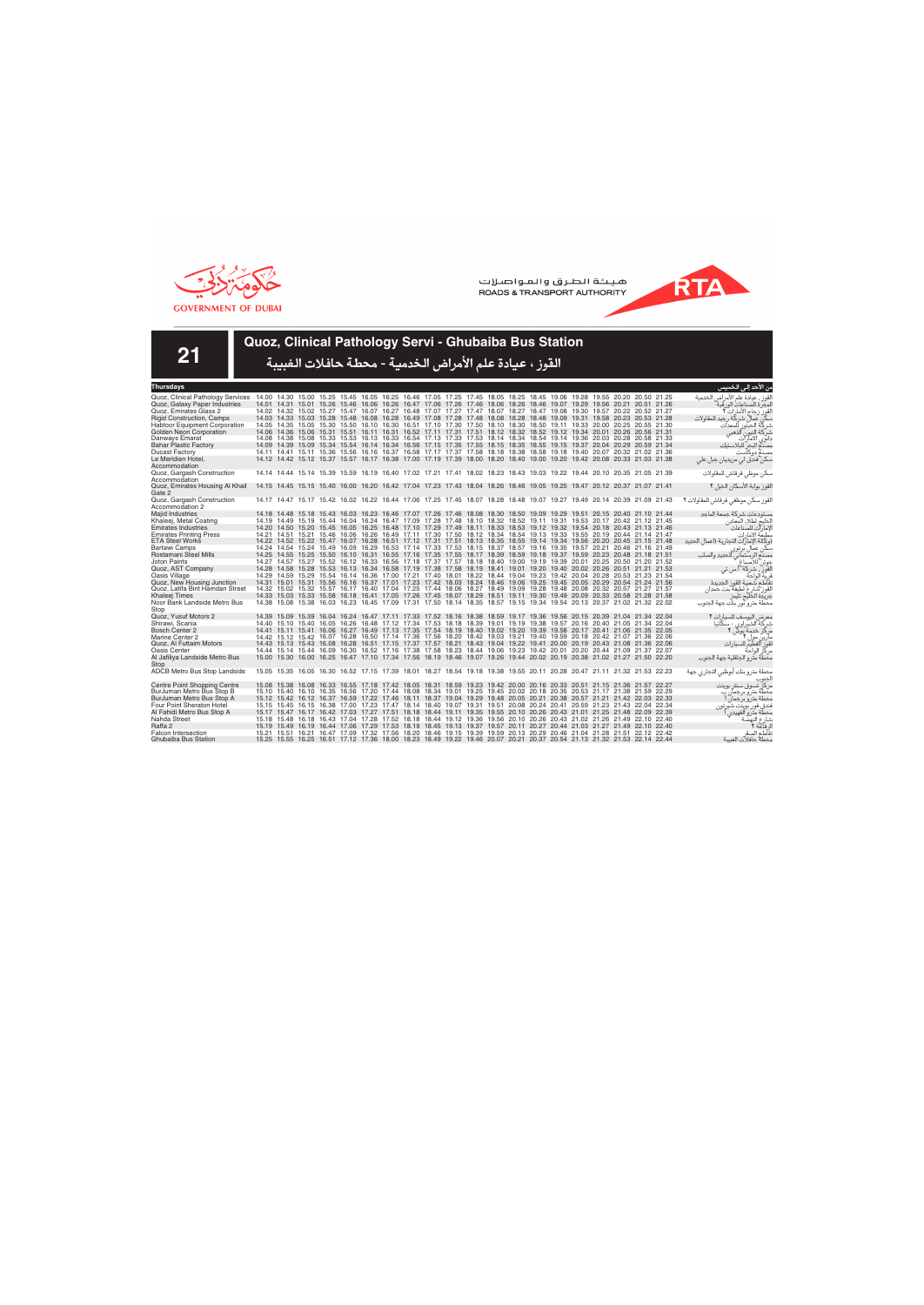



**21**

## **Quoz, Clinical Pathology Servi - Ghubaiba Bus Station**

| Thursdays                            |                                                                                                                         |  |  |                                                                                                                         |  |  |  |  |  |  | من الآحد إلى الخميس                     |
|--------------------------------------|-------------------------------------------------------------------------------------------------------------------------|--|--|-------------------------------------------------------------------------------------------------------------------------|--|--|--|--|--|--|-----------------------------------------|
| Quoz, Clinical Pathology Services    | 14.00 14.30 15.00 15.25 15.45 16.05 16.25 16.46 17.05 17.25 17.45 18.05 18.25 18.45 19.06 19.28 19.55 20.20 20.50 21.25 |  |  |                                                                                                                         |  |  |  |  |  |  | لقوز ، عيادة علم الأمراض الخدمية        |
| Quoz, Galaxy Paper Industries        |                                                                                                                         |  |  | 14.01 14.31 15.01 15.26 15.46 16.06 16.26 16.47 17.06 17.26 17.46 18.06 18.26 18.46 19.07 19.29 19.56 20.21 20.51 21.26 |  |  |  |  |  |  | لمحر ة للصناعات الور قبة                |
| Quoz. Emirates Glass 2               |                                                                                                                         |  |  | 14.02 14.32 15.02 15.27 15.47 16.07 16.27 16.48 17.07 17.27 17.47 18.07 18.27 18.47 19.08 19.30 19.57 20.22 20.52 21.27 |  |  |  |  |  |  | القوز رجاج الأمارات ٢                   |
| <b>Rigid Construction, Camps</b>     |                                                                                                                         |  |  | 14.03 14.33 15.03 15.28 15.48 16.08 16.28 16.49 17.08 17.28 17.48 18.08 18.28 18.48 19.09 19.31 19.58 20.23 20.53 21.28 |  |  |  |  |  |  | كن عمال شركة رجيد للمقاولات             |
| <b>Habtoor Equipment Corporation</b> |                                                                                                                         |  |  | 14.05 14.35 15.05 15.30 15.50 16.10 16.30 16.51 17.10 17.30 17.50 18.10 18.30 18.50 19.11 19.33 20.00 20.25 20.55 21.30 |  |  |  |  |  |  | شر كّة الحبّة ر<br>للمعدات              |
| Golden Neon Corporation              |                                                                                                                         |  |  | 14.06 14.36 15.06 15.31 15.51 16.11 16.31 16.52 17.11 17.31 17.51 18.12 18.32 18.52 19.12 19.34 20.01 20.26 20.56 21.31 |  |  |  |  |  |  | آلذهبے<br>شركة النيون                   |
| Danways Emarat                       |                                                                                                                         |  |  | 14.08 14.38 15.08 15.33 15.53 16.13 16.33 16.54 17.13 17.33 17.53 18.14 18.34 18.54 19.14 19.36 20.03 20.28 20.58 21.33 |  |  |  |  |  |  | دانوي الامآرات                          |
| <b>Bahar Plastic Factory</b>         |                                                                                                                         |  |  | 14.09 14.39 15.09 15.34 15.54 16.14 16.34 16.56 17.15 17.35 17.55 18.15 18.35 18.55 19.15 19.37 20.04 20.29 20.59 21.34 |  |  |  |  |  |  | مصدع البحر للبلاستيك                    |
| <b>Ducast Factory</b>                |                                                                                                                         |  |  | 14.11 14.41 15.11 15.36 15.56 16.16 16.37 16.58 17.17 17.37 17.58 18.18 18.38 18.58 19.18 19.40 20.07 20.32 21.02 21.36 |  |  |  |  |  |  | مصنع دوكآست                             |
| Le Meridien Hotel,                   |                                                                                                                         |  |  | 14.12 14.42 15.12 15.37 15.57 16.17 16.38 17.00 17.19 17.39 18.00 18.20 18.40 19.00 19.20 19.42 20.08 20.33 21.03 21.38 |  |  |  |  |  |  | سکن فندق لی مریدیان جبل علی             |
| Accommodation                        |                                                                                                                         |  |  |                                                                                                                         |  |  |  |  |  |  |                                         |
| Quoz, Gargash Construction           |                                                                                                                         |  |  | 14.14 14.44 15.14 15.39 15.59 16.19 16.40 17.02 17.21 17.41 18.02 18.23 18.43 19.03 19.22 19.44 20.10 20.35 21.05 21.39 |  |  |  |  |  |  | سكن موظى قرقاش للمقاولات                |
| Accommodation                        |                                                                                                                         |  |  |                                                                                                                         |  |  |  |  |  |  |                                         |
| Quoz, Emirates Housing Al Khail      | 14.15 14.45 15.15 15.40 16.00 16.20 16.42 17.04 17.23 17.43 18.04 18.26 18.46 19.05 19.25 19.47 20.12 20.37 21.07 21.41 |  |  |                                                                                                                         |  |  |  |  |  |  | القوز بوابة الأسكان الخيل ٢             |
| Gate 2                               |                                                                                                                         |  |  |                                                                                                                         |  |  |  |  |  |  |                                         |
| Quoz, Gargash Construction           |                                                                                                                         |  |  | 14.17 14.47 15.17 15.42 16.02 16.22 16.44 17.06 17.25 17.45 18.07 18.28 18.48 19.07 19.27 19.49 20.14 20.39 21.09 21.43 |  |  |  |  |  |  | القوز سكن موظفى قرقاش للمقاولات ٢       |
| Accommodation 2                      |                                                                                                                         |  |  |                                                                                                                         |  |  |  |  |  |  |                                         |
| Majid Industries                     |                                                                                                                         |  |  | 14.18 14.48 15.18 15.43 16.03 16.23 16.46 17.07 17.26 17.46 18.08 18.30 18.50 19.09 19.29 19.51 20.15 20.40 21.10 21.44 |  |  |  |  |  |  | مستودعات شركة جمعة الماحد               |
| Khaleej, Metal Coating               |                                                                                                                         |  |  | 14.19 14.49 15.19 15.44 16.04 16.24 16.47 17.09 17.28 17.48 18.10 18.32 18.52 19.11 19.31 19.53 20.17 20.42 21.12 21.45 |  |  |  |  |  |  | الخليج لطلاء المعادن                    |
| <b>Emirates Industries</b>           |                                                                                                                         |  |  | 14.20 14.50 15.20 15.45 16.05 16.25 16.48 17.10 17.29 17.49 18.11 18.33 18.53 19.12 19.32 19.54 20.18 20.43 21.13 21.46 |  |  |  |  |  |  | لإمارات للصناعات                        |
| <b>Emirates Printing Press</b>       |                                                                                                                         |  |  | 14.21 14.51 15.21 15.46 16.06 16.26 16.49 17.11 17.30 17.50 18.12 18.34 18.54 19.13 19.33 19.55 20.19 20.44 21.14 21.47 |  |  |  |  |  |  | مطبعة الامارات                          |
| <b>ETA Steel Works</b>               |                                                                                                                         |  |  | 14.22 14.52 15.22 15.47 16.07 16.28 16.51 17.12 17.31 17.51 18.13 18.35 18.55 19.14 19.34 19.56 20.20 20.45 21.15 21.48 |  |  |  |  |  |  | (وكالة الإمار ات التجارية (اعمال الحديد |
| Bartawi Camps                        |                                                                                                                         |  |  | 14.24 14.54 15.24 15.49 16.09 16.29 16.53 17.14 17.33 17.53 18.15 18.37 18.57 19.16 19.35 19.57 20.21 20.46 21.16 21.49 |  |  |  |  |  |  | سکن عمال بر تو ی                        |
| Rostamani Steel Mills                |                                                                                                                         |  |  | 14.25 14.55 15.25 15.50 16.10 16.31 16.55 17.16 17.35 17.55 18.17 18.39 18.59 19.18 19.37 19.59 20.23 20.48 21.18 21.51 |  |  |  |  |  |  | للحديد والصلب<br>مصذم الرستماني         |
| Joton Paints                         |                                                                                                                         |  |  | 14.27 14.57 15.27 15.52 16.12 16.33 16.56 17.18 17.37 17.57 18.18 18.40 19.00 19.19 19.39 20.01 20.25 20.50 21.20 21.52 |  |  |  |  |  |  | جوتن للاصباغ                            |
| Quoz, AST Company                    |                                                                                                                         |  |  | 14.28 14.58 15.28 15.53 16.13 16.34 16.58 17.19 17.38 17.58 18.19 18.41 19.01 19.20 19.40 20.02 20.26 20.51 21.21 21.53 |  |  |  |  |  |  | القور ، شركة أ س تي                     |
| Oasis Village                        |                                                                                                                         |  |  | 14.29 14.59 15.29 15.54 16.14 16.36 17.00 17.21 17.40 18.01 18.22 18.44 19.04 19.23 19.42 20.04 20.28 20.53 21.23 21.54 |  |  |  |  |  |  | ف بة الواحة                             |
| Quoz, New Housing Junction           |                                                                                                                         |  |  | 14.31 15.01 15.31 15.56 16.16 16.37 17.01 17.23 17.42 18.03 18.24 18.46 19.06 19.25 19.45 20.05 20.29 20.54 21.24 21.56 |  |  |  |  |  |  | تقاطع شعبية القوز الجديدة               |
| Quoz. Latifa Bint Hamdan Street      |                                                                                                                         |  |  | 14.32 15.02 15.32 15.57 16.17 16.40 17.04 17.25 17.44 18.06 18.27 18.49 19.09 19.28 19.48 20.08 20.32 20.57 21.27 21.57 |  |  |  |  |  |  | لقوز شارع لطيفة بنت حمدان               |
| Khaleei Times                        |                                                                                                                         |  |  | 14.33 15.03 15.33 15.58 16.18 16.41 17.05 17.26 17.45 18.07 18.29 18.51 19.11 19.30 19.49 20.09 20.33 20.58 21.28 21.58 |  |  |  |  |  |  | جريدة الخليج تايمز                      |
| Noor Bank Landside Metro Bus         |                                                                                                                         |  |  | 14.38 15.08 15.38 16.03 16.23 16.45 17.09 17.31 17.50 18.14 18.35 18.57 19.15 19.34 19.54 20.13 20.37 21.02 21.32 22.02 |  |  |  |  |  |  | محطة مترو نور بنك جهة الجنوب            |
| Stop                                 |                                                                                                                         |  |  |                                                                                                                         |  |  |  |  |  |  |                                         |
| Quoz. Yusuf Motors 2                 |                                                                                                                         |  |  | 14.39 15.09 15.39 16.04 16.24 16.47 17.11 17.33 17.52 18.16 18.38 18.59 19.17 19.36 19.56 20.15 20.39 21.04 21.34 22.04 |  |  |  |  |  |  | معرض اليوسف للسيارات ٢                  |
| Shirawi, Scania                      |                                                                                                                         |  |  | 14.40 15.10 15.40 16.05 16.26 16.48 17.12 17.34 17.53 18.18 18.39 19.01 19.19 19.38 19.57 20.16 20.40 21.05 21.34 22.04 |  |  |  |  |  |  | شرکة الشيراوي - سکانيا                  |
| Bosch Center 2                       |                                                                                                                         |  |  | 14.41 15.11 15.41 16.06 16.27 16.49 17.13 17.35 17.54 18.19 18.40 19.02 19.20 19.39 19.58 20.17 20.41 21.06 21.35 22.05 |  |  |  |  |  |  | مرکز خدمة بوش ۲                         |
| Marine Center 2                      |                                                                                                                         |  |  | 14.42 15.12 15.42 16.07 16.28 16.50 17.14 17.36 17.56 18.20 18.42 19.03 19.21 19.40 19.59 20.18 20.42 21.07 21.36 22.06 |  |  |  |  |  |  | مار ین مول ۲                            |
| Quoz, Al Futtaim Motors              |                                                                                                                         |  |  | 14.43 15.13 15.43 16.08 16.28 16.51 17.15 17.37 17.57 18.21 18.43 19.04 19.22 19.41 20.00 20.19 20.43 21.08 21.36 22.06 |  |  |  |  |  |  | لقوز الفطيم للسيار ات                   |
| Oasis Center                         |                                                                                                                         |  |  | 14.44 15.14 15.44 16.09 16.30 16.52 17.16 17.38 17.58 18.23 18.44 19.06 19.23 19.42 20.01 20.20 20.44 21.09 21.37 22.07 |  |  |  |  |  |  | مركز الواحة                             |
| Al Jafiliya Landside Metro Bus       |                                                                                                                         |  |  | 15.00 15.30 16.00 16.25 16.47 17.10 17.34 17.56 18.19 18.46 19.07 19.26 19.44 20.02 20.19 20.38 21.02 21.27 21.50 22.20 |  |  |  |  |  |  | محطة مترو الجافلية جهة الجنوب           |
| Stop                                 |                                                                                                                         |  |  |                                                                                                                         |  |  |  |  |  |  |                                         |
| ADCB Metro Bus Stop Landside         |                                                                                                                         |  |  | 15.05 15.35 16.05 16.30 16.52 17.15 17.39 18.01 18.27 18.54 19.18 19.38 19.55 20.11 20.28 20.47 21.11 21.32 21.53 22.23 |  |  |  |  |  |  | محطة مترو بنك أبوظبي التجاري جهة        |
|                                      |                                                                                                                         |  |  |                                                                                                                         |  |  |  |  |  |  |                                         |
| <b>Centre Point Shopping Centre</b>  |                                                                                                                         |  |  | 15.08 15.38 16.08 16.33 16.55 17.18 17.42 18.05 18.31 18.59 19.23 19.42 20.00 20.16 20.33 20.51 21.15 21.36 21.57 22.27 |  |  |  |  |  |  | مر کز تسوق سنتر بوینت                   |
| BurJuman Metro Bus Stop B            |                                                                                                                         |  |  | 15.10 15.40 16.10 16.35 16.56 17.20 17.44 18.08 18.34 19.01 19.25 19.45 20.02 20.18 20.35 20.53 21.17 21.38 21.59 22.29 |  |  |  |  |  |  | محطة متر و بر حمان ب                    |
| BurJuman Metro Bus Stop A            |                                                                                                                         |  |  | 15.12 15.42 16.12 16.37 16.59 17.22 17.46 18.11 18.37 19.04 19.29 19.48 20.05 20.21 20.38 20.57 21.21 21.42 22.03 22.33 |  |  |  |  |  |  | محطة مترو برجمان                        |
| <b>Four Point Sheraton Hotel</b>     |                                                                                                                         |  |  | 15.15 15.45 16.15 16.38 17.00 17.23 17.47 18.14 18.40 19.07 19.31 19.51 20.08 20.24 20.41 20.59 21.23 21.43 22.04 22.34 |  |  |  |  |  |  | فندق فور بوينت شير تون                  |
| Al Fahidi Metro Bus Stop A           |                                                                                                                         |  |  | 15.17 15.47 16.17 16.42 17.03 17.27 17.51 18.18 18.44 19.11 19.35 19.55 20.10 20.26 20.43 21.01 21.25 21.48 22.09 22.39 |  |  |  |  |  |  | محطة متر و الفهيدي                      |
| Nahda Street                         |                                                                                                                         |  |  | 15.18 15.48 16.18 16.43 17.04 17.28 17.52 18.18 18.44 19.12 19.36 19.56 20.10 20.26 20.43 21.02 21.26 21.49 22.10 22.40 |  |  |  |  |  |  | شارع النهضة                             |
| Raffa 2                              |                                                                                                                         |  |  | 15.19 15.49 16.19 16.44 17.06 17.29 17.53 18.19 18.45 19.13 19.37 19.57 20.11 20.27 20.44 21.03 21.27 21.49 22.10 22.40 |  |  |  |  |  |  | لا فاعة ٢                               |
| <b>Falcon Intersection</b>           |                                                                                                                         |  |  | 15.21 15.51 16.21 16.47 17.09 17.32 17.56 18.20 18.46 19.15 19.39 19.59 20.13 20.29 20.46 21.04 21.28 21.51 22.12 22.42 |  |  |  |  |  |  | نقاطع الصقر                             |
| Ghubaiba Bus Station                 |                                                                                                                         |  |  | 15.25 15.55 16.25 16.51 17.12 17.36 18.00 18.23 18.49 19.22 19.46 20.07 20.21 20.37 20.54 21.13 21.32 21.53 22.14 22.44 |  |  |  |  |  |  | محطة حافلات الغسة                       |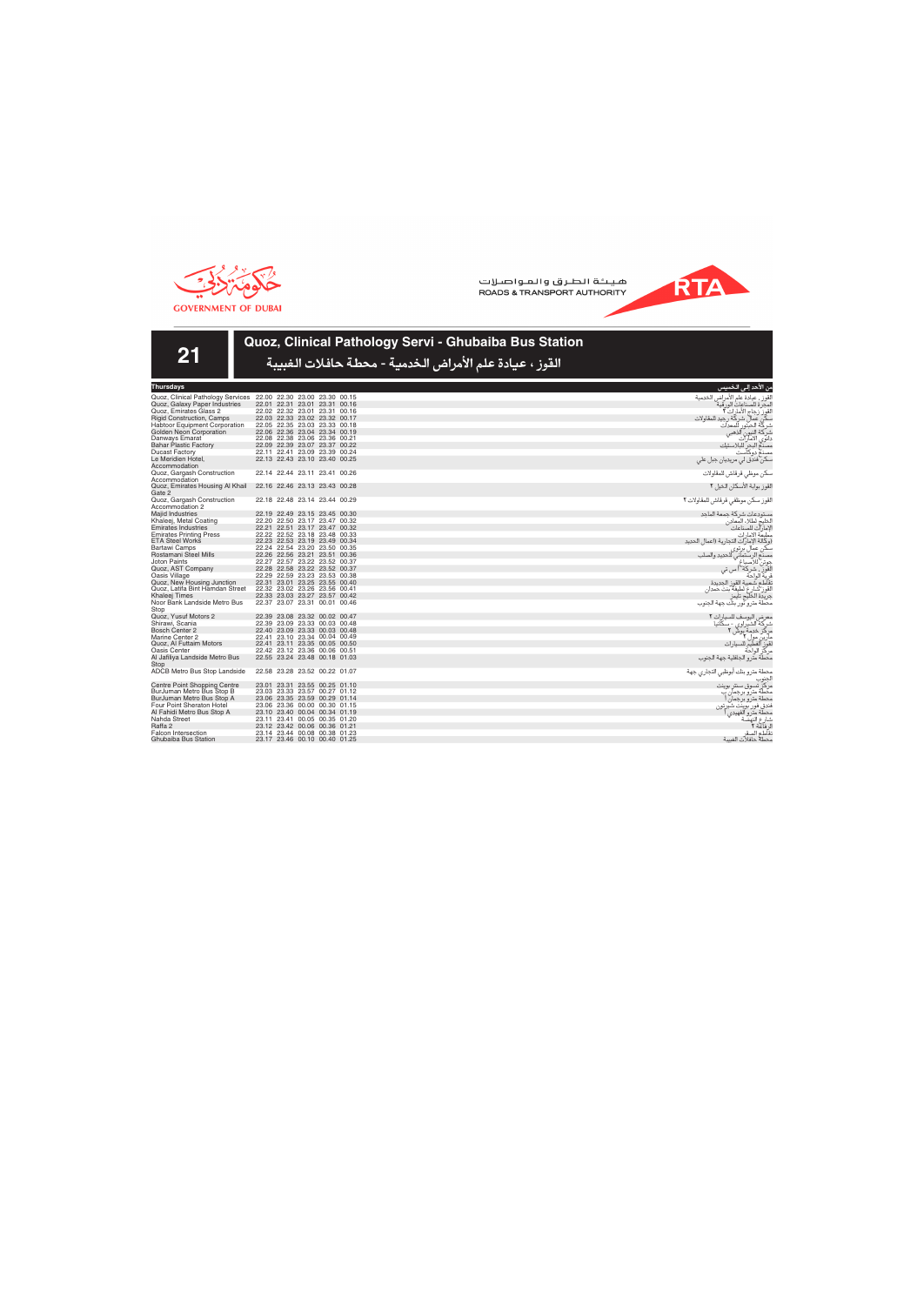

**21**

هيئة الطرق والمواصلات ROADS & TRANSPORT AUTHORITY



# **Quoz, Clinical Pathology Servi - Ghubaiba Bus Station**

القوز ، عيادة علم الأمراض الخدمية - محطة حافلات الغبيبة

| Thursdays                            |       |                         |             |       |       |
|--------------------------------------|-------|-------------------------|-------------|-------|-------|
| Quoz, Clinical Pathology Services    |       | 22.00 22.30 23.00       |             | 23.30 | 00.15 |
| Quoz, Galaxy Paper Industries        | 22.01 | 22.31                   | 23.01       | 23.31 | 00.16 |
| Quoz, Emirates Glass 2               | 22.02 | 22.32                   | 23.01       | 23.31 | 00.16 |
| <b>Rigid Construction, Camps</b>     | 22.03 | 22.33                   | 23.02       | 23.32 | 00.17 |
| Habtoor Equipment Corporation        | 22.05 | 22.35                   | 23.03       | 23.33 | 00.18 |
| <b>Golden Neon Corporation</b>       | 22.06 | 22.36                   | 23.04       | 23.34 | 00.19 |
| Danways Emarat                       |       | 22.08 22.38             | 23.06       | 23.36 | 00.21 |
| <b>Bahar Plastic Factory</b>         |       | 22.09 22.39 23.07       |             | 23.37 | 00.22 |
| <b>Ducast Factory</b>                | 22.11 | 22.41                   | 23.09       | 23.39 | 00.24 |
| Le Meridien Hotel.                   | 22.13 | 22.43                   | 23.10       | 23.40 | 00.25 |
| Accommodation                        |       |                         |             |       |       |
| Quoz, Gargash Construction           |       | 22.14 22.44             | 23.11       | 23.41 | 00.26 |
| Accommodation                        |       |                         |             |       |       |
| Quoz, Emirates Housing Al Khail      | 22.16 | 22.46                   | 23.13       | 23.43 | 00.28 |
| Gate 2                               |       |                         |             |       |       |
| Quoz, Gargash Construction           |       | 22.18 22.48 23.14 23.44 |             |       | 00.29 |
| Accommodation 2                      |       |                         |             |       |       |
| <b>Majid Industries</b>              | 22.19 | 22.49                   | 23.15       | 23.45 | 00.30 |
| Khaleej, Metal Coating               | 22.20 | 22.50                   | 23.17       | 23.47 | 00.32 |
| <b>Emirates Industries</b>           | 22.21 | 22.51                   | 23.17       | 23.47 | 00.32 |
| <b>Emirates Printing Press</b>       | 22.22 |                         | 22.52 23.18 | 23.48 | 00.33 |
| <b>ETA Steel Works</b>               |       | 22.23 22.53 23.19       |             | 23.49 | 00.34 |
| <b>Bartawi Camps</b>                 | 22.24 |                         | 22.54 23.20 | 23.50 | 00.35 |
| Rostamani Steel Mills                | 22.26 |                         | 22.56 23.21 | 23.51 | 00.36 |
| <b>Joton Paints</b>                  | 22.27 | 22.57                   | 23.22       | 23.52 | 00.37 |
| Quoz, AST Company                    | 22.28 | 22.58                   | 23.22       | 23.52 | 00.37 |
| Oasis Village                        |       | 22.29 22.59 23.23       |             | 23.53 | 00.38 |
| Quoz, New Housing Junction           | 22.31 |                         | 23.01 23.25 | 23.55 | 00.40 |
| Quoz, Latifa Bint Hamdan Street      | 22.32 | 23.02                   | 23.26       | 23.56 | 00.41 |
| Khaleej Times                        |       | 22.33 23.03             | 23.27       | 23.57 | 00.42 |
| Noor Bank Landside Metro Bus<br>Stop |       | 22.37 23.07             | 23.31       | 00.01 | 00.46 |
| Quoz, Yusuf Motors 2                 | 22.39 | 23.08                   | 23.32       | 00.02 | 00.47 |
| Shirawi, Scania                      |       | 22.39 23.09 23.33       |             | 00.03 | 00.48 |
| <b>Bosch Center 2</b>                |       | 22.40 23.09 23.33       |             | 00.03 | 00.48 |
| Marine Center 2                      | 22.41 | 23.10                   | 23.34       | 00.04 | 00.49 |
| Quoz, Al Futtaim Motors              | 22.41 | 23.11                   | 23.35       | 00.05 | 00.50 |
| Oasis Center                         | 22.42 | 23.12                   | 23.36       | 00.06 | 00.51 |
| Al Jafiliya Landside Metro Bus       | 22.55 | 23.24                   | 23.48       | 00.18 | 01.03 |
| Stop                                 |       |                         |             |       |       |
| ADCB Metro Bus Stop Landside         |       | 22.58 23.28 23.52       |             | 00.22 | 01.07 |
| Centre Point Shopping Centre         | 23.01 | 23.31                   | 23.55       | 00.25 | 01.10 |
| BurJuman Metro Bus Stop B            | 23.03 | 23.33                   | 23.57       | 00.27 | 01.12 |
| BurJuman Metro Bus Stop A            | 23.06 | 23.35                   | 23.59       | 00.29 | 01.14 |
| Four Point Sheraton Hotel            | 23.06 | 23.36                   | 00.00       | 00.30 | 01.15 |
| Al Fahidi Metro Bus Stop A           | 23.10 | 23.40                   | 00.04       | 00.34 | 01.19 |
| Nahda Street                         | 23.11 | 23.41                   | 00.05       | 00.35 | 01.20 |
| Raffa 2                              | 23.12 | 23.42                   | 00.06       | 00.36 | 01.21 |
| <b>Falcon Intersection</b>           | 23.14 | 23.44                   | 00.08       | 00.38 | 01.23 |
| Ghubaiba Bus Station                 | 23.17 | 23.46                   | 00.10       | 00.40 | 01.25 |

الفروز ، عادة عام الأمراض الخدمية<br>القواز : إن كارة أمراض أكرافي<br>سكن عمال شركة المراضية<br>شركة الفروز الذهبي<br>مصنع البحر للبلاستيك<br>مسكن أفدق لي مريديان جبل علي<br>مسكن فندق لي مريديان جبل علي سكن موظي قرقاش للمقاولات القوز بوابة الأسكان الخيل ٢ القوز سكن موظفي قرقاش للمقاولات ٢ مستودعات شركة جمعة الماجد<br>الخليج لطلاء المعادن<br>الإمارات للصناعات<br>مطبعة الامارات<br>الكن عمال برتوى<br>سكن عمال برتوى ء<br>عمال برتوى<br>الرستماني للحديد والصلب<br>للاصباغ جونن للاصباغ<br>القوز ، شركة أ س تى قرية الواحة<br>تقاطع شعبية القوز الجديدة<br>القوز شارع لطيفة بنت حمدان<br>محطة مترو نور بنك جهة الجنوب معرض اليوسف للسيارات ٢<br>شركة الشيراوي - سكانيا كً: خدمة

**RTA** 

مارين مول **٢**<br>لقوز الفطيم للسيارات مركز الواحة<br>محطة مترو الجافلية جهة الجنوب

.<br>ن الأحد إل*ى* الخ

حطة مترو بنك أبوظبي التجاري جهة الجنوب<br>مركز تسوق سنتر بوينت محطة مترو برجمان ب<br>محطة مترو برجمان أ ϳզ ²ÔÏ Ï' \$' مک<br>فندق ه<br>مطة .<br>شارع النه<br>الرفاعة ٢ الرفاعة ٢<br>تقاطع الصقر<br>محطه حافلات الغبيبة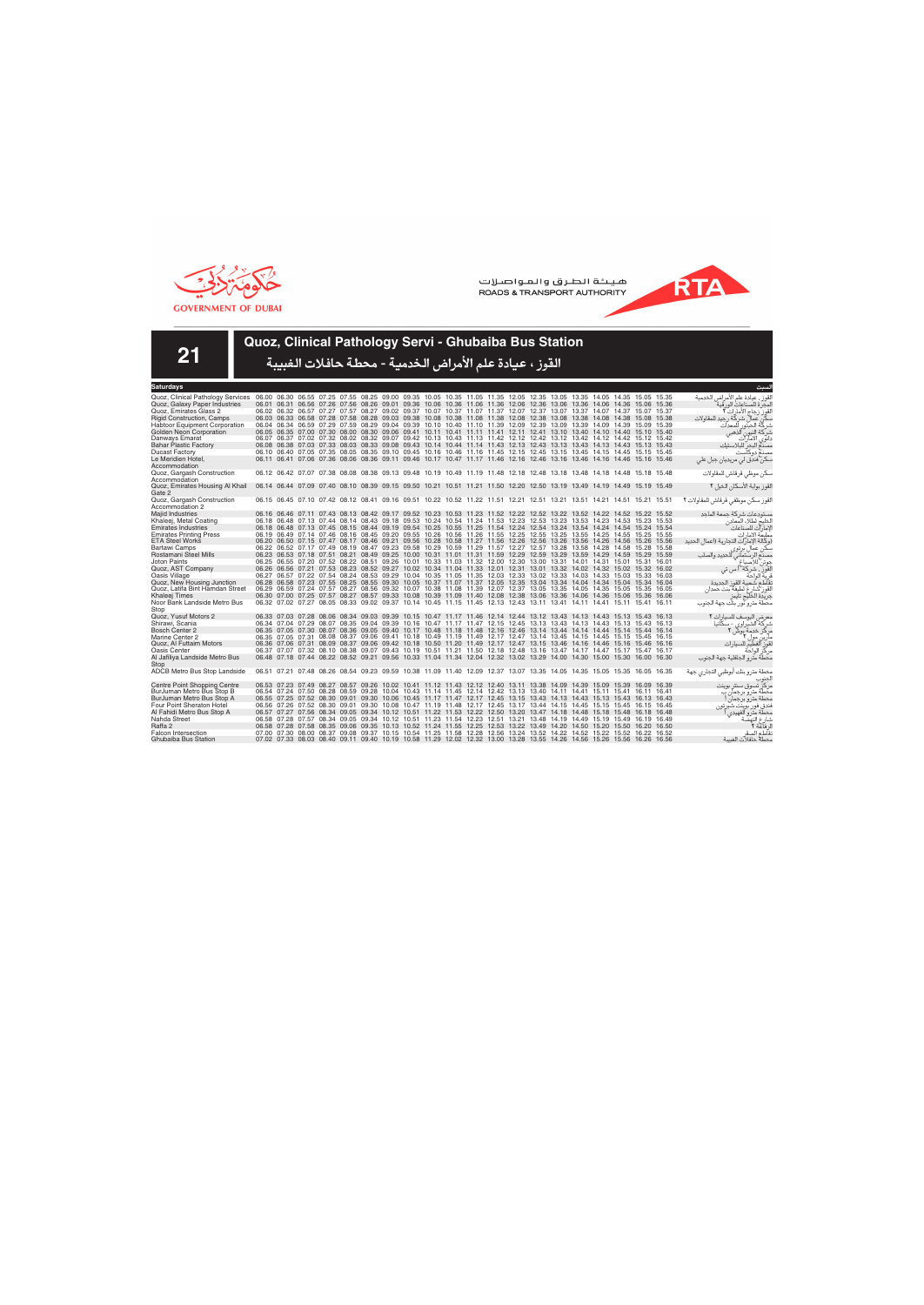



**21**

## **Quoz, Clinical Pathology Servi - Ghubaiba Bus Station**

| Saturdays                            |  |  |                                                                                                                         |  |  |  |  |  |  |  | لسىت                                    |
|--------------------------------------|--|--|-------------------------------------------------------------------------------------------------------------------------|--|--|--|--|--|--|--|-----------------------------------------|
| Quoz, Clinical Pathology Services    |  |  | 06.00 06.30 06.55 07.25 07.55 08.25 09.00 09.35 10.05 10.35 11.05 11.35 12.05 12.35 13.05 13.35 14.05 14.35 15.05 15.35 |  |  |  |  |  |  |  | لقوز ، عيادة علم الأمراض الخدمية        |
| Quoz, Galaxy Paper Industries        |  |  | 06.01 06.31 06.56 07.26 07.56 08.26 09.01 09.36 10.06 10.36 11.06 11.36 12.06 12.36 13.06 13.36 14.06 14.36 15.06 15.36 |  |  |  |  |  |  |  | لمحر ة للصناعات الور قبة                |
| Quoz. Emirates Glass 2               |  |  | 06.02 06.32 06.57 07.27 07.57 08.27 09.02 09.37 10.07 10.37 11.07 11.37 12.07 12.37 13.07 13.37 14.07 14.37 15.07 15.37 |  |  |  |  |  |  |  | القوز زجاج الأمار ات ٢                  |
| <b>Rigid Construction, Camps</b>     |  |  | 06.03 06.33 06.58 07.28 07.58 08.28 09.03 09.38 10.08 10.38 11.08 11.38 12.08 12.38 13.08 13.38 14.08 14.38 15.08 15.38 |  |  |  |  |  |  |  | كن عمال شركة رجيد للمقاولات             |
| <b>Habtoor Equipment Corporation</b> |  |  | 06.04 06.34 06.59 07.29 07.59 08.29 09.04 09.39 10.10 10.40 11.10 11.39 12.09 12.39 13.09 13.39 14.09 14.39 15.09 15.39 |  |  |  |  |  |  |  | شر كّة الحبتور<br>للمعدات               |
| Golden Neon Corporation              |  |  | 06.05 06.35 07.00 07.30 08.00 08.30 09.06 09.41 10.11 10.41 11.11 11.41 12.11 12.41 13.10 13.40 14.10 14.40 15.10 15.40 |  |  |  |  |  |  |  | آلذهبي<br>شركة النيون                   |
| Danways Emarat                       |  |  | 06.07 06.37 07.02 07.32 08.02 08.32 09.07 09.42 10.13 10.43 11.13 11.42 12.12 12.42 13.12 13.42 14.12 14.42 15.12 15.42 |  |  |  |  |  |  |  | دانوي الامآرات                          |
| <b>Bahar Plastic Factory</b>         |  |  | 06.08 06.38 07.03 07.33 08.03 08.33 09.08 09.43 10.14 10.44 11.14 11.43 12.13 12.43 13.13 13.43 14.13 14.43 15.13 15.43 |  |  |  |  |  |  |  | مصدم البحر للبلاستيك                    |
| <b>Ducast Factory</b>                |  |  | 06.10 06.40 07.05 07.35 08.05 08.35 09.10 09.45 10.16 10.46 11.16 11.45 12.15 12.45 13.15 13.45 14.15 14.45 15.15 15.45 |  |  |  |  |  |  |  | مصنع دوكآست                             |
| Le Meridien Hotel,                   |  |  | 06.11 06.41 07.06 07.36 08.06 08.36 09.11 09.46 10.17 10.47 11.17 11.46 12.16 12.46 13.16 13.46 14.16 14.46 15.16 15.46 |  |  |  |  |  |  |  | سکن فندق لی مریدیان جبل علی             |
| Accommodation                        |  |  |                                                                                                                         |  |  |  |  |  |  |  |                                         |
| Quoz, Gargash Construction           |  |  | 06.12 06.42 07.07 07.38 08.08 08.38 09.13 09.48 10.19 10.49 11.19 11.48 12.18 12.48 13.18 13.48 14.18 14.48 15.18 15.48 |  |  |  |  |  |  |  | سكن موظى قرقاش للمقاولات                |
| Accommodation                        |  |  |                                                                                                                         |  |  |  |  |  |  |  |                                         |
| Quoz, Emirates Housing Al Khail      |  |  | 06.14 06.44 07.09 07.40 08.10 08.39 09.15 09.50 10.21 10.51 11.21 11.50 12.20 12.50 13.19 13.49 14.19 14.49 15.19 15.49 |  |  |  |  |  |  |  | القوز بوابة الأسكان الخيل ٢             |
| Gate 2                               |  |  |                                                                                                                         |  |  |  |  |  |  |  |                                         |
| Quoz, Gargash Construction           |  |  | 06.15 06.45 07.10 07.42 08.12 08.41 09.16 09.51 10.22 10.52 11.22 11.51 12.21 12.51 13.21 13.51 14.21 14.51 15.21 15.51 |  |  |  |  |  |  |  | القوز سكن موظفى قرقاش للمقاولات ٢       |
| Accommodation 2                      |  |  |                                                                                                                         |  |  |  |  |  |  |  |                                         |
| Majid Industries                     |  |  | 06.16 06.46 07.11 07.43 08.13 08.42 09.17 09.52 10.23 10.53 11.23 11.52 12.22 12.52 13.22 13.52 14.52 14.52 15.22 15.52 |  |  |  |  |  |  |  | مستودعات شركة حمعة الماحد               |
| Khaleej, Metal Coating               |  |  | 06.18 06.48 07.13 07.44 08.14 08.43 09.18 09.53 10.24 10.54 11.24 11.53 12.23 12.53 13.23 13.53 14.23 14.53 15.23 15.53 |  |  |  |  |  |  |  | الخليج لطلاء المعادن                    |
| <b>Emirates Industries</b>           |  |  | 06.18 06.48 07.13 07.45 08.15 08.44 09.19 09.54 10.25 10.55 11.25 11.54 12.24 12.54 13.24 13.54 14.24 14.54 15.24 15.54 |  |  |  |  |  |  |  | لإمارآت للصناعات                        |
| <b>Emirates Printing Press</b>       |  |  | 06.19 06.49 07.14 07.46 08.16 08.45 09.20 09.55 10.26 10.56 11.26 11.55 12.25 12.55 13.25 13.55 14.25 14.55 15.25 15.55 |  |  |  |  |  |  |  | مطبعة الامارات                          |
| <b>ETA Steel Works</b>               |  |  | 06.20 06.50 07.15 07.47 08.17 08.46 09.21 09.56 10.28 10.58 11.27 11.56 12.26 12.56 13.26 13.56 14.26 14.56 15.26 15.56 |  |  |  |  |  |  |  | (وكالة الإمار ات التجارية (اعمال الحديد |
| Bartawi Camps                        |  |  | 06.22 06.52 07.17 07.49 08.19 08.47 09.23 09.58 10.29 10.59 11.29 11.57 12.27 12.57 13.28 13.58 14.28 14.58 15.28 15.58 |  |  |  |  |  |  |  | سکن عمال پر توی                         |
| Rostamani Steel Mills                |  |  | 06.23 06.53 07.18 07.51 08.21 08.49 09.25 10.00 10.31 11.01 11.31 11.59 12.29 12.59 13.29 13.59 14.29 14.59 15.29 15.59 |  |  |  |  |  |  |  | للحديد والصلب<br>مصنع الرستماني         |
| Joton Paints                         |  |  | 06.25 06.55 07.20 07.52 08.22 08.51 09.26 10.01 10.33 11.03 11.32 12.00 12.30 13.00 13.31 14.01 14.31 15.01 15.31 16.01 |  |  |  |  |  |  |  | جوتن للاصباغ                            |
| Quoz, AST Company                    |  |  | 06.26 06.56 07.21 07.53 08.23 08.52 09.27 10.02 10.34 11.04 11.33 12.01 12.31 13.01 13.32 14.02 14.32 15.02 15.32 16.02 |  |  |  |  |  |  |  | القور ، شركة أ س تي                     |
| Oasis Village                        |  |  | 06.27 06.57 07.22 07.54 08.24 08.53 09.29 10.04 10.35 11.05 11.35 12.03 12.33 13.02 13.33 14.03 14.33 15.03 15.33 16.03 |  |  |  |  |  |  |  | ف بة الواحة                             |
| Quoz, New Housing Junction           |  |  | 06.28 06.58 07.23 07.55 08.25 08.55 09.30 10.05 10.37 11.07 11.37 12.05 12.35 13.04 13.34 14.04 14.34 15.04 15.34 16.04 |  |  |  |  |  |  |  | نقاطع شعبية القوز الحديدة               |
| Quoz, Latifa Bint Hamdan Street      |  |  | 06.29 06.59 07.24 07.57 08.27 08.56 09.32 10.07 10.38 11.08 11.39 12.07 12.37 13.05 13.35 14.05 14.35 15.05 15.35 16.05 |  |  |  |  |  |  |  | لقوز شارع لطيفة بنت حمدان               |
| Khaleej Times                        |  |  | 06.30 07.00 07.25 07.57 08.27 08.57 09.33 10.08 10.39 11.09 11.40 12.08 12.38 13.06 13.36 14.06 14.36 15.06 15.36 16.06 |  |  |  |  |  |  |  | حر بدة الخليج تابمز                     |
| Noor Bank Landside Metro Bus         |  |  | 06.32 07.02 07.27 08.05 08.33 09.02 09.37 10.14 10.45 11.15 11.45 12.13 12.43 13.11 13.41 14.11 14.41 15.11 15.41 16.11 |  |  |  |  |  |  |  | محطة مترو آور بنك جهة الجنوب            |
| Stop                                 |  |  |                                                                                                                         |  |  |  |  |  |  |  |                                         |
| Quoz. Yusuf Motors 2                 |  |  | 06.33 07.03 07.28 08.06 08.34 09.03 09.39 10.15 10.47 11.17 11.46 12.14 12.44 13.12 13.43 14.13 14.43 15.13 15.43 16.13 |  |  |  |  |  |  |  | معرض اليوسف للسيارات ٢                  |
| Shirawi, Scania                      |  |  | 06.34 07.04 07.29 08.07 08.35 09.04 09.39 10.16 10.47 11.17 11.47 12.15 12.45 13.13 13.43 14.13 14.43 15.13 15.43 16.13 |  |  |  |  |  |  |  | شر که الشیر اوی - سکانیا                |
| Bosch Center 2                       |  |  | 06.35 07.05 07.30 08.07 08.36 09.05 09.40 10.17 10.48 11.18 11.48 12.16 12.46 13.14 13.44 14.14 14.44 15.14 15.44 16.14 |  |  |  |  |  |  |  | مرکز خدمة بوش آ                         |
| Marine Center 2                      |  |  | 06.35 07.05 07.31 08.08 08.37 09.06 09.41 10.18 10.49 11.19 11.49 12.17 12.47 13.14 13.45 14.15 14.45 15.15 15.45 16.15 |  |  |  |  |  |  |  | مارین مول ۲                             |
| Quoz, Al Futtaim Motors              |  |  | 06.36 07.06 07.31 08.09 08.37 09.06 09.42 10.18 10.50 11.20 11.49 12.17 12.47 13.15 13.46 14.16 14.46 15.16 15.46 16.16 |  |  |  |  |  |  |  | قوز الفطيم للسيارات                     |
| Oasis Center                         |  |  | 06.37 07.07 07.32 08.10 08.38 09.07 09.43 10.19 10.51 11.21 11.50 12.18 12.48 13.16 13.47 14.17 14.47 15.17 15.47 16.17 |  |  |  |  |  |  |  | مركز الواحة                             |
| Al Jafiliya Landside Metro Bus       |  |  | 06.48 07.18 07.44 08.22 08.52 09.21 09.56 10.33 11.04 11.34 12.04 12.32 13.02 13.29 14.00 14.30 15.00 15.30 16.00 16.30 |  |  |  |  |  |  |  | محطة مترو الجافلية جهة الجنوب           |
| Stop                                 |  |  |                                                                                                                         |  |  |  |  |  |  |  |                                         |
| ADCB Metro Bus Stop Landside         |  |  | 06.51 07.21 07.48 08.26 08.54 09.23 09.59 10.38 11.09 11.40 12.09 12.37 13.07 13.35 14.05 14.35 15.05 15.35 16.05 16.35 |  |  |  |  |  |  |  | محطة مترو بنك أبوظبي التجاري جهة        |
|                                      |  |  |                                                                                                                         |  |  |  |  |  |  |  |                                         |
| <b>Centre Point Shopping Centre</b>  |  |  | 06.53 07.23 07.49 08.27 08.57 09.26 10.02 10.41 11.12 11.43 12.12 12.40 13.11 13.38 14.09 14.39 15.09 15.39 16.09 16.39 |  |  |  |  |  |  |  | مركز تسوق سنتر بوينت                    |
| BurJuman Metro Bus Stop B            |  |  | 06.54 07.24 07.50 08.28 08.59 09.28 10.04 10.43 11.14 11.45 12.14 12.42 13.13 13.40 14.11 14.41 15.11 15.41 16.11 16.41 |  |  |  |  |  |  |  | محطة مترو بر جمان ب                     |
| BurJuman Metro Bus Stop A            |  |  | 06.55 07.25 07.52 08.30 09.01 09.30 10.06 10.45 11.17 11.47 12.17 12.45 13.15 13.43 14.13 14.43 15.13 15.43 16.13 16.43 |  |  |  |  |  |  |  | محطة مترو برجمان                        |
| <b>Four Point Sheraton Hotel</b>     |  |  | 06.56 07.26 07.52 08.30 09.01 09.30 10.08 10.47 11.19 11.48 12.17 12.45 13.17 13.44 14.15 14.45 15.15 15.45 16.15 16.45 |  |  |  |  |  |  |  | فندق فور بوينت شيرتون                   |
| Al Fahidi Metro Bus Stop A           |  |  | 06.57 07.27 07.56 08.34 09.05 09.34 10.12 10.51 11.22 11.53 12.22 12.50 13.20 13.47 14.18 14.48 15.18 15.48 16.18 16.48 |  |  |  |  |  |  |  | محطة مترو الفهيدي ا                     |
| Nahda Street                         |  |  | 06.58 07.28 07.57 08.34 09.05 09.34 10.12 10.51 11.23 11.54 12.23 12.51 13.21 13.48 14.19 14.49 15.19 15.49 16.19 16.49 |  |  |  |  |  |  |  | شارع النهضة                             |
| Raffa 2                              |  |  | 06.58 07.28 07.58 08.35 09.06 09.35 10.13 10.52 11.24 11.55 12.25 12.53 13.22 13.49 14.20 14.50 15.20 15.50 16.20 16.50 |  |  |  |  |  |  |  | لا فآعة ٢                               |
| <b>Falcon Intersection</b>           |  |  | 07.00 07.30 08.00 08.37 09.08 09.37 10.15 10.54 11.25 11.58 12.28 12.56 13.24 13.52 14.22 14.52 15.22 15.52 16.22 16.52 |  |  |  |  |  |  |  | نقاطع الصقر                             |
| Ghubaiba Bus Station                 |  |  | 07.02 07.33 08.03 08.40 09.11 09.40 10.19 10.58 11.29 12.02 12.32 13.00 13.28 13.55 14.26 14.56 15.26 15.56 16.26 16.56 |  |  |  |  |  |  |  | محطة حافلات الغسة                       |